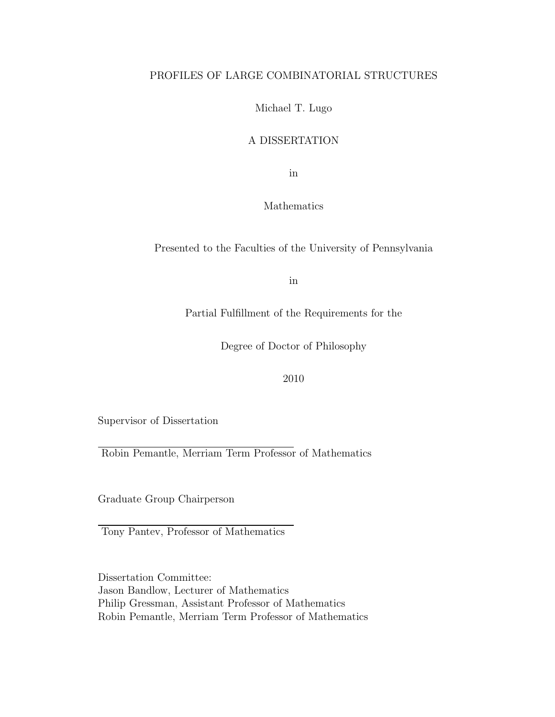## PROFILES OF LARGE COMBINATORIAL STRUCTURES

Michael T. Lugo

## A DISSERTATION

in

Mathematics

Presented to the Faculties of the University of Pennsylvania

in

Partial Fulfillment of the Requirements for the

Degree of Doctor of Philosophy

## 2010

Supervisor of Dissertation

Robin Pemantle, Merriam Term Professor of Mathematics

Graduate Group Chairperson

Tony Pantev, Professor of Mathematics

Dissertation Committee: Jason Bandlow, Lecturer of Mathematics Philip Gressman, Assistant Professor of Mathematics Robin Pemantle, Merriam Term Professor of Mathematics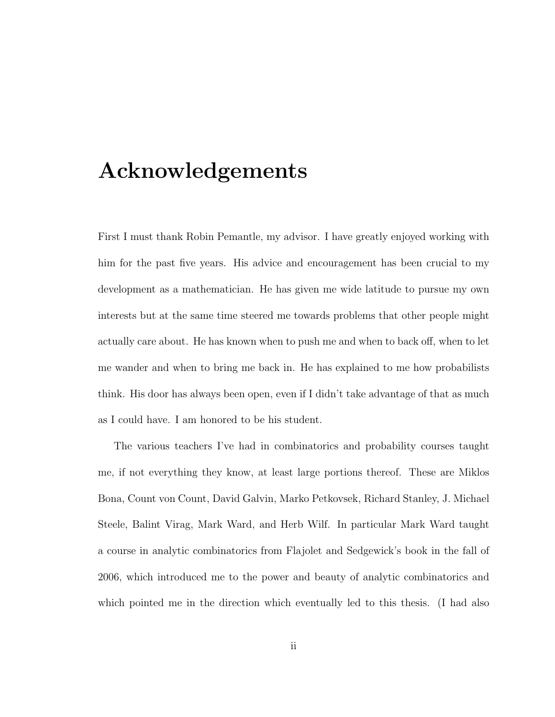## Acknowledgements

First I must thank Robin Pemantle, my advisor. I have greatly enjoyed working with him for the past five years. His advice and encouragement has been crucial to my development as a mathematician. He has given me wide latitude to pursue my own interests but at the same time steered me towards problems that other people might actually care about. He has known when to push me and when to back off, when to let me wander and when to bring me back in. He has explained to me how probabilists think. His door has always been open, even if I didn't take advantage of that as much as I could have. I am honored to be his student.

The various teachers I've had in combinatorics and probability courses taught me, if not everything they know, at least large portions thereof. These are Miklos Bona, Count von Count, David Galvin, Marko Petkovsek, Richard Stanley, J. Michael Steele, Balint Virag, Mark Ward, and Herb Wilf. In particular Mark Ward taught a course in analytic combinatorics from Flajolet and Sedgewick's book in the fall of 2006, which introduced me to the power and beauty of analytic combinatorics and which pointed me in the direction which eventually led to this thesis. (I had also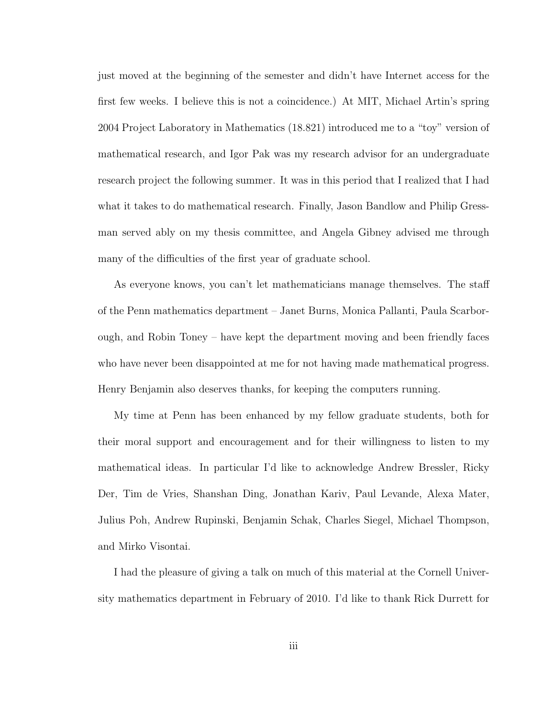just moved at the beginning of the semester and didn't have Internet access for the first few weeks. I believe this is not a coincidence.) At MIT, Michael Artin's spring 2004 Project Laboratory in Mathematics (18.821) introduced me to a "toy" version of mathematical research, and Igor Pak was my research advisor for an undergraduate research project the following summer. It was in this period that I realized that I had what it takes to do mathematical research. Finally, Jason Bandlow and Philip Gressman served ably on my thesis committee, and Angela Gibney advised me through many of the difficulties of the first year of graduate school.

As everyone knows, you can't let mathematicians manage themselves. The staff of the Penn mathematics department – Janet Burns, Monica Pallanti, Paula Scarborough, and Robin Toney – have kept the department moving and been friendly faces who have never been disappointed at me for not having made mathematical progress. Henry Benjamin also deserves thanks, for keeping the computers running.

My time at Penn has been enhanced by my fellow graduate students, both for their moral support and encouragement and for their willingness to listen to my mathematical ideas. In particular I'd like to acknowledge Andrew Bressler, Ricky Der, Tim de Vries, Shanshan Ding, Jonathan Kariv, Paul Levande, Alexa Mater, Julius Poh, Andrew Rupinski, Benjamin Schak, Charles Siegel, Michael Thompson, and Mirko Visontai.

I had the pleasure of giving a talk on much of this material at the Cornell University mathematics department in February of 2010. I'd like to thank Rick Durrett for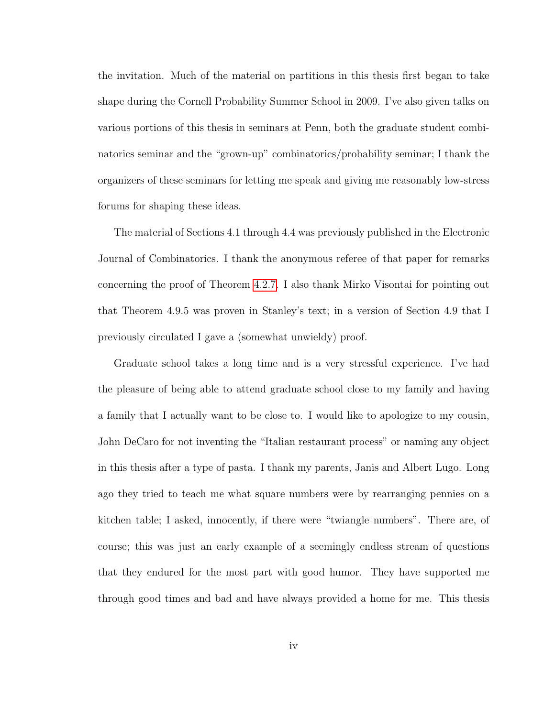the invitation. Much of the material on partitions in this thesis first began to take shape during the Cornell Probability Summer School in 2009. I've also given talks on various portions of this thesis in seminars at Penn, both the graduate student combinatorics seminar and the "grown-up" combinatorics/probability seminar; I thank the organizers of these seminars for letting me speak and giving me reasonably low-stress forums for shaping these ideas.

The material of Sections 4.1 through 4.4 was previously published in the Electronic Journal of Combinatorics. I thank the anonymous referee of that paper for remarks concerning the proof of Theorem [4.2.7.](#page-101-0) I also thank Mirko Visontai for pointing out that Theorem 4.9.5 was proven in Stanley's text; in a version of Section 4.9 that I previously circulated I gave a (somewhat unwieldy) proof.

Graduate school takes a long time and is a very stressful experience. I've had the pleasure of being able to attend graduate school close to my family and having a family that I actually want to be close to. I would like to apologize to my cousin, John DeCaro for not inventing the "Italian restaurant process" or naming any object in this thesis after a type of pasta. I thank my parents, Janis and Albert Lugo. Long ago they tried to teach me what square numbers were by rearranging pennies on a kitchen table; I asked, innocently, if there were "twiangle numbers". There are, of course; this was just an early example of a seemingly endless stream of questions that they endured for the most part with good humor. They have supported me through good times and bad and have always provided a home for me. This thesis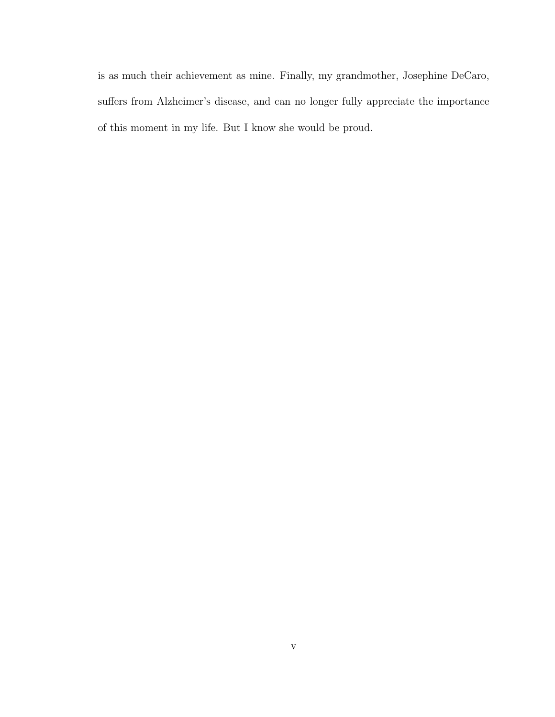is as much their achievement as mine. Finally, my grandmother, Josephine DeCaro, suffers from Alzheimer's disease, and can no longer fully appreciate the importance of this moment in my life. But I know she would be proud.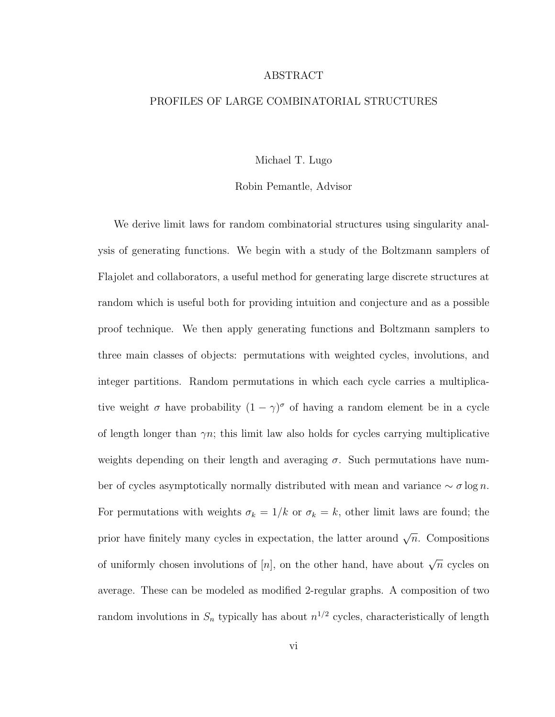## ABSTRACT

## PROFILES OF LARGE COMBINATORIAL STRUCTURES

Michael T. Lugo

### Robin Pemantle, Advisor

We derive limit laws for random combinatorial structures using singularity analysis of generating functions. We begin with a study of the Boltzmann samplers of Flajolet and collaborators, a useful method for generating large discrete structures at random which is useful both for providing intuition and conjecture and as a possible proof technique. We then apply generating functions and Boltzmann samplers to three main classes of objects: permutations with weighted cycles, involutions, and integer partitions. Random permutations in which each cycle carries a multiplicative weight  $\sigma$  have probability  $(1 - \gamma)^{\sigma}$  of having a random element be in a cycle of length longer than  $\gamma n$ ; this limit law also holds for cycles carrying multiplicative weights depending on their length and averaging  $\sigma$ . Such permutations have number of cycles asymptotically normally distributed with mean and variance  $\sim \sigma \log n$ . For permutations with weights  $\sigma_k = 1/k$  or  $\sigma_k = k$ , other limit laws are found; the prior have finitely many cycles in expectation, the latter around  $\sqrt{n}$ . Compositions of uniformly chosen involutions of [n], on the other hand, have about  $\sqrt{n}$  cycles on average. These can be modeled as modified 2-regular graphs. A composition of two random involutions in  $S_n$  typically has about  $n^{1/2}$  cycles, characteristically of length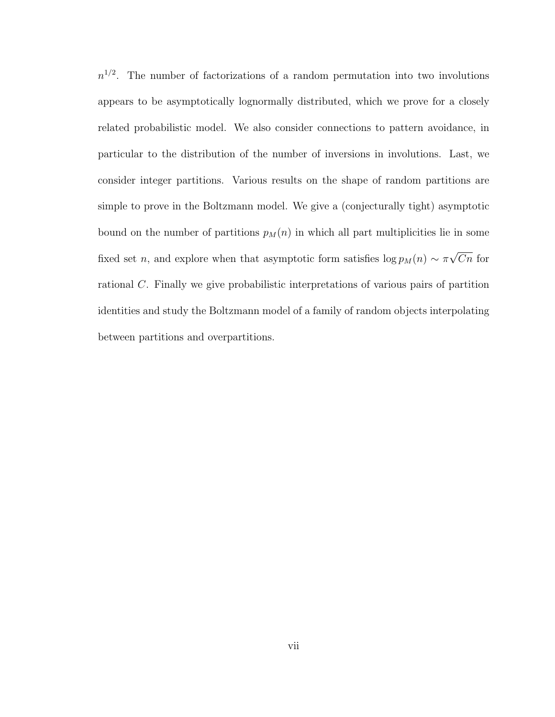$n^{1/2}$ . The number of factorizations of a random permutation into two involutions appears to be asymptotically lognormally distributed, which we prove for a closely related probabilistic model. We also consider connections to pattern avoidance, in particular to the distribution of the number of inversions in involutions. Last, we consider integer partitions. Various results on the shape of random partitions are simple to prove in the Boltzmann model. We give a (conjecturally tight) asymptotic bound on the number of partitions  $p_M(n)$  in which all part multiplicities lie in some fixed set n, and explore when that asymptotic form satisfies  $\log p_M(n) \sim \pi$ √  $Cn$  for rational C. Finally we give probabilistic interpretations of various pairs of partition identities and study the Boltzmann model of a family of random objects interpolating between partitions and overpartitions.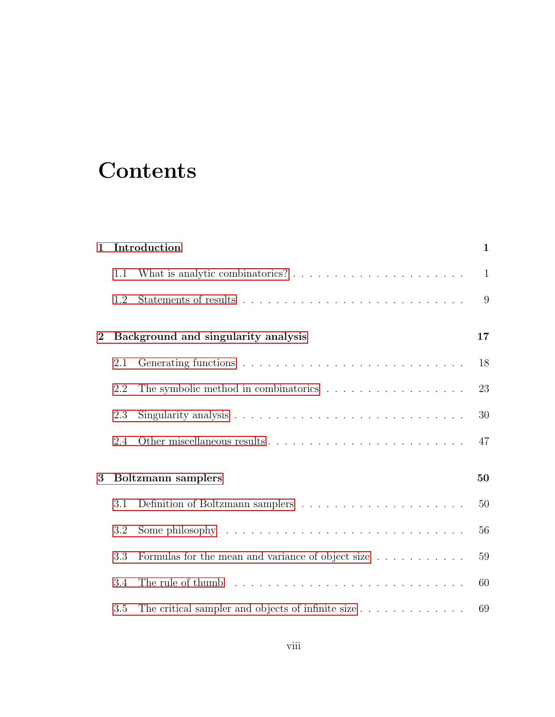# **Contents**

| $\mathbf{1}$   |     | Introduction                                                                              | $\mathbf{1}$ |
|----------------|-----|-------------------------------------------------------------------------------------------|--------------|
|                | 1.1 |                                                                                           | $\mathbf{1}$ |
|                | 1.2 |                                                                                           | 9            |
| $\overline{2}$ |     | Background and singularity analysis                                                       | 17           |
|                | 2.1 |                                                                                           | 18           |
|                | 2.2 |                                                                                           | 23           |
|                | 2.3 |                                                                                           | 30           |
|                | 2.4 |                                                                                           | 47           |
| 3              |     | <b>Boltzmann</b> samplers                                                                 | 50           |
|                | 3.1 | Definition of Boltzmann samplers $\ldots \ldots \ldots \ldots \ldots \ldots \ldots$       | 50           |
|                | 3.2 | Some philosophy $\dots \dots \dots \dots \dots \dots \dots \dots \dots \dots \dots \dots$ | 56           |
|                | 3.3 | Formulas for the mean and variance of object size $\ldots \ldots \ldots$                  | 59           |
|                | 3.4 |                                                                                           | 60           |
|                | 3.5 | The critical sampler and objects of infinite size                                         | 69           |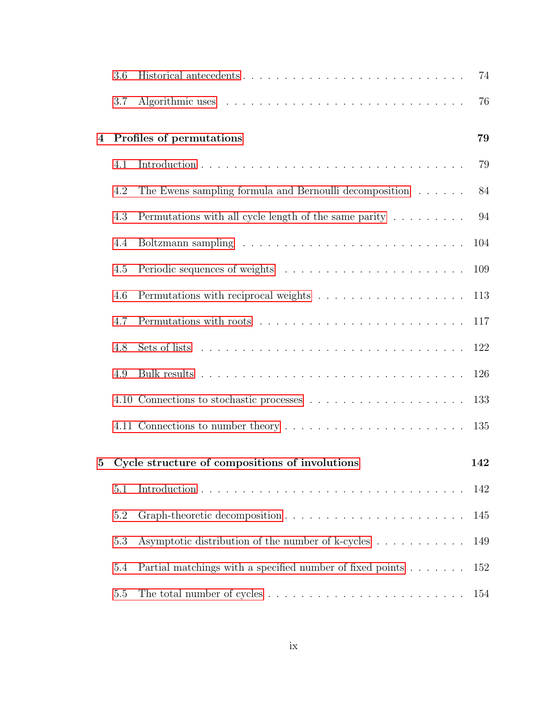|                | 3.6 |                                                                                              | 74  |
|----------------|-----|----------------------------------------------------------------------------------------------|-----|
|                | 3.7 |                                                                                              | 76  |
| $\overline{4}$ |     | Profiles of permutations                                                                     | 79  |
|                | 4.1 |                                                                                              | 79  |
|                | 4.2 | The Ewens sampling formula and Bernoulli decomposition                                       | 84  |
|                | 4.3 | Permutations with all cycle length of the same parity $\dots \dots$                          | 94  |
|                | 4.4 |                                                                                              | 104 |
|                | 4.5 |                                                                                              | 109 |
|                | 4.6 |                                                                                              | 113 |
|                | 4.7 |                                                                                              | 117 |
|                | 4.8 | Sets of lists $\ldots \ldots \ldots \ldots \ldots \ldots \ldots \ldots \ldots \ldots \ldots$ | 122 |
|                | 4.9 |                                                                                              | 126 |
|                |     |                                                                                              | 133 |
|                |     |                                                                                              | 135 |
| $5^{\circ}$    |     | Cycle structure of compositions of involutions                                               | 142 |
|                | 5.1 |                                                                                              | 142 |
|                | 5.2 |                                                                                              | 145 |
|                | 5.3 | Asymptotic distribution of the number of k-cycles                                            | 149 |
|                | 5.4 | Partial matchings with a specified number of fixed points                                    | 152 |
|                | 5.5 |                                                                                              | 154 |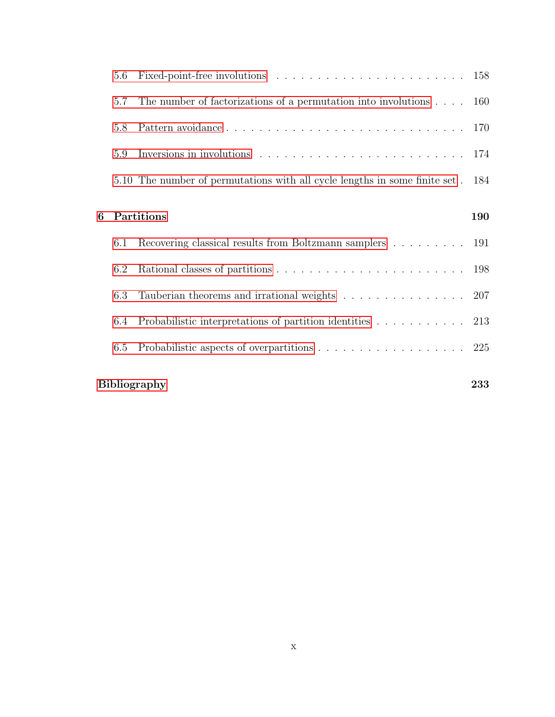|   | 5.6                        | Fixed-point-free involutions $\ldots \ldots \ldots \ldots \ldots \ldots \ldots \ldots \ldots 158$ |     |  |
|---|----------------------------|---------------------------------------------------------------------------------------------------|-----|--|
|   | 5.7                        | The number of factorizations of a permutation into involutions                                    | 160 |  |
|   | 5.8                        |                                                                                                   | 170 |  |
|   | 5.9                        | Inversions in involutions $\ldots \ldots \ldots \ldots \ldots \ldots \ldots \ldots$               | 174 |  |
|   |                            | 5.10 The number of permutations with all cycle lengths in some finite set.                        | 184 |  |
| 6 |                            | Partitions                                                                                        | 190 |  |
|   | 6.1                        | Recovering classical results from Boltzmann samplers 191                                          |     |  |
|   | 6.2                        |                                                                                                   |     |  |
|   | 6.3                        | Tauberian theorems and irrational weights $\ldots \ldots \ldots \ldots \ldots 207$                |     |  |
|   | 6.4                        | Probabilistic interpretations of partition identities 213                                         |     |  |
|   | 6.5                        | Probabilistic aspects of overpartitions 225                                                       |     |  |
|   | <b>Bibliography</b><br>233 |                                                                                                   |     |  |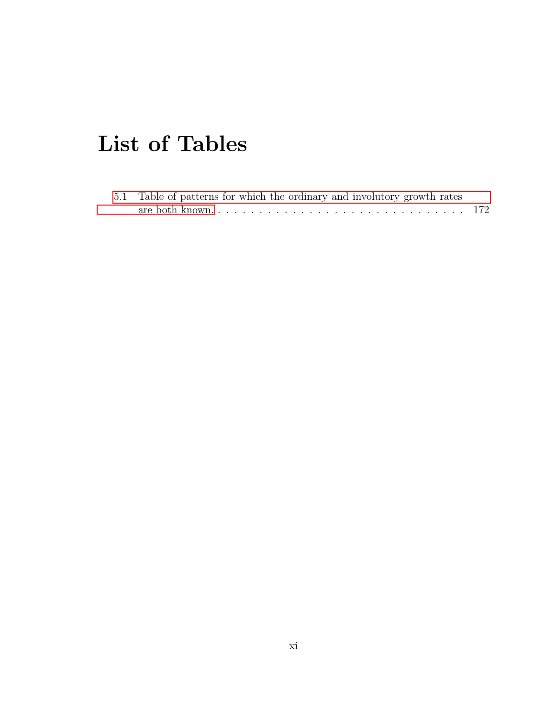# List of Tables

| 5.1 Table of patterns for which the ordinary and involutory growth rates |  |
|--------------------------------------------------------------------------|--|
|                                                                          |  |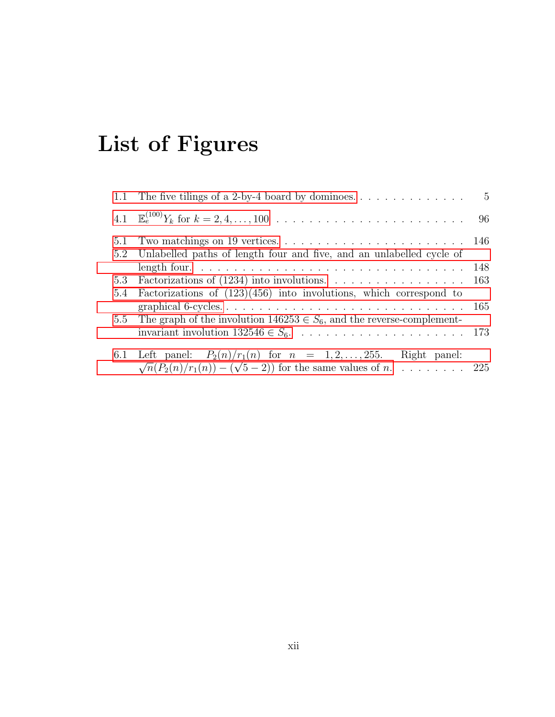# List of Figures

|            | 1.1 The five tilings of a 2-by-4 board by dominoes                             | $-5$ |
|------------|--------------------------------------------------------------------------------|------|
|            |                                                                                |      |
| 5.1<br>5.2 | Unlabelled paths of length four and five, and an unlabelled cycle of           |      |
|            |                                                                                | 148  |
|            | 5.3 Factorizations of $(1234)$ into involutions.                               | 163  |
| 5.4        | Factorizations of $(123)(456)$ into involutions, which correspond to           |      |
|            |                                                                                |      |
|            | 5.5 The graph of the involution $146253 \in S_6$ , and the reverse-complement- |      |
|            |                                                                                |      |
|            | 6.1 Left panel: $P_2(n)/r_1(n)$ for $n = 1, 2, , 255$ . Right panel:           |      |
|            | $\sqrt{n}(P_2(n)/r_1(n)) - (\sqrt{5}-2)$ for the same values of n 225          |      |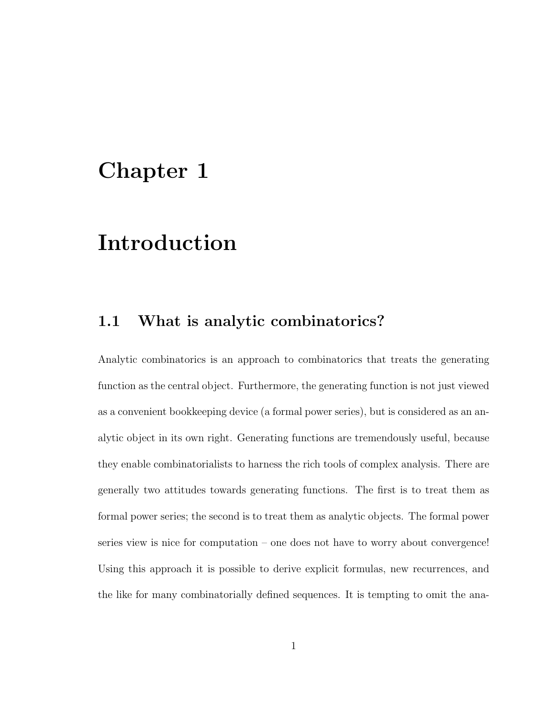# <span id="page-12-0"></span>Chapter 1

# Introduction

## <span id="page-12-1"></span>1.1 What is analytic combinatorics?

Analytic combinatorics is an approach to combinatorics that treats the generating function as the central object. Furthermore, the generating function is not just viewed as a convenient bookkeeping device (a formal power series), but is considered as an analytic object in its own right. Generating functions are tremendously useful, because they enable combinatorialists to harness the rich tools of complex analysis. There are generally two attitudes towards generating functions. The first is to treat them as formal power series; the second is to treat them as analytic objects. The formal power series view is nice for computation – one does not have to worry about convergence! Using this approach it is possible to derive explicit formulas, new recurrences, and the like for many combinatorially defined sequences. It is tempting to omit the ana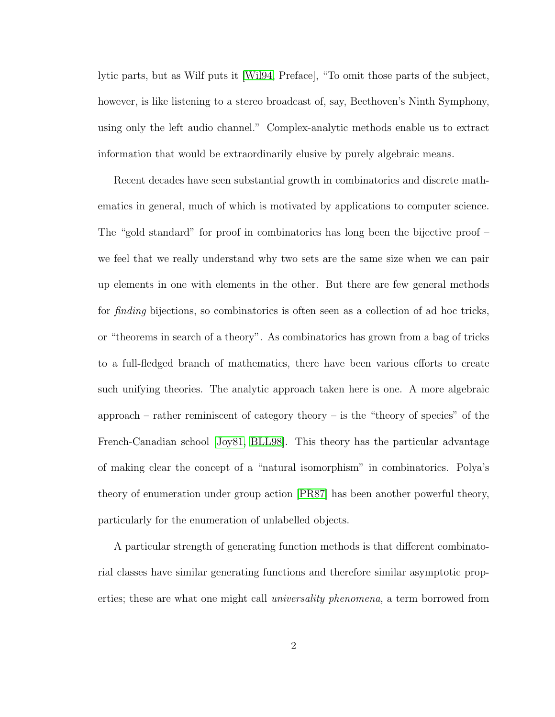lytic parts, but as Wilf puts it [\[Wil94,](#page-260-0) Preface], "To omit those parts of the subject, however, is like listening to a stereo broadcast of, say, Beethoven's Ninth Symphony, using only the left audio channel." Complex-analytic methods enable us to extract information that would be extraordinarily elusive by purely algebraic means.

Recent decades have seen substantial growth in combinatorics and discrete mathematics in general, much of which is motivated by applications to computer science. The "gold standard" for proof in combinatorics has long been the bijective proof – we feel that we really understand why two sets are the same size when we can pair up elements in one with elements in the other. But there are few general methods for *finding* bijections, so combinatorics is often seen as a collection of ad hoc tricks, or "theorems in search of a theory". As combinatorics has grown from a bag of tricks to a full-fledged branch of mathematics, there have been various efforts to create such unifying theories. The analytic approach taken here is one. A more algebraic  $a$ approach – rather reminiscent of category theory – is the "theory of species" of the French-Canadian school [\[Joy81,](#page-254-0) [BLL98\]](#page-247-0). This theory has the particular advantage of making clear the concept of a "natural isomorphism" in combinatorics. Polya's theory of enumeration under group action [\[PR87\]](#page-257-0) has been another powerful theory, particularly for the enumeration of unlabelled objects.

A particular strength of generating function methods is that different combinatorial classes have similar generating functions and therefore similar asymptotic properties; these are what one might call *universality phenomena*, a term borrowed from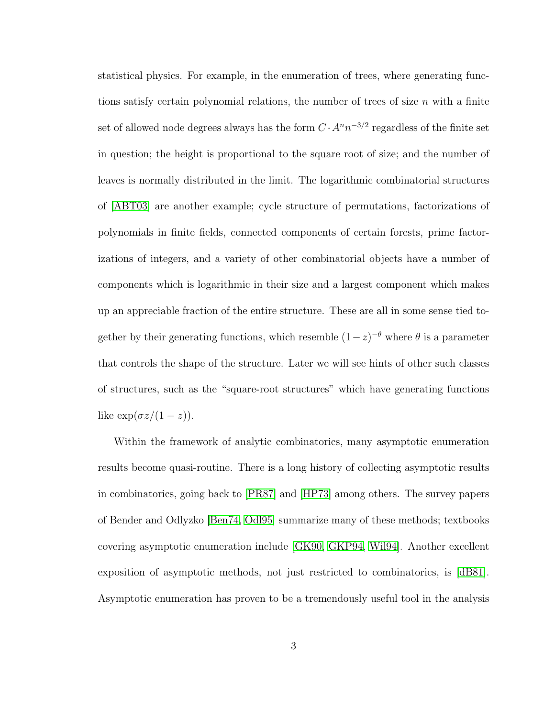statistical physics. For example, in the enumeration of trees, where generating functions satisfy certain polynomial relations, the number of trees of size  $n$  with a finite set of allowed node degrees always has the form  $C \cdot A^n n^{-3/2}$  regardless of the finite set in question; the height is proportional to the square root of size; and the number of leaves is normally distributed in the limit. The logarithmic combinatorial structures of [\[ABT03\]](#page-245-0) are another example; cycle structure of permutations, factorizations of polynomials in finite fields, connected components of certain forests, prime factorizations of integers, and a variety of other combinatorial objects have a number of components which is logarithmic in their size and a largest component which makes up an appreciable fraction of the entire structure. These are all in some sense tied together by their generating functions, which resemble  $(1-z)^{-\theta}$  where  $\theta$  is a parameter that controls the shape of the structure. Later we will see hints of other such classes of structures, such as the "square-root structures" which have generating functions like  $\exp(\sigma z/(1-z)).$ 

Within the framework of analytic combinatorics, many asymptotic enumeration results become quasi-routine. There is a long history of collecting asymptotic results in combinatorics, going back to [\[PR87\]](#page-257-0) and [\[HP73\]](#page-253-0) among others. The survey papers of Bender and Odlyzko [\[Ben74,](#page-246-0) [Odl95\]](#page-256-0) summarize many of these methods; textbooks covering asymptotic enumeration include [\[GK90,](#page-252-0) [GKP94,](#page-252-1) [Wil94\]](#page-260-0). Another excellent exposition of asymptotic methods, not just restricted to combinatorics, is [\[dB81\]](#page-249-0). Asymptotic enumeration has proven to be a tremendously useful tool in the analysis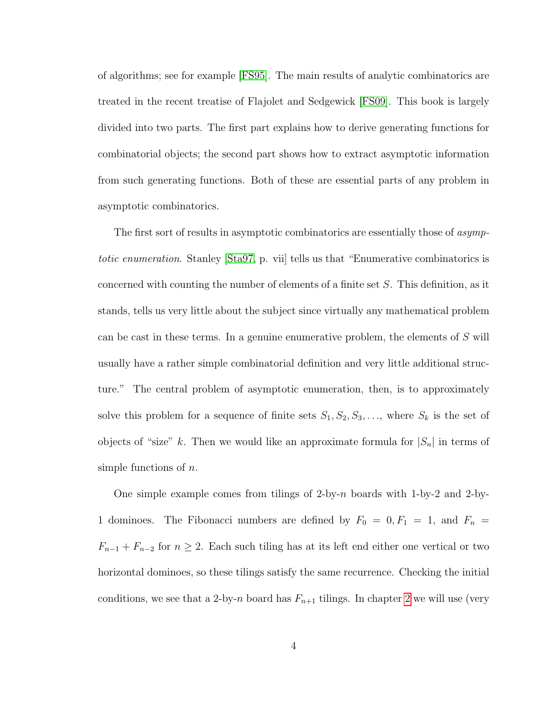of algorithms; see for example [\[FS95\]](#page-251-0). The main results of analytic combinatorics are treated in the recent treatise of Flajolet and Sedgewick [\[FS09\]](#page-252-2). This book is largely divided into two parts. The first part explains how to derive generating functions for combinatorial objects; the second part shows how to extract asymptotic information from such generating functions. Both of these are essential parts of any problem in asymptotic combinatorics.

The first sort of results in asymptotic combinatorics are essentially those of *asymp*totic enumeration. Stanley [\[Sta97,](#page-258-0) p. vii] tells us that "Enumerative combinatorics is concerned with counting the number of elements of a finite set S. This definition, as it stands, tells us very little about the subject since virtually any mathematical problem can be cast in these terms. In a genuine enumerative problem, the elements of S will usually have a rather simple combinatorial definition and very little additional structure." The central problem of asymptotic enumeration, then, is to approximately solve this problem for a sequence of finite sets  $S_1, S_2, S_3, \ldots$ , where  $S_k$  is the set of objects of "size" k. Then we would like an approximate formula for  $|S_n|$  in terms of simple functions of  $n$ .

One simple example comes from tilings of  $2$ -by- $n$  boards with 1-by-2 and 2-by-1 dominoes. The Fibonacci numbers are defined by  $F_0 = 0, F_1 = 1$ , and  $F_n =$  $F_{n-1} + F_{n-2}$  for  $n \geq 2$ . Each such tiling has at its left end either one vertical or two horizontal dominoes, so these tilings satisfy the same recurrence. Checking the initial conditions, we see that a [2](#page-28-0)-by-n board has  $F_{n+1}$  tilings. In chapter 2 we will use (very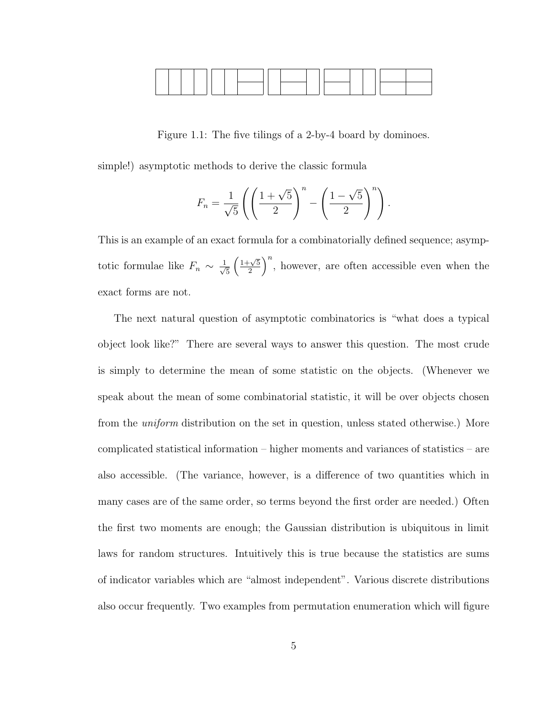

<span id="page-16-0"></span>Figure 1.1: The five tilings of a 2-by-4 board by dominoes.

simple!) asymptotic methods to derive the classic formula

$$
F_n = \frac{1}{\sqrt{5}} \left( \left( \frac{1+\sqrt{5}}{2} \right)^n - \left( \frac{1-\sqrt{5}}{2} \right)^n \right).
$$

This is an example of an exact formula for a combinatorially defined sequence; asymptotic formulae like  $F_n \sim \frac{1}{\sqrt{2}}$ 5  $\sqrt{\frac{1+\sqrt{5}}{2}}$  $\left(\frac{\sqrt{5}}{2}\right)^n$ , however, are often accessible even when the exact forms are not.

The next natural question of asymptotic combinatorics is "what does a typical object look like?" There are several ways to answer this question. The most crude is simply to determine the mean of some statistic on the objects. (Whenever we speak about the mean of some combinatorial statistic, it will be over objects chosen from the uniform distribution on the set in question, unless stated otherwise.) More complicated statistical information – higher moments and variances of statistics – are also accessible. (The variance, however, is a difference of two quantities which in many cases are of the same order, so terms beyond the first order are needed.) Often the first two moments are enough; the Gaussian distribution is ubiquitous in limit laws for random structures. Intuitively this is true because the statistics are sums of indicator variables which are "almost independent". Various discrete distributions also occur frequently. Two examples from permutation enumeration which will figure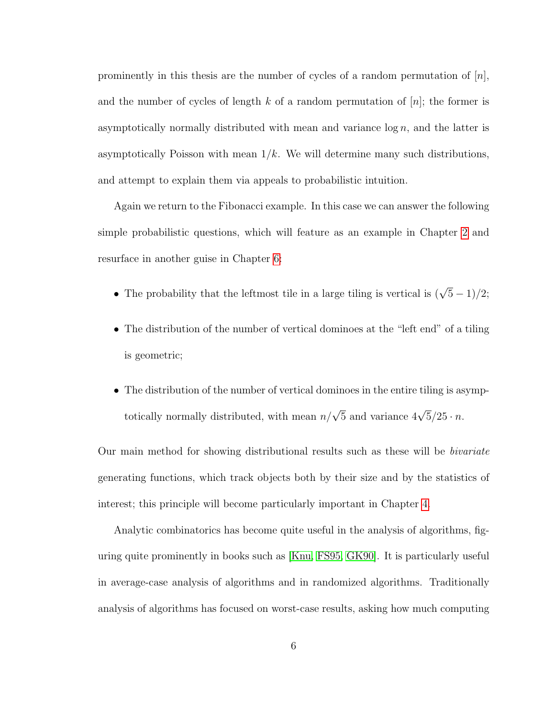prominently in this thesis are the number of cycles of a random permutation of  $[n]$ , and the number of cycles of length k of a random permutation of  $[n]$ ; the former is asymptotically normally distributed with mean and variance  $\log n$ , and the latter is asymptotically Poisson with mean  $1/k$ . We will determine many such distributions, and attempt to explain them via appeals to probabilistic intuition.

Again we return to the Fibonacci example. In this case we can answer the following simple probabilistic questions, which will feature as an example in Chapter [2](#page-28-0) and resurface in another guise in Chapter [6:](#page-201-0)

- The probability that the leftmost tile in a large tiling is vertical is  $(\sqrt{5}-1)/2$ ;
- The distribution of the number of vertical dominoes at the "left end" of a tiling is geometric;
- The distribution of the number of vertical dominoes in the entire tiling is asymptotically normally distributed, with mean  $n/\sqrt{5}$  and variance  $4\sqrt{5}/25 \cdot n$ .

Our main method for showing distributional results such as these will be bivariate generating functions, which track objects both by their size and by the statistics of interest; this principle will become particularly important in Chapter [4.](#page-90-0)

Analytic combinatorics has become quite useful in the analysis of algorithms, figuring quite prominently in books such as [\[Knu,](#page-254-1) [FS95,](#page-251-0) [GK90\]](#page-252-0). It is particularly useful in average-case analysis of algorithms and in randomized algorithms. Traditionally analysis of algorithms has focused on worst-case results, asking how much computing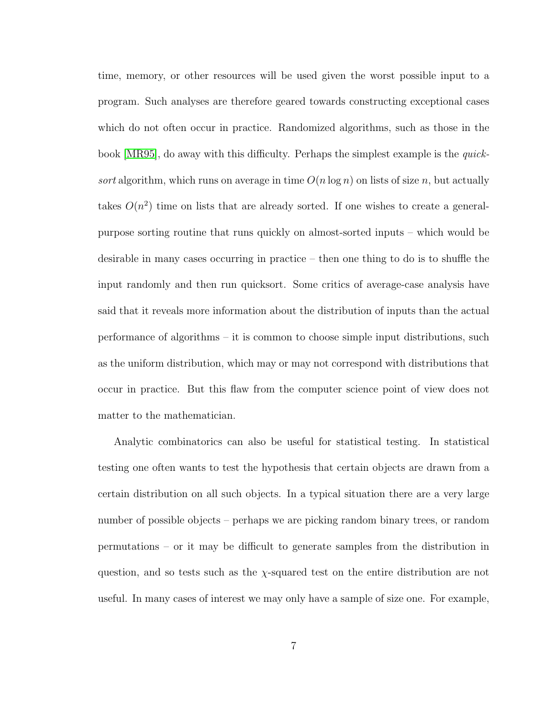time, memory, or other resources will be used given the worst possible input to a program. Such analyses are therefore geared towards constructing exceptional cases which do not often occur in practice. Randomized algorithms, such as those in the book [\[MR95\]](#page-255-0), do away with this difficulty. Perhaps the simplest example is the *quick*sort algorithm, which runs on average in time  $O(n \log n)$  on lists of size n, but actually takes  $O(n^2)$  time on lists that are already sorted. If one wishes to create a generalpurpose sorting routine that runs quickly on almost-sorted inputs – which would be desirable in many cases occurring in practice – then one thing to do is to shuffle the input randomly and then run quicksort. Some critics of average-case analysis have said that it reveals more information about the distribution of inputs than the actual performance of algorithms – it is common to choose simple input distributions, such as the uniform distribution, which may or may not correspond with distributions that occur in practice. But this flaw from the computer science point of view does not matter to the mathematician.

Analytic combinatorics can also be useful for statistical testing. In statistical testing one often wants to test the hypothesis that certain objects are drawn from a certain distribution on all such objects. In a typical situation there are a very large number of possible objects – perhaps we are picking random binary trees, or random permutations – or it may be difficult to generate samples from the distribution in question, and so tests such as the  $\chi$ -squared test on the entire distribution are not useful. In many cases of interest we may only have a sample of size one. For example,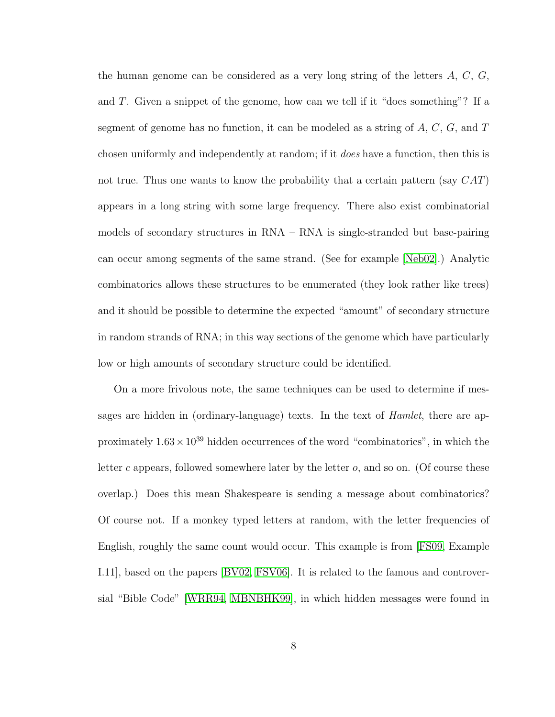the human genome can be considered as a very long string of the letters A, C, G, and T. Given a snippet of the genome, how can we tell if it "does something"? If a segment of genome has no function, it can be modeled as a string of  $A, C, G$ , and  $T$ chosen uniformly and independently at random; if it does have a function, then this is not true. Thus one wants to know the probability that a certain pattern (say  $CAT$ ) appears in a long string with some large frequency. There also exist combinatorial models of secondary structures in RNA – RNA is single-stranded but base-pairing can occur among segments of the same strand. (See for example [\[Neb02\]](#page-256-1).) Analytic combinatorics allows these structures to be enumerated (they look rather like trees) and it should be possible to determine the expected "amount" of secondary structure in random strands of RNA; in this way sections of the genome which have particularly low or high amounts of secondary structure could be identified.

On a more frivolous note, the same techniques can be used to determine if messages are hidden in (ordinary-language) texts. In the text of *Hamlet*, there are approximately  $1.63 \times 10^{39}$  hidden occurrences of the word "combinatorics", in which the letter c appears, followed somewhere later by the letter  $o$ , and so on. (Of course these overlap.) Does this mean Shakespeare is sending a message about combinatorics? Of course not. If a monkey typed letters at random, with the letter frequencies of English, roughly the same count would occur. This example is from [\[FS09,](#page-252-2) Example I.11], based on the papers [\[BV02,](#page-248-0) [FSV06\]](#page-252-3). It is related to the famous and controversial "Bible Code" [\[WRR94,](#page-260-1) [MBNBHK99\]](#page-255-1), in which hidden messages were found in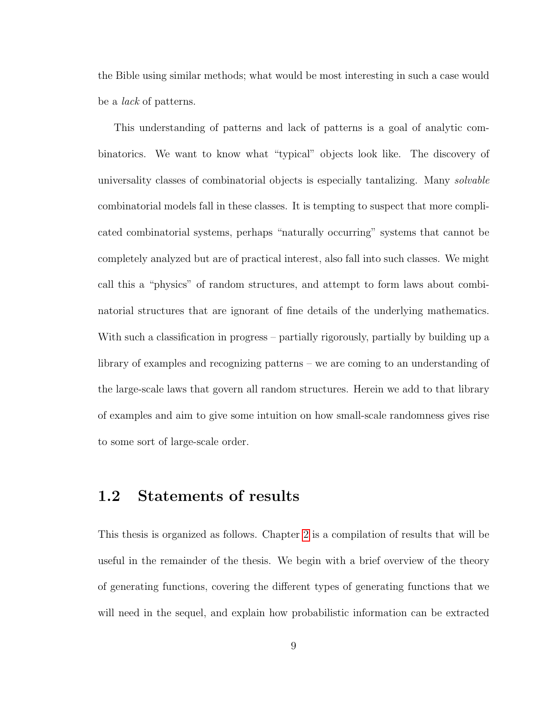the Bible using similar methods; what would be most interesting in such a case would be a *lack* of patterns.

This understanding of patterns and lack of patterns is a goal of analytic combinatorics. We want to know what "typical" objects look like. The discovery of universality classes of combinatorial objects is especially tantalizing. Many solvable combinatorial models fall in these classes. It is tempting to suspect that more complicated combinatorial systems, perhaps "naturally occurring" systems that cannot be completely analyzed but are of practical interest, also fall into such classes. We might call this a "physics" of random structures, and attempt to form laws about combinatorial structures that are ignorant of fine details of the underlying mathematics. With such a classification in progress – partially rigorously, partially by building up a library of examples and recognizing patterns – we are coming to an understanding of the large-scale laws that govern all random structures. Herein we add to that library of examples and aim to give some intuition on how small-scale randomness gives rise to some sort of large-scale order.

## <span id="page-20-0"></span>1.2 Statements of results

This thesis is organized as follows. Chapter [2](#page-28-0) is a compilation of results that will be useful in the remainder of the thesis. We begin with a brief overview of the theory of generating functions, covering the different types of generating functions that we will need in the sequel, and explain how probabilistic information can be extracted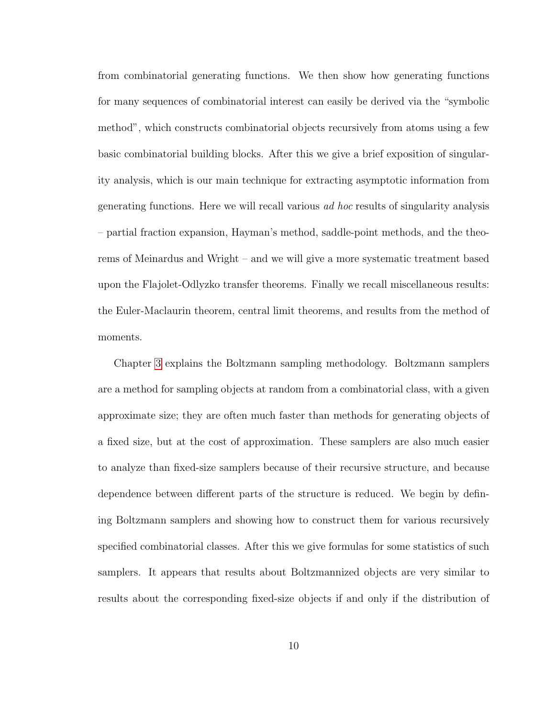from combinatorial generating functions. We then show how generating functions for many sequences of combinatorial interest can easily be derived via the "symbolic method", which constructs combinatorial objects recursively from atoms using a few basic combinatorial building blocks. After this we give a brief exposition of singularity analysis, which is our main technique for extracting asymptotic information from generating functions. Here we will recall various ad hoc results of singularity analysis – partial fraction expansion, Hayman's method, saddle-point methods, and the theorems of Meinardus and Wright – and we will give a more systematic treatment based upon the Flajolet-Odlyzko transfer theorems. Finally we recall miscellaneous results: the Euler-Maclaurin theorem, central limit theorems, and results from the method of moments.

Chapter [3](#page-61-0) explains the Boltzmann sampling methodology. Boltzmann samplers are a method for sampling objects at random from a combinatorial class, with a given approximate size; they are often much faster than methods for generating objects of a fixed size, but at the cost of approximation. These samplers are also much easier to analyze than fixed-size samplers because of their recursive structure, and because dependence between different parts of the structure is reduced. We begin by defining Boltzmann samplers and showing how to construct them for various recursively specified combinatorial classes. After this we give formulas for some statistics of such samplers. It appears that results about Boltzmannized objects are very similar to results about the corresponding fixed-size objects if and only if the distribution of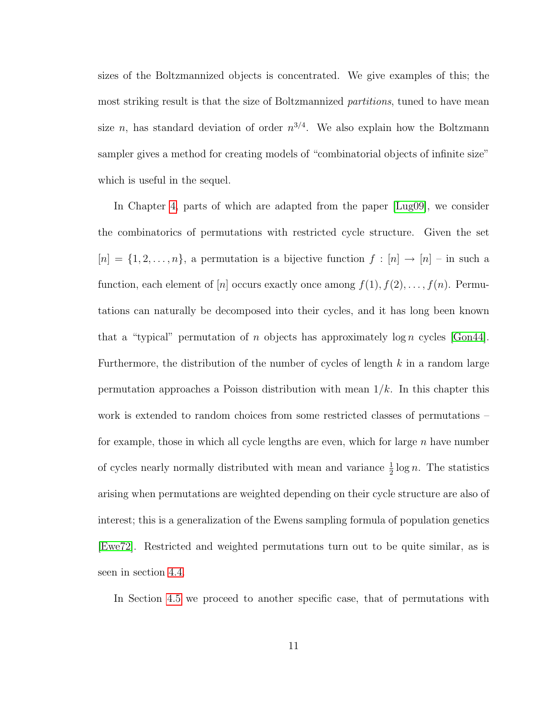sizes of the Boltzmannized objects is concentrated. We give examples of this; the most striking result is that the size of Boltzmannized *partitions*, tuned to have mean size *n*, has standard deviation of order  $n^{3/4}$ . We also explain how the Boltzmann sampler gives a method for creating models of "combinatorial objects of infinite size" which is useful in the sequel.

In Chapter [4,](#page-90-0) parts of which are adapted from the paper [\[Lug09\]](#page-255-2), we consider the combinatorics of permutations with restricted cycle structure. Given the set  $[n] = \{1, 2, \ldots, n\}$ , a permutation is a bijective function  $f : [n] \rightarrow [n]$  – in such a function, each element of [n] occurs exactly once among  $f(1), f(2), \ldots, f(n)$ . Permutations can naturally be decomposed into their cycles, and it has long been known that a "typical" permutation of n objects has approximately  $\log n$  cycles [\[Gon44\]](#page-252-4). Furthermore, the distribution of the number of cycles of length  $k$  in a random large permutation approaches a Poisson distribution with mean  $1/k$ . In this chapter this work is extended to random choices from some restricted classes of permutations – for example, those in which all cycle lengths are even, which for large  $n$  have number of cycles nearly normally distributed with mean and variance  $\frac{1}{2} \log n$ . The statistics arising when permutations are weighted depending on their cycle structure are also of interest; this is a generalization of the Ewens sampling formula of population genetics [\[Ewe72\]](#page-250-0). Restricted and weighted permutations turn out to be quite similar, as is seen in section [4.4.](#page-115-0)

In Section [4.5](#page-120-0) we proceed to another specific case, that of permutations with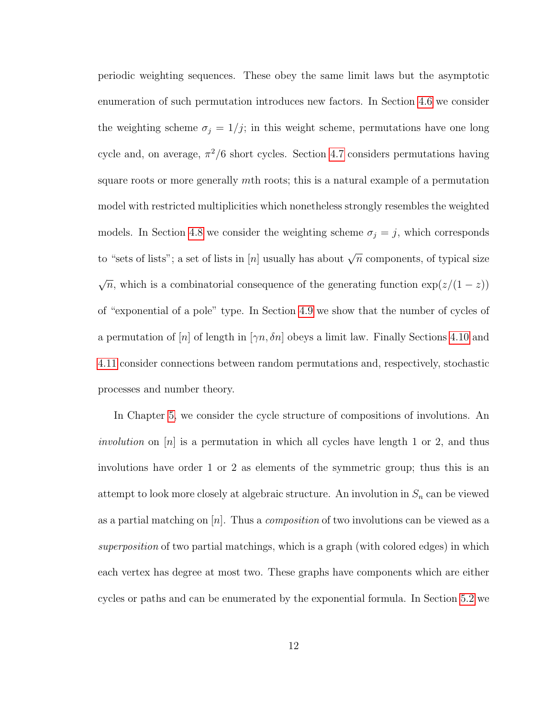periodic weighting sequences. These obey the same limit laws but the asymptotic enumeration of such permutation introduces new factors. In Section [4.6](#page-124-0) we consider the weighting scheme  $\sigma_j = 1/j$ ; in this weight scheme, permutations have one long cycle and, on average,  $\pi^2/6$  short cycles. Section [4.7](#page-128-0) considers permutations having square roots or more generally mth roots; this is a natural example of a permutation model with restricted multiplicities which nonetheless strongly resembles the weighted models. In Section [4.8](#page-133-0) we consider the weighting scheme  $\sigma_j = j$ , which corresponds to "sets of lists"; a set of lists in [n] usually has about  $\sqrt{n}$  components, of typical size √  $\overline{n}$ , which is a combinatorial consequence of the generating function  $\exp(z/(1-z))$ of "exponential of a pole" type. In Section [4.9](#page-137-0) we show that the number of cycles of a permutation of  $[n]$  of length in  $[\gamma n, \delta n]$  obeys a limit law. Finally Sections [4.10](#page-144-0) and [4.11](#page-146-0) consider connections between random permutations and, respectively, stochastic processes and number theory.

In Chapter [5,](#page-153-0) we consider the cycle structure of compositions of involutions. An *involution* on  $[n]$  is a permutation in which all cycles have length 1 or 2, and thus involutions have order 1 or 2 as elements of the symmetric group; thus this is an attempt to look more closely at algebraic structure. An involution in  $S_n$  can be viewed as a partial matching on  $[n]$ . Thus a *composition* of two involutions can be viewed as a superposition of two partial matchings, which is a graph (with colored edges) in which each vertex has degree at most two. These graphs have components which are either cycles or paths and can be enumerated by the exponential formula. In Section [5.2](#page-156-0) we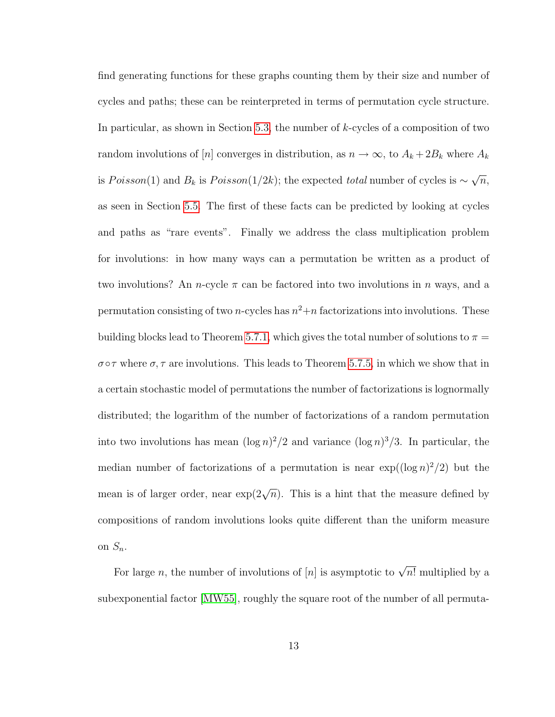find generating functions for these graphs counting them by their size and number of cycles and paths; these can be reinterpreted in terms of permutation cycle structure. In particular, as shown in Section [5.3,](#page-160-0) the number of  $k$ -cycles of a composition of two random involutions of [n] converges in distribution, as  $n \to \infty$ , to  $A_k + 2B_k$  where  $A_k$ is  $Poisson(1)$  and  $B_k$  is  $Poisson(1/2k)$ ; the expected total number of cycles is  $\sim$ √  $\overline{n},$ as seen in Section [5.5.](#page-165-0) The first of these facts can be predicted by looking at cycles and paths as "rare events". Finally we address the class multiplication problem for involutions: in how many ways can a permutation be written as a product of two involutions? An *n*-cycle  $\pi$  can be factored into two involutions in *n* ways, and a permutation consisting of two *n*-cycles has  $n^2+n$  factorizations into involutions. These building blocks lead to Theorem [5.7.1,](#page-172-0) which gives the total number of solutions to  $\pi =$  $\sigma$  or where  $\sigma$ ,  $\tau$  are involutions. This leads to Theorem [5.7.5,](#page-177-0) in which we show that in a certain stochastic model of permutations the number of factorizations is lognormally distributed; the logarithm of the number of factorizations of a random permutation into two involutions has mean  $(\log n)^2/2$  and variance  $(\log n)^3/3$ . In particular, the median number of factorizations of a permutation is near  $\exp((\log n)^2/2)$  but the mean is of larger order, near  $\exp(2\sqrt{n})$ . This is a hint that the measure defined by compositions of random involutions looks quite different than the uniform measure on  $S_n$ .

For large *n*, the number of involutions of [*n*] is asymptotic to  $\sqrt{n!}$  multiplied by a subexponential factor [\[MW55\]](#page-256-2), roughly the square root of the number of all permuta-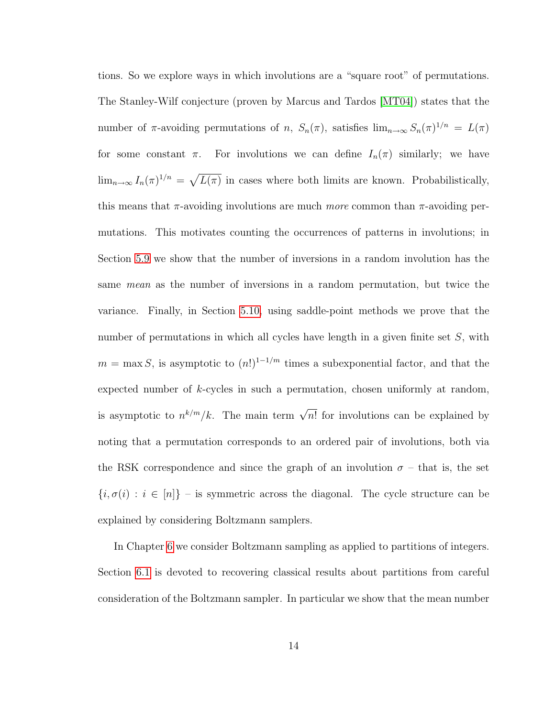tions. So we explore ways in which involutions are a "square root" of permutations. The Stanley-Wilf conjecture (proven by Marcus and Tardos [\[MT04\]](#page-255-3)) states that the number of  $\pi$ -avoiding permutations of n,  $S_n(\pi)$ , satisfies  $\lim_{n\to\infty} S_n(\pi)^{1/n} = L(\pi)$ for some constant  $\pi$ . For involutions we can define  $I_n(\pi)$  similarly; we have  $\lim_{n\to\infty} I_n(\pi)^{1/n} = \sqrt{L(\pi)}$  in cases where both limits are known. Probabilistically, this means that  $\pi$ -avoiding involutions are much more common than  $\pi$ -avoiding permutations. This motivates counting the occurrences of patterns in involutions; in Section [5.9](#page-185-0) we show that the number of inversions in a random involution has the same mean as the number of inversions in a random permutation, but twice the variance. Finally, in Section [5.10,](#page-195-0) using saddle-point methods we prove that the number of permutations in which all cycles have length in a given finite set S, with  $m = \max S$ , is asymptotic to  $(n!)^{1-1/m}$  times a subexponential factor, and that the expected number of k-cycles in such a permutation, chosen uniformly at random, is asymptotic to  $n^{k/m}/k$ . The main term  $\sqrt{n!}$  for involutions can be explained by noting that a permutation corresponds to an ordered pair of involutions, both via the RSK correspondence and since the graph of an involution  $\sigma$  – that is, the set  ${i, \sigma(i) : i \in [n]}$  – is symmetric across the diagonal. The cycle structure can be explained by considering Boltzmann samplers.

In Chapter [6](#page-201-0) we consider Boltzmann sampling as applied to partitions of integers. Section [6.1](#page-202-0) is devoted to recovering classical results about partitions from careful consideration of the Boltzmann sampler. In particular we show that the mean number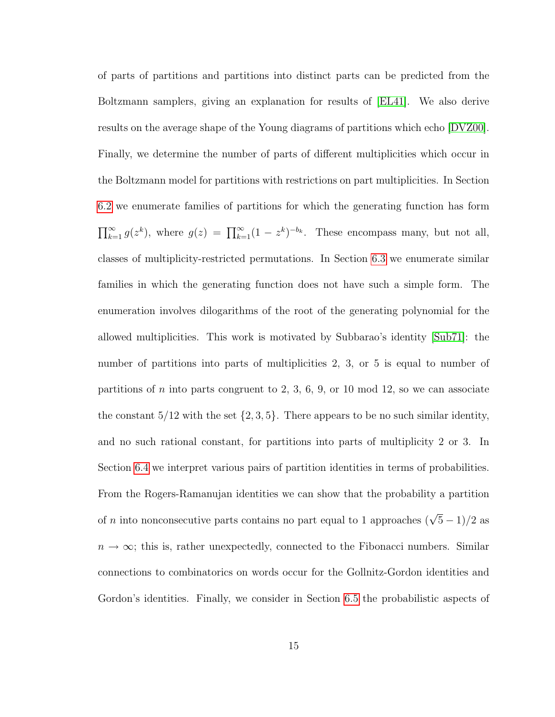of parts of partitions and partitions into distinct parts can be predicted from the Boltzmann samplers, giving an explanation for results of [\[EL41\]](#page-250-1). We also derive results on the average shape of the Young diagrams of partitions which echo [\[DVZ00\]](#page-250-2). Finally, we determine the number of parts of different multiplicities which occur in the Boltzmann model for partitions with restrictions on part multiplicities. In Section [6.2](#page-209-0) we enumerate families of partitions for which the generating function has form  $\prod_{k=1}^{\infty} g(z^k)$ , where  $g(z) = \prod_{k=1}^{\infty} (1 - z^k)^{-b_k}$ . These encompass many, but not all, classes of multiplicity-restricted permutations. In Section [6.3](#page-218-0) we enumerate similar families in which the generating function does not have such a simple form. The enumeration involves dilogarithms of the root of the generating polynomial for the allowed multiplicities. This work is motivated by Subbarao's identity [\[Sub71\]](#page-259-0): the number of partitions into parts of multiplicities 2, 3, or 5 is equal to number of partitions of n into parts congruent to 2, 3, 6, 9, or 10 mod 12, so we can associate the constant  $5/12$  with the set  $\{2,3,5\}$ . There appears to be no such similar identity, and no such rational constant, for partitions into parts of multiplicity 2 or 3. In Section [6.4](#page-224-0) we interpret various pairs of partition identities in terms of probabilities. From the Rogers-Ramanujan identities we can show that the probability a partition of *n* into nonconsecutive parts contains no part equal to 1 approaches  $(\sqrt{5}-1)/2$  as  $n \to \infty$ ; this is, rather unexpectedly, connected to the Fibonacci numbers. Similar connections to combinatorics on words occur for the Gollnitz-Gordon identities and Gordon's identities. Finally, we consider in Section [6.5](#page-236-0) the probabilistic aspects of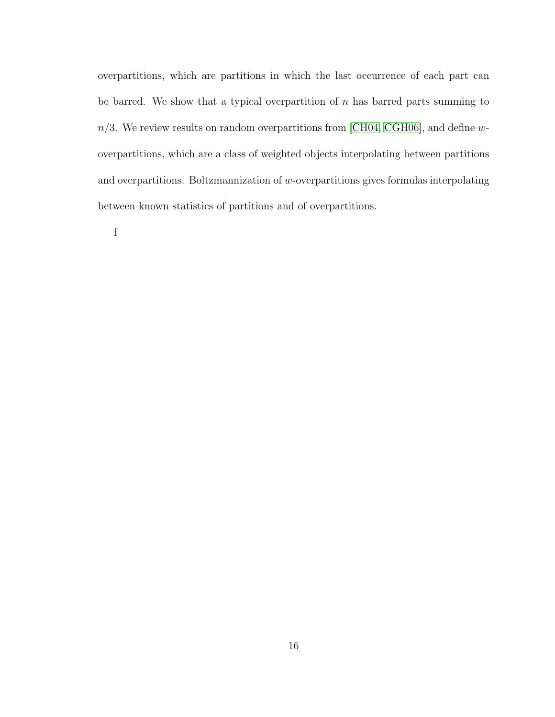overpartitions, which are partitions in which the last occurrence of each part can be barred. We show that a typical overpartition of  $n$  has barred parts summing to  $n/3$ . We review results on random overpartitions from [\[CH04,](#page-248-1) [CGH06\]](#page-248-2), and define woverpartitions, which are a class of weighted objects interpolating between partitions and overpartitions. Boltzmannization of w-overpartitions gives formulas interpolating between known statistics of partitions and of overpartitions.

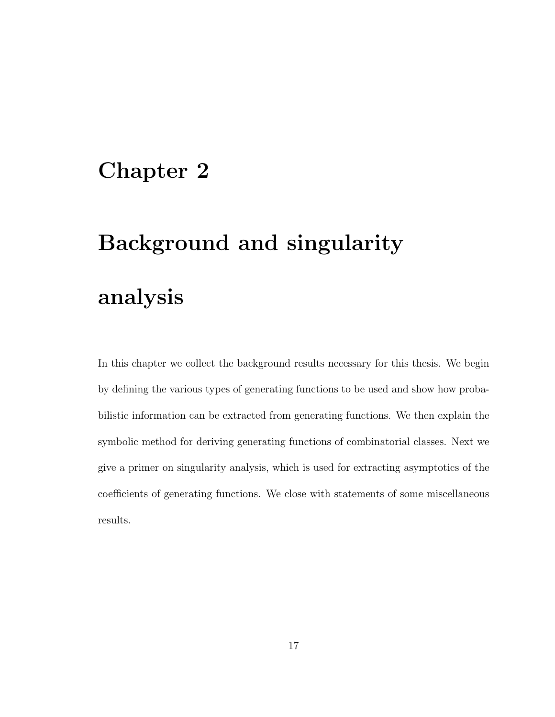# <span id="page-28-0"></span>Chapter 2

# Background and singularity analysis

In this chapter we collect the background results necessary for this thesis. We begin by defining the various types of generating functions to be used and show how probabilistic information can be extracted from generating functions. We then explain the symbolic method for deriving generating functions of combinatorial classes. Next we give a primer on singularity analysis, which is used for extracting asymptotics of the coefficients of generating functions. We close with statements of some miscellaneous results.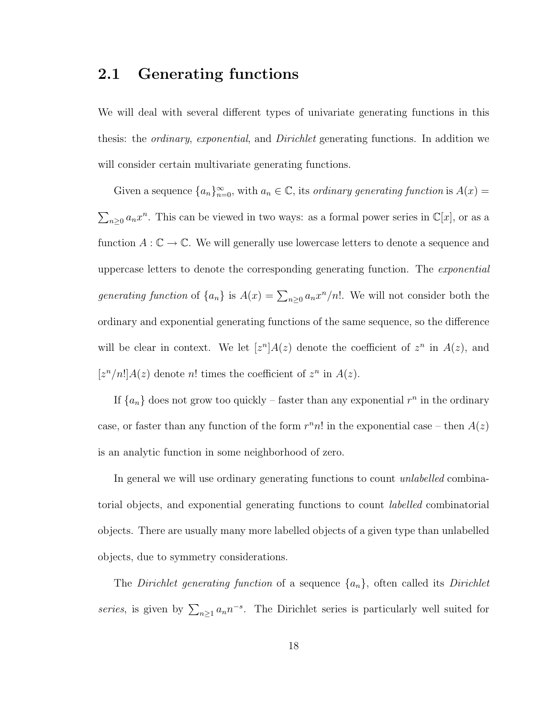## <span id="page-29-0"></span>2.1 Generating functions

We will deal with several different types of univariate generating functions in this thesis: the ordinary, exponential, and Dirichlet generating functions. In addition we will consider certain multivariate generating functions.

Given a sequence  ${a_n}_{n=0}^{\infty}$ , with  $a_n \in \mathbb{C}$ , its ordinary generating function is  $A(x) =$  $\sum_{n\geq 0} a_n x^n$ . This can be viewed in two ways: as a formal power series in  $\mathbb{C}[x]$ , or as a function  $A: \mathbb{C} \to \mathbb{C}$ . We will generally use lowercase letters to denote a sequence and uppercase letters to denote the corresponding generating function. The *exponential* generating function of  $\{a_n\}$  is  $A(x) = \sum_{n\geq 0} a_n x^n/n!$ . We will not consider both the ordinary and exponential generating functions of the same sequence, so the difference will be clear in context. We let  $[z^n]A(z)$  denote the coefficient of  $z^n$  in  $A(z)$ , and  $[z<sup>n</sup>/n!]A(z)$  denote n! times the coefficient of  $z<sup>n</sup>$  in  $A(z)$ .

If  $\{a_n\}$  does not grow too quickly – faster than any exponential  $r^n$  in the ordinary case, or faster than any function of the form  $r^n n!$  in the exponential case – then  $A(z)$ is an analytic function in some neighborhood of zero.

In general we will use ordinary generating functions to count unlabelled combinatorial objects, and exponential generating functions to count labelled combinatorial objects. There are usually many more labelled objects of a given type than unlabelled objects, due to symmetry considerations.

The *Dirichlet generating function* of a sequence  $\{a_n\}$ , often called its *Dirichlet* series, is given by  $\sum_{n\geq 1} a_n n^{-s}$ . The Dirichlet series is particularly well suited for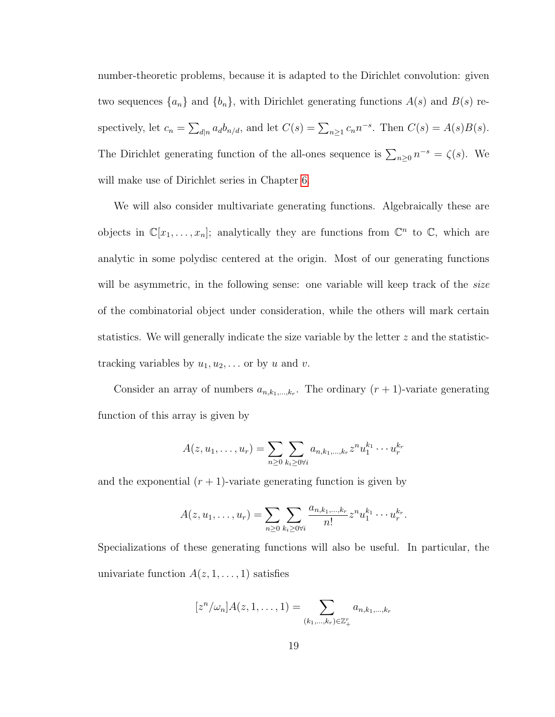number-theoretic problems, because it is adapted to the Dirichlet convolution: given two sequences  $\{a_n\}$  and  $\{b_n\}$ , with Dirichlet generating functions  $A(s)$  and  $B(s)$  respectively, let  $c_n = \sum_{d|n} a_d b_{n/d}$ , and let  $C(s) = \sum_{n\geq 1} c_n n^{-s}$ . Then  $C(s) = A(s)B(s)$ . The Dirichlet generating function of the all-ones sequence is  $\sum_{n\geq 0} n^{-s} = \zeta(s)$ . We will make use of Dirichlet series in Chapter [6.](#page-201-0)

We will also consider multivariate generating functions. Algebraically these are objects in  $\mathbb{C}[x_1,\ldots,x_n]$ ; analytically they are functions from  $\mathbb{C}^n$  to  $\mathbb{C}$ , which are analytic in some polydisc centered at the origin. Most of our generating functions will be asymmetric, in the following sense: one variable will keep track of the *size* of the combinatorial object under consideration, while the others will mark certain statistics. We will generally indicate the size variable by the letter  $z$  and the statistictracking variables by  $u_1, u_2, \ldots$  or by u and v.

Consider an array of numbers  $a_{n,k_1,\dots,k_r}$ . The ordinary  $(r+1)$ -variate generating function of this array is given by

$$
A(z, u_1, \dots, u_r) = \sum_{n \geq 0} \sum_{k_i \geq 0 \forall i} a_{n, k_1, \dots, k_r} z^n u_1^{k_1} \cdots u_r^{k_r}
$$

and the exponential  $(r + 1)$ -variate generating function is given by

$$
A(z, u_1, \ldots, u_r) = \sum_{n \geq 0} \sum_{k_i \geq 0 \forall i} \frac{a_{n, k_1, \ldots, k_r}}{n!} z^n u_1^{k_1} \cdots u_r^{k_r}.
$$

Specializations of these generating functions will also be useful. In particular, the univariate function  $A(z, 1, \ldots, 1)$  satisfies

$$
[z^n/\omega_n]A(z,1,\ldots,1)=\sum_{(k_1,\ldots,k_r)\in\mathbb{Z}_+^r}a_{n,k_1,\ldots,k_r}
$$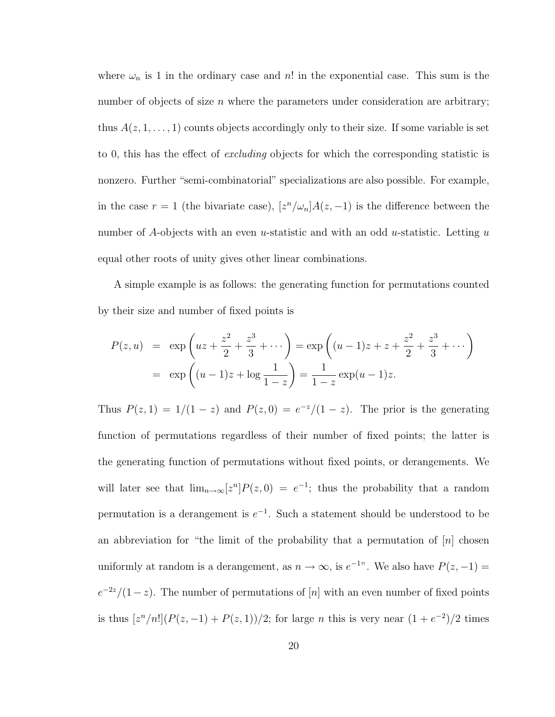where  $\omega_n$  is 1 in the ordinary case and n! in the exponential case. This sum is the number of objects of size  $n$  where the parameters under consideration are arbitrary; thus  $A(z, 1, \ldots, 1)$  counts objects accordingly only to their size. If some variable is set to 0, this has the effect of *excluding* objects for which the corresponding statistic is nonzero. Further "semi-combinatorial" specializations are also possible. For example, in the case  $r = 1$  (the bivariate case),  $[z<sup>n</sup>/\omega_n]A(z, -1)$  is the difference between the number of A-objects with an even u-statistic and with an odd u-statistic. Letting  $u$ equal other roots of unity gives other linear combinations.

A simple example is as follows: the generating function for permutations counted by their size and number of fixed points is

$$
P(z, u) = \exp\left(uz + \frac{z^2}{2} + \frac{z^3}{3} + \cdots\right) = \exp\left((u - 1)z + z + \frac{z^2}{2} + \frac{z^3}{3} + \cdots\right)
$$
  
=  $\exp\left((u - 1)z + \log\frac{1}{1 - z}\right) = \frac{1}{1 - z}\exp(u - 1)z.$ 

Thus  $P(z, 1) = 1/(1-z)$  and  $P(z, 0) = e^{-z}/(1-z)$ . The prior is the generating function of permutations regardless of their number of fixed points; the latter is the generating function of permutations without fixed points, or derangements. We will later see that  $\lim_{n\to\infty} [z^n]P(z,0) = e^{-1}$ ; thus the probability that a random permutation is a derangement is  $e^{-1}$ . Such a statement should be understood to be an abbreviation for "the limit of the probability that a permutation of  $[n]$  chosen uniformly at random is a derangement, as  $n \to \infty$ , is  $e^{-1}$ . We also have  $P(z, -1) =$  $e^{-2z}/(1-z)$ . The number of permutations of [n] with an even number of fixed points is thus  $\frac{z^n}{n!}(P(z,-1)+P(z,1))/2$ ; for large *n* this is very near  $(1+e^{-2})/2$  times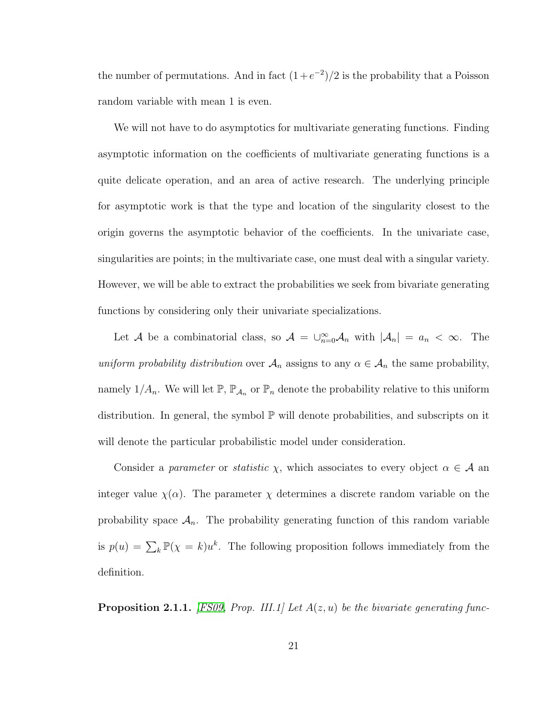the number of permutations. And in fact  $(1+e^{-2})/2$  is the probability that a Poisson random variable with mean 1 is even.

We will not have to do asymptotics for multivariate generating functions. Finding asymptotic information on the coefficients of multivariate generating functions is a quite delicate operation, and an area of active research. The underlying principle for asymptotic work is that the type and location of the singularity closest to the origin governs the asymptotic behavior of the coefficients. In the univariate case, singularities are points; in the multivariate case, one must deal with a singular variety. However, we will be able to extract the probabilities we seek from bivariate generating functions by considering only their univariate specializations.

Let A be a combinatorial class, so  $A = \bigcup_{n=0}^{\infty} A_n$  with  $|A_n| = a_n < \infty$ . The uniform probability distribution over  $\mathcal{A}_n$  assigns to any  $\alpha \in \mathcal{A}_n$  the same probability, namely  $1/A_n$ . We will let  $\mathbb{P}, \mathbb{P}_{A_n}$  or  $\mathbb{P}_n$  denote the probability relative to this uniform distribution. In general, the symbol  $\mathbb P$  will denote probabilities, and subscripts on it will denote the particular probabilistic model under consideration.

Consider a *parameter* or *statistic*  $\chi$ , which associates to every object  $\alpha \in \mathcal{A}$  an integer value  $\chi(\alpha)$ . The parameter  $\chi$  determines a discrete random variable on the probability space  $A_n$ . The probability generating function of this random variable is  $p(u) = \sum_{k} \mathbb{P}(\chi = k)u^{k}$ . The following proposition follows immediately from the definition.

<span id="page-32-0"></span>**Proposition 2.1.1.** [\[FS09,](#page-252-2) Prop. III.1] Let  $A(z, u)$  be the bivariate generating func-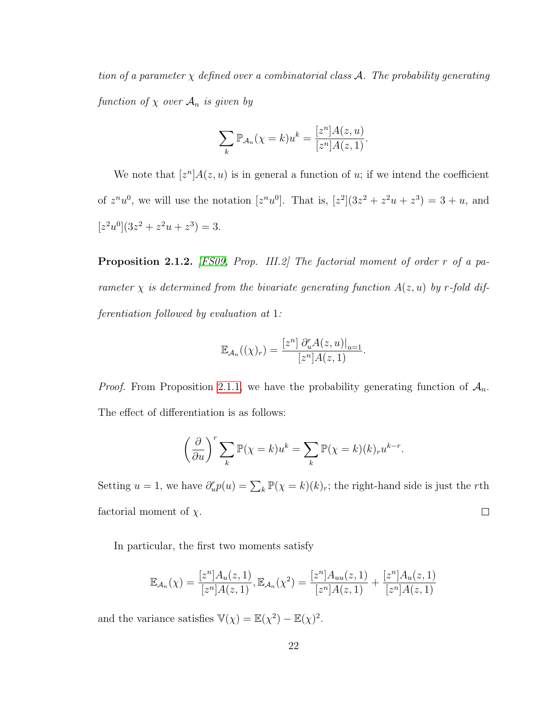tion of a parameter  $\chi$  defined over a combinatorial class A. The probability generating function of  $\chi$  over  $\mathcal{A}_n$  is given by

$$
\sum_{k} \mathbb{P}_{\mathcal{A}_n}(\chi = k) u^k = \frac{[z^n] A(z, u)}{[z^n] A(z, 1)}.
$$

We note that  $[z^n]A(z, u)$  is in general a function of u; if we intend the coefficient of  $z^n u^0$ , we will use the notation  $[z^n u^0]$ . That is,  $[z^2](3z^2 + z^2 u + z^3) = 3 + u$ , and  $[z^2u^0](3z^2+z^2u+z^3)=3.$ 

Proposition 2.1.2. [\[FS09,](#page-252-2) Prop. III.2] The factorial moment of order r of a parameter  $\chi$  is determined from the bivariate generating function  $A(z, u)$  by r-fold differentiation followed by evaluation at 1:

$$
\mathbb{E}_{\mathcal{A}_n}((\chi)_r) = \frac{[z^n] \partial_u^n A(z, u)|_{u=1}}{[z^n] A(z, 1)}.
$$

*Proof.* From Proposition [2.1.1,](#page-32-0) we have the probability generating function of  $A_n$ . The effect of differentiation is as follows:

$$
\left(\frac{\partial}{\partial u}\right)^r \sum_k \mathbb{P}(\chi = k)u^k = \sum_k \mathbb{P}(\chi = k)(k)_r u^{k-r}.
$$

Setting  $u = 1$ , we have  $\partial_u^r p(u) = \sum_k \mathbb{P}(\chi = k)(k)_r$ ; the right-hand side is just the rth factorial moment of  $\chi$ .  $\Box$ 

In particular, the first two moments satisfy

$$
\mathbb{E}_{\mathcal{A}_n}(\chi) = \frac{[z^n]A_u(z,1)}{[z^n]A(z,1)}, \mathbb{E}_{\mathcal{A}_n}(\chi^2) = \frac{[z^n]A_{uu}(z,1)}{[z^n]A(z,1)} + \frac{[z^n]A_u(z,1)}{[z^n]A(z,1)}
$$

and the variance satisfies  $\mathbb{V}(\chi) = \mathbb{E}(\chi^2) - \mathbb{E}(\chi)^2$ .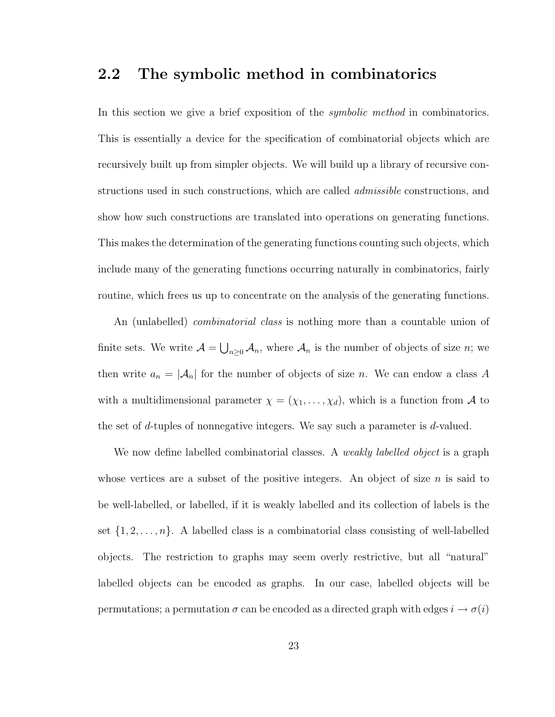## <span id="page-34-0"></span>2.2 The symbolic method in combinatorics

In this section we give a brief exposition of the *symbolic method* in combinatorics. This is essentially a device for the specification of combinatorial objects which are recursively built up from simpler objects. We will build up a library of recursive constructions used in such constructions, which are called *admissible* constructions, and show how such constructions are translated into operations on generating functions. This makes the determination of the generating functions counting such objects, which include many of the generating functions occurring naturally in combinatorics, fairly routine, which frees us up to concentrate on the analysis of the generating functions.

An (unlabelled) *combinatorial class* is nothing more than a countable union of finite sets. We write  $\mathcal{A} = \bigcup_{n \geq 0} \mathcal{A}_n$ , where  $\mathcal{A}_n$  is the number of objects of size n; we then write  $a_n = |\mathcal{A}_n|$  for the number of objects of size n. We can endow a class A with a multidimensional parameter  $\chi = (\chi_1, \ldots, \chi_d)$ , which is a function from A to the set of d-tuples of nonnegative integers. We say such a parameter is d-valued.

We now define labelled combinatorial classes. A weakly labelled object is a graph whose vertices are a subset of the positive integers. An object of size  $n$  is said to be well-labelled, or labelled, if it is weakly labelled and its collection of labels is the set  $\{1, 2, \ldots, n\}$ . A labelled class is a combinatorial class consisting of well-labelled objects. The restriction to graphs may seem overly restrictive, but all "natural" labelled objects can be encoded as graphs. In our case, labelled objects will be permutations; a permutation  $\sigma$  can be encoded as a directed graph with edges  $i \to \sigma(i)$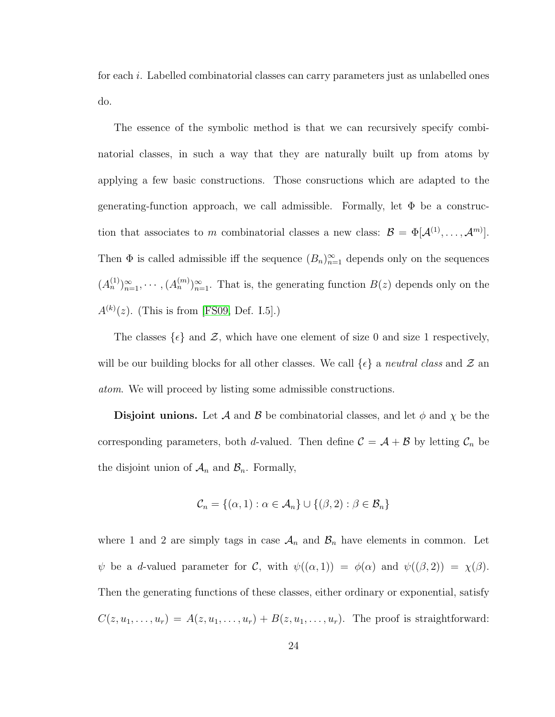for each i. Labelled combinatorial classes can carry parameters just as unlabelled ones do.

The essence of the symbolic method is that we can recursively specify combinatorial classes, in such a way that they are naturally built up from atoms by applying a few basic constructions. Those consructions which are adapted to the generating-function approach, we call admissible. Formally, let  $\Phi$  be a construction that associates to m combinatorial classes a new class:  $\mathcal{B} = \Phi[\mathcal{A}^{(1)}, \dots, \mathcal{A}^{m}].$ Then  $\Phi$  is called admissible iff the sequence  $(B_n)_{n=1}^{\infty}$  depends only on the sequences  $(A_n^{(1)})_{n=1}^{\infty}, \cdots, (A_n^{(m)})_{n=1}^{\infty}$ . That is, the generating function  $B(z)$  depends only on the  $A^{(k)}(z)$ . (This is from [\[FS09,](#page-252-2) Def. I.5].)

The classes  $\{\epsilon\}$  and  $\mathcal{Z}$ , which have one element of size 0 and size 1 respectively, will be our building blocks for all other classes. We call  $\{\epsilon\}$  a neutral class and  $\mathcal{Z}$  an atom. We will proceed by listing some admissible constructions.

**Disjoint unions.** Let A and B be combinatorial classes, and let  $\phi$  and  $\chi$  be the corresponding parameters, both d-valued. Then define  $C = A + B$  by letting  $C_n$  be the disjoint union of  $\mathcal{A}_n$  and  $\mathcal{B}_n$ . Formally,

$$
\mathcal{C}_n = \{ (\alpha, 1) : \alpha \in \mathcal{A}_n \} \cup \{ (\beta, 2) : \beta \in \mathcal{B}_n \}
$$

where 1 and 2 are simply tags in case  $\mathcal{A}_n$  and  $\mathcal{B}_n$  have elements in common. Let  $\psi$  be a d-valued parameter for C, with  $\psi((\alpha, 1)) = \phi(\alpha)$  and  $\psi((\beta, 2)) = \chi(\beta)$ . Then the generating functions of these classes, either ordinary or exponential, satisfy  $C(z, u_1, \ldots, u_r) = A(z, u_1, \ldots, u_r) + B(z, u_1, \ldots, u_r)$ . The proof is straightforward: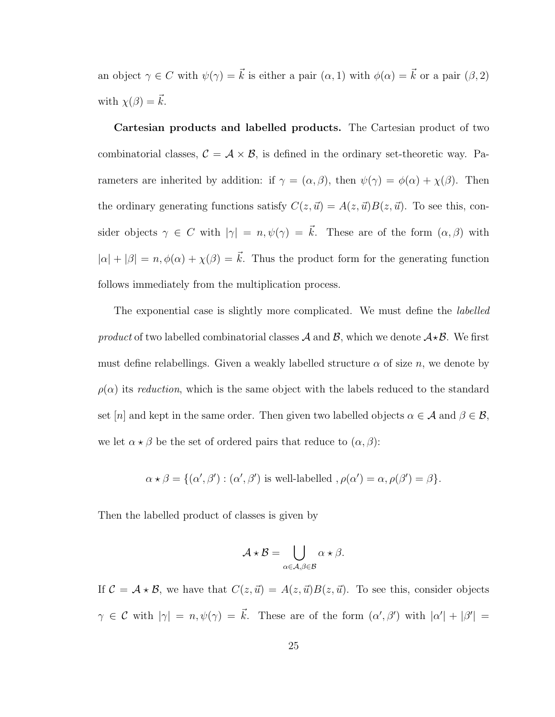an object  $\gamma \in C$  with  $\psi(\gamma) = \vec{k}$  is either a pair  $(\alpha, 1)$  with  $\phi(\alpha) = \vec{k}$  or a pair  $(\beta, 2)$ with  $\chi(\beta) = \vec{k}$ .

Cartesian products and labelled products. The Cartesian product of two combinatorial classes,  $C = \mathcal{A} \times \mathcal{B}$ , is defined in the ordinary set-theoretic way. Parameters are inherited by addition: if  $\gamma = (\alpha, \beta)$ , then  $\psi(\gamma) = \phi(\alpha) + \chi(\beta)$ . Then the ordinary generating functions satisfy  $C(z, \vec{u}) = A(z, \vec{u})B(z, \vec{u})$ . To see this, consider objects  $\gamma \in C$  with  $|\gamma| = n, \psi(\gamma) = \vec{k}$ . These are of the form  $(\alpha, \beta)$  with  $|\alpha| + |\beta| = n, \phi(\alpha) + \chi(\beta) = \vec{k}$ . Thus the product form for the generating function follows immediately from the multiplication process.

The exponential case is slightly more complicated. We must define the labelled product of two labelled combinatorial classes  $\mathcal A$  and  $\mathcal B$ , which we denote  $\mathcal A \star \mathcal B$ . We first must define relabellings. Given a weakly labelled structure  $\alpha$  of size n, we denote by  $\rho(\alpha)$  its reduction, which is the same object with the labels reduced to the standard set [n] and kept in the same order. Then given two labelled objects  $\alpha \in \mathcal{A}$  and  $\beta \in \mathcal{B}$ , we let  $\alpha \star \beta$  be the set of ordered pairs that reduce to  $(\alpha, \beta)$ :

$$
\alpha \star \beta = \{ (\alpha', \beta') : (\alpha', \beta') \text{ is well-labeled }, \rho(\alpha') = \alpha, \rho(\beta') = \beta \}.
$$

Then the labelled product of classes is given by

$$
\mathcal{A} \star \mathcal{B} = \bigcup_{\alpha \in \mathcal{A}, \beta \in \mathcal{B}} \alpha \star \beta.
$$

If  $C = \mathcal{A} * \mathcal{B}$ , we have that  $C(z, \vec{u}) = A(z, \vec{u})B(z, \vec{u})$ . To see this, consider objects  $\gamma \in \mathcal{C}$  with  $|\gamma| = n, \psi(\gamma) = \vec{k}$ . These are of the form  $(\alpha', \beta')$  with  $|\alpha'| + |\beta'| =$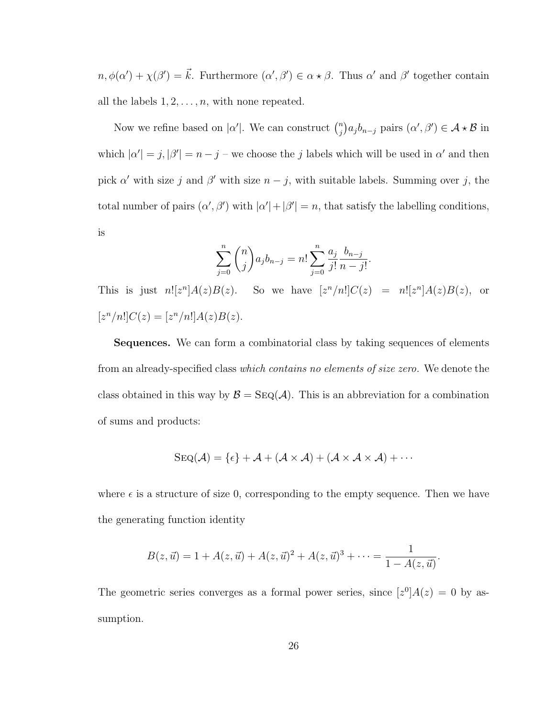$n, \phi(\alpha') + \chi(\beta') = \vec{k}$ . Furthermore  $(\alpha', \beta') \in \alpha \star \beta$ . Thus  $\alpha'$  and  $\beta'$  together contain all the labels  $1, 2, \ldots, n$ , with none repeated.

Now we refine based on  $|\alpha'|$ . We can construct  $\binom{n}{i}$  $\binom{n}{j} a_j b_{n-j}$  pairs  $(\alpha', \beta') \in \mathcal{A} \star \mathcal{B}$  in which  $|\alpha'| = j, |\beta'| = n - j$  – we choose the j labels which will be used in  $\alpha'$  and then pick  $\alpha'$  with size j and  $\beta'$  with size  $n - j$ , with suitable labels. Summing over j, the total number of pairs  $(\alpha', \beta')$  with  $|\alpha'| + |\beta'| = n$ , that satisfy the labelling conditions, is

$$
\sum_{j=0}^{n} {n \choose j} a_j b_{n-j} = n! \sum_{j=0}^{n} \frac{a_j}{j!} \frac{b_{n-j}}{n-j!}.
$$

This is just  $n![z^n]A(z)B(z)$ . So we have  $[z^n/n!]C(z) = n![z^n]A(z)B(z)$ , or  $[z^{n}/n!]C(z) = [z^{n}/n!]A(z)B(z).$ 

Sequences. We can form a combinatorial class by taking sequences of elements from an already-specified class which contains no elements of size zero. We denote the class obtained in this way by  $\mathcal{B} = \text{SEQ}(\mathcal{A})$ . This is an abbreviation for a combination of sums and products:

$$
SEQ(\mathcal{A}) = \{ \epsilon \} + \mathcal{A} + (\mathcal{A} \times \mathcal{A}) + (\mathcal{A} \times \mathcal{A} \times \mathcal{A}) + \cdots
$$

where  $\epsilon$  is a structure of size 0, corresponding to the empty sequence. Then we have the generating function identity

$$
B(z, \vec{u}) = 1 + A(z, \vec{u}) + A(z, \vec{u})^2 + A(z, \vec{u})^3 + \cdots = \frac{1}{1 - A(z, \vec{u})}.
$$

The geometric series converges as a formal power series, since  $[z^0]A(z) = 0$  by assumption.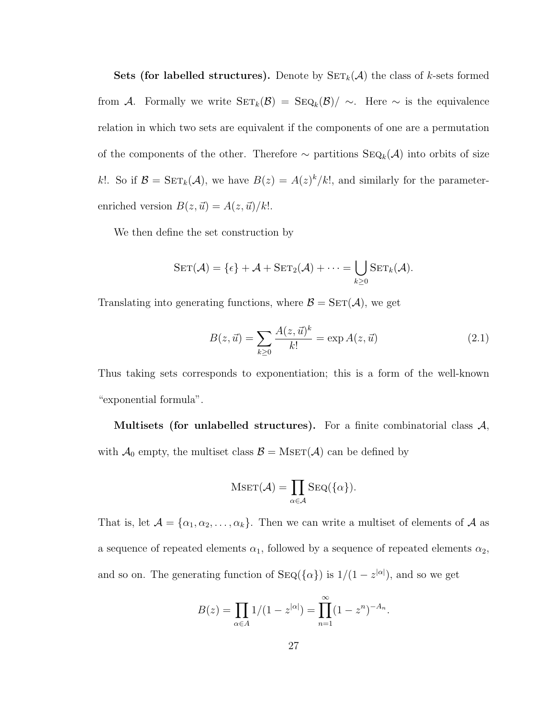Sets (for labelled structures). Denote by  $\text{SET}_k(\mathcal{A})$  the class of k-sets formed from A. Formally we write  $\text{SET}_k(\mathcal{B}) = \text{SEQ}_k(\mathcal{B}) / \sim$ . Here ∼ is the equivalence relation in which two sets are equivalent if the components of one are a permutation of the components of the other. Therefore  $\sim$  partitions SEQ<sub>k</sub>( $\mathcal{A}$ ) into orbits of size k!. So if  $\mathcal{B} = \text{SET}_k(\mathcal{A})$ , we have  $B(z) = A(z)^k / k!$ , and similarly for the parameterenriched version  $B(z, \vec{u}) = A(z, \vec{u})/k!$ .

We then define the set construction by

$$
\text{SET}(\mathcal{A}) = \{ \epsilon \} + \mathcal{A} + \text{SET}_2(\mathcal{A}) + \cdots = \bigcup_{k \geq 0} \text{SET}_k(\mathcal{A}).
$$

Translating into generating functions, where  $\mathcal{B} = \text{SET}(\mathcal{A})$ , we get

<span id="page-38-0"></span>
$$
B(z, \vec{u}) = \sum_{k \ge 0} \frac{A(z, \vec{u})^k}{k!} = \exp A(z, \vec{u})
$$
 (2.1)

Thus taking sets corresponds to exponentiation; this is a form of the well-known "exponential formula".

Multisets (for unlabelled structures). For a finite combinatorial class  $A$ , with  $\mathcal{A}_0$  empty, the multiset class  $\mathcal{B} = \text{MSET}(\mathcal{A})$  can be defined by

$$
M\text{set}(\mathcal{A}) = \prod_{\alpha \in \mathcal{A}} \text{Seq}(\{\alpha\}).
$$

That is, let  $\mathcal{A} = {\alpha_1, \alpha_2, ..., \alpha_k}$ . Then we can write a multiset of elements of  $\mathcal{A}$  as a sequence of repeated elements  $\alpha_1$ , followed by a sequence of repeated elements  $\alpha_2$ , and so on. The generating function of  $\text{SEQ}(\{\alpha\})$  is  $1/(1-z^{|\alpha|})$ , and so we get

$$
B(z) = \prod_{\alpha \in A} 1/(1 - z^{|\alpha|}) = \prod_{n=1}^{\infty} (1 - z^n)^{-A_n}.
$$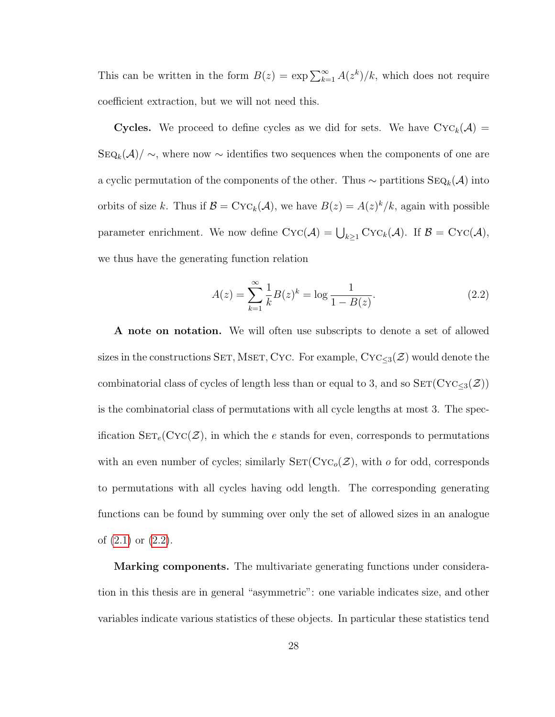This can be written in the form  $B(z) = \exp \sum_{k=1}^{\infty} A(z^k)/k$ , which does not require coefficient extraction, but we will not need this.

**Cycles.** We proceed to define cycles as we did for sets. We have  $Cyc_k(\mathcal{A}) =$  $\text{SEQ}_k(\mathcal{A})/\sim$ , where now  $\sim$  identifies two sequences when the components of one are a cyclic permutation of the components of the other. Thus  $\sim$  partitions SEQ<sub>k</sub>(A) into orbits of size k. Thus if  $\mathcal{B} = \text{Cyc}_k(\mathcal{A})$ , we have  $B(z) = A(z)^k / k$ , again with possible parameter enrichment. We now define  $\mathrm{Cyc}(\mathcal{A}) = \bigcup_{k \geq 1} \mathrm{Cyc}_k(\mathcal{A})$ . If  $\mathcal{B} = \mathrm{Cyc}(\mathcal{A})$ , we thus have the generating function relation

<span id="page-39-0"></span>
$$
A(z) = \sum_{k=1}^{\infty} \frac{1}{k} B(z)^k = \log \frac{1}{1 - B(z)}.
$$
 (2.2)

A note on notation. We will often use subscripts to denote a set of allowed sizes in the constructions SET, MSET, CYC. For example,  $\text{Cyc}_{\leq 3}(\mathcal{Z})$  would denote the combinatorial class of cycles of length less than or equal to 3, and so  $\text{SET}(\text{Cyc}_{\leq3}(\mathcal{Z}))$ is the combinatorial class of permutations with all cycle lengths at most 3. The specification  $\text{SET}_{e}(\text{Cyc}(\mathcal{Z}),$  in which the e stands for even, corresponds to permutations with an even number of cycles; similarly  $\text{SET}(\text{Cyc}_o(\mathcal{Z}),$  with  $o$  for odd, corresponds to permutations with all cycles having odd length. The corresponding generating functions can be found by summing over only the set of allowed sizes in an analogue of  $(2.1)$  or  $(2.2)$ .

Marking components. The multivariate generating functions under consideration in this thesis are in general "asymmetric": one variable indicates size, and other variables indicate various statistics of these objects. In particular these statistics tend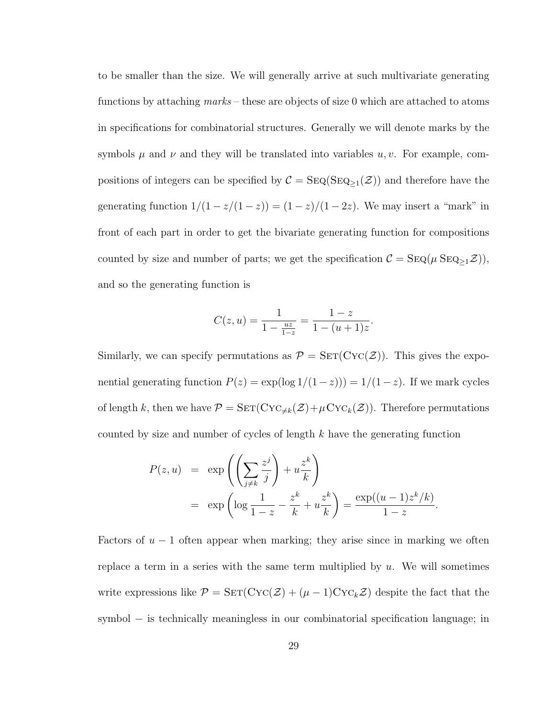to be smaller than the size. We will generally arrive at such multivariate generating functions by attaching  $marks$  – these are objects of size 0 which are attached to atoms in specifications for combinatorial structures. Generally we will denote marks by the symbols  $\mu$  and  $\nu$  and they will be translated into variables  $u, v$ . For example, compositions of integers can be specified by  $\mathcal{C}=\mathrm{Seq}(\mathrm{Seq}_{\geq 1}(\mathcal{Z}))$  and therefore have the generating function  $1/(1 - z/(1 - z)) = (1 - z)/(1 - 2z)$ . We may insert a "mark" in front of each part in order to get the bivariate generating function for compositions counted by size and number of parts; we get the specification  $C = \text{Seq}(\mu \text{Seq}_{\geq 1} \mathcal{Z}))$ , and so the generating function is

$$
C(z, u) = \frac{1}{1 - \frac{uz}{1 - z}} = \frac{1 - z}{1 - (u + 1)z}.
$$

Similarly, we can specify permutations as  $\mathcal{P} = \text{SET}(\text{Cyc}(\mathcal{Z}))$ . This gives the exponential generating function  $P(z) = \exp(\log 1/(1-z)) = 1/(1-z)$ . If we mark cycles of length k, then we have  $\mathcal{P} = \text{SET}(\text{Cyc}_{\neq k}(\mathcal{Z}) + \mu \text{Cyc}_k(\mathcal{Z}))$ . Therefore permutations counted by size and number of cycles of length k have the generating function

$$
P(z, u) = \exp\left(\left(\sum_{j\neq k} \frac{z^j}{j}\right) + u\frac{z^k}{k}\right)
$$
  
= 
$$
\exp\left(\log\frac{1}{1-z} - \frac{z^k}{k} + u\frac{z^k}{k}\right) = \frac{\exp((u-1)z^k/k)}{1-z}.
$$

Factors of  $u - 1$  often appear when marking; they arise since in marking we often replace a term in a series with the same term multiplied by  $u$ . We will sometimes write expressions like  $P = \text{SET}(\text{Cyc}(\mathcal{Z}) + (\mu - 1)\text{Cyc}_k\mathcal{Z})$  despite the fact that the symbol – is technically meaningless in our combinatorial specification language; in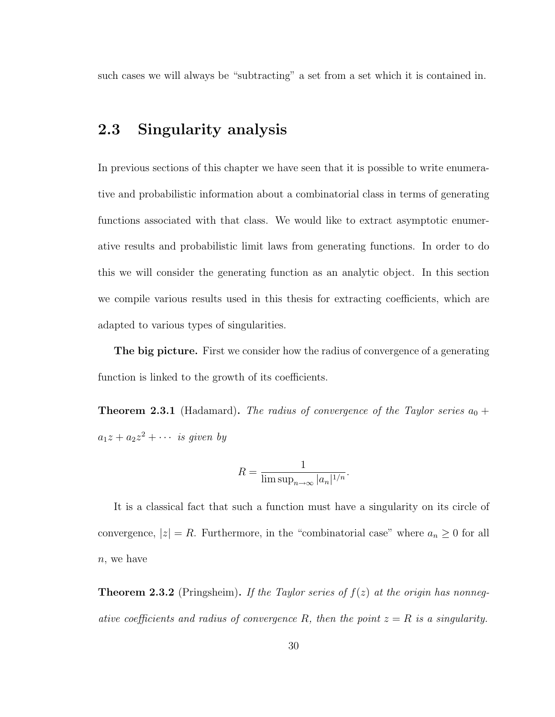such cases we will always be "subtracting" a set from a set which it is contained in.

## 2.3 Singularity analysis

In previous sections of this chapter we have seen that it is possible to write enumerative and probabilistic information about a combinatorial class in terms of generating functions associated with that class. We would like to extract asymptotic enumerative results and probabilistic limit laws from generating functions. In order to do this we will consider the generating function as an analytic object. In this section we compile various results used in this thesis for extracting coefficients, which are adapted to various types of singularities.

**The big picture.** First we consider how the radius of convergence of a generating function is linked to the growth of its coefficients.

**Theorem 2.3.1** (Hadamard). The radius of convergence of the Taylor series  $a_0$  +  $a_1z + a_2z^2 + \cdots$  is given by

$$
R = \frac{1}{\limsup_{n \to \infty} |a_n|^{1/n}}.
$$

It is a classical fact that such a function must have a singularity on its circle of convergence,  $|z| = R$ . Furthermore, in the "combinatorial case" where  $a_n \geq 0$  for all n, we have

**Theorem 2.3.2** (Pringsheim). If the Taylor series of  $f(z)$  at the origin has nonnegative coefficients and radius of convergence R, then the point  $z = R$  is a singularity.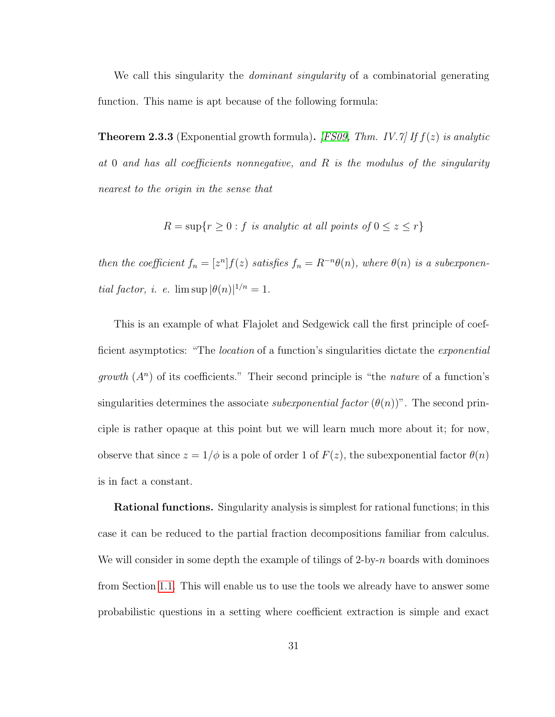We call this singularity the *dominant singularity* of a combinatorial generating function. This name is apt because of the following formula:

**Theorem 2.3.3** (Exponential growth formula). [\[FS09,](#page-252-0) Thm. IV.7] If  $f(z)$  is analytic at 0 and has all coefficients nonnegative, and R is the modulus of the singularity nearest to the origin in the sense that

 $R = \sup\{r \ge 0 : f \text{ is analytic at all points of } 0 \le z \le r\}$ 

then the coefficient  $f_n = [z^n] f(z)$  satisfies  $f_n = R^{-n}\theta(n)$ , where  $\theta(n)$  is a suberponential factor, i. e.  $\limsup |\theta(n)|^{1/n} = 1$ .

This is an example of what Flajolet and Sedgewick call the first principle of coefficient asymptotics: "The *location* of a function's singularities dictate the *exponential* growth  $(A^n)$  of its coefficients." Their second principle is "the *nature* of a function's singularities determines the associate *subexponential factor*  $(\theta(n))^n$ . The second principle is rather opaque at this point but we will learn much more about it; for now, observe that since  $z = 1/\phi$  is a pole of order 1 of  $F(z)$ , the subexponential factor  $\theta(n)$ is in fact a constant.

Rational functions. Singularity analysis is simplest for rational functions; in this case it can be reduced to the partial fraction decompositions familiar from calculus. We will consider in some depth the example of tilings of  $2$ -by-n boards with dominoes from Section [1.1.](#page-12-0) This will enable us to use the tools we already have to answer some probabilistic questions in a setting where coefficient extraction is simple and exact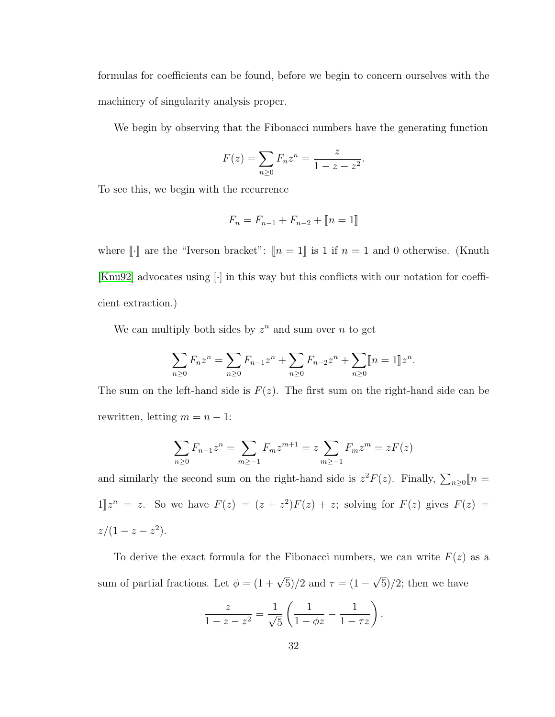formulas for coefficients can be found, before we begin to concern ourselves with the machinery of singularity analysis proper.

We begin by observing that the Fibonacci numbers have the generating function

$$
F(z) = \sum_{n\geq 0} F_n z^n = \frac{z}{1 - z - z^2}.
$$

To see this, we begin with the recurrence

$$
F_n = F_{n-1} + F_{n-2} + [ [n = 1] ]
$$

where  $\llbracket \cdot \rrbracket$  are the "Iverson bracket":  $\llbracket n = 1 \rrbracket$  is 1 if  $n = 1$  and 0 otherwise. (Knuth [\[Knu92\]](#page-254-0) advocates using [·] in this way but this conflicts with our notation for coefficient extraction.)

We can multiply both sides by  $z^n$  and sum over n to get

$$
\sum_{n\geq 0} F_n z^n = \sum_{n\geq 0} F_{n-1} z^n + \sum_{n\geq 0} F_{n-2} z^n + \sum_{n\geq 0} [n] z^n.
$$

The sum on the left-hand side is  $F(z)$ . The first sum on the right-hand side can be rewritten, letting  $m = n - 1$ :

$$
\sum_{n\geq 0} F_{n-1} z^n = \sum_{m\geq -1} F_m z^{m+1} = z \sum_{m\geq -1} F_m z^m = zF(z)
$$

and similarly the second sum on the right-hand side is  $z^2F(z)$ . Finally,  $\sum_{n\geq 0} [n =$  $1\leq z^n = z$ . So we have  $F(z) = (z + z^2)F(z) + z$ ; solving for  $F(z)$  gives  $F(z) = z$  $z/(1-z-z^2)$ .

To derive the exact formula for the Fibonacci numbers, we can write  $F(z)$  as a sum of partial fractions. Let  $\phi = (1 + \sqrt{5})/2$  and  $\tau = (1 - \sqrt{5})$ √  $(5)/2$ ; then we have

$$
\frac{z}{1-z-z^2} = \frac{1}{\sqrt{5}} \left( \frac{1}{1-\phi z} - \frac{1}{1-\tau z} \right).
$$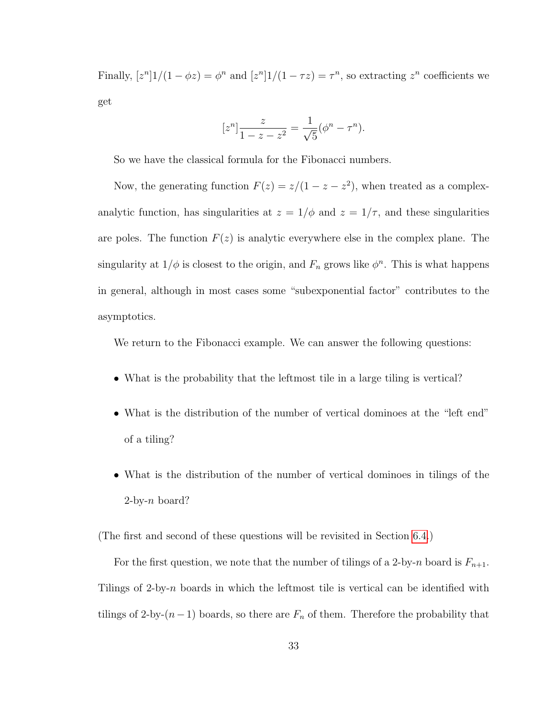Finally,  $[z^n]1/(1 - \phi z) = \phi^n$  and  $[z^n]1/(1 - \tau z) = \tau^n$ , so extracting  $z^n$  coefficients we get

$$
[z^{n}] \frac{z}{1 - z - z^{2}} = \frac{1}{\sqrt{5}} (\phi^{n} - \tau^{n}).
$$

So we have the classical formula for the Fibonacci numbers.

Now, the generating function  $F(z) = z/(1 - z - z^2)$ , when treated as a complexanalytic function, has singularities at  $z = 1/\phi$  and  $z = 1/\tau$ , and these singularities are poles. The function  $F(z)$  is analytic everywhere else in the complex plane. The singularity at  $1/\phi$  is closest to the origin, and  $F_n$  grows like  $\phi^n$ . This is what happens in general, although in most cases some "subexponential factor" contributes to the asymptotics.

We return to the Fibonacci example. We can answer the following questions:

- What is the probability that the leftmost tile in a large tiling is vertical?
- What is the distribution of the number of vertical dominoes at the "left end" of a tiling?
- What is the distribution of the number of vertical dominoes in tilings of the  $2$ -by-n board?

(The first and second of these questions will be revisited in Section [6.4.](#page-224-0))

For the first question, we note that the number of tilings of a 2-by-n board is  $F_{n+1}$ . Tilings of 2-by-n boards in which the leftmost tile is vertical can be identified with tilings of 2-by- $(n-1)$  boards, so there are  $F_n$  of them. Therefore the probability that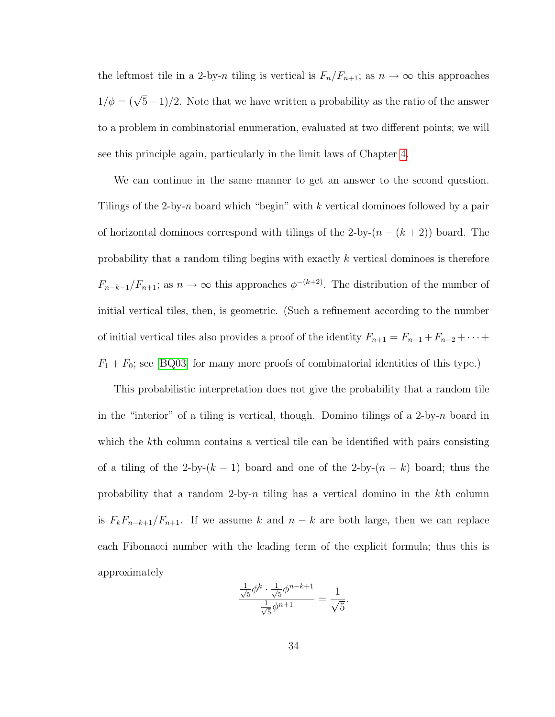the leftmost tile in a 2-by-n tiling is vertical is  $F_n/F_{n+1}$ ; as  $n \to \infty$  this approaches  $1/\phi = (\sqrt{5}-1)/2$ . Note that we have written a probability as the ratio of the answer to a problem in combinatorial enumeration, evaluated at two different points; we will see this principle again, particularly in the limit laws of Chapter [4.](#page-90-0)

We can continue in the same manner to get an answer to the second question. Tilings of the 2-by-n board which "begin" with  $k$  vertical dominoes followed by a pair of horizontal dominoes correspond with tilings of the 2-by- $(n - (k + 2))$  board. The probability that a random tiling begins with exactly k vertical dominoes is therefore  $F_{n-k-1}/F_{n+1}$ ; as  $n \to \infty$  this approaches  $\phi^{-(k+2)}$ . The distribution of the number of initial vertical tiles, then, is geometric. (Such a refinement according to the number of initial vertical tiles also provides a proof of the identity  $F_{n+1} = F_{n-1} + F_{n-2} + \cdots$  $F_1 + F_0$ ; see [\[BQ03\]](#page-248-0) for many more proofs of combinatorial identities of this type.)

This probabilistic interpretation does not give the probability that a random tile in the "interior" of a tiling is vertical, though. Domino tilings of a 2-by- $n$  board in which the k<sup>th</sup> column contains a vertical tile can be identified with pairs consisting of a tiling of the 2-by- $(k-1)$  board and one of the 2-by- $(n-k)$  board; thus the probability that a random 2-by-n tiling has a vertical domino in the  $k$ <sup>th</sup> column is  $F_kF_{n-k+1}/F_{n+1}$ . If we assume k and  $n-k$  are both large, then we can replace each Fibonacci number with the leading term of the explicit formula; thus this is approximately

$$
\frac{\frac{1}{\sqrt{5}}\phi^k \cdot \frac{1}{\sqrt{5}}\phi^{n-k+1}}{\frac{1}{\sqrt{5}}\phi^{n+1}} = \frac{1}{\sqrt{5}}.
$$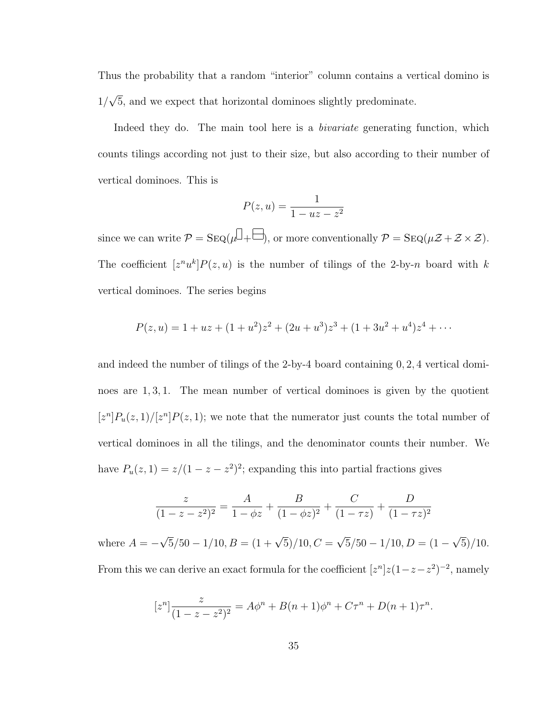Thus the probability that a random "interior" column contains a vertical domino is 1/ √ 5, and we expect that horizontal dominoes slightly predominate.

Indeed they do. The main tool here is a *bivariate* generating function, which counts tilings according not just to their size, but also according to their number of vertical dominoes. This is

$$
P(z, u) = \frac{1}{1 - uz - z^2}
$$

since we can write  $\mathcal{P} = \text{Seq}(\mu \Box + \Box)$ , or more conventionally  $\mathcal{P} = \text{Seq}(\mu \mathcal{Z} + \mathcal{Z} \times \mathcal{Z})$ . The coefficient  $[z^n u^k] P(z, u)$  is the number of tilings of the 2-by-n board with k vertical dominoes. The series begins

$$
P(z, u) = 1 + uz + (1 + u2)z2 + (2u + u3)z3 + (1 + 3u2 + u4)z4 + \cdots
$$

and indeed the number of tilings of the 2-by-4 board containing 0, 2, 4 vertical dominoes are  $1, 3, 1$ . The mean number of vertical dominoes is given by the quotient  $[z^n]P_u(z,1)/[z^n]P(z,1);$  we note that the numerator just counts the total number of vertical dominoes in all the tilings, and the denominator counts their number. We have  $P_u(z, 1) = z/(1 - z - z^2)^2$ ; expanding this into partial fractions gives

$$
\frac{z}{(1-z-z^2)^2} = \frac{A}{1-\phi z} + \frac{B}{(1-\phi z)^2} + \frac{C}{(1-\tau z)} + \frac{D}{(1-\tau z)^2}
$$

where  $A = \sqrt{5}/50 - 1/10, B = (1 + \sqrt{5})/10, C =$ √  $5/50 - 1/10, D = (1 -$ √  $(5)/10.$ From this we can derive an exact formula for the coefficient  $[z^n]z(1-z-z^2)^{-2}$ , namely

$$
[z^{n}] \frac{z}{(1 - z - z^{2})^{2}} = A\phi^{n} + B(n + 1)\phi^{n} + C\tau^{n} + D(n + 1)\tau^{n}.
$$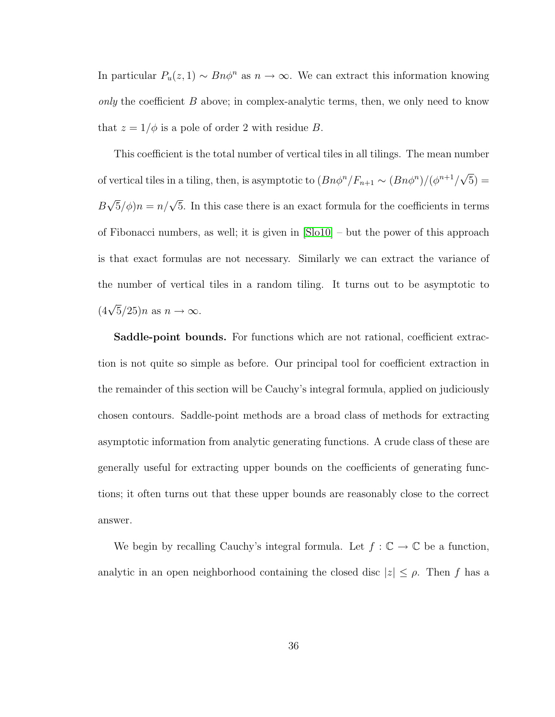In particular  $P_u(z, 1) \sim Bn\phi^n$  as  $n \to \infty$ . We can extract this information knowing only the coefficient  $B$  above; in complex-analytic terms, then, we only need to know that  $z = 1/\phi$  is a pole of order 2 with residue B.

This coefficient is the total number of vertical tiles in all tilings. The mean number of vertical tiles in a tiling, then, is asymptotic to  $(Bn\phi^{n}/F_{n+1} \sim (Bn\phi^{n})/(\phi^{n+1}/F_n)$ √  $(5) =$ B  $\sqrt{5}/\phi$ ) $n = n/\sqrt{5}$ . In this case there is an exact formula for the coefficients in terms of Fibonacci numbers, as well; it is given in [\[Slo10\]](#page-258-0) – but the power of this approach is that exact formulas are not necessary. Similarly we can extract the variance of the number of vertical tiles in a random tiling. It turns out to be asymptotic to  $(4\sqrt{5}/25)n$  as  $n \to \infty$ .

Saddle-point bounds. For functions which are not rational, coefficient extraction is not quite so simple as before. Our principal tool for coefficient extraction in the remainder of this section will be Cauchy's integral formula, applied on judiciously chosen contours. Saddle-point methods are a broad class of methods for extracting asymptotic information from analytic generating functions. A crude class of these are generally useful for extracting upper bounds on the coefficients of generating functions; it often turns out that these upper bounds are reasonably close to the correct answer.

We begin by recalling Cauchy's integral formula. Let  $f: \mathbb{C} \to \mathbb{C}$  be a function, analytic in an open neighborhood containing the closed disc  $|z| \leq \rho$ . Then f has a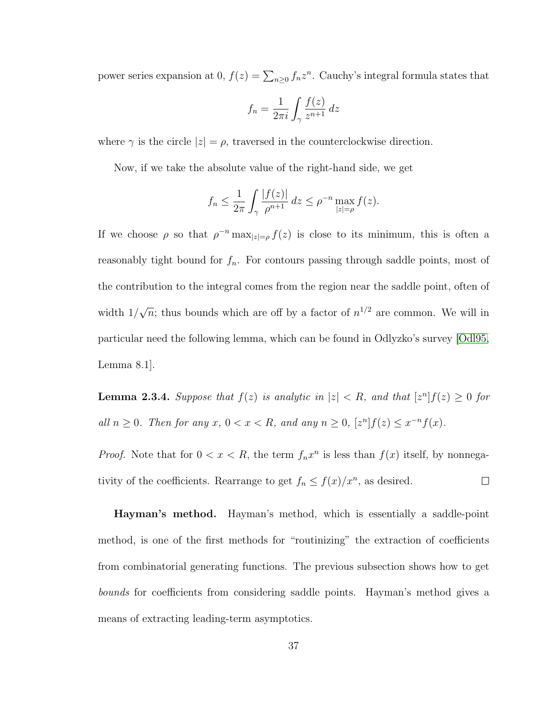power series expansion at 0,  $f(z) = \sum_{n\geq 0} f_n z^n$ . Cauchy's integral formula states that

$$
f_n = \frac{1}{2\pi i} \int_{\gamma} \frac{f(z)}{z^{n+1}} dz
$$

where  $\gamma$  is the circle  $|z| = \rho$ , traversed in the counterclockwise direction.

Now, if we take the absolute value of the right-hand side, we get

$$
f_n \leq \frac{1}{2\pi} \int_{\gamma} \frac{|f(z)|}{\rho^{n+1}} dz \leq \rho^{-n} \max_{|z| = \rho} f(z).
$$

If we choose  $\rho$  so that  $\rho^{-n} \max_{|z|=\rho} f(z)$  is close to its minimum, this is often a reasonably tight bound for  $f_n$ . For contours passing through saddle points, most of the contribution to the integral comes from the region near the saddle point, often of width 1/ √  $\overline{n}$ ; thus bounds which are off by a factor of  $n^{1/2}$  are common. We will in particular need the following lemma, which can be found in Odlyzko's survey [\[Odl95,](#page-256-0) Lemma 8.1].

**Lemma 2.3.4.** Suppose that  $f(z)$  is analytic in  $|z| < R$ , and that  $[z^n]f(z) \geq 0$  for all  $n \geq 0$ . Then for any  $x, 0 < x < R$ , and any  $n \geq 0$ ,  $[z^n]f(z) \leq x^{-n}f(x)$ .

*Proof.* Note that for  $0 < x < R$ , the term  $f_n x^n$  is less than  $f(x)$  itself, by nonnegativity of the coefficients. Rearrange to get  $f_n \leq f(x)/x^n$ , as desired.  $\Box$ 

Hayman's method. Hayman's method, which is essentially a saddle-point method, is one of the first methods for "routinizing" the extraction of coefficients from combinatorial generating functions. The previous subsection shows how to get bounds for coefficients from considering saddle points. Hayman's method gives a means of extracting leading-term asymptotics.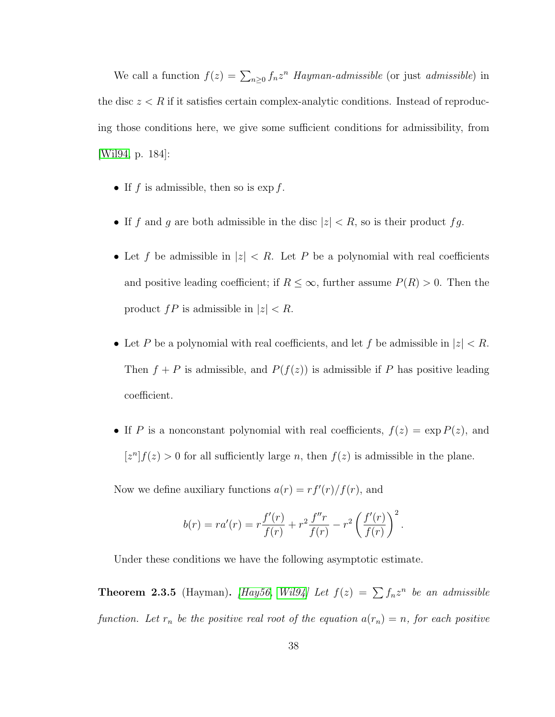We call a function  $f(z) = \sum_{n\geq 0} f_n z^n$  Hayman-admissible (or just admissible) in the disc  $z < R$  if it satisfies certain complex-analytic conditions. Instead of reproducing those conditions here, we give some sufficient conditions for admissibility, from [\[Wil94,](#page-260-0) p. 184]:

- If  $f$  is admissible, then so is  $\exp f$ .
- If f and g are both admissible in the disc  $|z| < R$ , so is their product fg.
- Let f be admissible in  $|z| < R$ . Let P be a polynomial with real coefficients and positive leading coefficient; if  $R \leq \infty$ , further assume  $P(R) > 0$ . Then the product  $fP$  is admissible in  $|z| < R$ .
- Let P be a polynomial with real coefficients, and let f be admissible in  $|z| < R$ . Then  $f + P$  is admissible, and  $P(f(z))$  is admissible if P has positive leading coefficient.
- If P is a nonconstant polynomial with real coefficients,  $f(z) = \exp P(z)$ , and  $[z^n]f(z) > 0$  for all sufficiently large n, then  $f(z)$  is admissible in the plane.

Now we define auxiliary functions  $a(r) = rf'(r)/f(r)$ , and

$$
b(r) = ra'(r) = r\frac{f'(r)}{f(r)} + r^2 \frac{f''r}{f(r)} - r^2 \left(\frac{f'(r)}{f(r)}\right)^2.
$$

Under these conditions we have the following asymptotic estimate.

**Theorem 2.3.5** (Hayman). [\[Hay56,](#page-253-0) [Wil94\]](#page-260-0) Let  $f(z) = \sum f_n z^n$  be an admissible function. Let  $r_n$  be the positive real root of the equation  $a(r_n) = n$ , for each positive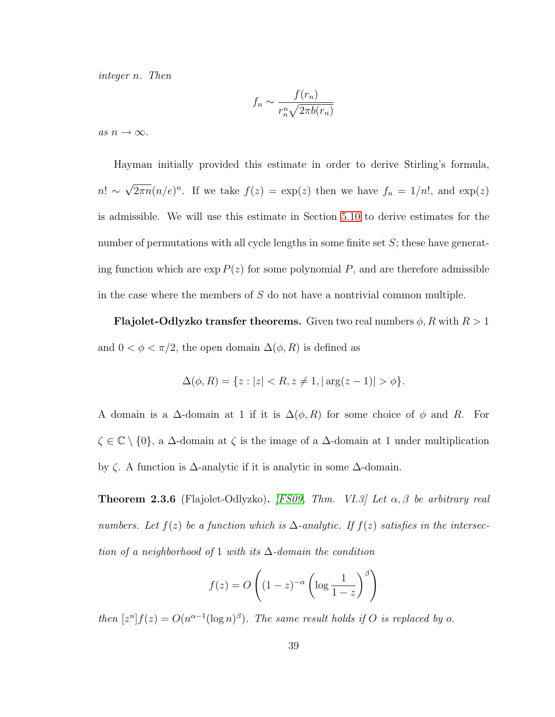integer n. Then

$$
f_n \sim \frac{f(r_n)}{r_n^n \sqrt{2\pi b(r_n)}}
$$

as  $n \to \infty$ .

Hayman initially provided this estimate in order to derive Stirling's formula,  $n! \sim$ √  $\overline{2\pi n}(n/e)^n$ . If we take  $f(z) = \exp(z)$  then we have  $f_n = 1/n!$ , and  $\exp(z)$ is admissible. We will use this estimate in Section [5.10](#page-195-0) to derive estimates for the number of permutations with all cycle lengths in some finite set  $S$ ; these have generating function which are  $\exp P(z)$  for some polynomial P, and are therefore admissible in the case where the members of  $S$  do not have a nontrivial common multiple.

**Flajolet-Odlyzko transfer theorems.** Given two real numbers  $\phi$ , R with  $R > 1$ and  $0 < \phi < \pi/2$ , the open domain  $\Delta(\phi, R)$  is defined as

$$
\Delta(\phi, R) = \{ z : |z| < R, z \neq 1, |\arg(z - 1)| > \phi \}.
$$

A domain is a  $\Delta$ -domain at 1 if it is  $\Delta(\phi, R)$  for some choice of  $\phi$  and R. For  $ζ ∈ ℂ \setminus {0}$ , a ∆-domain at  $ζ$  is the image of a  $Δ$ -domain at 1 under multiplication by  $\zeta$ . A function is  $\Delta$ -analytic if it is analytic in some  $\Delta$ -domain.

**Theorem 2.3.6** (Flajolet-Odlyzko). [\[FS09,](#page-252-0) Thm. VI.3] Let  $\alpha, \beta$  be arbitrary real numbers. Let  $f(z)$  be a function which is  $\Delta$ -analytic. If  $f(z)$  satisfies in the intersection of a neighborhood of 1 with its  $\Delta$ -domain the condition

$$
f(z) = O\left((1-z)^{-\alpha} \left(\log \frac{1}{1-z}\right)^{\beta}\right)
$$

then  $[z^n]f(z) = O(n^{\alpha-1}(\log n)^{\beta})$ . The same result holds if O is replaced by o.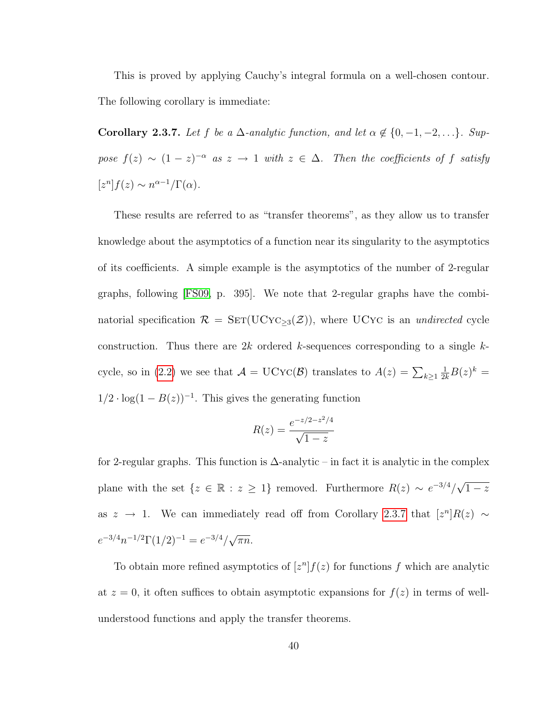This is proved by applying Cauchy's integral formula on a well-chosen contour. The following corollary is immediate:

<span id="page-51-0"></span>Corollary 2.3.7. Let f be a  $\Delta$ -analytic function, and let  $\alpha \notin \{0, -1, -2, \ldots\}$ . Suppose  $f(z) \sim (1-z)^{-\alpha}$  as  $z \to 1$  with  $z \in \Delta$ . Then the coefficients of f satisfy  $[z^n] f(z) \sim n^{\alpha-1}/\Gamma(\alpha).$ 

These results are referred to as "transfer theorems", as they allow us to transfer knowledge about the asymptotics of a function near its singularity to the asymptotics of its coefficients. A simple example is the asymptotics of the number of 2-regular graphs, following [\[FS09,](#page-252-0) p. 395]. We note that 2-regular graphs have the combinatorial specification  $\mathcal{R} = \text{SET}(\text{UCyc}_{\geq 3}(\mathcal{Z}))$ , where UCyc is an undirected cycle construction. Thus there are 2k ordered k-sequences corresponding to a single k-cycle, so in [\(2.2\)](#page-39-0) we see that  $\mathcal{A} = \text{UCyc}(\mathcal{B})$  translates to  $A(z) = \sum_{k \geq 1}$  $\frac{1}{2k}B(z)^k =$  $1/2 \cdot \log(1 - B(z))^{-1}$ . This gives the generating function

$$
R(z) = \frac{e^{-z/2 - z^2/4}}{\sqrt{1 - z}}
$$

for 2-regular graphs. This function is  $\Delta$ -analytic – in fact it is analytic in the complex plane with the set  $\{z \in \mathbb{R} : z \geq 1\}$  removed. Furthermore  $R(z) \sim e^{-3/4}/z$ √  $1-z$ as  $z \to 1$ . We can immediately read off from Corollary [2.3.7](#page-51-0) that  $[z^n]R(z) \sim$  $e^{-3/4}n^{-1/2}\Gamma(1/2)^{-1} = e^{-3/4}/\sqrt{ }$  $\overline{\pi n}$ .

To obtain more refined asymptotics of  $[z^n]f(z)$  for functions f which are analytic at  $z = 0$ , it often suffices to obtain asymptotic expansions for  $f(z)$  in terms of wellunderstood functions and apply the transfer theorems.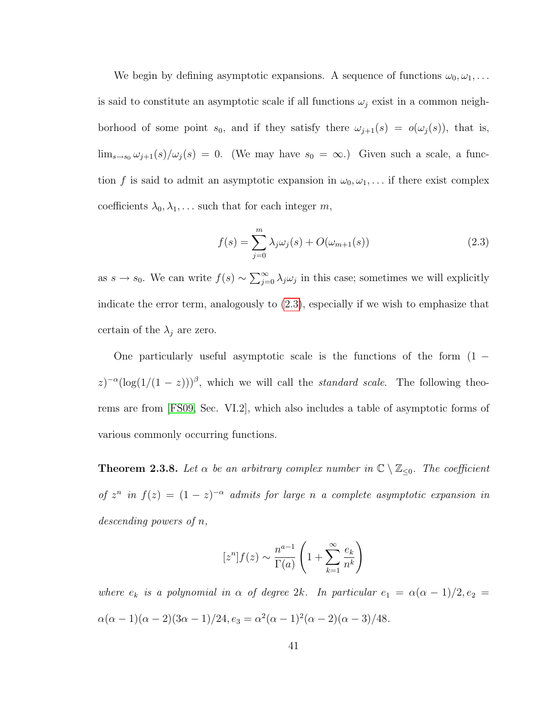We begin by defining asymptotic expansions. A sequence of functions  $\omega_0, \omega_1, \ldots$ is said to constitute an asymptotic scale if all functions  $\omega_i$  exist in a common neighborhood of some point  $s_0$ , and if they satisfy there  $\omega_{j+1}(s) = o(\omega_j(s))$ , that is,  $\lim_{s\to s_0} \omega_{j+1}(s)/\omega_j(s) = 0.$  (We may have  $s_0 = \infty$ .) Given such a scale, a function f is said to admit an asymptotic expansion in  $\omega_0, \omega_1, \dots$  if there exist complex coefficients  $\lambda_0, \lambda_1, \ldots$  such that for each integer  $m$ ,

<span id="page-52-0"></span>
$$
f(s) = \sum_{j=0}^{m} \lambda_j \omega_j(s) + O(\omega_{m+1}(s))
$$
\n(2.3)

as  $s \to s_0$ . We can write  $f(s) \sim \sum_{j=0}^{\infty} \lambda_j \omega_j$  in this case; sometimes we will explicitly indicate the error term, analogously to [\(2.3\)](#page-52-0), especially if we wish to emphasize that certain of the  $\lambda_j$  are zero.

One particularly useful asymptotic scale is the functions of the form  $(1 (z)^{-\alpha}(\log(1/(1-z)))^{\beta}$ , which we will call the *standard scale*. The following theorems are from [\[FS09,](#page-252-0) Sec. VI.2], which also includes a table of asymptotic forms of various commonly occurring functions.

<span id="page-52-1"></span>**Theorem 2.3.8.** Let  $\alpha$  be an arbitrary complex number in  $\mathbb{C} \setminus \mathbb{Z}_{\leq 0}$ . The coefficient of  $z^n$  in  $f(z) = (1-z)^{-\alpha}$  admits for large n a complete asymptotic expansion in descending powers of n,

$$
[z^n]f(z) \sim \frac{n^{a-1}}{\Gamma(a)} \left( 1 + \sum_{k=1}^{\infty} \frac{e_k}{n^k} \right)
$$

where  $e_k$  is a polynomial in  $\alpha$  of degree 2k. In particular  $e_1 = \alpha(\alpha - 1)/2, e_2 =$  $\alpha(\alpha - 1)(\alpha - 2)(3\alpha - 1)/24$ ,  $e_3 = \alpha^2(\alpha - 1)^2(\alpha - 2)(\alpha - 3)/48$ .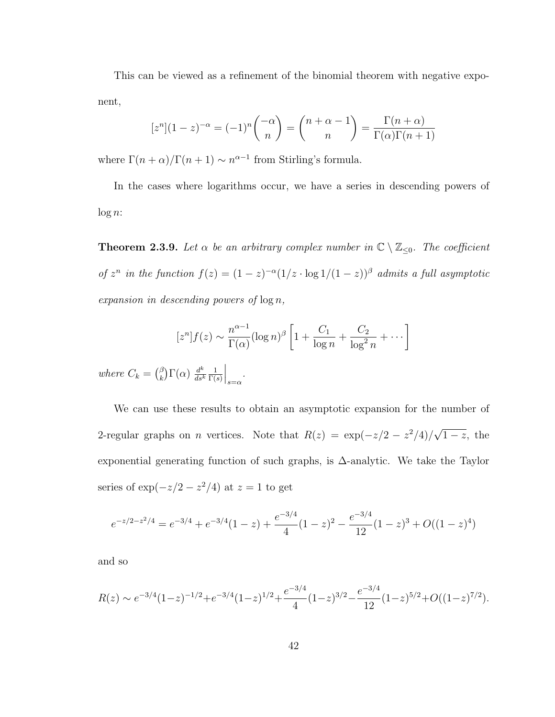This can be viewed as a refinement of the binomial theorem with negative exponent,

$$
[z^n](1-z)^{-\alpha} = (-1)^n \binom{-\alpha}{n} = \binom{n+\alpha-1}{n} = \frac{\Gamma(n+\alpha)}{\Gamma(\alpha)\Gamma(n+1)}
$$

where  $\Gamma(n+\alpha)/\Gamma(n+1) \sim n^{\alpha-1}$  from Stirling's formula.

In the cases where logarithms occur, we have a series in descending powers of  $\log n$ :

<span id="page-53-0"></span>**Theorem 2.3.9.** Let  $\alpha$  be an arbitrary complex number in  $\mathbb{C} \setminus \mathbb{Z}_{\leq 0}$ . The coefficient of  $z^n$  in the function  $f(z) = (1-z)^{-\alpha}(1/z \cdot \log 1/(1-z))^{\beta}$  admits a full asymptotic expansion in descending powers of  $\log n$ ,

$$
[zn]f(z) \sim \frac{n^{\alpha-1}}{\Gamma(\alpha)} (\log n)^{\beta} \left[ 1 + \frac{C_1}{\log n} + \frac{C_2}{\log^2 n} + \cdots \right]
$$

where  $C_k = \binom{\beta}{k}$  $(\alpha)$   $\frac{d^k}{ds^k}$  $ds^k$ 1  $\Gamma(s)$  $\Big|_{s=\alpha}$ .

We can use these results to obtain an asymptotic expansion for the number of 2-regular graphs on *n* vertices. Note that  $R(z) = \exp(-z/2 - z^2/4)$ √  $\overline{1-z}$ , the exponential generating function of such graphs, is ∆-analytic. We take the Taylor series of  $\exp(-z/2 - z^2/4)$  at  $z = 1$  to get

$$
e^{-z/2-z^2/4} = e^{-3/4} + e^{-3/4}(1-z) + \frac{e^{-3/4}}{4}(1-z)^2 - \frac{e^{-3/4}}{12}(1-z)^3 + O((1-z)^4)
$$

and so

$$
R(z) \sim e^{-3/4} (1-z)^{-1/2} + e^{-3/4} (1-z)^{1/2} + \frac{e^{-3/4}}{4} (1-z)^{3/2} - \frac{e^{-3/4}}{12} (1-z)^{5/2} + O((1-z)^{7/2}).
$$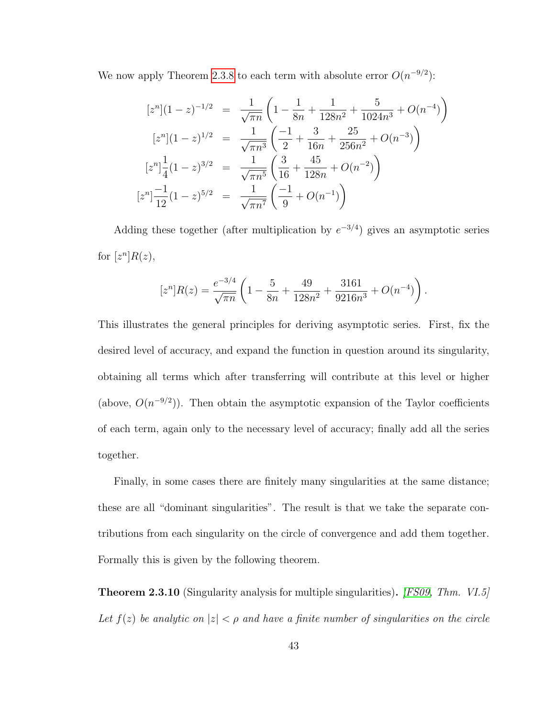We now apply Theorem [2.3.8](#page-52-1) to each term with absolute error  $O(n^{-9/2})$ :

$$
[zn](1-z)^{-1/2} = \frac{1}{\sqrt{\pi n}} \left( 1 - \frac{1}{8n} + \frac{1}{128n^2} + \frac{5}{1024n^3} + O(n^{-4}) \right)
$$

$$
[zn](1-z)^{1/2} = \frac{1}{\sqrt{\pi n^3}} \left( \frac{-1}{2} + \frac{3}{16n} + \frac{25}{256n^2} + O(n^{-3}) \right)
$$

$$
[zn] \frac{1}{4} (1-z)^{3/2} = \frac{1}{\sqrt{\pi n^5}} \left( \frac{3}{16} + \frac{45}{128n} + O(n^{-2}) \right)
$$

$$
[zn] \frac{-1}{12} (1-z)^{5/2} = \frac{1}{\sqrt{\pi n^7}} \left( \frac{-1}{9} + O(n^{-1}) \right)
$$

Adding these together (after multiplication by  $e^{-3/4}$ ) gives an asymptotic series for  $[z^n]R(z)$ ,

$$
[zn]R(z) = \frac{e^{-3/4}}{\sqrt{\pi n}} \left( 1 - \frac{5}{8n} + \frac{49}{128n^2} + \frac{3161}{9216n^3} + O(n^{-4}) \right).
$$

This illustrates the general principles for deriving asymptotic series. First, fix the desired level of accuracy, and expand the function in question around its singularity, obtaining all terms which after transferring will contribute at this level or higher (above,  $O(n^{-9/2})$ ). Then obtain the asymptotic expansion of the Taylor coefficients of each term, again only to the necessary level of accuracy; finally add all the series together.

Finally, in some cases there are finitely many singularities at the same distance; these are all "dominant singularities". The result is that we take the separate contributions from each singularity on the circle of convergence and add them together. Formally this is given by the following theorem.

**Theorem 2.3.10** (Singularity analysis for multiple singularities). [\[FS09,](#page-252-0) Thm. VI.5] Let  $f(z)$  be analytic on  $|z| < \rho$  and have a finite number of singularities on the circle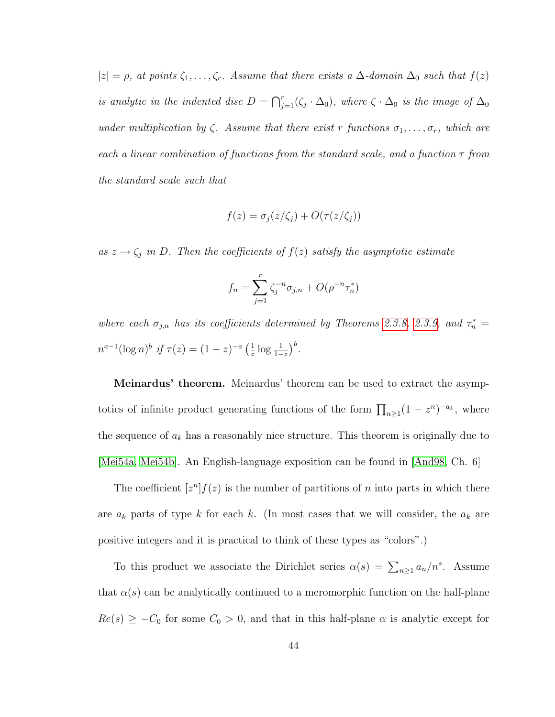$|z| = \rho$ , at points  $\zeta_1, \ldots, \zeta_r$ . Assume that there exists a  $\Delta$ -domain  $\Delta_0$  such that  $f(z)$ is analytic in the indented disc  $D = \bigcap_{j=1}^r (\zeta_j \cdot \Delta_0)$ , where  $\zeta \cdot \Delta_0$  is the image of  $\Delta_0$ under multiplication by  $\zeta$ . Assume that there exist r functions  $\sigma_1, \ldots, \sigma_r$ , which are each a linear combination of functions from the standard scale, and a function  $\tau$  from the standard scale such that

$$
f(z) = \sigma_j(z/\zeta_j) + O(\tau(z/\zeta_j))
$$

as  $z \to \zeta_j$  in D. Then the coefficients of  $f(z)$  satisfy the asymptotic estimate

$$
f_n = \sum_{j=1}^r \zeta_j^{-n} \sigma_{j,n} + O(\rho^{-n} \tau_n^*)
$$

where each  $\sigma_{j,n}$  has its coefficients determined by Theorems [2.3.8,](#page-52-1) [2.3.9,](#page-53-0) and  $\tau_n^* =$  $n^{a-1}(\log n)^b$  if  $\tau(z) = (1-z)^{-a} \left(\frac{1}{z}\right)$  $\frac{1}{z} \log \frac{1}{1-z} \right)^b$ .

Meinardus' theorem. Meinardus' theorem can be used to extract the asymptotics of infinite product generating functions of the form  $\prod_{n\geq 1} (1-z^n)^{-a_k}$ , where the sequence of  $a_k$  has a reasonably nice structure. This theorem is originally due to [\[Mei54a,](#page-255-0) [Mei54b\]](#page-255-1). An English-language exposition can be found in [\[And98,](#page-245-0) Ch. 6]

The coefficient  $[z^n]f(z)$  is the number of partitions of n into parts in which there are  $a_k$  parts of type k for each k. (In most cases that we will consider, the  $a_k$  are positive integers and it is practical to think of these types as "colors".)

To this product we associate the Dirichlet series  $\alpha(s) = \sum_{n\geq 1} a_n/n^s$ . Assume that  $\alpha(s)$  can be analytically continued to a meromorphic function on the half-plane  $Re(s) \geq -C_0$  for some  $C_0 > 0$ , and that in this half-plane  $\alpha$  is analytic except for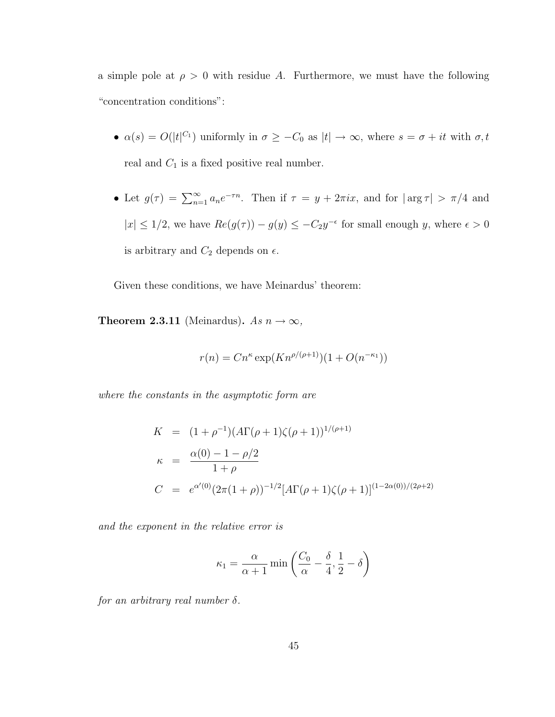a simple pole at  $\rho > 0$  with residue A. Furthermore, we must have the following "concentration conditions":

- $\alpha(s) = O(|t|^{C_1})$  uniformly in  $\sigma \geq -C_0$  as  $|t| \to \infty$ , where  $s = \sigma + it$  with  $\sigma, t$ real and  $C_1$  is a fixed positive real number.
- Let  $g(\tau) = \sum_{n=1}^{\infty} a_n e^{-\tau n}$ . Then if  $\tau = y + 2\pi i x$ , and for  $|\arg \tau| > \pi/4$  and  $|x| \leq 1/2$ , we have  $Re(g(\tau)) - g(y) \leq -C_2 y^{-\epsilon}$  for small enough y, where  $\epsilon > 0$ is arbitrary and  $C_2$  depends on  $\epsilon$ .

Given these conditions, we have Meinardus' theorem:

**Theorem 2.3.11** (Meinardus). As  $n \to \infty$ ,

$$
r(n) = Cn^{\kappa} \exp(Kn^{\rho/(\rho+1)})(1 + O(n^{-\kappa_1}))
$$

where the constants in the asymptotic form are

$$
K = (1 + \rho^{-1})(A\Gamma(\rho + 1)\zeta(\rho + 1))^{1/(\rho+1)}
$$
  
\n
$$
\kappa = \frac{\alpha(0) - 1 - \rho/2}{1 + \rho}
$$
  
\n
$$
C = e^{\alpha'(0)}(2\pi(1 + \rho))^{-1/2}[A\Gamma(\rho + 1)\zeta(\rho + 1)]^{(1 - 2\alpha(0))/(2\rho+2)}
$$

and the exponent in the relative error is

$$
\kappa_1 = \frac{\alpha}{\alpha + 1} \min \left( \frac{C_0}{\alpha} - \frac{\delta}{4}, \frac{1}{2} - \delta \right)
$$

for an arbitrary real number  $\delta$ .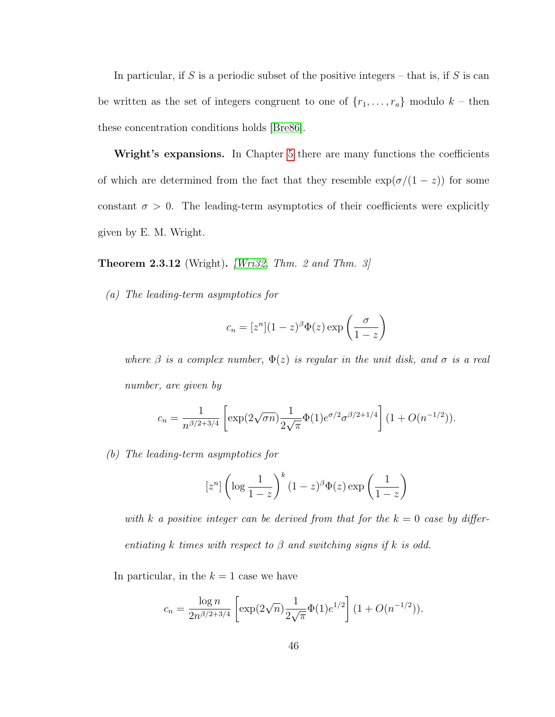In particular, if S is a periodic subset of the positive integers – that is, if S is can be written as the set of integers congruent to one of  $\{r_1, \ldots, r_a\}$  modulo  $k$  – then these concentration conditions holds [\[Bre86\]](#page-248-1).

Wright's expansions. In Chapter [5](#page-153-0) there are many functions the coefficients of which are determined from the fact that they resemble  $\exp(\sigma/(1-z))$  for some constant  $\sigma > 0$ . The leading-term asymptotics of their coefficients were explicitly given by E. M. Wright.

**Theorem 2.3.12** (Wright). *[\[Wri32,](#page-260-1) Thm. 2 and Thm. 3]* 

(a) The leading-term asymptotics for

$$
c_n = [z^n](1-z)^{\beta} \Phi(z) \exp\left(\frac{\sigma}{1-z}\right)
$$

where  $\beta$  is a complex number,  $\Phi(z)$  is regular in the unit disk, and  $\sigma$  is a real number, are given by

$$
c_n = \frac{1}{n^{\beta/2+3/4}} \left[ \exp(2\sqrt{\sigma n}) \frac{1}{2\sqrt{\pi}} \Phi(1) e^{\sigma/2} \sigma^{\beta/2+1/4} \right] (1 + O(n^{-1/2})).
$$

(b) The leading-term asymptotics for

$$
[z^n] \left( \log \frac{1}{1-z} \right)^k (1-z)^{\beta} \Phi(z) \exp \left( \frac{1}{1-z} \right)
$$

with k a positive integer can be derived from that for the  $k = 0$  case by differentiating k times with respect to  $\beta$  and switching signs if k is odd.

In particular, in the  $k = 1$  case we have

$$
c_n = \frac{\log n}{2n^{\beta/2 + 3/4}} \left[ \exp(2\sqrt{n}) \frac{1}{2\sqrt{\pi}} \Phi(1) e^{1/2} \right] (1 + O(n^{-1/2})).
$$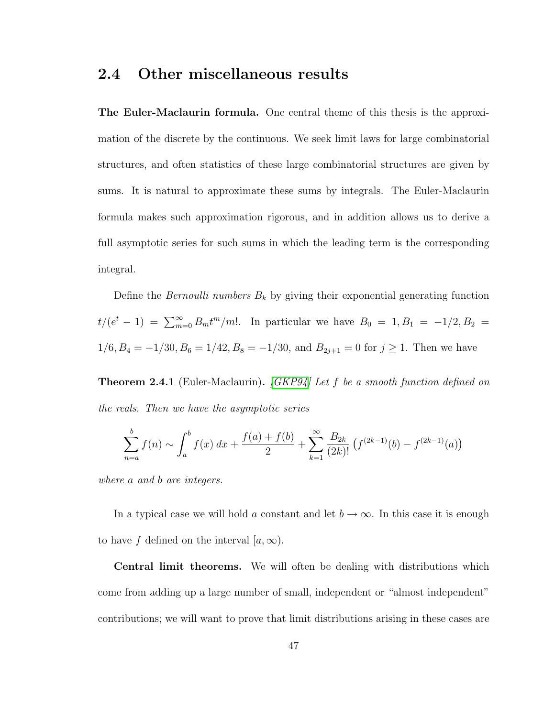## 2.4 Other miscellaneous results

The Euler-Maclaurin formula. One central theme of this thesis is the approximation of the discrete by the continuous. We seek limit laws for large combinatorial structures, and often statistics of these large combinatorial structures are given by sums. It is natural to approximate these sums by integrals. The Euler-Maclaurin formula makes such approximation rigorous, and in addition allows us to derive a full asymptotic series for such sums in which the leading term is the corresponding integral.

Define the *Bernoulli numbers*  $B_k$  by giving their exponential generating function  $t/(e^t - 1) = \sum_{m=0}^{\infty} B_m t^m/m!$ . In particular we have  $B_0 = 1, B_1 = -1/2, B_2 = 1$  $1/6$ ,  $B_4 = -1/30$ ,  $B_6 = 1/42$ ,  $B_8 = -1/30$ , and  $B_{2j+1} = 0$  for  $j \ge 1$ . Then we have

**Theorem 2.4.1** (Euler-Maclaurin). [\[GKP94\]](#page-252-1) Let f be a smooth function defined on the reals. Then we have the asymptotic series

$$
\sum_{n=a}^{b} f(n) \sim \int_{a}^{b} f(x) dx + \frac{f(a) + f(b)}{2} + \sum_{k=1}^{\infty} \frac{B_{2k}}{(2k)!} \left( f^{(2k-1)}(b) - f^{(2k-1)}(a) \right)
$$

where a and b are integers.

In a typical case we will hold a constant and let  $b \to \infty$ . In this case it is enough to have f defined on the interval  $[a,\infty)$ .

Central limit theorems. We will often be dealing with distributions which come from adding up a large number of small, independent or "almost independent" contributions; we will want to prove that limit distributions arising in these cases are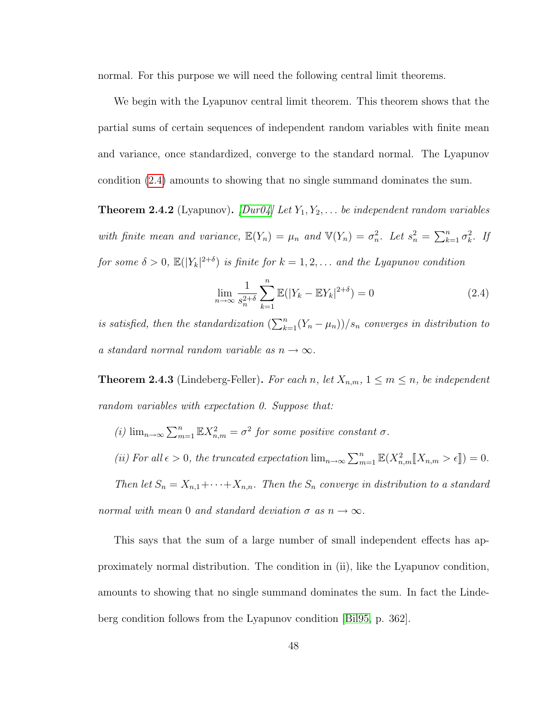normal. For this purpose we will need the following central limit theorems.

We begin with the Lyapunov central limit theorem. This theorem shows that the partial sums of certain sequences of independent random variables with finite mean and variance, once standardized, converge to the standard normal. The Lyapunov condition [\(2.4\)](#page-59-0) amounts to showing that no single summand dominates the sum.

**Theorem 2.4.2** (Lyapunov). [\[Dur04\]](#page-250-0) Let  $Y_1, Y_2, \ldots$  be independent random variables with finite mean and variance,  $\mathbb{E}(Y_n) = \mu_n$  and  $\mathbb{V}(Y_n) = \sigma_n^2$ . Let  $s_n^2 = \sum_{k=1}^n \sigma_k^2$ . If for some  $\delta > 0$ ,  $\mathbb{E}(|Y_k|^{2+\delta})$  is finite for  $k = 1, 2, \ldots$  and the Lyapunov condition

<span id="page-59-0"></span>
$$
\lim_{n \to \infty} \frac{1}{s_n^{2+\delta}} \sum_{k=1}^n \mathbb{E}(|Y_k - \mathbb{E}Y_k|^{2+\delta}) = 0
$$
\n(2.4)

is satisfied, then the standardization  $(\sum_{k=1}^{n}(Y_n - \mu_n))/s_n$  converges in distribution to a standard normal random variable as  $n \to \infty$ .

**Theorem 2.4.3** (Lindeberg-Feller). For each n, let  $X_{n,m}$ ,  $1 \leq m \leq n$ , be independent random variables with expectation 0. Suppose that:

(i)  $\lim_{n\to\infty}\sum_{m=1}^n \mathbb{E}X_{n,m}^2 = \sigma^2$  for some positive constant  $\sigma$ .

(ii) For all  $\epsilon > 0$ , the truncated expectation  $\lim_{n\to\infty} \sum_{m=1}^{n} \mathbb{E}(X_{n,m}^2[X_{n,m} > \epsilon]) = 0$ .

Then let  $S_n = X_{n,1} + \cdots + X_{n,n}$ . Then the  $S_n$  converge in distribution to a standard normal with mean 0 and standard deviation  $\sigma$  as  $n \to \infty$ .

This says that the sum of a large number of small independent effects has approximately normal distribution. The condition in (ii), like the Lyapunov condition, amounts to showing that no single summand dominates the sum. In fact the Lindeberg condition follows from the Lyapunov condition [\[Bil95,](#page-247-0) p. 362].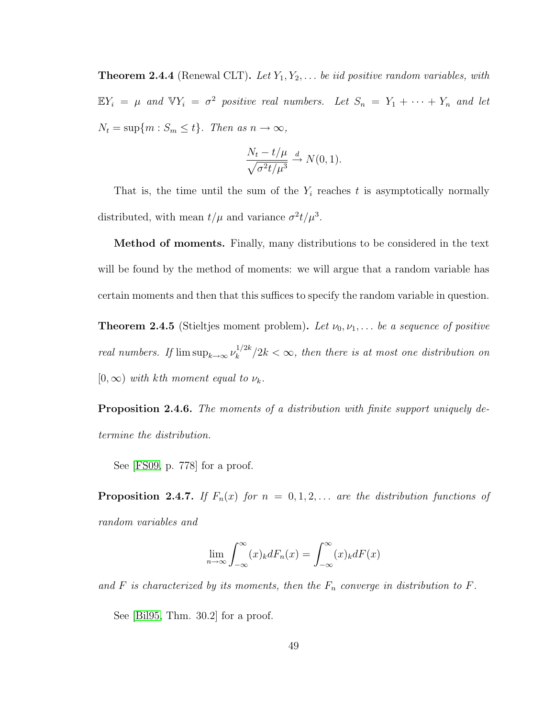**Theorem 2.4.4** (Renewal CLT). Let  $Y_1, Y_2, \ldots$  be iid positive random variables, with  $\mathbb{E}Y_i = \mu$  and  $\mathbb{V}Y_i = \sigma^2$  positive real numbers. Let  $S_n = Y_1 + \cdots + Y_n$  and let  $N_t = \sup\{m : S_m \le t\}.$  Then as  $n \to \infty$ ,

$$
\frac{N_t - t/\mu}{\sqrt{\sigma^2 t/\mu^3}} \xrightarrow{d} N(0, 1).
$$

That is, the time until the sum of the  $Y_i$  reaches  $t$  is asymptotically normally distributed, with mean  $t/\mu$  and variance  $\sigma^2 t/\mu^3$ .

Method of moments. Finally, many distributions to be considered in the text will be found by the method of moments: we will argue that a random variable has certain moments and then that this suffices to specify the random variable in question.

**Theorem 2.4.5** (Stieltjes moment problem). Let  $\nu_0, \nu_1, \ldots$  be a sequence of positive real numbers. If  $\limsup_{k\to\infty} \nu_k^{1/2k}$  $\int_{k}^{1/2k}/2k < \infty$ , then there is at most one distribution on  $[0,\infty)$  with kth moment equal to  $\nu_k$ .

Proposition 2.4.6. The moments of a distribution with finite support uniquely determine the distribution.

See [\[FS09,](#page-252-0) p. 778] for a proof.

**Proposition 2.4.7.** If  $F_n(x)$  for  $n = 0, 1, 2, \ldots$  are the distribution functions of random variables and

$$
\lim_{n \to \infty} \int_{-\infty}^{\infty} (x)_k dF_n(x) = \int_{-\infty}^{\infty} (x)_k dF(x)
$$

and F is characterized by its moments, then the  $F_n$  converge in distribution to F.

See [\[Bil95,](#page-247-0) Thm. 30.2] for a proof.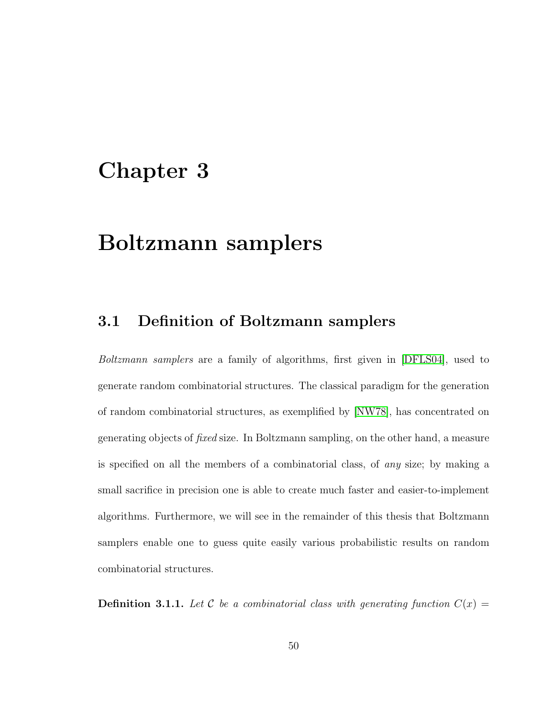# Chapter 3

# Boltzmann samplers

# 3.1 Definition of Boltzmann samplers

Boltzmann samplers are a family of algorithms, first given in [\[DFLS04\]](#page-249-0), used to generate random combinatorial structures. The classical paradigm for the generation of random combinatorial structures, as exemplified by [\[NW78\]](#page-256-1), has concentrated on generating objects of fixed size. In Boltzmann sampling, on the other hand, a measure is specified on all the members of a combinatorial class, of any size; by making a small sacrifice in precision one is able to create much faster and easier-to-implement algorithms. Furthermore, we will see in the remainder of this thesis that Boltzmann samplers enable one to guess quite easily various probabilistic results on random combinatorial structures.

**Definition 3.1.1.** Let C be a combinatorial class with generating function  $C(x) =$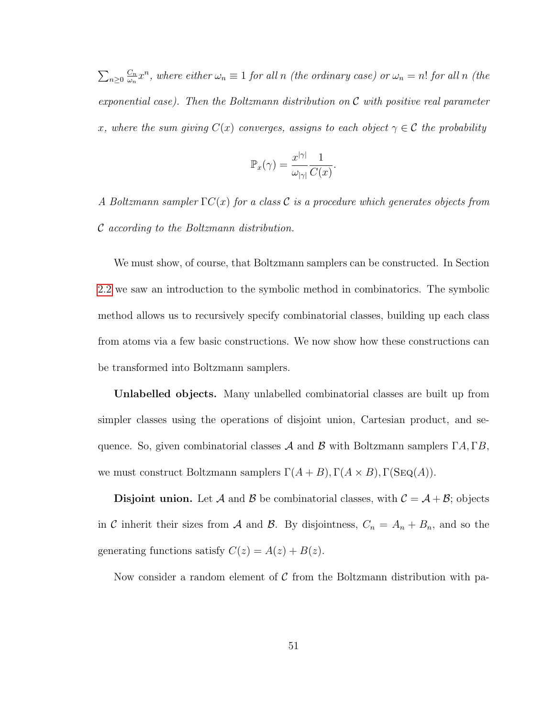$\sum_{n\geq 0}\frac{C_n}{\omega_n}$  $\frac{C_n}{\omega_n}x^n$ , where either  $\omega_n\equiv 1$  for all n (the ordinary case) or  $\omega_n=n!$  for all n (the exponential case). Then the Boltzmann distribution on  $\mathcal C$  with positive real parameter x, where the sum giving  $C(x)$  converges, assigns to each object  $\gamma \in \mathcal{C}$  the probability

$$
\mathbb{P}_x(\gamma) = \frac{x^{|\gamma|}}{\omega_{|\gamma|}} \frac{1}{C(x)}
$$

.

A Boltzmann sampler  $\Gamma C(x)$  for a class C is a procedure which generates objects from C according to the Boltzmann distribution.

We must show, of course, that Boltzmann samplers can be constructed. In Section [2.2](#page-34-0) we saw an introduction to the symbolic method in combinatorics. The symbolic method allows us to recursively specify combinatorial classes, building up each class from atoms via a few basic constructions. We now show how these constructions can be transformed into Boltzmann samplers.

Unlabelled objects. Many unlabelled combinatorial classes are built up from simpler classes using the operations of disjoint union, Cartesian product, and sequence. So, given combinatorial classes A and B with Boltzmann samplers  $\Gamma A, \Gamma B$ , we must construct Boltzmann samplers  $\Gamma(A + B)$ ,  $\Gamma(A \times B)$ ,  $\Gamma(\text{Seq}(A))$ .

**Disjoint union.** Let A and B be combinatorial classes, with  $C = A + B$ ; objects in C inherit their sizes from A and B. By disjointness,  $C_n = A_n + B_n$ , and so the generating functions satisfy  $C(z) = A(z) + B(z)$ .

Now consider a random element of  $\mathcal C$  from the Boltzmann distribution with pa-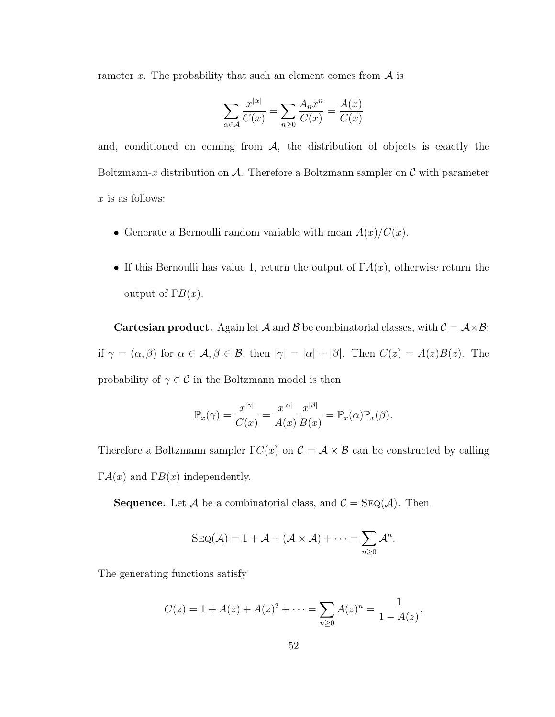rameter x. The probability that such an element comes from  $\mathcal A$  is

$$
\sum_{\alpha \in \mathcal{A}} \frac{x^{|\alpha|}}{C(x)} = \sum_{n \ge 0} \frac{A_n x^n}{C(x)} = \frac{A(x)}{C(x)}
$$

and, conditioned on coming from  $A$ , the distribution of objects is exactly the Boltzmann-x distribution on A. Therefore a Boltzmann sampler on  $\mathcal C$  with parameter  $x$  is as follows:

- Generate a Bernoulli random variable with mean  $A(x)/C(x)$ .
- If this Bernoulli has value 1, return the output of  $\Gamma A(x)$ , otherwise return the output of Γ $B(x)$ .

**Cartesian product.** Again let A and B be combinatorial classes, with  $C = A \times B$ ; if  $\gamma = (\alpha, \beta)$  for  $\alpha \in \mathcal{A}, \beta \in \mathcal{B}$ , then  $|\gamma| = |\alpha| + |\beta|$ . Then  $C(z) = A(z)B(z)$ . The probability of  $\gamma \in \mathcal{C}$  in the Boltzmann model is then

$$
\mathbb{P}_x(\gamma) = \frac{x^{|\gamma|}}{C(x)} = \frac{x^{|\alpha|}}{A(x)} \frac{x^{|\beta|}}{B(x)} = \mathbb{P}_x(\alpha) \mathbb{P}_x(\beta).
$$

Therefore a Boltzmann sampler  $\Gamma C(x)$  on  $\mathcal{C} = \mathcal{A} \times \mathcal{B}$  can be constructed by calling  $\Gamma A(x)$  and  $\Gamma B(x)$  independently.

**Sequence.** Let A be a combinatorial class, and  $C = \text{Seq}(\mathcal{A})$ . Then

$$
SEQ(\mathcal{A}) = 1 + \mathcal{A} + (\mathcal{A} \times \mathcal{A}) + \cdots = \sum_{n \geq 0} \mathcal{A}^n.
$$

The generating functions satisfy

$$
C(z) = 1 + A(z) + A(z)^{2} + \dots = \sum_{n \geq 0} A(z)^{n} = \frac{1}{1 - A(z)}.
$$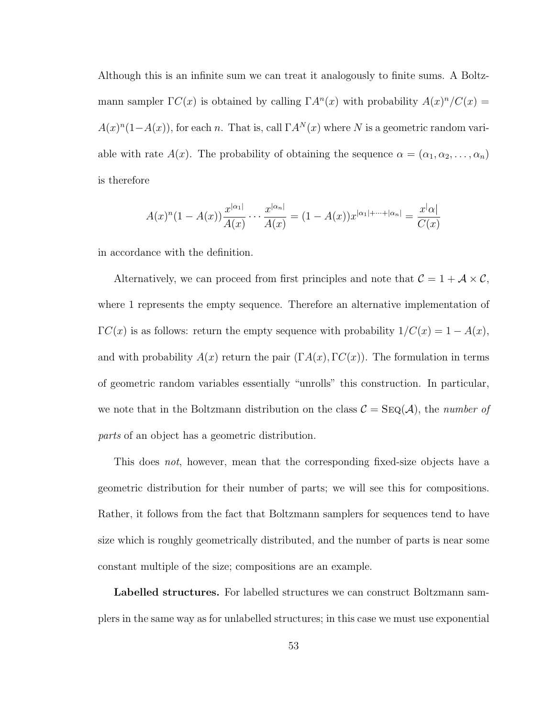Although this is an infinite sum we can treat it analogously to finite sums. A Boltzmann sampler  $\Gamma C(x)$  is obtained by calling  $\Gamma A^{n}(x)$  with probability  $A(x)^{n}/C(x) =$  $A(x)^{n}(1-A(x))$ , for each n. That is, call  $\Gamma A^{N}(x)$  where N is a geometric random variable with rate  $A(x)$ . The probability of obtaining the sequence  $\alpha = (\alpha_1, \alpha_2, \ldots, \alpha_n)$ is therefore

$$
A(x)^{n}(1 - A(x))\frac{x^{|\alpha_1|}}{A(x)} \cdots \frac{x^{|\alpha_n|}}{A(x)} = (1 - A(x))x^{|\alpha_1| + \cdots + |\alpha_n|} = \frac{x^{|\alpha|}}{C(x)}
$$

in accordance with the definition.

Alternatively, we can proceed from first principles and note that  $C = 1 + A \times C$ , where 1 represents the empty sequence. Therefore an alternative implementation of  $\Gamma C(x)$  is as follows: return the empty sequence with probability  $1/C(x) = 1 - A(x)$ , and with probability  $A(x)$  return the pair  $(\Gamma A(x), \Gamma C(x))$ . The formulation in terms of geometric random variables essentially "unrolls" this construction. In particular, we note that in the Boltzmann distribution on the class  $C = \text{Seq}(\mathcal{A})$ , the number of parts of an object has a geometric distribution.

This does *not*, however, mean that the corresponding fixed-size objects have a geometric distribution for their number of parts; we will see this for compositions. Rather, it follows from the fact that Boltzmann samplers for sequences tend to have size which is roughly geometrically distributed, and the number of parts is near some constant multiple of the size; compositions are an example.

Labelled structures. For labelled structures we can construct Boltzmann samplers in the same way as for unlabelled structures; in this case we must use exponential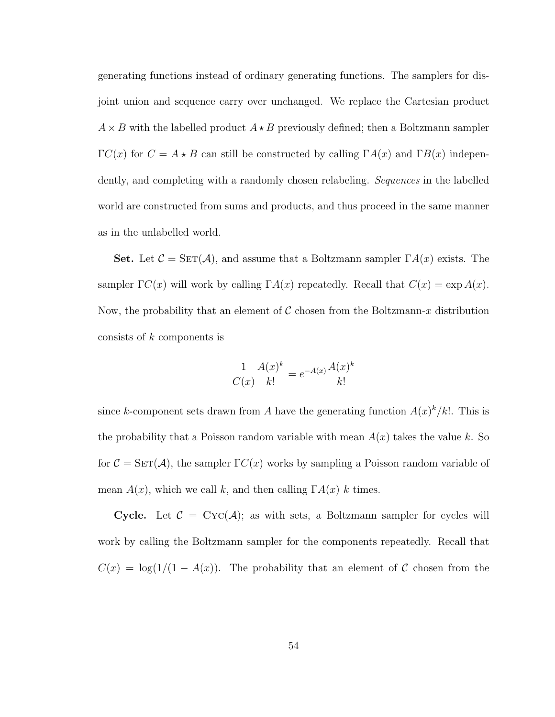generating functions instead of ordinary generating functions. The samplers for disjoint union and sequence carry over unchanged. We replace the Cartesian product  $A \times B$  with the labelled product  $A \star B$  previously defined; then a Boltzmann sampler  $\Gamma C(x)$  for  $C = A \star B$  can still be constructed by calling  $\Gamma A(x)$  and  $\Gamma B(x)$  independently, and completing with a randomly chosen relabeling. Sequences in the labelled world are constructed from sums and products, and thus proceed in the same manner as in the unlabelled world.

Set. Let  $C = \text{SET}(\mathcal{A})$ , and assume that a Boltzmann sampler  $\Gamma A(x)$  exists. The sampler  $\Gamma C(x)$  will work by calling  $\Gamma A(x)$  repeatedly. Recall that  $C(x) = \exp A(x)$ . Now, the probability that an element of  $\mathcal C$  chosen from the Boltzmann-x distribution consists of k components is

$$
\frac{1}{C(x)} \frac{A(x)^k}{k!} = e^{-A(x)} \frac{A(x)^k}{k!}
$$

since k-component sets drawn from A have the generating function  $A(x)^k/k!$ . This is the probability that a Poisson random variable with mean  $A(x)$  takes the value k. So for  $C = \text{SET}(\mathcal{A})$ , the sampler  $\Gamma C(x)$  works by sampling a Poisson random variable of mean  $A(x)$ , which we call k, and then calling  $\Gamma A(x)$  k times.

Cycle. Let  $C = \text{Cyc}(\mathcal{A})$ ; as with sets, a Boltzmann sampler for cycles will work by calling the Boltzmann sampler for the components repeatedly. Recall that  $C(x) = \log(1/(1 - A(x))$ . The probability that an element of C chosen from the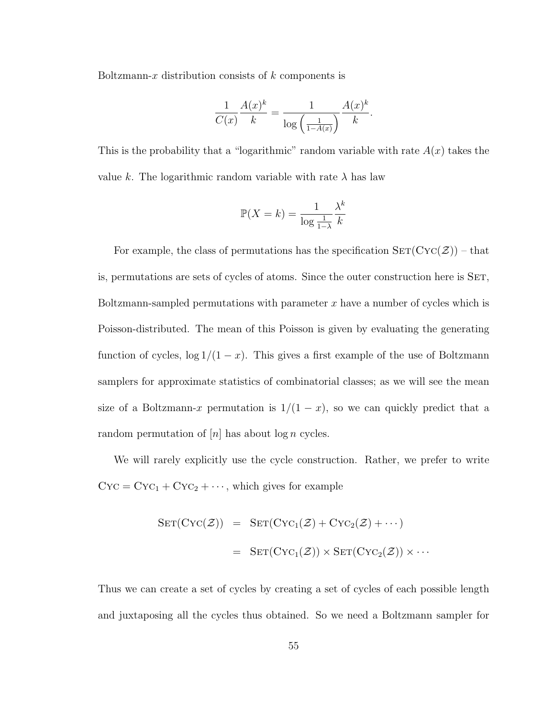Boltzmann-x distribution consists of  $k$  components is

$$
\frac{1}{C(x)} \frac{A(x)^k}{k} = \frac{1}{\log(\frac{1}{1 - A(x)})} \frac{A(x)^k}{k}.
$$

This is the probability that a "logarithmic" random variable with rate  $A(x)$  takes the value k. The logarithmic random variable with rate  $\lambda$  has law

$$
\mathbb{P}(X = k) = \frac{1}{\log \frac{1}{1-\lambda}} \frac{\lambda^k}{k}
$$

For example, the class of permutations has the specification  $\text{SET}(\text{Cyc}(\mathcal{Z}))$  – that is, permutations are sets of cycles of atoms. Since the outer construction here is SET, Boltzmann-sampled permutations with parameter  $x$  have a number of cycles which is Poisson-distributed. The mean of this Poisson is given by evaluating the generating function of cycles,  $\log 1/(1-x)$ . This gives a first example of the use of Boltzmann samplers for approximate statistics of combinatorial classes; as we will see the mean size of a Boltzmann-x permutation is  $1/(1-x)$ , so we can quickly predict that a random permutation of  $[n]$  has about  $\log n$  cycles.

We will rarely explicitly use the cycle construction. Rather, we prefer to write  $\text{Cyc} = \text{Cyc}_1 + \text{Cyc}_2 + \cdots$ , which gives for example

$$
SET(Cyc(\mathcal{Z})) = SET(Cyc_1(\mathcal{Z}) + Cyc_2(\mathcal{Z}) + \cdots)
$$

$$
= SET(Cyc_1(\mathcal{Z})) \times SET(Cyc_2(\mathcal{Z})) \times \cdots
$$

Thus we can create a set of cycles by creating a set of cycles of each possible length and juxtaposing all the cycles thus obtained. So we need a Boltzmann sampler for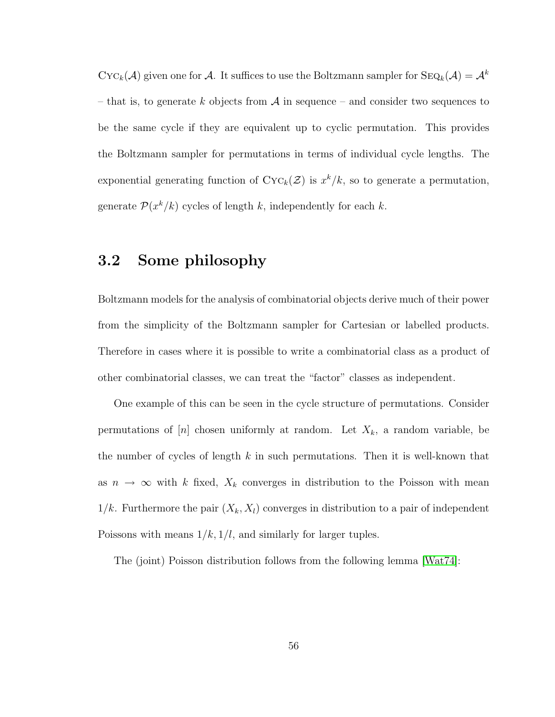$\mathrm{Cyc}_k(\mathcal{A})$  given one for  $\mathcal{A}$ . It suffices to use the Boltzmann sampler for  $\mathrm{Seq}_k(\mathcal{A}) = \mathcal{A}^k$ – that is, to generate k objects from  $A$  in sequence – and consider two sequences to be the same cycle if they are equivalent up to cyclic permutation. This provides the Boltzmann sampler for permutations in terms of individual cycle lengths. The exponential generating function of  $\mathrm{Cyc}_k(\mathcal{Z})$  is  $x^k/k$ , so to generate a permutation, generate  $\mathcal{P}(x^k/k)$  cycles of length k, independently for each k.

## 3.2 Some philosophy

Boltzmann models for the analysis of combinatorial objects derive much of their power from the simplicity of the Boltzmann sampler for Cartesian or labelled products. Therefore in cases where it is possible to write a combinatorial class as a product of other combinatorial classes, we can treat the "factor" classes as independent.

One example of this can be seen in the cycle structure of permutations. Consider permutations of  $[n]$  chosen uniformly at random. Let  $X_k$ , a random variable, be the number of cycles of length k in such permutations. Then it is well-known that as  $n \to \infty$  with k fixed,  $X_k$  converges in distribution to the Poisson with mean  $1/k$ . Furthermore the pair  $(X_k, X_l)$  converges in distribution to a pair of independent Poissons with means  $1/k$ ,  $1/l$ , and similarly for larger tuples.

The (joint) Poisson distribution follows from the following lemma [\[Wat74\]](#page-260-2):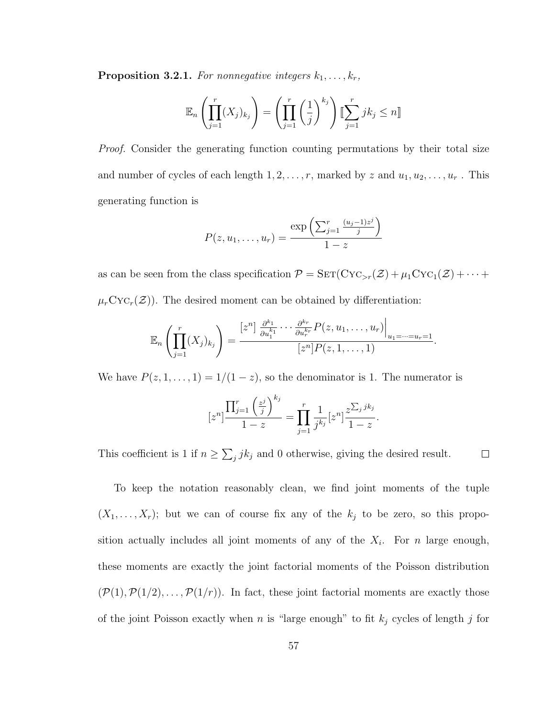**Proposition 3.2.1.** For nonnegative integers  $k_1, \ldots, k_r$ ,

$$
\mathbb{E}_n\left(\prod_{j=1}^r (X_j)_{k_j}\right) = \left(\prod_{j=1}^r \left(\frac{1}{j}\right)^{k_j}\right) \left[\sum_{j=1}^r j k_j \leq n\right]
$$

Proof. Consider the generating function counting permutations by their total size and number of cycles of each length  $1, 2, \ldots, r$ , marked by z and  $u_1, u_2, \ldots, u_r$ . This generating function is

$$
P(z, u_1, \dots, u_r) = \frac{\exp\left(\sum_{j=1}^r \frac{(u_j - 1)z^j}{j}\right)}{1 - z}
$$

as can be seen from the class specification  $\mathcal{P} = \text{SET}(\text{Cyc}_{>r}(\mathcal{Z}) + \mu_1 \text{Cyc}_1(\mathcal{Z}) + \cdots +$  $\mu_r\text{Cyc}_r(\mathcal{Z})$ ). The desired moment can be obtained by differentiation:

$$
\mathbb{E}_n\left(\prod_{j=1}^r (X_j)_{k_j}\right) = \frac{\left[z^n\right] \frac{\partial^{k_1}}{\partial u_1^{k_1}} \cdots \frac{\partial^{k_r}}{\partial u_r^{k_r}} P(z, u_1, \ldots, u_r)\Big|_{u_1=\cdots=u_r=1}}{\left[z^n\right] P(z, 1, \ldots, 1)}.
$$

We have  $P(z, 1, \ldots, 1) = 1/(1-z)$ , so the denominator is 1. The numerator is

$$
[z^{n}] \frac{\prod_{j=1}^{r} \left(\frac{z^{j}}{j}\right)^{k_{j}}}{1-z} = \prod_{j=1}^{r} \frac{1}{j^{k_{j}}} [z^{n}] \frac{z^{\sum_{j} j k_{j}}}{1-z}.
$$

 $\Box$ 

This coefficient is 1 if  $n \geq \sum_j j k_j$  and 0 otherwise, giving the desired result.

To keep the notation reasonably clean, we find joint moments of the tuple  $(X_1, \ldots, X_r)$ ; but we can of course fix any of the  $k_j$  to be zero, so this proposition actually includes all joint moments of any of the  $X_i$ . For n large enough, these moments are exactly the joint factorial moments of the Poisson distribution  $(\mathcal{P}(1),\mathcal{P}(1/2),\ldots,\mathcal{P}(1/r))$ . In fact, these joint factorial moments are exactly those of the joint Poisson exactly when  $n$  is "large enough" to fit  $k_j$  cycles of length  $j$  for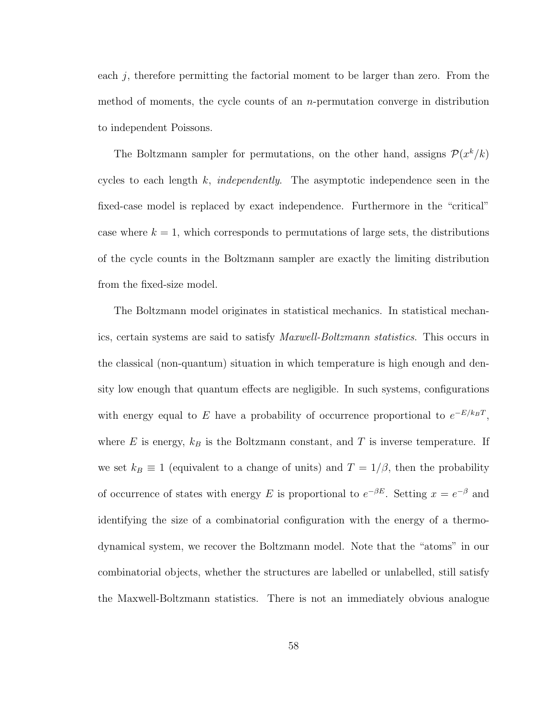each  $j$ , therefore permitting the factorial moment to be larger than zero. From the method of moments, the cycle counts of an n-permutation converge in distribution to independent Poissons.

The Boltzmann sampler for permutations, on the other hand, assigns  $\mathcal{P}(x^k/k)$ cycles to each length k, independently. The asymptotic independence seen in the fixed-case model is replaced by exact independence. Furthermore in the "critical" case where  $k = 1$ , which corresponds to permutations of large sets, the distributions of the cycle counts in the Boltzmann sampler are exactly the limiting distribution from the fixed-size model.

The Boltzmann model originates in statistical mechanics. In statistical mechanics, certain systems are said to satisfy Maxwell-Boltzmann statistics. This occurs in the classical (non-quantum) situation in which temperature is high enough and density low enough that quantum effects are negligible. In such systems, configurations with energy equal to E have a probability of occurrence proportional to  $e^{-E/k_BT}$ , where E is energy,  $k_B$  is the Boltzmann constant, and T is inverse temperature. If we set  $k_B \equiv 1$  (equivalent to a change of units) and  $T = 1/\beta$ , then the probability of occurrence of states with energy E is proportional to  $e^{-\beta E}$ . Setting  $x = e^{-\beta}$  and identifying the size of a combinatorial configuration with the energy of a thermodynamical system, we recover the Boltzmann model. Note that the "atoms" in our combinatorial objects, whether the structures are labelled or unlabelled, still satisfy the Maxwell-Boltzmann statistics. There is not an immediately obvious analogue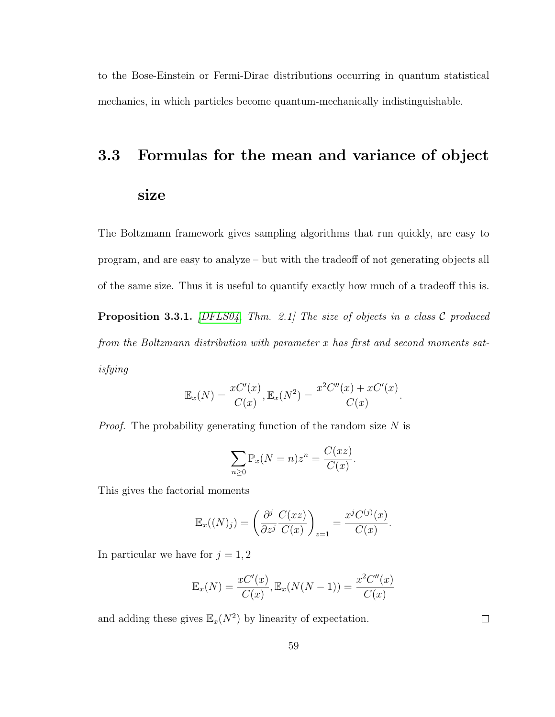to the Bose-Einstein or Fermi-Dirac distributions occurring in quantum statistical mechanics, in which particles become quantum-mechanically indistinguishable.

# 3.3 Formulas for the mean and variance of object size

The Boltzmann framework gives sampling algorithms that run quickly, are easy to program, and are easy to analyze – but with the tradeoff of not generating objects all of the same size. Thus it is useful to quantify exactly how much of a tradeoff this is.

**Proposition 3.3.1.** [\[DFLS04,](#page-249-0) Thm. 2.1] The size of objects in a class  $C$  produced from the Boltzmann distribution with parameter x has first and second moments satisfying

$$
\mathbb{E}_x(N) = \frac{xC'(x)}{C(x)}, \mathbb{E}_x(N^2) = \frac{x^2C''(x) + xC'(x)}{C(x)}.
$$

Proof. The probability generating function of the random size N is

$$
\sum_{n\geq 0} \mathbb{P}_x(N=n)z^n = \frac{C(xz)}{C(x)}.
$$

This gives the factorial moments

$$
\mathbb{E}_x((N)_j) = \left(\frac{\partial^j}{\partial z^j} \frac{C(xz)}{C(x)}\right)_{z=1} = \frac{x^j C^{(j)}(x)}{C(x)}.
$$

In particular we have for  $j = 1, 2$ 

$$
\mathbb{E}_x(N) = \frac{xC'(x)}{C(x)}, \mathbb{E}_x(N(N-1)) = \frac{x^2C''(x)}{C(x)}
$$

and adding these gives  $\mathbb{E}_x(N^2)$  by linearity of expectation.

 $\Box$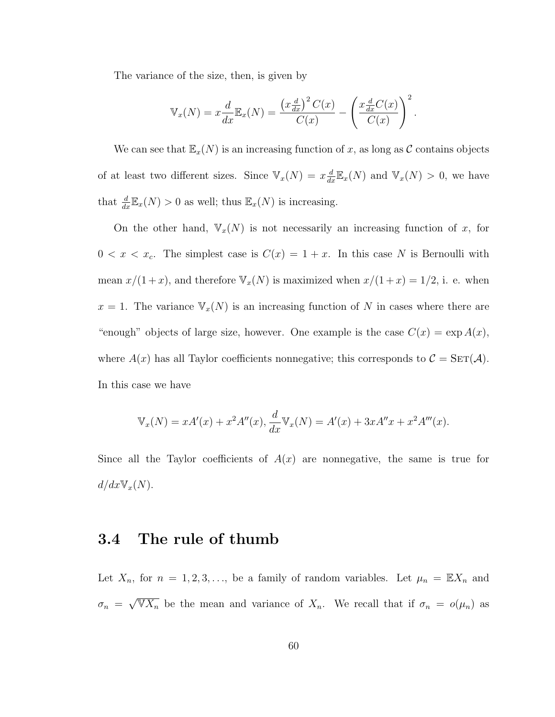The variance of the size, then, is given by

$$
\mathbb{V}_x(N) = x \frac{d}{dx} \mathbb{E}_x(N) = \frac{\left(x \frac{d}{dx}\right)^2 C(x)}{C(x)} - \left(\frac{x \frac{d}{dx} C(x)}{C(x)}\right)^2.
$$

We can see that  $\mathbb{E}_x(N)$  is an increasing function of x, as long as C contains objects of at least two different sizes. Since  $\mathbb{V}_x(N) = x \frac{d}{dx} \mathbb{E}_x(N)$  and  $\mathbb{V}_x(N) > 0$ , we have that  $\frac{d}{dx}\mathbb{E}_x(N) > 0$  as well; thus  $\mathbb{E}_x(N)$  is increasing.

On the other hand,  $V_x(N)$  is not necessarily an increasing function of x, for  $0 < x < x_c$ . The simplest case is  $C(x) = 1 + x$ . In this case N is Bernoulli with mean  $x/(1+x)$ , and therefore  $\mathbb{V}_x(N)$  is maximized when  $x/(1+x) = 1/2$ , i. e. when  $x = 1$ . The variance  $V_x(N)$  is an increasing function of N in cases where there are "enough" objects of large size, however. One example is the case  $C(x) = \exp A(x)$ , where  $A(x)$  has all Taylor coefficients nonnegative; this corresponds to  $C = \text{SET}(\mathcal{A})$ . In this case we have

$$
\mathbb{V}_x(N) = xA'(x) + x^2 A''(x), \frac{d}{dx} \mathbb{V}_x(N) = A'(x) + 3x A''x + x^2 A'''(x).
$$

Since all the Taylor coefficients of  $A(x)$  are nonnegative, the same is true for  $d/dx \mathbb{V}_x(N)$ .

#### 3.4 The rule of thumb

Let  $X_n$ , for  $n = 1, 2, 3, \ldots$ , be a family of random variables. Let  $\mu_n = \mathbb{E}X_n$  and  $\sigma_n =$  $\sqrt{\mathbb{V}X_n}$  be the mean and variance of  $X_n$ . We recall that if  $\sigma_n = o(\mu_n)$  as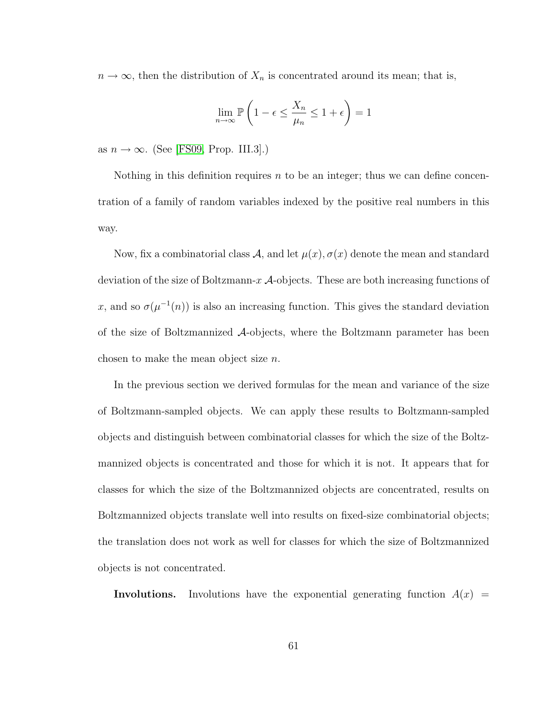$n \to \infty$ , then the distribution of  $X_n$  is concentrated around its mean; that is,

$$
\lim_{n\to\infty}\mathbb{P}\left(1-\epsilon\leq \frac{X_n}{\mu_n}\leq 1+\epsilon\right)=1
$$

as  $n \to \infty$ . (See [\[FS09,](#page-252-0) Prop. III.3].)

Nothing in this definition requires  $n$  to be an integer; thus we can define concentration of a family of random variables indexed by the positive real numbers in this way.

Now, fix a combinatorial class A, and let  $\mu(x)$ ,  $\sigma(x)$  denote the mean and standard deviation of the size of Boltzmann- $x$   $\mathcal{A}$ -objects. These are both increasing functions of x, and so  $\sigma(\mu^{-1}(n))$  is also an increasing function. This gives the standard deviation of the size of Boltzmannized A-objects, where the Boltzmann parameter has been chosen to make the mean object size n.

In the previous section we derived formulas for the mean and variance of the size of Boltzmann-sampled objects. We can apply these results to Boltzmann-sampled objects and distinguish between combinatorial classes for which the size of the Boltzmannized objects is concentrated and those for which it is not. It appears that for classes for which the size of the Boltzmannized objects are concentrated, results on Boltzmannized objects translate well into results on fixed-size combinatorial objects; the translation does not work as well for classes for which the size of Boltzmannized objects is not concentrated.

Involutions. Involutions have the exponential generating function  $A(x)$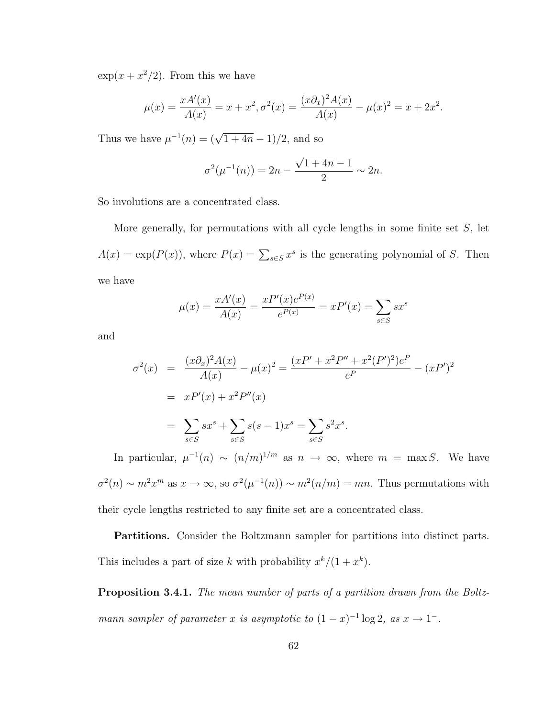$\exp(x + x^2/2)$ . From this we have

$$
\mu(x) = \frac{xA'(x)}{A(x)} = x + x^2, \sigma^2(x) = \frac{(x\partial_x)^2 A(x)}{A(x)} - \mu(x)^2 = x + 2x^2.
$$

Thus we have  $\mu^{-1}(n) = (\sqrt{1+4n} - 1)/2$ , and so

$$
\sigma^{2}(\mu^{-1}(n)) = 2n - \frac{\sqrt{1+4n} - 1}{2} \sim 2n.
$$

So involutions are a concentrated class.

More generally, for permutations with all cycle lengths in some finite set  $S$ , let  $A(x) = \exp(P(x))$ , where  $P(x) = \sum_{s \in S} x^s$  is the generating polynomial of S. Then we have

$$
\mu(x) = \frac{xA'(x)}{A(x)} = \frac{xP'(x)e^{P(x)}}{e^{P(x)}} = xP'(x) = \sum_{s \in S} sx^s
$$

and

$$
\sigma^{2}(x) = \frac{(x \partial_{x})^{2} A(x)}{A(x)} - \mu(x)^{2} = \frac{(xP' + x^{2}P'' + x^{2}(P')^{2})e^{P}}{e^{P}} - (xP')^{2}
$$

$$
= xP'(x) + x^{2}P''(x)
$$

$$
= \sum_{s \in S} sx^{s} + \sum_{s \in S} s(s-1)x^{s} = \sum_{s \in S} s^{2}x^{s}.
$$

In particular,  $\mu^{-1}(n) \sim (n/m)^{1/m}$  as  $n \to \infty$ , where  $m = \max S$ . We have  $\sigma^2(n) \sim m^2 x^m$  as  $x \to \infty$ , so  $\sigma^2(\mu^{-1}(n)) \sim m^2(n/m) = mn$ . Thus permutations with their cycle lengths restricted to any finite set are a concentrated class.

Partitions. Consider the Boltzmann sampler for partitions into distinct parts. This includes a part of size k with probability  $x^k/(1+x^k)$ .

Proposition 3.4.1. The mean number of parts of a partition drawn from the Boltzmann sampler of parameter x is asymptotic to  $(1-x)^{-1} \log 2$ , as  $x \to 1^-$ .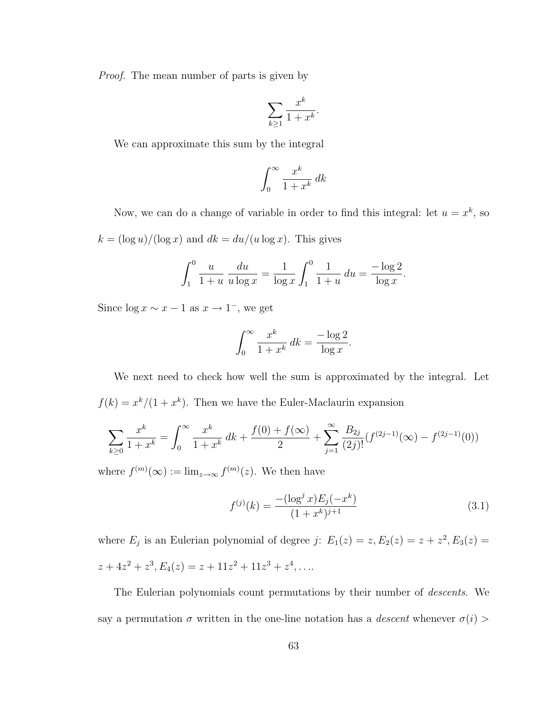Proof. The mean number of parts is given by

$$
\sum_{k\geq 1} \frac{x^k}{1+x^k}.
$$

We can approximate this sum by the integral

$$
\int_0^\infty \frac{x^k}{1+x^k} \, dk
$$

Now, we can do a change of variable in order to find this integral: let  $u = x^k$ , so  $k = (\log u)/(\log x)$  and  $dk = du/(u \log x)$ . This gives

$$
\int_1^0 \frac{u}{1+u} \frac{du}{u \log x} = \frac{1}{\log x} \int_1^0 \frac{1}{1+u} du = \frac{-\log 2}{\log x}.
$$

Since  $\log x \sim x - 1$  as  $x \to 1^-$ , we get

$$
\int_0^\infty \frac{x^k}{1+x^k} \, dk = \frac{-\log 2}{\log x}.
$$

We next need to check how well the sum is approximated by the integral. Let  $f(k) = x^{k}/(1 + x^{k})$ . Then we have the Euler-Maclaurin expansion

$$
\sum_{k\geq 0} \frac{x^k}{1+x^k} = \int_0^\infty \frac{x^k}{1+x^k} \, dk + \frac{f(0) + f(\infty)}{2} + \sum_{j=1}^\infty \frac{B_{2j}}{(2j)!} (f^{(2j-1)}(\infty) - f^{(2j-1)}(0))
$$

where  $f^{(m)}(\infty) := \lim_{z \to \infty} f^{(m)}(z)$ . We then have

<span id="page-74-0"></span>
$$
f^{(j)}(k) = \frac{-\left(\log^j x\right)E_j(-x^k)}{(1+x^k)^{j+1}}\tag{3.1}
$$

where  $E_j$  is an Eulerian polynomial of degree j:  $E_1(z) = z, E_2(z) = z + z^2, E_3(z) = z$  $z + 4z^2 + z^3$ ,  $E_4(z) = z + 11z^2 + 11z^3 + z^4$ , ...

The Eulerian polynomials count permutations by their number of descents. We say a permutation  $\sigma$  written in the one-line notation has a *descent* whenever  $\sigma(i)$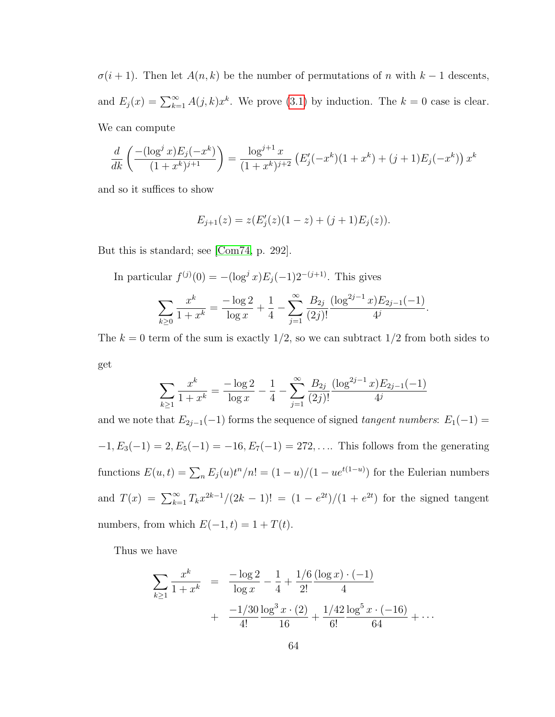$\sigma(i+1)$ . Then let  $A(n,k)$  be the number of permutations of n with  $k-1$  descents, and  $E_j(x) = \sum_{k=1}^{\infty} A(j,k)x^k$ . We prove [\(3.1\)](#page-74-0) by induction. The  $k = 0$  case is clear. We can compute

$$
\frac{d}{dk} \left( \frac{-(\log^j x) E_j(-x^k)}{(1+x^k)^{j+1}} \right) = \frac{\log^{j+1} x}{(1+x^k)^{j+2}} \left( E'_j(-x^k)(1+x^k) + (j+1)E_j(-x^k) \right) x^k
$$

and so it suffices to show

$$
E_{j+1}(z) = z(E'_j(z)(1-z) + (j+1)E_j(z)).
$$

But this is standard; see [\[Com74,](#page-249-0) p. 292].

In particular  $f^{(j)}(0) = -(\log^j x) E_j(-1) 2^{-(j+1)}$ . This gives

$$
\sum_{k\geq 0} \frac{x^k}{1+x^k} = \frac{-\log 2}{\log x} + \frac{1}{4} - \sum_{j=1}^{\infty} \frac{B_{2j}}{(2j)!} \frac{(\log^{2j-1} x) E_{2j-1}(-1)}{4^j}.
$$

The  $k = 0$  term of the sum is exactly  $1/2$ , so we can subtract  $1/2$  from both sides to get

$$
\sum_{k\geq 1} \frac{x^k}{1+x^k} = \frac{-\log 2}{\log x} - \frac{1}{4} - \sum_{j=1}^{\infty} \frac{B_{2j}}{(2j)!} \frac{(\log^{2j-1} x) E_{2j-1}(-1)}{4^j}
$$

and we note that  $E_{2j-1}(-1)$  forms the sequence of signed tangent numbers:  $E_1(-1)$  =  $-1, E_3(-1) = 2, E_5(-1) = -16, E_7(-1) = 272, \dots$  This follows from the generating functions  $E(u,t) = \sum_{n} E_j(u)t^n/n! = (1-u)/(1 - ue^{t(1-u)})$  for the Eulerian numbers and  $T(x) = \sum_{k=1}^{\infty} T_k x^{2k-1} / (2k-1)! = (1 - e^{2t}) / (1 + e^{2t})$  for the signed tangent numbers, from which  $E(-1, t) = 1 + T(t)$ .

Thus we have

$$
\sum_{k\geq 1} \frac{x^k}{1+x^k} = \frac{-\log 2}{\log x} - \frac{1}{4} + \frac{1/6}{2!} \frac{(\log x) \cdot (-1)}{4} + \frac{-1/30}{4!} \frac{\log^3 x \cdot (2)}{16} + \frac{1/42}{6!} \frac{\log^5 x \cdot (-16)}{64} + \cdots
$$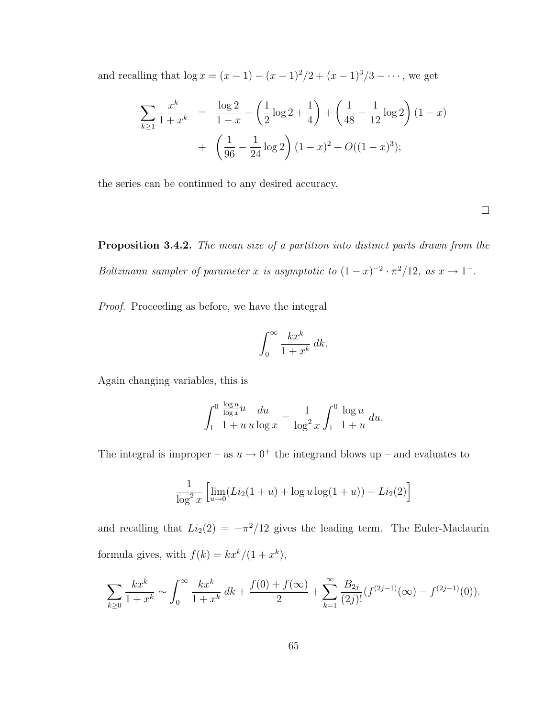and recalling that  $\log x = (x - 1) - (x - 1)^2/2 + (x - 1)^3/3 - \cdots$ , we get

$$
\sum_{k\geq 1} \frac{x^k}{1+x^k} = \frac{\log 2}{1-x} - \left(\frac{1}{2}\log 2 + \frac{1}{4}\right) + \left(\frac{1}{48} - \frac{1}{12}\log 2\right)(1-x) + \left(\frac{1}{96} - \frac{1}{24}\log 2\right)(1-x)^2 + O((1-x)^3);
$$

the series can be continued to any desired accuracy.

 $\Box$ 

Proposition 3.4.2. The mean size of a partition into distinct parts drawn from the Boltzmann sampler of parameter x is asymptotic to  $(1-x)^{-2} \cdot \pi^2/12$ , as  $x \to 1^-$ .

Proof. Proceeding as before, we have the integral

$$
\int_0^\infty \frac{kx^k}{1+x^k} \, dk.
$$

Again changing variables, this is

$$
\int_{1}^{0} \frac{\frac{\log u}{\log x} u}{1+u} \frac{du}{u \log x} = \frac{1}{\log^{2} x} \int_{1}^{0} \frac{\log u}{1+u} du.
$$

The integral is improper – as  $u \to 0^+$  the integrand blows up – and evaluates to

$$
\frac{1}{\log^2 x} \left[ \lim_{u \to 0} (Li_2(1+u) + \log u \log(1+u)) - Li_2(2) \right]
$$

and recalling that  $Li_2(2) = -\pi^2/12$  gives the leading term. The Euler-Maclaurin formula gives, with  $f(k) = kx^{k}/(1+x^{k}),$ 

$$
\sum_{k\geq 0} \frac{kx^k}{1+x^k} \sim \int_0^\infty \frac{kx^k}{1+x^k} \, dk + \frac{f(0) + f(\infty)}{2} + \sum_{k=1}^\infty \frac{B_{2j}}{(2j)!} (f^{(2j-1)}(\infty) - f^{(2j-1)}(0)).
$$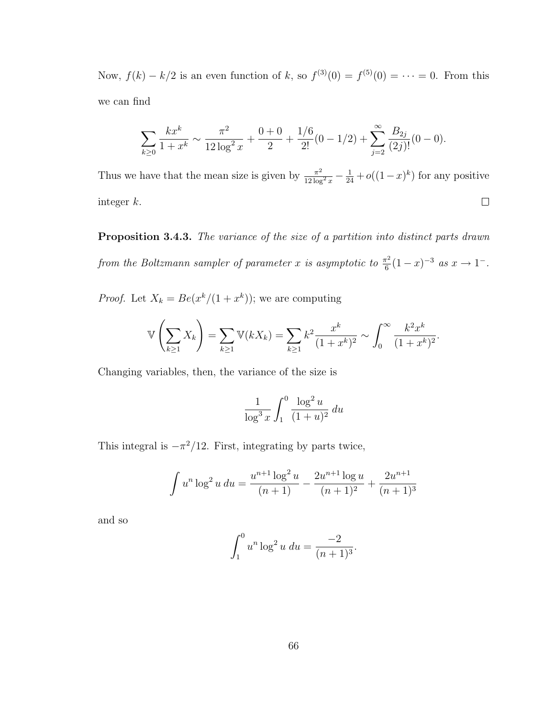Now,  $f(k) - k/2$  is an even function of k, so  $f^{(3)}(0) = f^{(5)}(0) = \cdots = 0$ . From this we can find

$$
\sum_{k\geq 0} \frac{kx^k}{1+x^k} \sim \frac{\pi^2}{12\log^2 x} + \frac{0+0}{2} + \frac{1/6}{2!} (0-1/2) + \sum_{j=2}^{\infty} \frac{B_{2j}}{(2j)!} (0-0).
$$

Thus we have that the mean size is given by  $\frac{\pi^2}{12 \text{ kg}}$  $\frac{\pi^2}{12 \log^2 x} - \frac{1}{24} + o((1-x)^k)$  for any positive  $\Box$ integer k.

Proposition 3.4.3. The variance of the size of a partition into distinct parts drawn from the Boltzmann sampler of parameter x is asymptotic to  $\frac{\pi^2}{6}$  $\frac{\tau^2}{6}(1-x)^{-3}$  as  $x \to 1^{-}$ .

*Proof.* Let  $X_k = Be(x^k/(1+x^k))$ ; we are computing

$$
\mathbb{V}\left(\sum_{k\geq 1} X_k\right) = \sum_{k\geq 1} \mathbb{V}(kX_k) = \sum_{k\geq 1} k^2 \frac{x^k}{(1+x^k)^2} \sim \int_0^\infty \frac{k^2 x^k}{(1+x^k)^2}
$$

.

Changing variables, then, the variance of the size is

$$
\frac{1}{\log^3 x} \int_1^0 \frac{\log^2 u}{(1+u)^2} \, du
$$

This integral is  $-\pi^2/12$ . First, integrating by parts twice,

$$
\int u^n \log^2 u \, du = \frac{u^{n+1} \log^2 u}{(n+1)} - \frac{2u^{n+1} \log u}{(n+1)^2} + \frac{2u^{n+1}}{(n+1)^3}
$$

and so

$$
\int_1^0 u^n \log^2 u \, du = \frac{-2}{(n+1)^3}.
$$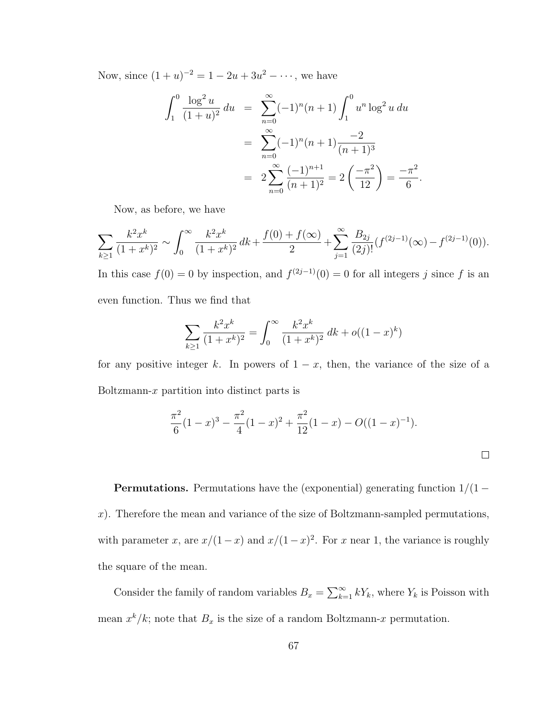Now, since  $(1+u)^{-2} = 1 - 2u + 3u^2 - \cdots$ , we have

$$
\int_{1}^{0} \frac{\log^{2} u}{(1+u)^{2}} du = \sum_{n=0}^{\infty} (-1)^{n} (n+1) \int_{1}^{0} u^{n} \log^{2} u du
$$

$$
= \sum_{n=0}^{\infty} (-1)^{n} (n+1) \frac{-2}{(n+1)^{3}}
$$

$$
= 2 \sum_{n=0}^{\infty} \frac{(-1)^{n+1}}{(n+1)^{2}} = 2 \left( \frac{-\pi^{2}}{12} \right) = \frac{-\pi^{2}}{6}.
$$

Now, as before, we have

$$
\sum_{k\geq 1} \frac{k^2 x^k}{(1+x^k)^2} \sim \int_0^\infty \frac{k^2 x^k}{(1+x^k)^2} dk + \frac{f(0) + f(\infty)}{2} + \sum_{j=1}^\infty \frac{B_{2j}}{(2j)!} (f^{(2j-1)}(\infty) - f^{(2j-1)}(0)).
$$

In this case  $f(0) = 0$  by inspection, and  $f^{(2j-1)}(0) = 0$  for all integers j since f is an even function. Thus we find that

$$
\sum_{k\geq 1} \frac{k^2 x^k}{(1+x^k)^2} = \int_0^\infty \frac{k^2 x^k}{(1+x^k)^2} \, dk + o((1-x)^k)
$$

for any positive integer k. In powers of  $1 - x$ , then, the variance of the size of a Boltzmann- $x$  partition into distinct parts is

$$
\frac{\pi^2}{6}(1-x)^3 - \frac{\pi^2}{4}(1-x)^2 + \frac{\pi^2}{12}(1-x) - O((1-x)^{-1}).
$$

**Permutations.** Permutations have the (exponential) generating function  $1/(1$ x). Therefore the mean and variance of the size of Boltzmann-sampled permutations, with parameter x, are  $x/(1-x)$  and  $x/(1-x)^2$ . For x near 1, the variance is roughly the square of the mean.

Consider the family of random variables  $B_x = \sum_{k=1}^{\infty} kY_k$ , where  $Y_k$  is Poisson with mean  $x^k/k$ ; note that  $B_x$  is the size of a random Boltzmann-x permutation.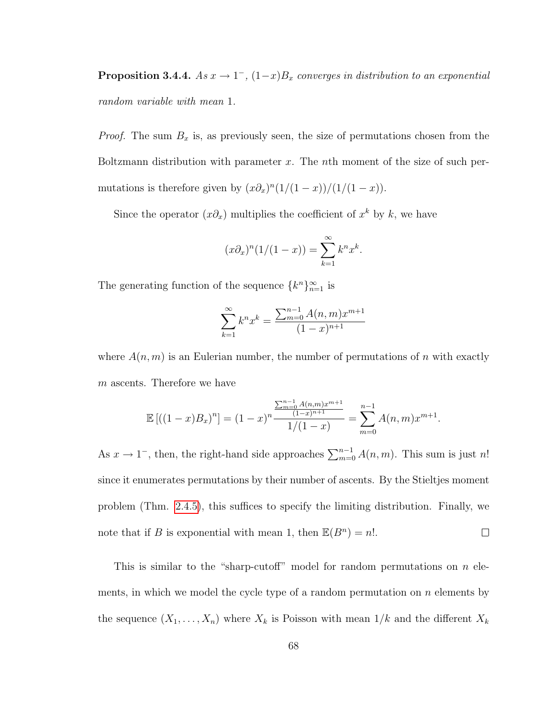**Proposition 3.4.4.** As  $x \to 1^-$ ,  $(1-x)B_x$  converges in distribution to an exponential random variable with mean 1.

*Proof.* The sum  $B_x$  is, as previously seen, the size of permutations chosen from the Boltzmann distribution with parameter  $x$ . The *n*th moment of the size of such permutations is therefore given by  $(x\partial_x)^n(1/(1-x))/(1/(1-x))$ .

Since the operator  $(x\partial_x)$  multiplies the coefficient of  $x^k$  by k, we have

$$
(x\partial_x)^n(1/(1-x)) = \sum_{k=1}^{\infty} k^n x^k.
$$

The generating function of the sequence  $\{k^n\}_{n=1}^{\infty}$  is

$$
\sum_{k=1}^{\infty} k^{n} x^{k} = \frac{\sum_{m=0}^{n-1} A(n, m) x^{m+1}}{(1-x)^{n+1}}
$$

where  $A(n, m)$  is an Eulerian number, the number of permutations of n with exactly m ascents. Therefore we have

$$
\mathbb{E}\left[\left((1-x)B_x\right)^n\right] = (1-x)^n \frac{\frac{\sum_{m=0}^{n-1} A(n,m)x^{m+1}}{(1-x)^{n+1}}}{1/(1-x)} = \sum_{m=0}^{n-1} A(n,m)x^{m+1}.
$$

As  $x \to 1^-$ , then, the right-hand side approaches  $\sum_{m=0}^{n-1} A(n, m)$ . This sum is just n! since it enumerates permutations by their number of ascents. By the Stieltjes moment problem (Thm. [2.4.5\)](#page-60-0), this suffices to specify the limiting distribution. Finally, we note that if B is exponential with mean 1, then  $\mathbb{E}(B^n) = n!$ .  $\Box$ 

This is similar to the "sharp-cutoff" model for random permutations on  $n$  elements, in which we model the cycle type of a random permutation on  $n$  elements by the sequence  $(X_1, \ldots, X_n)$  where  $X_k$  is Poisson with mean  $1/k$  and the different  $X_k$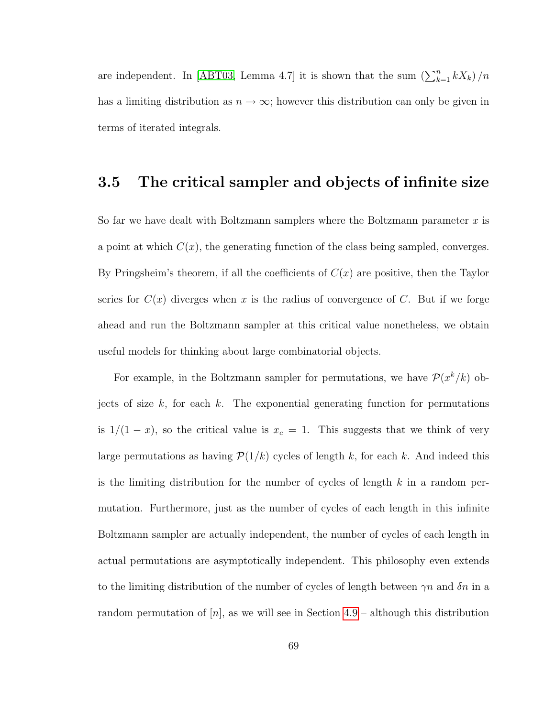are independent. In [\[ABT03,](#page-245-0) Lemma 4.7] it is shown that the sum  $\left(\sum_{k=1}^{n} kX_k\right)/n$ has a limiting distribution as  $n \to \infty$ ; however this distribution can only be given in terms of iterated integrals.

### 3.5 The critical sampler and objects of infinite size

So far we have dealt with Boltzmann samplers where the Boltzmann parameter  $x$  is a point at which  $C(x)$ , the generating function of the class being sampled, converges. By Pringsheim's theorem, if all the coefficients of  $C(x)$  are positive, then the Taylor series for  $C(x)$  diverges when x is the radius of convergence of C. But if we forge ahead and run the Boltzmann sampler at this critical value nonetheless, we obtain useful models for thinking about large combinatorial objects.

For example, in the Boltzmann sampler for permutations, we have  $\mathcal{P}(x^k/k)$  objects of size k, for each k. The exponential generating function for permutations is  $1/(1-x)$ , so the critical value is  $x_c = 1$ . This suggests that we think of very large permutations as having  $\mathcal{P}(1/k)$  cycles of length k, for each k. And indeed this is the limiting distribution for the number of cycles of length  $k$  in a random permutation. Furthermore, just as the number of cycles of each length in this infinite Boltzmann sampler are actually independent, the number of cycles of each length in actual permutations are asymptotically independent. This philosophy even extends to the limiting distribution of the number of cycles of length between  $\gamma n$  and  $\delta n$  in a random permutation of  $[n]$ , as we will see in Section [4.9](#page-137-0) – although this distribution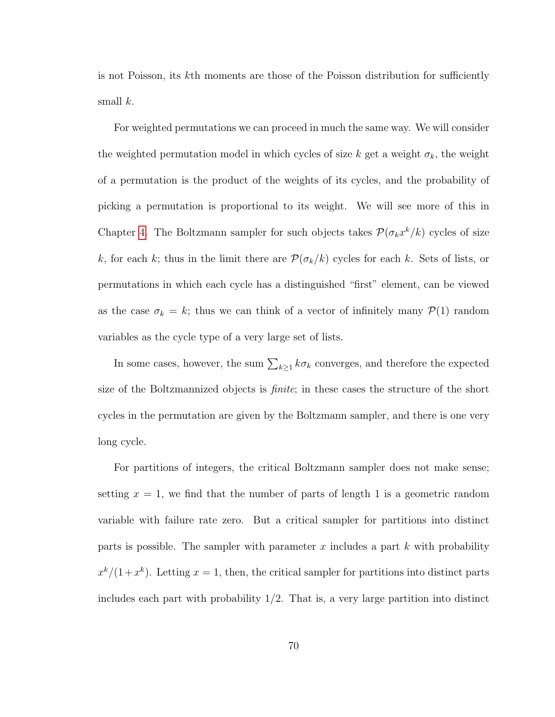is not Poisson, its kth moments are those of the Poisson distribution for sufficiently small  $k$ .

For weighted permutations we can proceed in much the same way. We will consider the weighted permutation model in which cycles of size k get a weight  $\sigma_k$ , the weight of a permutation is the product of the weights of its cycles, and the probability of picking a permutation is proportional to its weight. We will see more of this in Chapter [4.](#page-90-0) The Boltzmann sampler for such objects takes  $\mathcal{P}(\sigma_k x^k/k)$  cycles of size k, for each k; thus in the limit there are  $\mathcal{P}(\sigma_k/k)$  cycles for each k. Sets of lists, or permutations in which each cycle has a distinguished "first" element, can be viewed as the case  $\sigma_k = k$ ; thus we can think of a vector of infinitely many  $\mathcal{P}(1)$  random variables as the cycle type of a very large set of lists.

In some cases, however, the sum  $\sum_{k\geq 1} k\sigma_k$  converges, and therefore the expected size of the Boltzmannized objects is finite; in these cases the structure of the short cycles in the permutation are given by the Boltzmann sampler, and there is one very long cycle.

For partitions of integers, the critical Boltzmann sampler does not make sense; setting  $x = 1$ , we find that the number of parts of length 1 is a geometric random variable with failure rate zero. But a critical sampler for partitions into distinct parts is possible. The sampler with parameter x includes a part  $k$  with probability  $x^{k}/(1+x^{k})$ . Letting  $x=1$ , then, the critical sampler for partitions into distinct parts includes each part with probability  $1/2$ . That is, a very large partition into distinct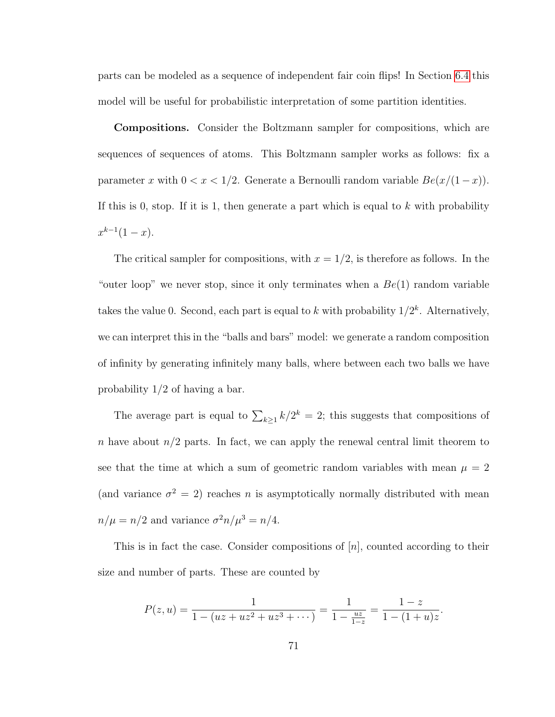parts can be modeled as a sequence of independent fair coin flips! In Section [6.4](#page-224-0) this model will be useful for probabilistic interpretation of some partition identities.

Compositions. Consider the Boltzmann sampler for compositions, which are sequences of sequences of atoms. This Boltzmann sampler works as follows: fix a parameter x with  $0 < x < 1/2$ . Generate a Bernoulli random variable  $Be(x/(1-x))$ . If this is 0, stop. If it is 1, then generate a part which is equal to  $k$  with probability  $x^{k-1}(1-x)$ .

The critical sampler for compositions, with  $x = 1/2$ , is therefore as follows. In the "outer loop" we never stop, since it only terminates when a  $Be(1)$  random variable takes the value 0. Second, each part is equal to k with probability  $1/2^k$ . Alternatively, we can interpret this in the "balls and bars" model: we generate a random composition of infinity by generating infinitely many balls, where between each two balls we have probability 1/2 of having a bar.

The average part is equal to  $\sum_{k\geq 1} k/2^k = 2$ ; this suggests that compositions of n have about  $n/2$  parts. In fact, we can apply the renewal central limit theorem to see that the time at which a sum of geometric random variables with mean  $\mu = 2$ (and variance  $\sigma^2 = 2$ ) reaches *n* is asymptotically normally distributed with mean  $n/\mu = n/2$  and variance  $\sigma^2 n/\mu^3 = n/4$ .

This is in fact the case. Consider compositions of  $[n]$ , counted according to their size and number of parts. These are counted by

$$
P(z, u) = \frac{1}{1 - (uz + uz^2 + uz^3 + \cdots)} = \frac{1}{1 - \frac{uz}{1 - z}} = \frac{1 - z}{1 - (1 + u)z}.
$$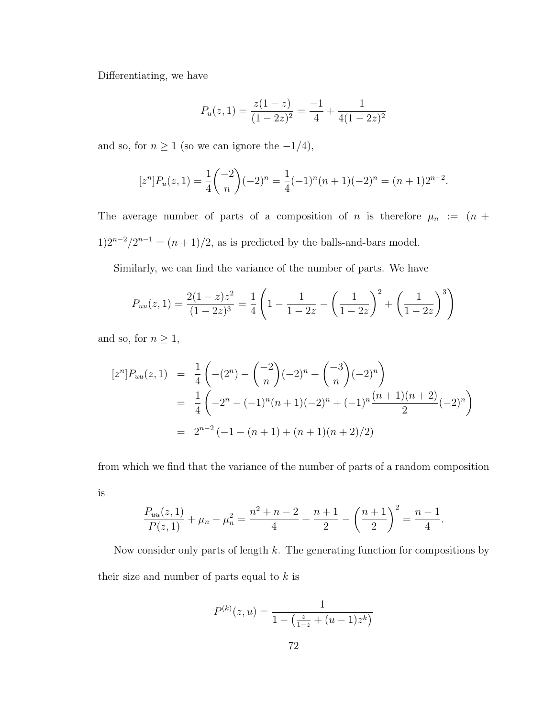Differentiating, we have

$$
P_u(z,1) = \frac{z(1-z)}{(1-2z)^2} = \frac{-1}{4} + \frac{1}{4(1-2z)^2}
$$

and so, for  $n \ge 1$  (so we can ignore the  $-1/4$ ),

$$
[zn]Pu(z, 1) = \frac{1}{4} { -2 \choose n} (-2)n = \frac{1}{4} (-1)n (n + 1)(-2)n = (n + 1)2n-2.
$$

The average number of parts of a composition of n is therefore  $\mu_n := (n +$  $1)2^{n-2}/2^{n-1} = (n+1)/2$ , as is predicted by the balls-and-bars model.

Similarly, we can find the variance of the number of parts. We have

$$
P_{uu}(z,1) = \frac{2(1-z)z^2}{(1-2z)^3} = \frac{1}{4}\left(1 - \frac{1}{1-2z} - \left(\frac{1}{1-2z}\right)^2 + \left(\frac{1}{1-2z}\right)^3\right)
$$

and so, for  $n \geq 1$ ,

$$
[zn]Puu(z, 1) = \frac{1}{4} \left( -(2n) - {2 \choose n} (-2)n + {2 \choose n} (-2)n \right)
$$
  
= 
$$
\frac{1}{4} \left( -2n - (-1)n (n + 1) (-2)n + (-1)n \frac{(n + 1)(n + 2)}{2} (-2)n \right)
$$
  
= 
$$
2n-2 (-1 - (n + 1) + (n + 1)(n + 2)/2)
$$

from which we find that the variance of the number of parts of a random composition is

$$
\frac{P_{uu}(z,1)}{P(z,1)} + \mu_n - \mu_n^2 = \frac{n^2 + n - 2}{4} + \frac{n+1}{2} - \left(\frac{n+1}{2}\right)^2 = \frac{n-1}{4}.
$$

Now consider only parts of length  $k$ . The generating function for compositions by their size and number of parts equal to  $k$  is

$$
P^{(k)}(z, u) = \frac{1}{1 - \left(\frac{z}{1 - z} + (u - 1)z^k\right)}
$$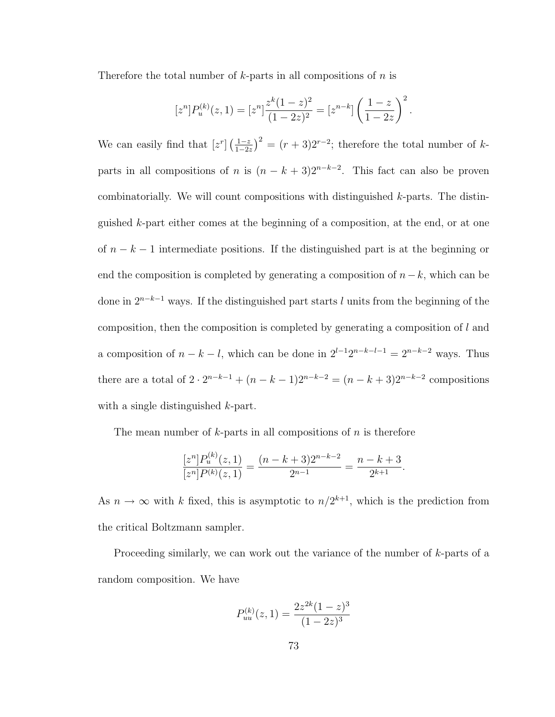Therefore the total number of  $k$ -parts in all compositions of  $n$  is

$$
[zn]Pu(k)(z, 1) = [zn] \frac{zk(1-z)2}{(1-2z)2} = [zn-k] \left(\frac{1-z}{1-2z}\right)2.
$$

We can easily find that  $[z^r]$   $\left(\frac{1-z}{1-z}\right)$  $\frac{1-z}{1-2z}$ )<sup>2</sup> =  $(r+3)2^{r-2}$ ; therefore the total number of kparts in all compositions of n is  $(n - k + 3)2^{n-k-2}$ . This fact can also be proven combinatorially. We will count compositions with distinguished  $k$ -parts. The distinguished k-part either comes at the beginning of a composition, at the end, or at one of  $n - k - 1$  intermediate positions. If the distinguished part is at the beginning or end the composition is completed by generating a composition of  $n-k$ , which can be done in  $2^{n-k-1}$  ways. If the distinguished part starts l units from the beginning of the composition, then the composition is completed by generating a composition of l and a composition of  $n - k - l$ , which can be done in  $2^{l-1}2^{n-k-l-1} = 2^{n-k-2}$  ways. Thus there are a total of  $2 \cdot 2^{n-k-1} + (n-k-1)2^{n-k-2} = (n-k+3)2^{n-k-2}$  compositions with a single distinguished k-part.

The mean number of  $k$ -parts in all compositions of  $n$  is therefore

$$
\frac{[z^n]P_u^{(k)}(z,1)}{[z^n]P^{(k)}(z,1)} = \frac{(n-k+3)2^{n-k-2}}{2^{n-1}} = \frac{n-k+3}{2^{k+1}}.
$$

As  $n \to \infty$  with k fixed, this is asymptotic to  $n/2^{k+1}$ , which is the prediction from the critical Boltzmann sampler.

Proceeding similarly, we can work out the variance of the number of k-parts of a random composition. We have

$$
P_{uu}^{(k)}(z,1) = \frac{2z^{2k}(1-z)^3}{(1-2z)^3}
$$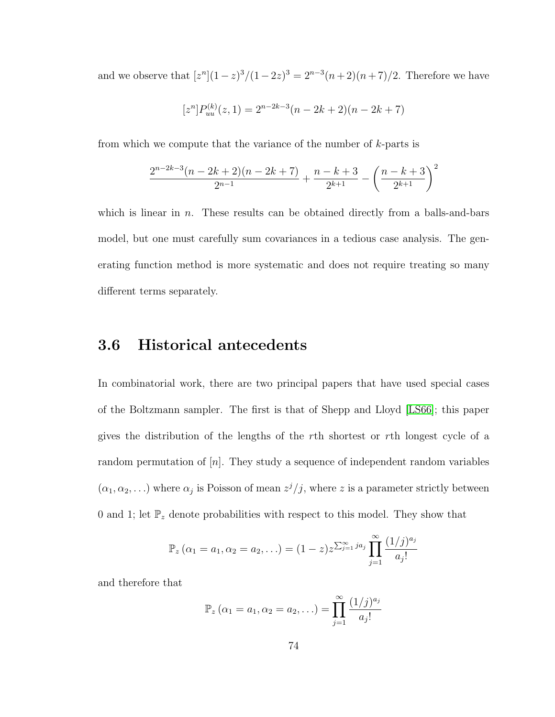and we observe that  $[z^n](1-z)^3/(1-2z)^3 = 2^{n-3}(n+2)(n+7)/2$ . Therefore we have

$$
[zn]Puu(k)(z, 1) = 2n-2k-3(n - 2k + 2)(n - 2k + 7)
$$

from which we compute that the variance of the number of  $k$ -parts is

$$
\frac{2^{n-2k-3}(n-2k+2)(n-2k+7)}{2^{n-1}} + \frac{n-k+3}{2^{k+1}} - \left(\frac{n-k+3}{2^{k+1}}\right)^2
$$

which is linear in n. These results can be obtained directly from a balls-and-bars model, but one must carefully sum covariances in a tedious case analysis. The generating function method is more systematic and does not require treating so many different terms separately.

### 3.6 Historical antecedents

In combinatorial work, there are two principal papers that have used special cases of the Boltzmann sampler. The first is that of Shepp and Lloyd [\[LS66\]](#page-254-0); this paper gives the distribution of the lengths of the rth shortest or rth longest cycle of a random permutation of  $[n]$ . They study a sequence of independent random variables  $(\alpha_1, \alpha_2, \ldots)$  where  $\alpha_j$  is Poisson of mean  $z^j/j$ , where z is a parameter strictly between 0 and 1; let  $\mathbb{P}_z$  denote probabilities with respect to this model. They show that

$$
\mathbb{P}_{z}(\alpha_{1} = a_{1}, \alpha_{2} = a_{2}, \ldots) = (1-z)z^{\sum_{j=1}^{\infty} ja_{j}} \prod_{j=1}^{\infty} \frac{(1/j)^{a_{j}}}{a_{j}!}
$$

and therefore that

$$
\mathbb{P}_{z} (\alpha_1 = a_1, \alpha_2 = a_2, \ldots) = \prod_{j=1}^{\infty} \frac{(1/j)^{a_j}}{a_j!}
$$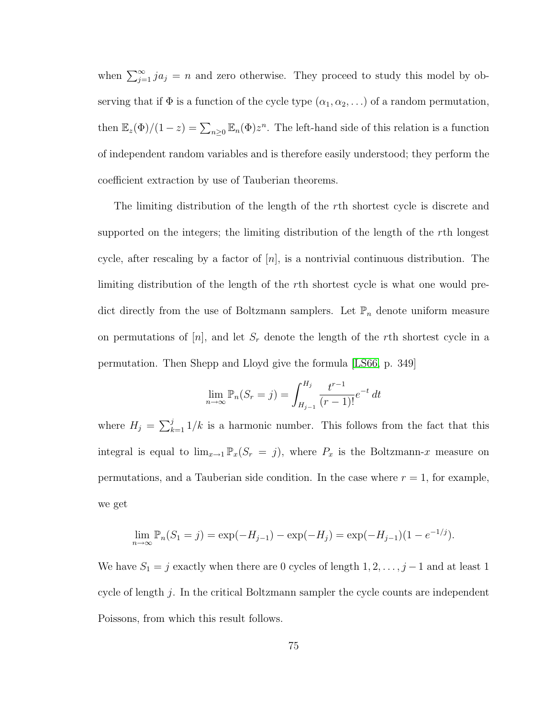when  $\sum_{j=1}^{\infty} ja_j = n$  and zero otherwise. They proceed to study this model by observing that if  $\Phi$  is a function of the cycle type  $(\alpha_1, \alpha_2, ...)$  of a random permutation, then  $\mathbb{E}_z(\Phi)/(1-z) = \sum_{n\geq 0} \mathbb{E}_n(\Phi) z^n$ . The left-hand side of this relation is a function of independent random variables and is therefore easily understood; they perform the coefficient extraction by use of Tauberian theorems.

The limiting distribution of the length of the rth shortest cycle is discrete and supported on the integers; the limiting distribution of the length of the rth longest cycle, after rescaling by a factor of  $[n]$ , is a nontrivial continuous distribution. The limiting distribution of the length of the rth shortest cycle is what one would predict directly from the use of Boltzmann samplers. Let  $\mathbb{P}_n$  denote uniform measure on permutations of  $[n]$ , and let  $S_r$  denote the length of the rth shortest cycle in a permutation. Then Shepp and Lloyd give the formula [\[LS66,](#page-254-0) p. 349]

$$
\lim_{n \to \infty} \mathbb{P}_n(S_r = j) = \int_{H_{j-1}}^{H_j} \frac{t^{r-1}}{(r-1)!} e^{-t} dt
$$

where  $H_j = \sum_{k=1}^j 1/k$  is a harmonic number. This follows from the fact that this integral is equal to  $\lim_{x\to 1} \mathbb{P}_x(S_r = j)$ , where  $P_x$  is the Boltzmann-x measure on permutations, and a Tauberian side condition. In the case where  $r = 1$ , for example, we get

$$
\lim_{n \to \infty} \mathbb{P}_n(S_1 = j) = \exp(-H_{j-1}) - \exp(-H_j) = \exp(-H_{j-1})(1 - e^{-1/j}).
$$

We have  $S_1 = j$  exactly when there are 0 cycles of length  $1, 2, \ldots, j - 1$  and at least 1 cycle of length j. In the critical Boltzmann sampler the cycle counts are independent Poissons, from which this result follows.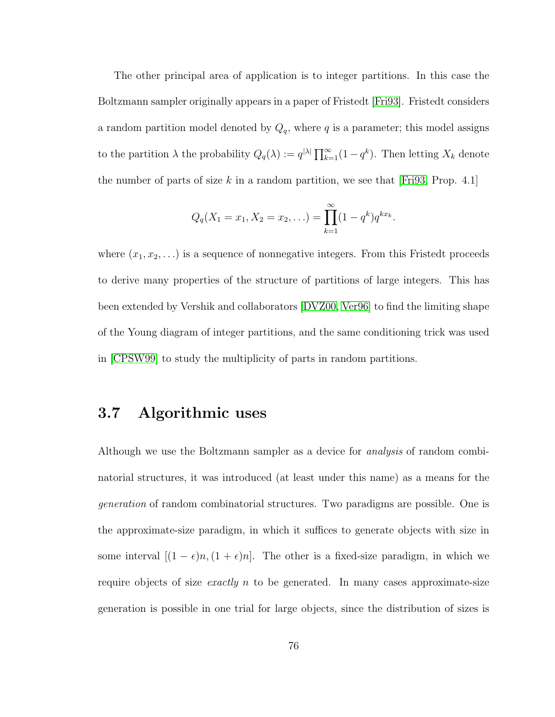The other principal area of application is to integer partitions. In this case the Boltzmann sampler originally appears in a paper of Fristedt | Fri93|. Fristedt considers a random partition model denoted by  $Q_q$ , where q is a parameter; this model assigns to the partition  $\lambda$  the probability  $Q_q(\lambda) := q^{|\lambda|} \prod_{k=1}^{\infty} (1 - q^k)$ . Then letting  $X_k$  denote the number of parts of size k in a random partition, we see that [\[Fri93,](#page-251-0) Prop. 4.1]

$$
Q_q(X_1 = x_1, X_2 = x_2, ...)=\prod_{k=1}^{\infty} (1-q^k)q^{kx_k}.
$$

where  $(x_1, x_2, \ldots)$  is a sequence of nonnegative integers. From this Fristedt proceeds to derive many properties of the structure of partitions of large integers. This has been extended by Vershik and collaborators [\[DVZ00,](#page-250-0) [Ver96\]](#page-259-0) to find the limiting shape of the Young diagram of integer partitions, and the same conditioning trick was used in [\[CPSW99\]](#page-249-1) to study the multiplicity of parts in random partitions.

### 3.7 Algorithmic uses

Although we use the Boltzmann sampler as a device for analysis of random combinatorial structures, it was introduced (at least under this name) as a means for the generation of random combinatorial structures. Two paradigms are possible. One is the approximate-size paradigm, in which it suffices to generate objects with size in some interval  $[(1 - \epsilon)n, (1 + \epsilon)n]$ . The other is a fixed-size paradigm, in which we require objects of size *exactly n* to be generated. In many cases approximate-size generation is possible in one trial for large objects, since the distribution of sizes is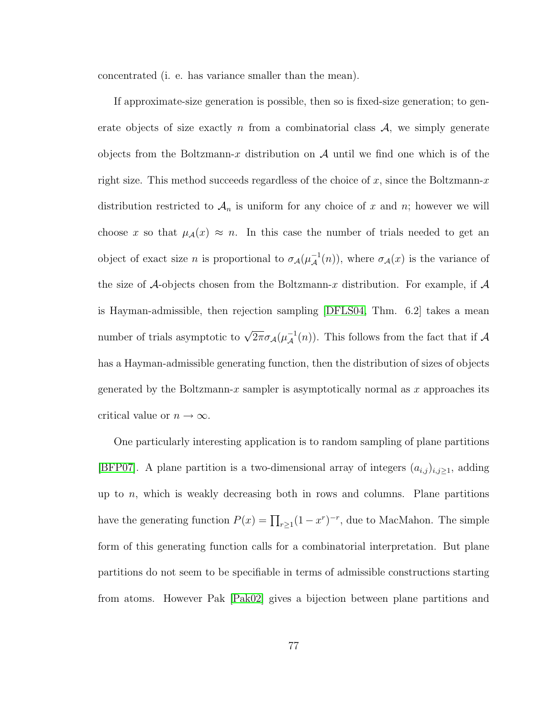concentrated (i. e. has variance smaller than the mean).

If approximate-size generation is possible, then so is fixed-size generation; to generate objects of size exactly n from a combinatorial class  $A$ , we simply generate objects from the Boltzmann-x distribution on  $\mathcal A$  until we find one which is of the right size. This method succeeds regardless of the choice of  $x$ , since the Boltzmann- $x$ distribution restricted to  $\mathcal{A}_n$  is uniform for any choice of x and n; however we will choose x so that  $\mu_{\mathcal{A}}(x) \approx n$ . In this case the number of trials needed to get an object of exact size n is proportional to  $\sigma_{\mathcal{A}}(\mu_{\mathcal{A}}^{-1}(n))$ , where  $\sigma_{\mathcal{A}}(x)$  is the variance of the size of A-objects chosen from the Boltzmann-x distribution. For example, if A is Hayman-admissible, then rejection sampling [\[DFLS04,](#page-249-2) Thm. 6.2] takes a mean number of trials asymptotic to  $\sqrt{2\pi}\sigma_{\mathcal{A}}(\mu_{\mathcal{A}}^{-1}(n))$ . This follows from the fact that if  $\mathcal{A}$ has a Hayman-admissible generating function, then the distribution of sizes of objects generated by the Boltzmann-x sampler is asymptotically normal as x approaches its critical value or  $n \to \infty$ .

One particularly interesting application is to random sampling of plane partitions [\[BFP07\]](#page-246-0). A plane partition is a two-dimensional array of integers  $(a_{i,j})_{i,j\geq 1}$ , adding up to  $n$ , which is weakly decreasing both in rows and columns. Plane partitions have the generating function  $P(x) = \prod_{r \geq 1} (1 - x^r)^{-r}$ , due to MacMahon. The simple form of this generating function calls for a combinatorial interpretation. But plane partitions do not seem to be specifiable in terms of admissible constructions starting from atoms. However Pak [\[Pak02\]](#page-256-0) gives a bijection between plane partitions and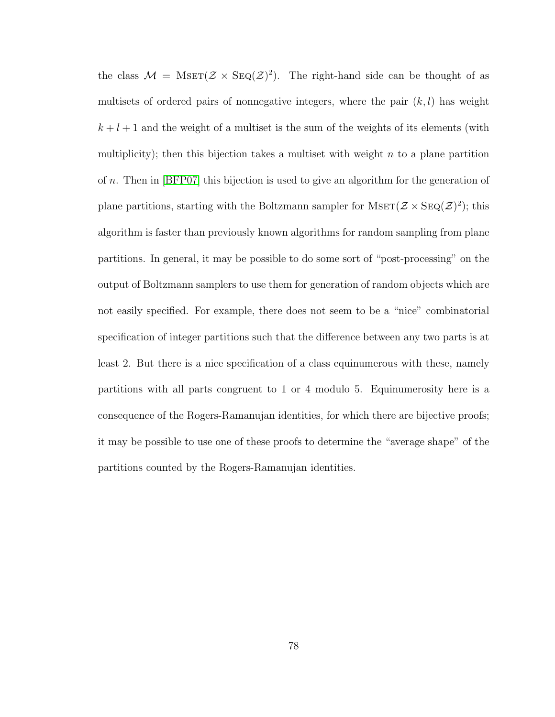the class  $\mathcal{M} = \text{MSET}(\mathcal{Z} \times \text{SEQ}(\mathcal{Z})^2)$ . The right-hand side can be thought of as multisets of ordered pairs of nonnegative integers, where the pair  $(k, l)$  has weight  $k+l+1$  and the weight of a multiset is the sum of the weights of its elements (with multiplicity); then this bijection takes a multiset with weight  $n$  to a plane partition of n. Then in [\[BFP07\]](#page-246-0) this bijection is used to give an algorithm for the generation of plane partitions, starting with the Boltzmann sampler for  $MSET(\mathcal{Z} \times SEQ(\mathcal{Z})^2)$ ; this algorithm is faster than previously known algorithms for random sampling from plane partitions. In general, it may be possible to do some sort of "post-processing" on the output of Boltzmann samplers to use them for generation of random objects which are not easily specified. For example, there does not seem to be a "nice" combinatorial specification of integer partitions such that the difference between any two parts is at least 2. But there is a nice specification of a class equinumerous with these, namely partitions with all parts congruent to 1 or 4 modulo 5. Equinumerosity here is a consequence of the Rogers-Ramanujan identities, for which there are bijective proofs; it may be possible to use one of these proofs to determine the "average shape" of the partitions counted by the Rogers-Ramanujan identities.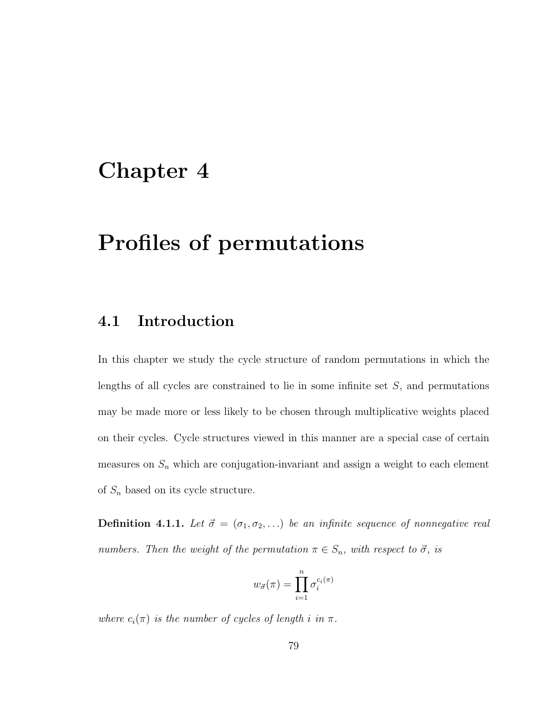### <span id="page-90-0"></span>Chapter 4

## Profiles of permutations

### 4.1 Introduction

In this chapter we study the cycle structure of random permutations in which the lengths of all cycles are constrained to lie in some infinite set S, and permutations may be made more or less likely to be chosen through multiplicative weights placed on their cycles. Cycle structures viewed in this manner are a special case of certain measures on  $S_n$  which are conjugation-invariant and assign a weight to each element of  $S_n$  based on its cycle structure.

**Definition 4.1.1.** Let  $\vec{\sigma} = (\sigma_1, \sigma_2, ...)$  be an infinite sequence of nonnegative real numbers. Then the weight of the permutation  $\pi \in S_n$ , with respect to  $\vec{\sigma}$ , is

$$
w_{\vec{\sigma}}(\pi) = \prod_{i=1}^{n} \sigma_i^{c_i(\pi)}
$$

where  $c_i(\pi)$  is the number of cycles of length i in  $\pi$ .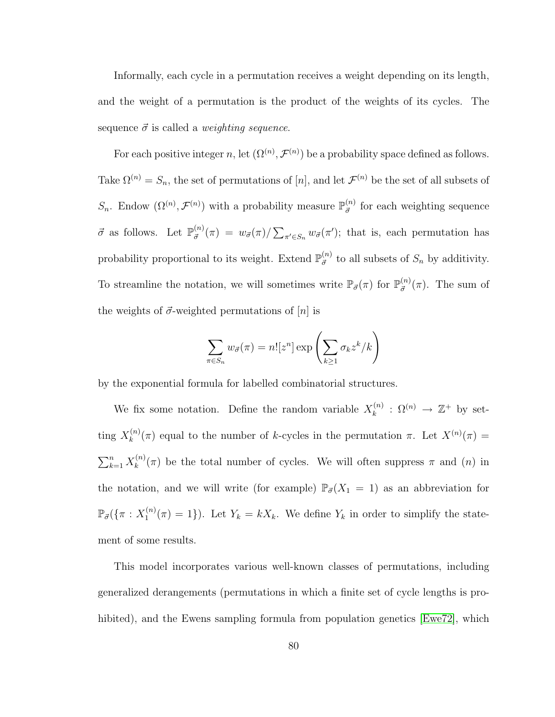Informally, each cycle in a permutation receives a weight depending on its length, and the weight of a permutation is the product of the weights of its cycles. The sequence  $\vec{\sigma}$  is called a *weighting sequence*.

For each positive integer n, let  $(\Omega^{(n)}, \mathcal{F}^{(n)})$  be a probability space defined as follows. Take  $\Omega^{(n)} = S_n$ , the set of permutations of [n], and let  $\mathcal{F}^{(n)}$  be the set of all subsets of  $S_n$ . Endow  $(\Omega^{(n)}, \mathcal{F}^{(n)})$  with a probability measure  $\mathbb{P}^{(n)}_{\vec{\sigma}}$  for each weighting sequence  $\vec{\sigma}$  as follows. Let  $\mathbb{P}^{(n)}_{\vec{\sigma}}(\pi) = w_{\vec{\sigma}}(\pi)/\sum_{\pi' \in S_n} w_{\vec{\sigma}}(\pi')$ ; that is, each permutation has probability proportional to its weight. Extend  $\mathbb{P}^{(n)}_{\vec{\sigma}}$  to all subsets of  $S_n$  by additivity. To streamline the notation, we will sometimes write  $\mathbb{P}_{\vec{\sigma}}(\pi)$  for  $\mathbb{P}_{\vec{\sigma}}^{(n)}(\pi)$ . The sum of the weights of  $\vec{\sigma}$ -weighted permutations of  $[n]$  is

$$
\sum_{\pi \in S_n} w_{\vec{\sigma}}(\pi) = n! [z^n] \exp \left( \sum_{k \ge 1} \sigma_k z^k / k \right)
$$

by the exponential formula for labelled combinatorial structures.

We fix some notation. Define the random variable  $X_k^{(n)}$  $\mathcal{L}_k^{(n)}$  :  $\Omega^{(n)} \to \mathbb{Z}^+$  by setting  $X_k^{(n)}$  $k^{(n)}(\pi)$  equal to the number of k-cycles in the permutation  $\pi$ . Let  $X^{(n)}(\pi)$  =  $\sum_{k=1}^n X_k^{(n)}$  $\binom{n}{k}(\pi)$  be the total number of cycles. We will often suppress  $\pi$  and  $(n)$  in the notation, and we will write (for example)  $\mathbb{P}_{\vec{\sigma}}(X_1 = 1)$  as an abbreviation for  ${\mathbb P}_{\vec \sigma}(\{\pi : X_1^{(n)}$  $\binom{n}{1}(\pi) = 1$ . Let  $Y_k = kX_k$ . We define  $Y_k$  in order to simplify the statement of some results.

This model incorporates various well-known classes of permutations, including generalized derangements (permutations in which a finite set of cycle lengths is pro-hibited), and the Ewens sampling formula from population genetics [\[Ewe72\]](#page-250-1), which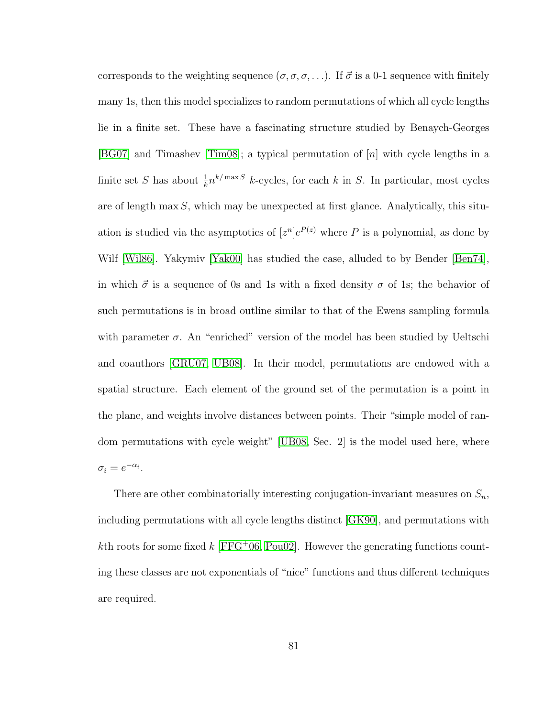corresponds to the weighting sequence  $(\sigma, \sigma, \sigma, ...)$ . If  $\vec{\sigma}$  is a 0-1 sequence with finitely many 1s, then this model specializes to random permutations of which all cycle lengths lie in a finite set. These have a fascinating structure studied by Benaych-Georges [\[BG07\]](#page-246-1) and Timashev [\[Tim08\]](#page-259-1); a typical permutation of [n] with cycle lengths in a finite set S has about  $\frac{1}{k}n^{k/\max S}$  k-cycles, for each k in S. In particular, most cycles are of length  $\max S$ , which may be unexpected at first glance. Analytically, this situation is studied via the asymptotics of  $[z^n]e^{P(z)}$  where P is a polynomial, as done by Wilf [\[Wil86\]](#page-260-0). Yakymiv [\[Yak00\]](#page-261-0) has studied the case, alluded to by Bender [\[Ben74\]](#page-246-2), in which  $\vec{\sigma}$  is a sequence of 0s and 1s with a fixed density  $\sigma$  of 1s; the behavior of such permutations is in broad outline similar to that of the Ewens sampling formula with parameter  $\sigma$ . An "enriched" version of the model has been studied by Ueltschi and coauthors [\[GRU07,](#page-253-0) [UB08\]](#page-259-2). In their model, permutations are endowed with a spatial structure. Each element of the ground set of the permutation is a point in the plane, and weights involve distances between points. Their "simple model of random permutations with cycle weight" [\[UB08,](#page-259-2) Sec. 2] is the model used here, where  $\sigma_i = e^{-\alpha_i}.$ 

There are other combinatorially interesting conjugation-invariant measures on  $S_n$ , including permutations with all cycle lengths distinct [\[GK90\]](#page-252-1), and permutations with kth roots for some fixed k  $[FFG+06, Pou02]$  $[FFG+06, Pou02]$  $[FFG+06, Pou02]$ . However the generating functions counting these classes are not exponentials of "nice" functions and thus different techniques are required.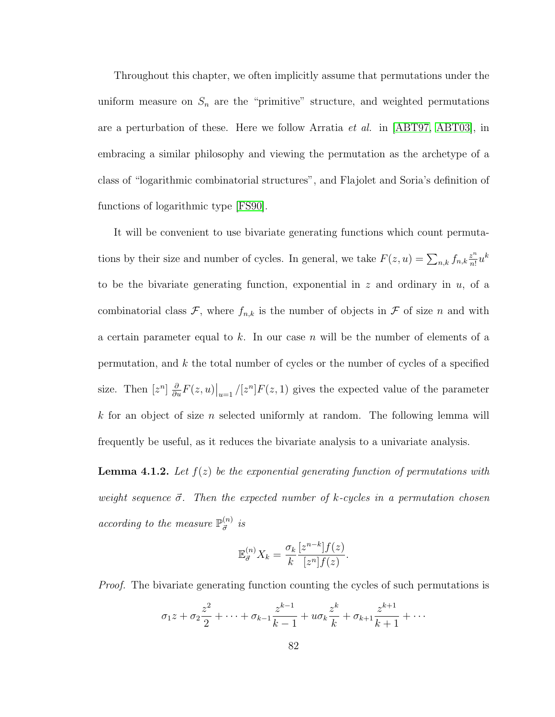Throughout this chapter, we often implicitly assume that permutations under the uniform measure on  $S_n$  are the "primitive" structure, and weighted permutations are a perturbation of these. Here we follow Arratia et al. in [\[ABT97,](#page-245-1) [ABT03\]](#page-245-0), in embracing a similar philosophy and viewing the permutation as the archetype of a class of "logarithmic combinatorial structures", and Flajolet and Soria's definition of functions of logarithmic type [\[FS90\]](#page-251-2).

It will be convenient to use bivariate generating functions which count permutations by their size and number of cycles. In general, we take  $F(z, u) = \sum_{n,k} f_{n,k} \frac{z^n}{n!}$  $\frac{z^n}{n!}u^k$ to be the bivariate generating function, exponential in z and ordinary in  $u$ , of a combinatorial class  $\mathcal{F}$ , where  $f_{n,k}$  is the number of objects in  $\mathcal{F}$  of size n and with a certain parameter equal to k. In our case n will be the number of elements of a permutation, and  $k$  the total number of cycles or the number of cycles of a specified size. Then  $[z^n]$   $\frac{\partial}{\partial u}F(z, u)|_{u=1}/[z^n]F(z, 1)$  gives the expected value of the parameter k for an object of size n selected uniformly at random. The following lemma will frequently be useful, as it reduces the bivariate analysis to a univariate analysis.

<span id="page-93-0"></span>**Lemma 4.1.2.** Let  $f(z)$  be the exponential generating function of permutations with weight sequence  $\vec{\sigma}$ . Then the expected number of k-cycles in a permutation chosen according to the measure  $\mathbb{P}^{(n)}_{\vec{\sigma}}$  is

$$
\mathbb{E}_{\vec{\sigma}}^{(n)} X_k = \frac{\sigma_k}{k} \frac{[z^{n-k}]f(z)}{[z^n]f(z)}.
$$

Proof. The bivariate generating function counting the cycles of such permutations is

$$
\sigma_1 z + \sigma_2 \frac{z^2}{2} + \cdots + \sigma_{k-1} \frac{z^{k-1}}{k-1} + u \sigma_k \frac{z^k}{k} + \sigma_{k+1} \frac{z^{k+1}}{k+1} + \cdots
$$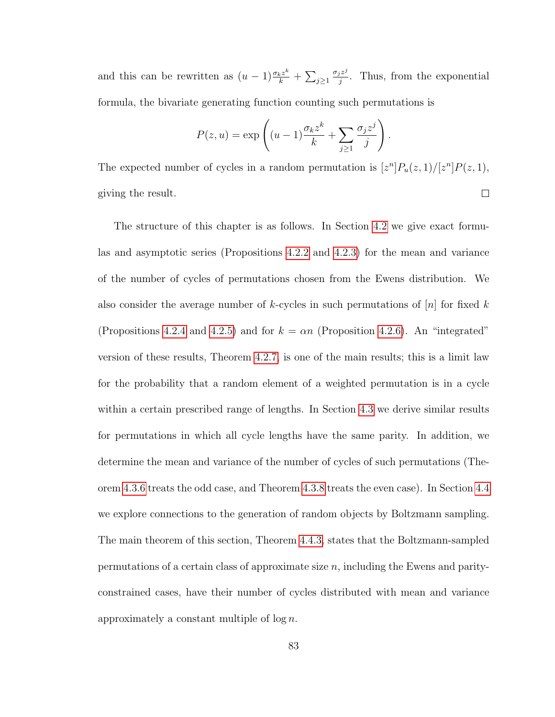and this can be rewritten as  $(u-1)\frac{\sigma_k z^k}{k} + \sum_{j\geq 1}$  $\sigma_j z^j$  $\frac{z^2}{j}$ . Thus, from the exponential formula, the bivariate generating function counting such permutations is

$$
P(z, u) = \exp\left((u - 1)\frac{\sigma_k z^k}{k} + \sum_{j \ge 1} \frac{\sigma_j z^j}{j}\right).
$$

The expected number of cycles in a random permutation is  $[z^n]P_u(z,1)/[z^n]P(z,1),$ giving the result.  $\Box$ 

The structure of this chapter is as follows. In Section [4.2](#page-95-0) we give exact formulas and asymptotic series (Propositions [4.2.2](#page-97-0) and [4.2.3\)](#page-98-0) for the mean and variance of the number of cycles of permutations chosen from the Ewens distribution. We also consider the average number of k-cycles in such permutations of |n| for fixed k (Propositions [4.2.4](#page-99-0) and [4.2.5\)](#page-100-0) and for  $k = \alpha n$  (Proposition [4.2.6\)](#page-100-1). An "integrated" version of these results, Theorem [4.2.7,](#page-101-0) is one of the main results; this is a limit law for the probability that a random element of a weighted permutation is in a cycle within a certain prescribed range of lengths. In Section [4.3](#page-105-0) we derive similar results for permutations in which all cycle lengths have the same parity. In addition, we determine the mean and variance of the number of cycles of such permutations (Theorem [4.3.6](#page-111-0) treats the odd case, and Theorem [4.3.8](#page-113-0) treats the even case). In Section [4.4](#page-115-0) we explore connections to the generation of random objects by Boltzmann sampling. The main theorem of this section, Theorem [4.4.3,](#page-117-0) states that the Boltzmann-sampled permutations of a certain class of approximate size  $n$ , including the Ewens and parityconstrained cases, have their number of cycles distributed with mean and variance approximately a constant multiple of  $\log n$ .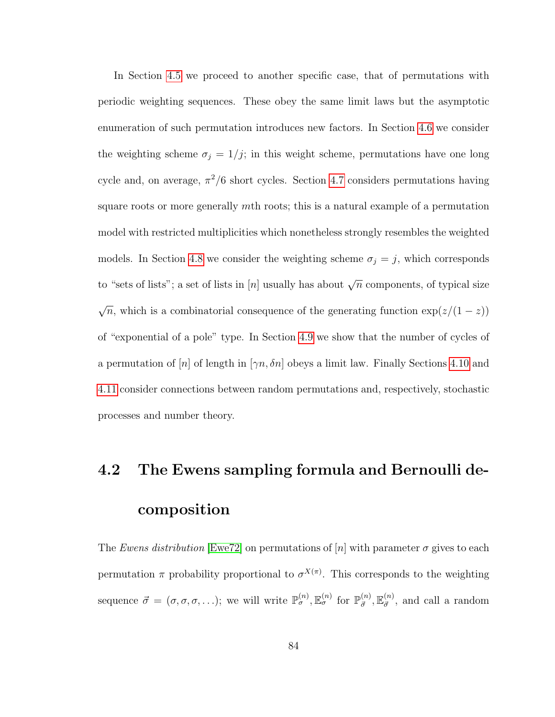In Section [4.5](#page-120-0) we proceed to another specific case, that of permutations with periodic weighting sequences. These obey the same limit laws but the asymptotic enumeration of such permutation introduces new factors. In Section [4.6](#page-124-0) we consider the weighting scheme  $\sigma_j = 1/j$ ; in this weight scheme, permutations have one long cycle and, on average,  $\pi^2/6$  short cycles. Section [4.7](#page-128-0) considers permutations having square roots or more generally mth roots; this is a natural example of a permutation model with restricted multiplicities which nonetheless strongly resembles the weighted models. In Section [4.8](#page-133-0) we consider the weighting scheme  $\sigma_j = j$ , which corresponds to "sets of lists"; a set of lists in [n] usually has about  $\sqrt{n}$  components, of typical size √  $\overline{n}$ , which is a combinatorial consequence of the generating function  $\exp(z/(1-z))$ of "exponential of a pole" type. In Section [4.9](#page-137-0) we show that the number of cycles of a permutation of  $[n]$  of length in  $[\gamma n, \delta n]$  obeys a limit law. Finally Sections [4.10](#page-144-0) and [4.11](#page-146-0) consider connections between random permutations and, respectively, stochastic processes and number theory.

## <span id="page-95-0"></span>4.2 The Ewens sampling formula and Bernoulli decomposition

The Ewens distribution [\[Ewe72\]](#page-250-1) on permutations of [n] with parameter  $\sigma$  gives to each permutation  $\pi$  probability proportional to  $\sigma^{X(\pi)}$ . This corresponds to the weighting sequence  $\vec{\sigma} = (\sigma, \sigma, \sigma, \ldots);$  we will write  $\mathbb{P}_{\sigma}^{(n)}, \mathbb{E}_{\sigma}^{(n)}$  for  $\mathbb{P}_{\vec{\sigma}}^{(n)}, \mathbb{E}_{\vec{\sigma}}^{(n)}$ , and call a random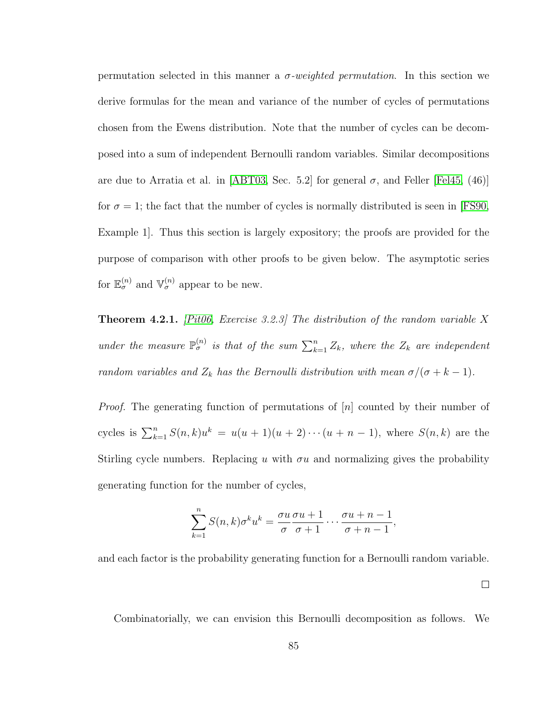permutation selected in this manner a  $\sigma$ -weighted permutation. In this section we derive formulas for the mean and variance of the number of cycles of permutations chosen from the Ewens distribution. Note that the number of cycles can be decomposed into a sum of independent Bernoulli random variables. Similar decompositions are due to Arratia et al. in [\[ABT03,](#page-245-0) Sec. 5.2] for general  $\sigma$ , and Feller [\[Fel45,](#page-250-2) (46)] for  $\sigma = 1$ ; the fact that the number of cycles is normally distributed is seen in [\[FS90,](#page-251-2) Example 1]. Thus this section is largely expository; the proofs are provided for the purpose of comparison with other proofs to be given below. The asymptotic series for  $\mathbb{E}_{\sigma}^{(n)}$  and  $\mathbb{V}_{\sigma}^{(n)}$  appear to be new.

<span id="page-96-0"></span>**Theorem 4.2.1.** [\[Pit06,](#page-257-1) Exercise 3.2.3] The distribution of the random variable X under the measure  $\mathbb{P}_{\sigma}^{(n)}$  is that of the sum  $\sum_{k=1}^{n} Z_k$ , where the  $Z_k$  are independent random variables and  $Z_k$  has the Bernoulli distribution with mean  $\sigma/(\sigma + k - 1)$ .

*Proof.* The generating function of permutations of [n] counted by their number of cycles is  $\sum_{k=1}^{n} S(n,k)u^{k} = u(u+1)(u+2)\cdots(u+n-1)$ , where  $S(n,k)$  are the Stirling cycle numbers. Replacing u with  $\sigma u$  and normalizing gives the probability generating function for the number of cycles,

$$
\sum_{k=1}^{n} S(n,k)\sigma^k u^k = \frac{\sigma u \sigma u + 1}{\sigma \sigma + 1} \cdots \frac{\sigma u + n - 1}{\sigma + n - 1},
$$

and each factor is the probability generating function for a Bernoulli random variable.

 $\Box$ 

Combinatorially, we can envision this Bernoulli decomposition as follows. We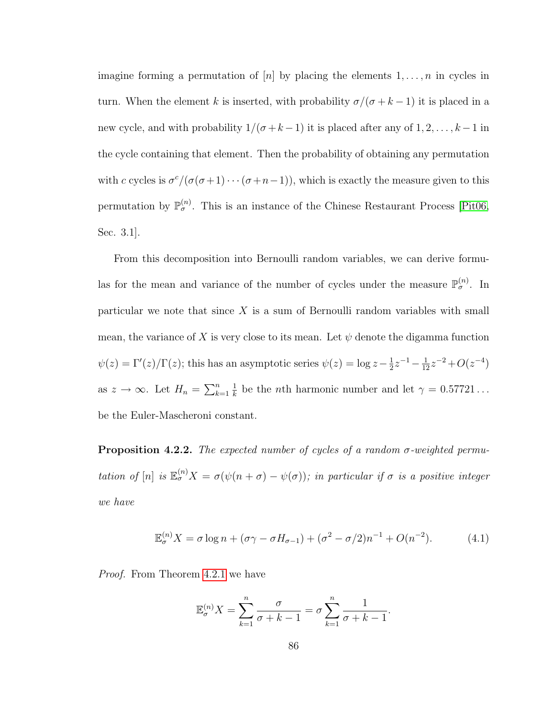imagine forming a permutation of  $[n]$  by placing the elements  $1, \ldots, n$  in cycles in turn. When the element k is inserted, with probability  $\sigma/(\sigma + k - 1)$  it is placed in a new cycle, and with probability  $1/(\sigma + k - 1)$  it is placed after any of  $1, 2, \ldots, k - 1$  in the cycle containing that element. Then the probability of obtaining any permutation with c cycles is  $\sigma^c/(\sigma(\sigma+1)\cdots(\sigma+n-1))$ , which is exactly the measure given to this permutation by  $\mathbb{P}_{\sigma}^{(n)}$ . This is an instance of the Chinese Restaurant Process [\[Pit06,](#page-257-1) Sec. 3.1].

From this decomposition into Bernoulli random variables, we can derive formulas for the mean and variance of the number of cycles under the measure  $\mathbb{P}_{\sigma}^{(n)}$ . In particular we note that since  $X$  is a sum of Bernoulli random variables with small mean, the variance of X is very close to its mean. Let  $\psi$  denote the digamma function  $\psi(z) = \Gamma'(z)/\Gamma(z)$ ; this has an asymptotic series  $\psi(z) = \log z - \frac{1}{2}$  $\frac{1}{2}z^{-1} - \frac{1}{12}z^{-2} + O(z^{-4})$ as  $z \to \infty$ . Let  $H_n = \sum_{k=1}^n$ 1  $\frac{1}{k}$  be the *n*th harmonic number and let  $\gamma = 0.57721...$ be the Euler-Mascheroni constant.

<span id="page-97-0"></span>**Proposition 4.2.2.** The expected number of cycles of a random  $\sigma$ -weighted permutation of  $[n]$  is  $\mathbb{E}_{\sigma}^{(n)}X = \sigma(\psi(n+\sigma) - \psi(\sigma))$ ; in particular if  $\sigma$  is a positive integer we have

$$
\mathbb{E}_{\sigma}^{(n)} X = \sigma \log n + (\sigma \gamma - \sigma H_{\sigma - 1}) + (\sigma^2 - \sigma/2)n^{-1} + O(n^{-2}). \tag{4.1}
$$

Proof. From Theorem [4.2.1](#page-96-0) we have

$$
\mathbb{E}_{\sigma}^{(n)}X = \sum_{k=1}^{n} \frac{\sigma}{\sigma + k - 1} = \sigma \sum_{k=1}^{n} \frac{1}{\sigma + k - 1}.
$$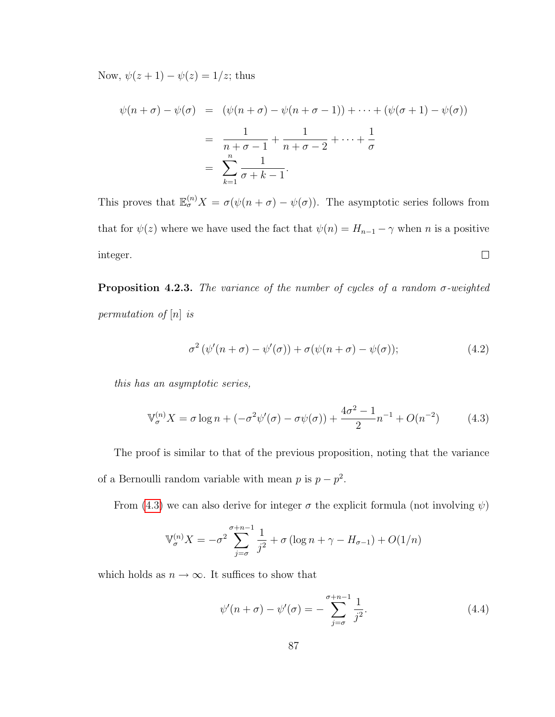Now,  $\psi(z+1) - \psi(z) = 1/z$ ; thus

$$
\psi(n+\sigma) - \psi(\sigma) = (\psi(n+\sigma) - \psi(n+\sigma-1)) + \dots + (\psi(\sigma+1) - \psi(\sigma))
$$
  
= 
$$
\frac{1}{n+\sigma-1} + \frac{1}{n+\sigma-2} + \dots + \frac{1}{\sigma}
$$
  
= 
$$
\sum_{k=1}^{n} \frac{1}{\sigma+k-1}.
$$

This proves that  $\mathbb{E}_{\sigma}^{(n)}X = \sigma(\psi(n+\sigma) - \psi(\sigma))$ . The asymptotic series follows from that for  $\psi(z)$  where we have used the fact that  $\psi(n) = H_{n-1} - \gamma$  when n is a positive  $\Box$ integer.

<span id="page-98-0"></span>**Proposition 4.2.3.** The variance of the number of cycles of a random  $\sigma$ -weighted permutation of [n] is

$$
\sigma^2(\psi'(n+\sigma) - \psi'(\sigma)) + \sigma(\psi(n+\sigma) - \psi(\sigma)); \tag{4.2}
$$

this has an asymptotic series,

<span id="page-98-1"></span>
$$
\mathbb{V}_{\sigma}^{(n)} X = \sigma \log n + (-\sigma^2 \psi'(\sigma) - \sigma \psi(\sigma)) + \frac{4\sigma^2 - 1}{2} n^{-1} + O(n^{-2}) \tag{4.3}
$$

The proof is similar to that of the previous proposition, noting that the variance of a Bernoulli random variable with mean p is  $p - p^2$ .

From [\(4.3\)](#page-98-1) we can also derive for integer  $\sigma$  the explicit formula (not involving  $\psi$ )

$$
\mathbb{V}_{\sigma}^{(n)} X = -\sigma^2 \sum_{j=\sigma}^{\sigma+n-1} \frac{1}{j^2} + \sigma (\log n + \gamma - H_{\sigma-1}) + O(1/n)
$$

which holds as  $n\to\infty.$  It suffices to show that

<span id="page-98-2"></span>
$$
\psi'(n+\sigma) - \psi'(\sigma) = -\sum_{j=\sigma}^{\sigma+n-1} \frac{1}{j^2}.
$$
\n(4.4)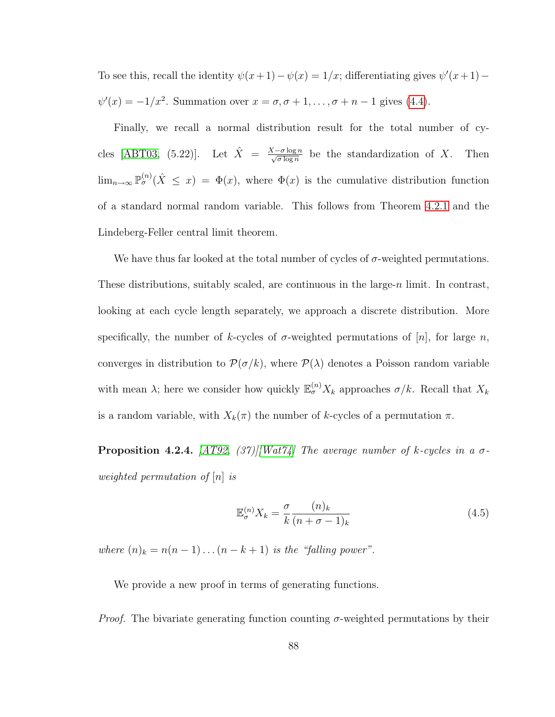To see this, recall the identity  $\psi(x+1) - \psi(x) = 1/x$ ; differentiating gives  $\psi'(x+1) - \psi(x) = 1/x$  $\psi'(x) = -1/x^2$ . Summation over  $x = \sigma, \sigma + 1, \ldots, \sigma + n - 1$  gives [\(4.4\)](#page-98-2).

Finally, we recall a normal distribution result for the total number of cy-cles [\[ABT03,](#page-245-0) (5.22)]. Let  $\hat{X} = \frac{X-\sigma \log n}{\sqrt{\sigma \log n}}$  be the standardization of X. Then  $\lim_{n\to\infty} \mathbb{P}_{\sigma}^{(n)}(\hat{X} \leq x) = \Phi(x)$ , where  $\Phi(x)$  is the cumulative distribution function of a standard normal random variable. This follows from Theorem [4.2.1](#page-96-0) and the Lindeberg-Feller central limit theorem.

We have thus far looked at the total number of cycles of  $\sigma$ -weighted permutations. These distributions, suitably scaled, are continuous in the large- $n$  limit. In contrast, looking at each cycle length separately, we approach a discrete distribution. More specifically, the number of k-cycles of  $\sigma$ -weighted permutations of [n], for large n, converges in distribution to  $\mathcal{P}(\sigma/k)$ , where  $\mathcal{P}(\lambda)$  denotes a Poisson random variable with mean  $\lambda$ ; here we consider how quickly  $\mathbb{E}_{\sigma}^{(n)}X_k$  approaches  $\sigma/k$ . Recall that  $X_k$ is a random variable, with  $X_k(\pi)$  the number of k-cycles of a permutation  $\pi$ .

<span id="page-99-0"></span>**Proposition 4.2.4.** [\[AT92,](#page-246-3)  $(37)$ ][\[Wat74\]](#page-260-1) The average number of k-cycles in a  $\sigma$ weighted permutation of  $[n]$  is

<span id="page-99-1"></span>
$$
\mathbb{E}_{\sigma}^{(n)} X_k = \frac{\sigma}{k} \frac{(n)_k}{(n+\sigma-1)_k} \tag{4.5}
$$

where  $(n)_k = n(n-1)...(n-k+1)$  is the "falling power".

We provide a new proof in terms of generating functions.

*Proof.* The bivariate generating function counting  $\sigma$ -weighted permutations by their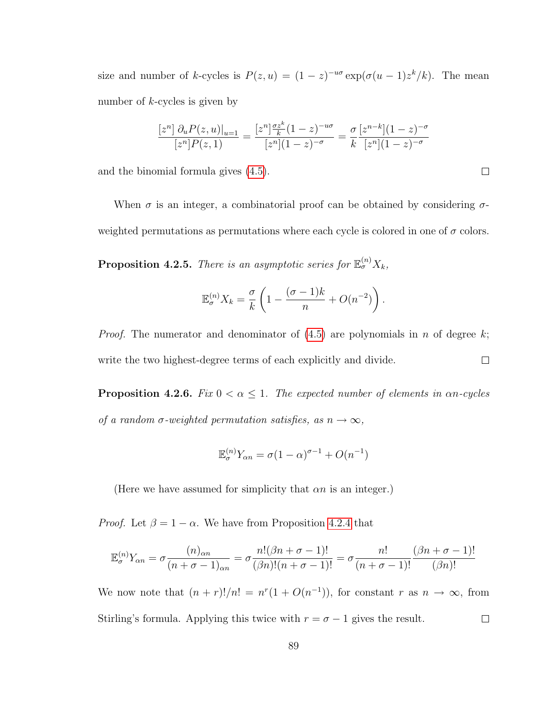size and number of k-cycles is  $P(z, u) = (1 - z)^{-u\sigma} \exp(\sigma(u - 1)z^k/k)$ . The mean number of k-cycles is given by

$$
\frac{[z^n]\;\partial_u P(z,u)|_{u=1}}{[z^n]P(z,1)}=\frac{[z^n]\frac{\sigma z^k}{k}(1-z)^{-u\sigma}}{[z^n](1-z)^{-\sigma}}=\frac{\sigma}{k}\frac{[z^{n-k}](1-z)^{-\sigma}}{[z^n](1-z)^{-\sigma}}
$$

and the binomial formula gives [\(4.5\)](#page-99-1).

When  $\sigma$  is an integer, a combinatorial proof can be obtained by considering  $\sigma$ weighted permutations as permutations where each cycle is colored in one of  $\sigma$  colors.

<span id="page-100-0"></span>**Proposition 4.2.5.** There is an asymptotic series for  $\mathbb{E}_{\sigma}^{(n)}X_k$ ,

$$
\mathbb{E}_{\sigma}^{(n)} X_k = \frac{\sigma}{k} \left( 1 - \frac{(\sigma - 1)k}{n} + O(n^{-2}) \right).
$$

*Proof.* The numerator and denominator of  $(4.5)$  are polynomials in n of degree k; write the two highest-degree terms of each explicitly and divide.  $\Box$ 

<span id="page-100-1"></span>**Proposition 4.2.6.** Fix  $0 < \alpha \leq 1$ . The expected number of elements in  $\alpha n$ -cycles of a random  $\sigma$ -weighted permutation satisfies, as  $n \to \infty$ ,

$$
\mathbb{E}_{\sigma}^{(n)} Y_{\alpha n} = \sigma (1-\alpha)^{\sigma-1} + O(n^{-1})
$$

(Here we have assumed for simplicity that  $\alpha n$  is an integer.)

*Proof.* Let  $\beta = 1 - \alpha$ . We have from Proposition [4.2.4](#page-99-0) that

$$
\mathbb{E}_{\sigma}^{(n)} Y_{\alpha n} = \sigma \frac{(n)_{\alpha n}}{(n + \sigma - 1)_{\alpha n}} = \sigma \frac{n! (\beta n + \sigma - 1)!}{(\beta n)! (n + \sigma - 1)!} = \sigma \frac{n!}{(n + \sigma - 1)!} \frac{(\beta n + \sigma - 1)!}{(\beta n)!}
$$

We now note that  $(n + r)!/n! = n^r(1 + O(n^{-1}))$ , for constant r as  $n \to \infty$ , from Stirling's formula. Applying this twice with  $r = \sigma - 1$  gives the result.  $\Box$ 

 $\Box$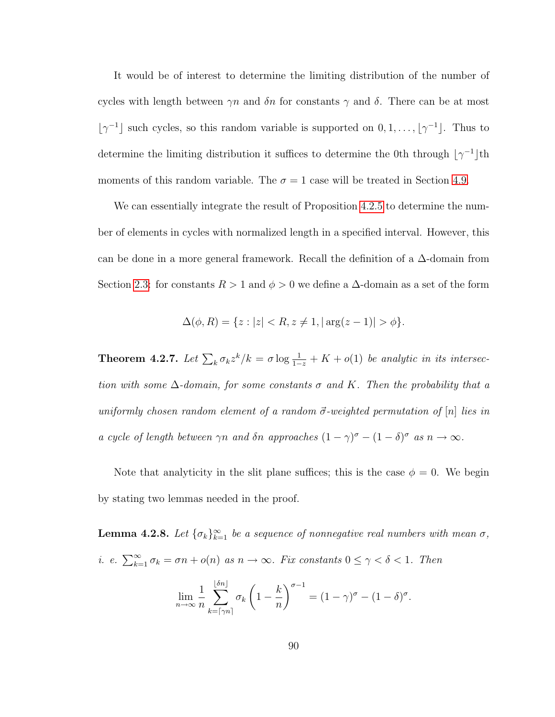It would be of interest to determine the limiting distribution of the number of cycles with length between  $\gamma n$  and  $\delta n$  for constants  $\gamma$  and  $\delta$ . There can be at most  $|\gamma^{-1}|$  such cycles, so this random variable is supported on  $0, 1, \ldots, |\gamma^{-1}|$ . Thus to determine the limiting distribution it suffices to determine the 0th through  $|\gamma^{-1}|$ th moments of this random variable. The  $\sigma = 1$  case will be treated in Section [4.9.](#page-137-0)

We can essentially integrate the result of Proposition [4.2.5](#page-100-0) to determine the number of elements in cycles with normalized length in a specified interval. However, this can be done in a more general framework. Recall the definition of a ∆-domain from Section [2.3:](#page-41-0) for constants  $R > 1$  and  $\phi > 0$  we define a  $\Delta$ -domain as a set of the form

$$
\Delta(\phi, R) = \{ z : |z| < R, z \neq 1, |\arg(z - 1)| > \phi \}.
$$

<span id="page-101-0"></span>**Theorem 4.2.7.** Let  $\sum_{k} \sigma_k z^k / k = \sigma \log \frac{1}{1-z} + K + o(1)$  be analytic in its intersection with some  $\Delta$ -domain, for some constants  $\sigma$  and K. Then the probability that a uniformly chosen random element of a random  $\vec{\sigma}$ -weighted permutation of  $[n]$  lies in a cycle of length between  $\gamma n$  and  $\delta n$  approaches  $(1 - \gamma)^{\sigma} - (1 - \delta)^{\sigma}$  as  $n \to \infty$ .

Note that analyticity in the slit plane suffices; this is the case  $\phi = 0$ . We begin by stating two lemmas needed in the proof.

<span id="page-101-1"></span>**Lemma 4.2.8.** Let  ${\lbrace \sigma_k \rbrace}_{k=1}^{\infty}$  be a sequence of nonnegative real numbers with mean  $\sigma$ , i. e.  $\sum_{k=1}^{\infty} \sigma_k = \sigma n + o(n)$  as  $n \to \infty$ . Fix constants  $0 \leq \gamma < \delta < 1$ . Then

$$
\lim_{n \to \infty} \frac{1}{n} \sum_{k=\lceil \gamma n \rceil}^{\lfloor \delta n \rfloor} \sigma_k \left(1 - \frac{k}{n}\right)^{\sigma - 1} = (1 - \gamma)^{\sigma} - (1 - \delta)^{\sigma}.
$$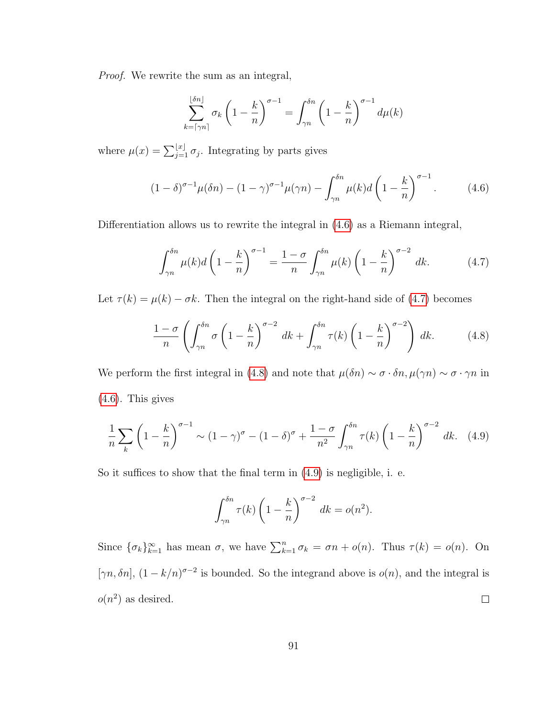Proof. We rewrite the sum as an integral,

$$
\sum_{k=\lceil \gamma n \rceil}^{\lfloor \delta n \rfloor} \sigma_k \left(1 - \frac{k}{n}\right)^{\sigma - 1} = \int_{\gamma n}^{\delta n} \left(1 - \frac{k}{n}\right)^{\sigma - 1} d\mu(k)
$$

where  $\mu(x) = \sum_{j=1}^{\lfloor x \rfloor} \sigma_j$ . Integrating by parts gives

<span id="page-102-0"></span>
$$
(1-\delta)^{\sigma-1}\mu(\delta n) - (1-\gamma)^{\sigma-1}\mu(\gamma n) - \int_{\gamma n}^{\delta n} \mu(k)d\left(1 - \frac{k}{n}\right)^{\sigma-1}.
$$
 (4.6)

Differentiation allows us to rewrite the integral in  $(4.6)$  as a Riemann integral,

<span id="page-102-1"></span>
$$
\int_{\gamma n}^{\delta n} \mu(k) d\left(1 - \frac{k}{n}\right)^{\sigma - 1} = \frac{1 - \sigma}{n} \int_{\gamma n}^{\delta n} \mu(k) \left(1 - \frac{k}{n}\right)^{\sigma - 2} dk.
$$
 (4.7)

Let  $\tau(k) = \mu(k) - \sigma k$ . Then the integral on the right-hand side of [\(4.7\)](#page-102-1) becomes

<span id="page-102-2"></span>
$$
\frac{1-\sigma}{n} \left( \int_{\gamma n}^{\delta n} \sigma \left( 1 - \frac{k}{n} \right)^{\sigma - 2} dk + \int_{\gamma n}^{\delta n} \tau(k) \left( 1 - \frac{k}{n} \right)^{\sigma - 2} \right) dk. \tag{4.8}
$$

We perform the first integral in [\(4.8\)](#page-102-2) and note that  $\mu(\delta n) \sim \sigma \cdot \delta n$ ,  $\mu(\gamma n) \sim \sigma \cdot \gamma n$  in [\(4.6\)](#page-102-0). This gives

<span id="page-102-3"></span>
$$
\frac{1}{n}\sum_{k}\left(1-\frac{k}{n}\right)^{\sigma-1} \sim (1-\gamma)^{\sigma} - (1-\delta)^{\sigma} + \frac{1-\sigma}{n^2}\int_{\gamma n}^{\delta n} \tau(k) \left(1-\frac{k}{n}\right)^{\sigma-2} dk. \tag{4.9}
$$

So it suffices to show that the final term in [\(4.9\)](#page-102-3) is negligible, i. e.

$$
\int_{\gamma n}^{\delta n} \tau(k) \left(1 - \frac{k}{n}\right)^{\sigma - 2} dk = o(n^2).
$$

<span id="page-102-4"></span>Since  $\{\sigma_k\}_{k=1}^{\infty}$  has mean  $\sigma$ , we have  $\sum_{k=1}^{n} \sigma_k = \sigma n + o(n)$ . Thus  $\tau(k) = o(n)$ . On [ $\gamma n$ ,  $\delta n$ ],  $(1 - k/n)^{\sigma - 2}$  is bounded. So the integrand above is  $o(n)$ , and the integral is  $o(n^2)$  as desired.  $\Box$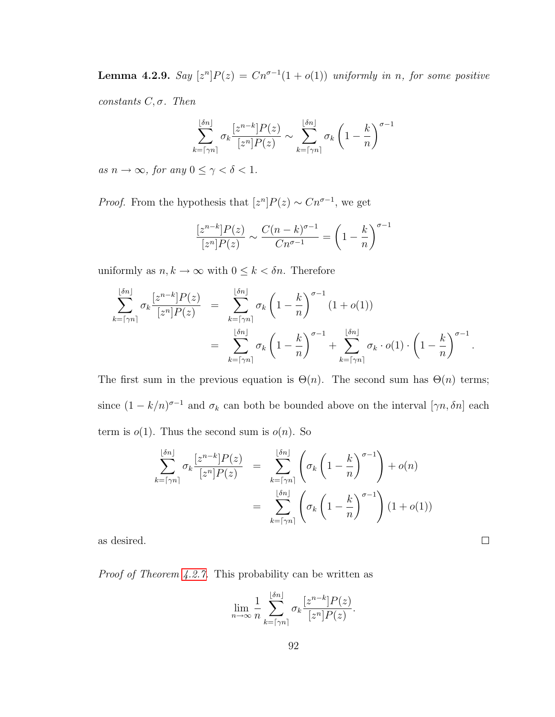**Lemma 4.2.9.** Say  $[z^n]P(z) = Cn^{\sigma-1}(1+o(1))$  uniformly in n, for some positive

 $constants\ C, \sigma.$  Then

$$
\sum_{k=\lceil \gamma n\rceil}^{\lfloor \delta n\rfloor} \sigma_k \frac{[z^{n-k}]P(z)}{[z^n]P(z)} \sim \sum_{k=\lceil \gamma n\rceil}^{\lfloor \delta n\rfloor} \sigma_k \left(1-\frac{k}{n}\right)^{\sigma-1}
$$

as  $n \to \infty$ , for any  $0 \le \gamma < \delta < 1$ .

*Proof.* From the hypothesis that  $[z^n]P(z) \sim Cn^{\sigma-1}$ , we get

$$
\frac{[z^{n-k}]P(z)}{[z^n]P(z)} \sim \frac{C(n-k)^{\sigma-1}}{Cn^{\sigma-1}} = \left(1 - \frac{k}{n}\right)^{\sigma-1}
$$

uniformly as  $n, k \to \infty$  with  $0 \leq k < \delta n$ . Therefore

$$
\sum_{k=\lceil \gamma n \rceil}^{\lfloor \delta n \rfloor} \sigma_k \frac{[z^{n-k}]P(z)}{[z^n]P(z)} = \sum_{k=\lceil \gamma n \rceil}^{\lfloor \delta n \rfloor} \sigma_k \left(1 - \frac{k}{n}\right)^{\sigma-1} (1 + o(1))
$$
  

$$
= \sum_{k=\lceil \gamma n \rceil}^{\lfloor \delta n \rfloor} \sigma_k \left(1 - \frac{k}{n}\right)^{\sigma-1} + \sum_{k=\lceil \gamma n \rceil}^{\lfloor \delta n \rfloor} \sigma_k \cdot o(1) \cdot \left(1 - \frac{k}{n}\right)^{\sigma-1}.
$$

The first sum in the previous equation is  $\Theta(n)$ . The second sum has  $\Theta(n)$  terms; since  $(1 - k/n)^{\sigma-1}$  and  $\sigma_k$  can both be bounded above on the interval  $[\gamma n, \delta n]$  each term is  $o(1)$ . Thus the second sum is  $o(n)$ . So

$$
\sum_{k=\lceil \gamma n \rceil}^{\lfloor \delta n \rfloor} \sigma_k \frac{[z^{n-k}]P(z)}{[z^n]P(z)} = \sum_{k=\lceil \gamma n \rceil}^{\lfloor \delta n \rfloor} \left( \sigma_k \left(1 - \frac{k}{n}\right)^{\sigma-1} \right) + o(n)
$$

$$
= \sum_{k=\lceil \gamma n \rceil}^{\lfloor \delta n \rfloor} \left( \sigma_k \left(1 - \frac{k}{n}\right)^{\sigma-1} \right) (1 + o(1))
$$

 $\Box$ 

as desired.

Proof of Theorem [4.2.7.](#page-101-0) This probability can be written as

$$
\lim_{n \to \infty} \frac{1}{n} \sum_{k=\lceil \gamma n \rceil}^{\lfloor \delta n \rfloor} \sigma_k \frac{[z^{n-k}]P(z)}{[z^n]P(z)}.
$$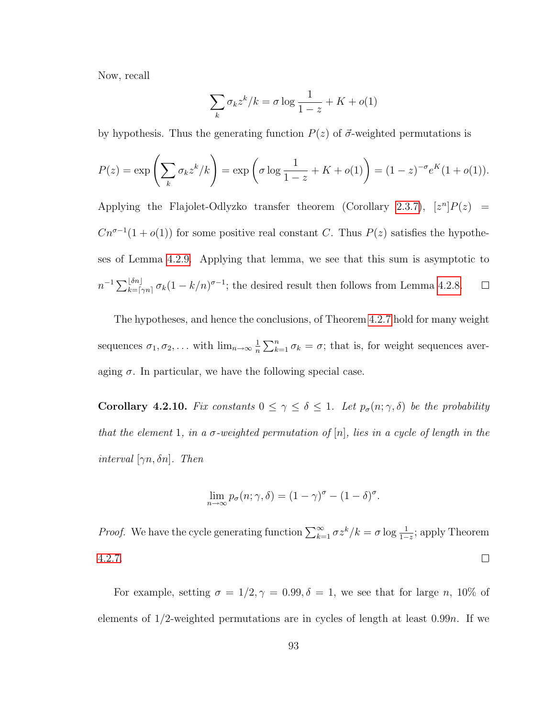Now, recall

$$
\sum_{k} \sigma_k z^k / k = \sigma \log \frac{1}{1-z} + K + o(1)
$$

by hypothesis. Thus the generating function  $P(z)$  of  $\vec{\sigma}$ -weighted permutations is

$$
P(z) = \exp\left(\sum_{k} \sigma_k z^k / k\right) = \exp\left(\sigma \log \frac{1}{1-z} + K + o(1)\right) = (1-z)^{-\sigma} e^K (1+o(1)).
$$

Applying the Flajolet-Odlyzko transfer theorem (Corollary [2.3.7\)](#page-51-0),  $[z^n]P(z)$  =  $Cn^{\sigma-1}(1+o(1))$  for some positive real constant C. Thus  $P(z)$  satisfies the hypotheses of Lemma [4.2.9.](#page-102-4) Applying that lemma, we see that this sum is asymptotic to  $n^{-1} \sum_{k=\lceil \gamma n \rceil}^{\lfloor \delta n \rfloor} \sigma_k (1 - k/n)^{\sigma-1}$ ; the desired result then follows from Lemma [4.2.8.](#page-101-1)  $\Box$ 

The hypotheses, and hence the conclusions, of Theorem [4.2.7](#page-101-0) hold for many weight sequences  $\sigma_1, \sigma_2, \ldots$  with  $\lim_{n\to\infty} \frac{1}{n}$  $\frac{1}{n}\sum_{k=1}^{n} \sigma_k = \sigma$ ; that is, for weight sequences averaging  $\sigma$ . In particular, we have the following special case.

Corollary 4.2.10. Fix constants  $0 \leq \gamma \leq \delta \leq 1$ . Let  $p_{\sigma}(n; \gamma, \delta)$  be the probability that the element 1, in a  $\sigma$ -weighted permutation of  $[n]$ , lies in a cycle of length in the interval  $[\gamma n, \delta n]$ . Then

$$
\lim_{n \to \infty} p_{\sigma}(n; \gamma, \delta) = (1 - \gamma)^{\sigma} - (1 - \delta)^{\sigma}.
$$

*Proof.* We have the cycle generating function  $\sum_{k=1}^{\infty} \sigma z^k / k = \sigma \log \frac{1}{1-z}$ ; apply Theorem [4.2.7.](#page-101-0)  $\Box$ 

For example, setting  $\sigma = 1/2, \gamma = 0.99, \delta = 1$ , we see that for large n, 10% of elements of  $1/2$ -weighted permutations are in cycles of length at least 0.99*n*. If we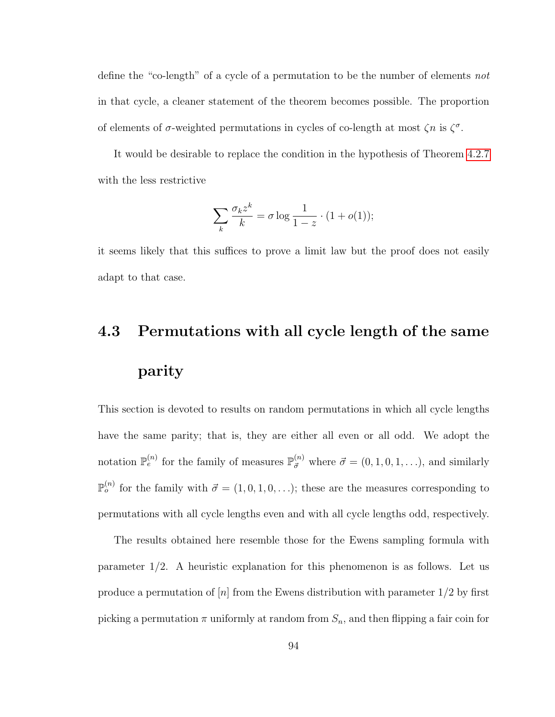define the "co-length" of a cycle of a permutation to be the number of elements not in that cycle, a cleaner statement of the theorem becomes possible. The proportion of elements of  $\sigma$ -weighted permutations in cycles of co-length at most  $\zeta n$  is  $\zeta^{\sigma}$ .

It would be desirable to replace the condition in the hypothesis of Theorem [4.2.7](#page-101-0) with the less restrictive

$$
\sum_{k} \frac{\sigma_k z^k}{k} = \sigma \log \frac{1}{1-z} \cdot (1+o(1));
$$

it seems likely that this suffices to prove a limit law but the proof does not easily adapt to that case.

# <span id="page-105-0"></span>4.3 Permutations with all cycle length of the same parity

This section is devoted to results on random permutations in which all cycle lengths have the same parity; that is, they are either all even or all odd. We adopt the notation  $\mathbb{P}_e^{(n)}$  for the family of measures  $\mathbb{P}_{\vec{\sigma}}^{(n)}$  where  $\vec{\sigma} = (0, 1, 0, 1, \ldots)$ , and similarly  $\mathbb{P}_{o}^{(n)}$  for the family with  $\vec{\sigma} = (1, 0, 1, 0, \ldots);$  these are the measures corresponding to permutations with all cycle lengths even and with all cycle lengths odd, respectively.

The results obtained here resemble those for the Ewens sampling formula with parameter 1/2. A heuristic explanation for this phenomenon is as follows. Let us produce a permutation of  $[n]$  from the Ewens distribution with parameter  $1/2$  by first picking a permutation  $\pi$  uniformly at random from  $S_n$ , and then flipping a fair coin for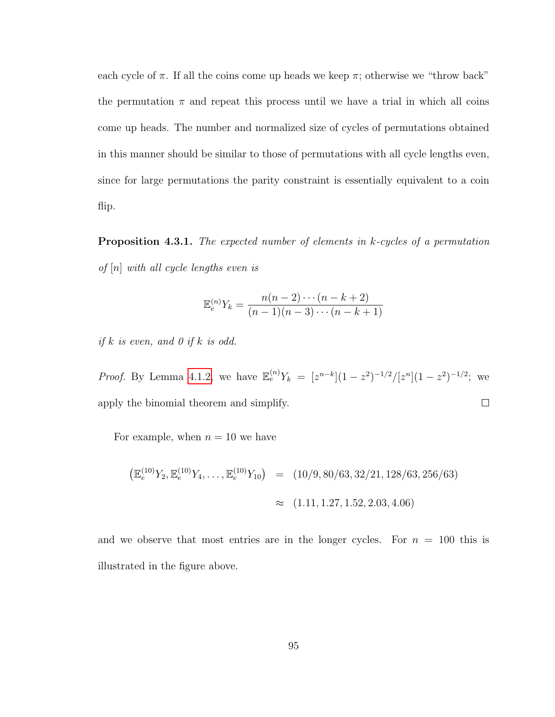each cycle of  $\pi$ . If all the coins come up heads we keep  $\pi$ ; otherwise we "throw back" the permutation  $\pi$  and repeat this process until we have a trial in which all coins come up heads. The number and normalized size of cycles of permutations obtained in this manner should be similar to those of permutations with all cycle lengths even, since for large permutations the parity constraint is essentially equivalent to a coin flip.

Proposition 4.3.1. The expected number of elements in k-cycles of a permutation of  $[n]$  with all cycle lengths even is

$$
\mathbb{E}_e^{(n)} Y_k = \frac{n(n-2)\cdots(n-k+2)}{(n-1)(n-3)\cdots(n-k+1)}
$$

if k is even, and  $\theta$  if k is odd.

*Proof.* By Lemma [4.1.2,](#page-93-0) we have  $\mathbb{E}_e^{(n)} Y_k = [z^{n-k}] (1-z^2)^{-1/2} / [z^n] (1-z^2)^{-1/2}$ ; we apply the binomial theorem and simplify.  $\Box$ 

For example, when  $n = 10$  we have

$$
\begin{array}{rcl} \left( \mathbb{E}_e^{(10)} Y_2, \mathbb{E}_e^{(10)} Y_4, \dots, \mathbb{E}_e^{(10)} Y_{10} \right) & = & (10/9, 80/63, 32/21, 128/63, 256/63) \\ & \approx & (1.11, 1.27, 1.52, 2.03, 4.06) \end{array}
$$

and we observe that most entries are in the longer cycles. For  $n = 100$  this is illustrated in the figure above.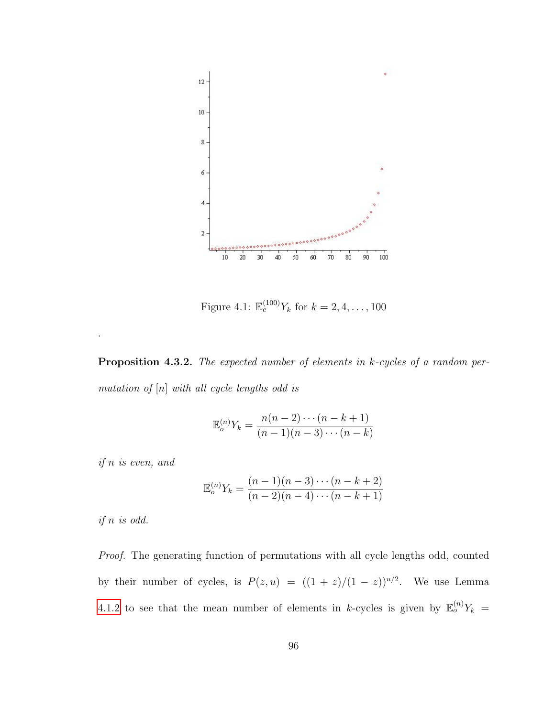

Figure 4.1:  $\mathbb{E}_e^{(100)} Y_k$  for  $k = 2, 4, ..., 100$ 

Proposition 4.3.2. The expected number of elements in k-cycles of a random per $mutation\ of\ [n]$  with all cycle lengths odd is

$$
\mathbb{E}_o^{(n)} Y_k = \frac{n(n-2)\cdots(n-k+1)}{(n-1)(n-3)\cdots(n-k)}
$$

if n is even, and

$$
\mathbb{E}_o^{(n)} Y_k = \frac{(n-1)(n-3)\cdots(n-k+2)}{(n-2)(n-4)\cdots(n-k+1)}
$$

if n is odd.

.

Proof. The generating function of permutations with all cycle lengths odd, counted by their number of cycles, is  $P(z, u) = ((1 + z)/(1 - z))^{u/2}$ . We use Lemma [4.1.2](#page-93-0) to see that the mean number of elements in k-cycles is given by  $\mathbb{E}_o^{(n)} Y_k =$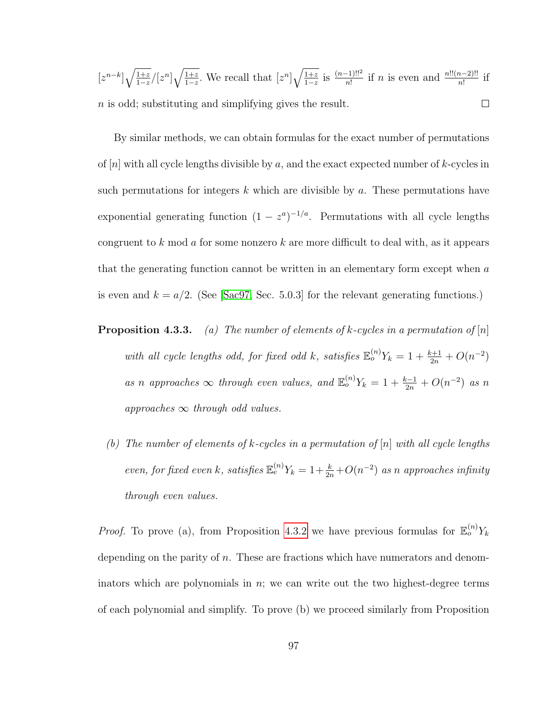$[z^{n-k}]\sqrt{\frac{1+z}{1-z}}/[z^n]\sqrt{\frac{1+z}{1-z}}$ . We recall that  $[z^n]\sqrt{\frac{1+z}{1-z}}$  is  $\frac{(n-1)!!^2}{n!}$  if n is even and  $\frac{n!!(n-2)!!}{n!}$  if  $n$  is odd; substituting and simplifying gives the result.  $\Box$ 

By similar methods, we can obtain formulas for the exact number of permutations of  $[n]$  with all cycle lengths divisible by a, and the exact expected number of k-cycles in such permutations for integers  $k$  which are divisible by  $a$ . These permutations have exponential generating function  $(1 - z^a)^{-1/a}$ . Permutations with all cycle lengths congruent to  $k$  mod  $\alpha$  for some nonzero  $k$  are more difficult to deal with, as it appears that the generating function cannot be written in an elementary form except when  $a$ is even and  $k = a/2$ . (See [\[Sac97,](#page-258-0) Sec. 5.0.3] for the relevant generating functions.)

- **Proposition 4.3.3.** (a) The number of elements of k-cycles in a permutation of  $[n]$ with all cycle lengths odd, for fixed odd k, satisfies  $\mathbb{E}_o^{(n)} Y_k = 1 + \frac{k+1}{2n} + O(n^{-2})$ as n approaches  $\infty$  through even values, and  $\mathbb{E}_o^{(n)} Y_k = 1 + \frac{k-1}{2n} + O(n^{-2})$  as n  $approaches \infty$  through odd values.
	- (b) The number of elements of k-cycles in a permutation of  $[n]$  with all cycle lengths even, for fixed even k, satisfies  $\mathbb{E}_e^{(n)} Y_k = 1 + \frac{k}{2n} + O(n^{-2})$  as n approaches infinity through even values.

*Proof.* To prove (a), from Proposition [4.3.2](#page-106-0) we have previous formulas for  $\mathbb{E}_{o}^{(n)}Y_k$ depending on the parity of  $n$ . These are fractions which have numerators and denominators which are polynomials in  $n$ ; we can write out the two highest-degree terms of each polynomial and simplify. To prove (b) we proceed similarly from Proposition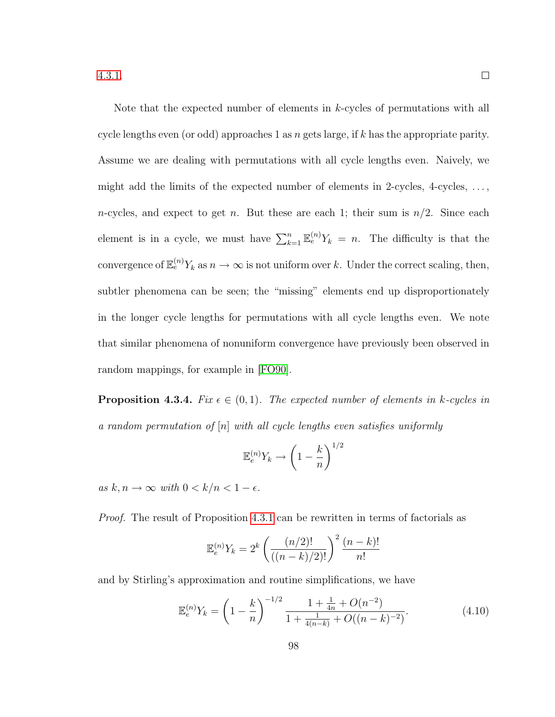Note that the expected number of elements in k-cycles of permutations with all cycle lengths even (or odd) approaches 1 as n gets large, if k has the appropriate parity. Assume we are dealing with permutations with all cycle lengths even. Naively, we might add the limits of the expected number of elements in 2-cycles,  $4$ -cycles,  $\dots$ , n-cycles, and expect to get n. But these are each 1; their sum is  $n/2$ . Since each element is in a cycle, we must have  $\sum_{k=1}^{n} \mathbb{E}_e^{(n)} Y_k = n$ . The difficulty is that the convergence of  $\mathbb{E}_e^{(n)} Y_k$  as  $n \to \infty$  is not uniform over k. Under the correct scaling, then, subtler phenomena can be seen; the "missing" elements end up disproportionately in the longer cycle lengths for permutations with all cycle lengths even. We note that similar phenomena of nonuniform convergence have previously been observed in random mappings, for example in [\[FO90\]](#page-251-0).

<span id="page-109-0"></span>**Proposition 4.3.4.** Fix  $\epsilon \in (0,1)$ . The expected number of elements in k-cycles in a random permutation of  $[n]$  with all cycle lengths even satisfies uniformly

$$
\mathbb{E}_e^{(n)} Y_k \to \left(1 - \frac{k}{n}\right)^{1/2}
$$

as  $k, n \to \infty$  with  $0 < k/n < 1 - \epsilon$ .

*Proof.* The result of Proposition [4.3.1](#page-106-1) can be rewritten in terms of factorials as

$$
\mathbb{E}_e^{(n)} Y_k = 2^k \left( \frac{(n/2)!}{((n-k)/2)!} \right)^2 \frac{(n-k)!}{n!}
$$

and by Stirling's approximation and routine simplifications, we have

$$
\mathbb{E}_e^{(n)} Y_k = \left(1 - \frac{k}{n}\right)^{-1/2} \frac{1 + \frac{1}{4n} + O(n^{-2})}{1 + \frac{1}{4(n-k)} + O((n-k)^{-2})}.
$$
\n(4.10)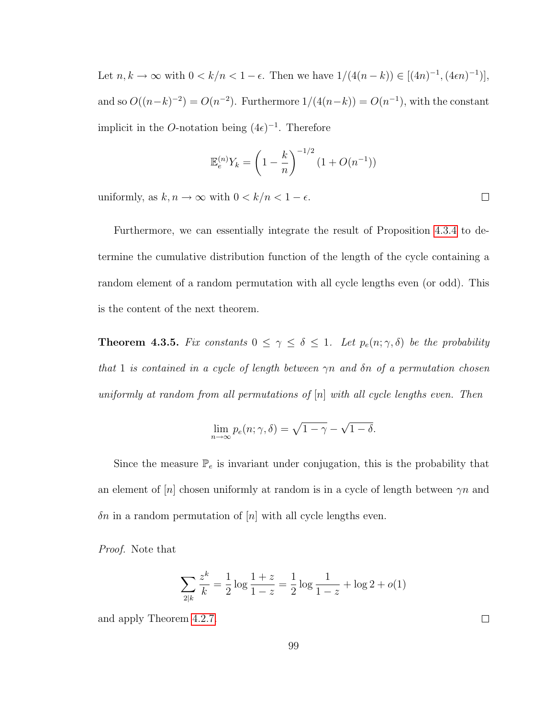Let  $n, k \to \infty$  with  $0 < k/n < 1 - \epsilon$ . Then we have  $1/(4(n-k)) \in [(4n)^{-1}, (4\epsilon n)^{-1})]$ , and so  $O((n-k)^{-2}) = O(n^{-2})$ . Furthermore  $1/(4(n-k)) = O(n^{-1})$ , with the constant implicit in the O-notation being  $(4\epsilon)^{-1}$ . Therefore

$$
\mathbb{E}_e^{(n)} Y_k = \left(1 - \frac{k}{n}\right)^{-1/2} \left(1 + O(n^{-1})\right)
$$

uniformly, as  $k, n \to \infty$  with  $0 < k/n < 1 - \epsilon$ .

Furthermore, we can essentially integrate the result of Proposition [4.3.4](#page-109-0) to determine the cumulative distribution function of the length of the cycle containing a random element of a random permutation with all cycle lengths even (or odd). This is the content of the next theorem.

**Theorem 4.3.5.** Fix constants  $0 \leq \gamma \leq \delta \leq 1$ . Let  $p_e(n; \gamma, \delta)$  be the probability that 1 is contained in a cycle of length between  $\gamma n$  and  $\delta n$  of a permutation chosen uniformly at random from all permutations of  $[n]$  with all cycle lengths even. Then

$$
\lim_{n \to \infty} p_e(n; \gamma, \delta) = \sqrt{1 - \gamma} - \sqrt{1 - \delta}.
$$

Since the measure  $\mathbb{P}_e$  is invariant under conjugation, this is the probability that an element of [n] chosen uniformly at random is in a cycle of length between  $\gamma n$  and  $\delta n$  in a random permutation of  $[n]$  with all cycle lengths even.

Proof. Note that

$$
\sum_{2|k} \frac{z^k}{k} = \frac{1}{2} \log \frac{1+z}{1-z} = \frac{1}{2} \log \frac{1}{1-z} + \log 2 + o(1)
$$

and apply Theorem [4.2.7.](#page-101-0)

 $\Box$ 

 $\Box$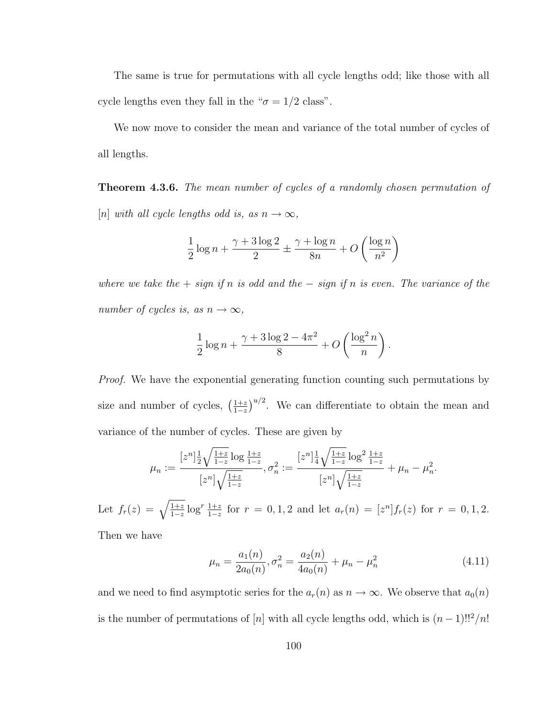The same is true for permutations with all cycle lengths odd; like those with all cycle lengths even they fall in the " $\sigma = 1/2$  class".

We now move to consider the mean and variance of the total number of cycles of all lengths.

**Theorem 4.3.6.** The mean number of cycles of a randomly chosen permutation of  $[n] \hbox{ with all cycle lengths odd is, as } n \to \infty,$ 

$$
\frac{1}{2}\log n + \frac{\gamma + 3\log 2}{2} \pm \frac{\gamma + \log n}{8n} + O\left(\frac{\log n}{n^2}\right)
$$

where we take the  $+$  sign if n is odd and the  $-$  sign if n is even. The variance of the number of cycles is, as  $n \to \infty$ ,

$$
\frac{1}{2}\log n + \frac{\gamma + 3\log 2 - 4\pi^2}{8} + O\left(\frac{\log^2 n}{n}\right).
$$

Proof. We have the exponential generating function counting such permutations by size and number of cycles,  $\left(\frac{1+z}{1-z}\right)$  $\frac{1+z}{1-z}$ <sup>u/2</sup>. We can differentiate to obtain the mean and variance of the number of cycles. These are given by

$$
\mu_n := \frac{[z^n] \frac{1}{2} \sqrt{\frac{1+z}{1-z}} \log \frac{1+z}{1-z}}{[z^n] \sqrt{\frac{1+z}{1-z}}}, \sigma_n^2 := \frac{[z^n] \frac{1}{4} \sqrt{\frac{1+z}{1-z}} \log^2 \frac{1+z}{1-z}}{[z^n] \sqrt{\frac{1+z}{1-z}}} + \mu_n - \mu_n^2.
$$

Let  $f_r(z) = \sqrt{\frac{1+z}{1-z}} \log^r \frac{1+z}{1-z}$  for  $r = 0, 1, 2$  and let  $a_r(n) = [z^n] f_r(z)$  for  $r = 0, 1, 2$ .

Then we have

<span id="page-111-0"></span>
$$
\mu_n = \frac{a_1(n)}{2a_0(n)}, \sigma_n^2 = \frac{a_2(n)}{4a_0(n)} + \mu_n - \mu_n^2
$$
\n(4.11)

and we need to find asymptotic series for the  $a_r(n)$  as  $n \to \infty$ . We observe that  $a_0(n)$ is the number of permutations of [n] with all cycle lengths odd, which is  $(n-1)!!^2/n!$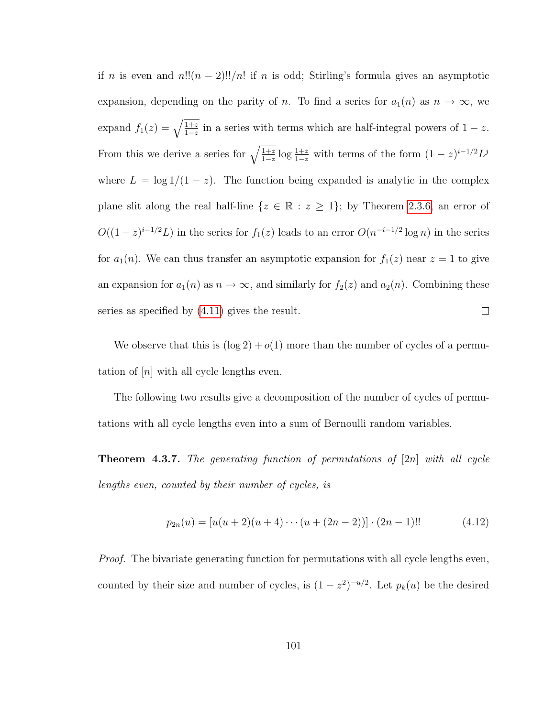if n is even and  $n!!(n-2)!!/n!$  if n is odd; Stirling's formula gives an asymptotic expansion, depending on the parity of n. To find a series for  $a_1(n)$  as  $n \to \infty$ , we expand  $f_1(z) = \sqrt{\frac{1+z}{1-z}}$  in a series with terms which are half-integral powers of  $1-z$ . From this we derive a series for  $\sqrt{\frac{1+z}{1-z}} \log \frac{1+z}{1-z}$  with terms of the form  $(1-z)^{i-1/2}L^j$ where  $L = \log 1/(1 - z)$ . The function being expanded is analytic in the complex plane slit along the real half-line  $\{z \in \mathbb{R} : z \geq 1\}$ ; by Theorem [2.3.6,](#page-50-0) an error of  $O((1-z)^{i-1/2}L)$  in the series for  $f_1(z)$  leads to an error  $O(n^{-i-1/2}\log n)$  in the series for  $a_1(n)$ . We can thus transfer an asymptotic expansion for  $f_1(z)$  near  $z = 1$  to give an expansion for  $a_1(n)$  as  $n \to \infty$ , and similarly for  $f_2(z)$  and  $a_2(n)$ . Combining these series as specified by [\(4.11\)](#page-111-0) gives the result.  $\Box$ 

We observe that this is  $(\log 2) + o(1)$  more than the number of cycles of a permutation of  $[n]$  with all cycle lengths even.

The following two results give a decomposition of the number of cycles of permutations with all cycle lengths even into a sum of Bernoulli random variables.

<span id="page-112-0"></span>**Theorem 4.3.7.** The generating function of permutations of [2n] with all cycle lengths even, counted by their number of cycles, is

$$
p_{2n}(u) = [u(u+2)(u+4)\cdots(u+(2n-2))] \cdot (2n-1)!! \tag{4.12}
$$

Proof. The bivariate generating function for permutations with all cycle lengths even, counted by their size and number of cycles, is  $(1-z^2)^{-u/2}$ . Let  $p_k(u)$  be the desired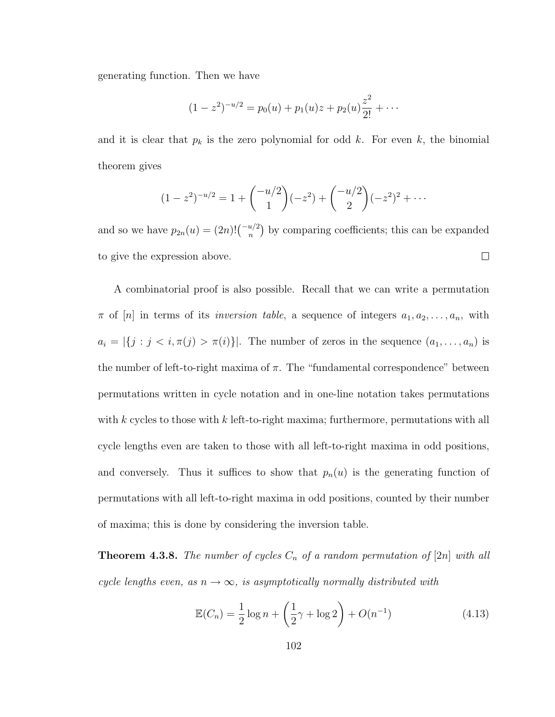generating function. Then we have

$$
(1-z^2)^{-u/2} = p_0(u) + p_1(u)z + p_2(u)\frac{z^2}{2!} + \cdots
$$

and it is clear that  $p_k$  is the zero polynomial for odd k. For even k, the binomial theorem gives

$$
(1-z^2)^{-u/2} = 1 + {\binom{-u/2}{1}} (-z^2) + {\binom{-u/2}{2}} (-z^2)^2 + \cdots
$$

and so we have  $p_{2n}(u) = (2n)! \binom{-u/2}{n}$  by comparing coefficients; this can be expanded  $\Box$ to give the expression above.

A combinatorial proof is also possible. Recall that we can write a permutation  $\pi$  of  $[n]$  in terms of its *inversion table*, a sequence of integers  $a_1, a_2, \ldots, a_n$ , with  $a_i = |\{j : j < i, \pi(j) > \pi(i)\}|$ . The number of zeros in the sequence  $(a_1, \ldots, a_n)$  is the number of left-to-right maxima of  $\pi$ . The "fundamental correspondence" between permutations written in cycle notation and in one-line notation takes permutations with k cycles to those with k left-to-right maxima; furthermore, permutations with all cycle lengths even are taken to those with all left-to-right maxima in odd positions, and conversely. Thus it suffices to show that  $p_n(u)$  is the generating function of permutations with all left-to-right maxima in odd positions, counted by their number of maxima; this is done by considering the inversion table.

**Theorem 4.3.8.** The number of cycles  $C_n$  of a random permutation of [2n] with all cycle lengths even, as  $n \to \infty$ , is asymptotically normally distributed with

<span id="page-113-0"></span>
$$
\mathbb{E}(C_n) = \frac{1}{2}\log n + \left(\frac{1}{2}\gamma + \log 2\right) + O(n^{-1})\tag{4.13}
$$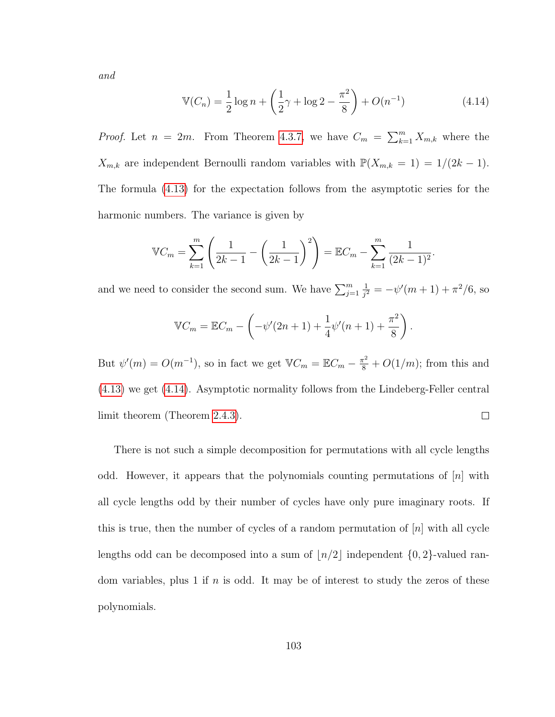and

<span id="page-114-0"></span>
$$
\mathbb{V}(C_n) = \frac{1}{2}\log n + \left(\frac{1}{2}\gamma + \log 2 - \frac{\pi^2}{8}\right) + O(n^{-1})\tag{4.14}
$$

*Proof.* Let  $n = 2m$ . From Theorem [4.3.7,](#page-112-0) we have  $C_m = \sum_{k=1}^m X_{m,k}$  where the  $X_{m,k}$  are independent Bernoulli random variables with  $\mathbb{P}(X_{m,k} = 1) = 1/(2k - 1)$ . The formula [\(4.13\)](#page-113-0) for the expectation follows from the asymptotic series for the harmonic numbers. The variance is given by

$$
\mathbb{V}C_m = \sum_{k=1}^m \left( \frac{1}{2k-1} - \left( \frac{1}{2k-1} \right)^2 \right) = \mathbb{E}C_m - \sum_{k=1}^m \frac{1}{(2k-1)^2}.
$$

and we need to consider the second sum. We have  $\sum_{j=1}^{m}$ 1  $\frac{1}{j^2} = -\psi'(m+1) + \pi^2/6$ , so

$$
\mathbb{V}C_m = \mathbb{E}C_m - \left(-\psi'(2n+1) + \frac{1}{4}\psi'(n+1) + \frac{\pi^2}{8}\right).
$$

But  $\psi'(m) = O(m^{-1})$ , so in fact we get  $\mathbb{V}C_m = \mathbb{E}C_m - \frac{\pi^2}{8} + O(1/m)$ ; from this and [\(4.13\)](#page-113-0) we get [\(4.14\)](#page-114-0). Asymptotic normality follows from the Lindeberg-Feller central limit theorem (Theorem [2.4.3\)](#page-59-0).  $\Box$ 

There is not such a simple decomposition for permutations with all cycle lengths odd. However, it appears that the polynomials counting permutations of  $|n|$  with all cycle lengths odd by their number of cycles have only pure imaginary roots. If this is true, then the number of cycles of a random permutation of  $[n]$  with all cycle lengths odd can be decomposed into a sum of  $\lfloor n/2 \rfloor$  independent  $\{0, 2\}$ -valued random variables, plus  $1$  if  $n$  is odd. It may be of interest to study the zeros of these polynomials.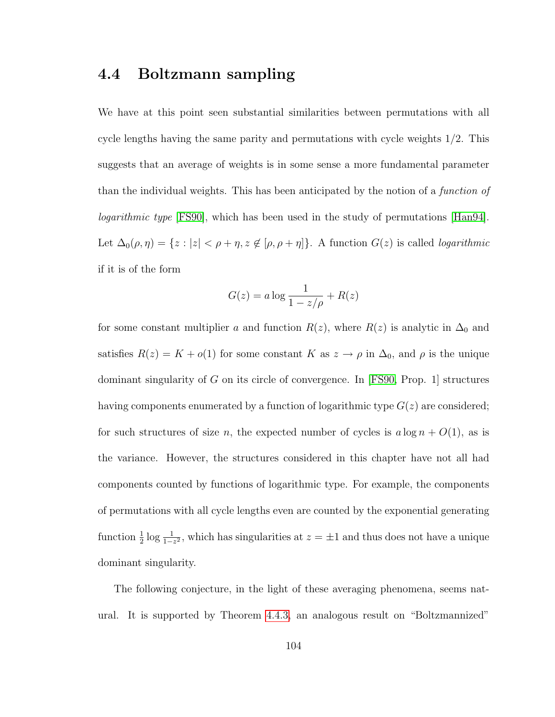## 4.4 Boltzmann sampling

We have at this point seen substantial similarities between permutations with all cycle lengths having the same parity and permutations with cycle weights 1/2. This suggests that an average of weights is in some sense a more fundamental parameter than the individual weights. This has been anticipated by the notion of a *function of* logarithmic type [\[FS90\]](#page-251-1), which has been used in the study of permutations [\[Han94\]](#page-253-0). Let  $\Delta_0(\rho, \eta) = \{z : |z| < \rho + \eta, z \notin [\rho, \rho + \eta] \}$ . A function  $G(z)$  is called *logarithmic* if it is of the form

$$
G(z) = a \log \frac{1}{1 - z/\rho} + R(z)
$$

for some constant multiplier a and function  $R(z)$ , where  $R(z)$  is analytic in  $\Delta_0$  and satisfies  $R(z) = K + o(1)$  for some constant K as  $z \to \rho$  in  $\Delta_0$ , and  $\rho$  is the unique dominant singularity of G on its circle of convergence. In  $[FS90, Prop. 1]$  structures having components enumerated by a function of logarithmic type  $G(z)$  are considered; for such structures of size n, the expected number of cycles is  $a \log n + O(1)$ , as is the variance. However, the structures considered in this chapter have not all had components counted by functions of logarithmic type. For example, the components of permutations with all cycle lengths even are counted by the exponential generating function  $\frac{1}{2} \log \frac{1}{1-z^2}$ , which has singularities at  $z = \pm 1$  and thus does not have a unique dominant singularity.

The following conjecture, in the light of these averaging phenomena, seems natural. It is supported by Theorem [4.4.3,](#page-117-0) an analogous result on "Boltzmannized"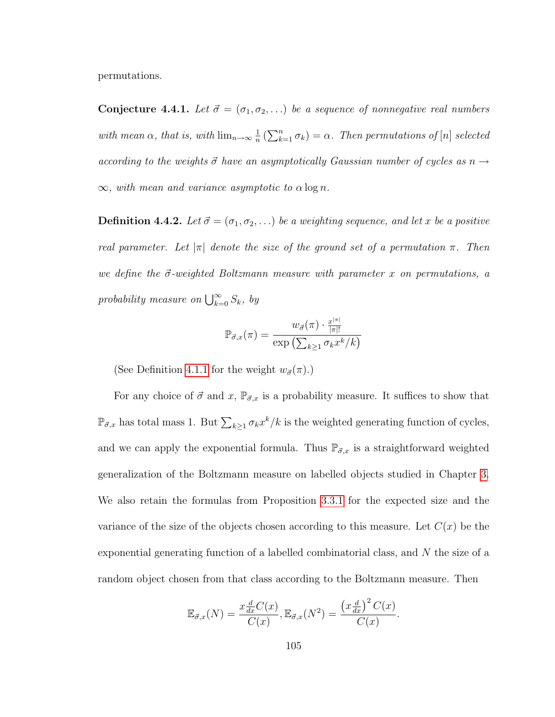<span id="page-116-0"></span>permutations.

**Conjecture 4.4.1.** Let  $\vec{\sigma} = (\sigma_1, \sigma_2, ...)$  be a sequence of nonnegative real numbers with mean  $\alpha$ , that is, with  $\lim_{n\to\infty}\frac{1}{n}$  $\frac{1}{n} \left( \sum_{k=1}^n \sigma_k \right) = \alpha$ . Then permutations of  $[n]$  selected according to the weights  $\vec{\sigma}$  have an asymptotically Gaussian number of cycles as  $n \rightarrow$  $\infty$ , with mean and variance asymptotic to  $\alpha \log n$ .

**Definition 4.4.2.** Let  $\vec{\sigma} = (\sigma_1, \sigma_2, ...)$  be a weighting sequence, and let x be a positive real parameter. Let  $|\pi|$  denote the size of the ground set of a permutation  $\pi$ . Then we define the  $\vec{\sigma}$ -weighted Boltzmann measure with parameter x on permutations, a probability measure on  $\bigcup_{k=0}^{\infty} S_k$ , by

$$
\mathbb{P}_{\vec{\sigma},x}(\pi) = \frac{w_{\vec{\sigma}}(\pi) \cdot \frac{x^{|\pi|}}{|\pi|!}}{\exp\left(\sum_{k \geq 1} \sigma_k x^k / k\right)}
$$

(See Definition [4.1.1](#page-90-0) for the weight  $w_{\vec{\sigma}}(\pi)$ .)

For any choice of  $\vec{\sigma}$  and  $x, \mathbb{P}_{\vec{\sigma},x}$  is a probability measure. It suffices to show that  $\mathbb{P}_{\vec{\sigma},x}$  has total mass 1. But  $\sum_{k\geq 1} \sigma_k x^k / k$  is the weighted generating function of cycles, and we can apply the exponential formula. Thus  $\mathbb{P}_{\vec{\sigma},x}$  is a straightforward weighted generalization of the Boltzmann measure on labelled objects studied in Chapter [3.](#page-61-0) We also retain the formulas from Proposition [3.3.1](#page-70-0) for the expected size and the variance of the size of the objects chosen according to this measure. Let  $C(x)$  be the exponential generating function of a labelled combinatorial class, and N the size of a random object chosen from that class according to the Boltzmann measure. Then

$$
\mathbb{E}_{\vec{\sigma},x}(N) = \frac{x \frac{d}{dx}C(x)}{C(x)}, \mathbb{E}_{\vec{\sigma},x}(N^2) = \frac{(x \frac{d}{dx})^2 C(x)}{C(x)}.
$$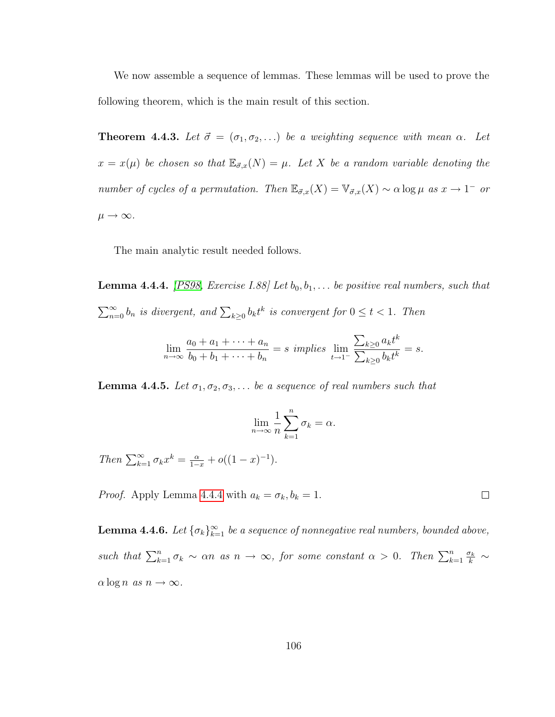We now assemble a sequence of lemmas. These lemmas will be used to prove the following theorem, which is the main result of this section.

<span id="page-117-0"></span>**Theorem 4.4.3.** Let  $\vec{\sigma} = (\sigma_1, \sigma_2, ...)$  be a weighting sequence with mean  $\alpha$ . Let  $x = x(\mu)$  be chosen so that  $\mathbb{E}_{\vec{\sigma},x}(N) = \mu$ . Let X be a random variable denoting the number of cycles of a permutation. Then  $\mathbb{E}_{\vec{\sigma},x}(X) = \mathbb{V}_{\vec{\sigma},x}(X) \sim \alpha \log \mu$  as  $x \to 1^-$  or  $\mu \to \infty$ .

<span id="page-117-1"></span>The main analytic result needed follows.

**Lemma 4.4.4.** [\[PS98,](#page-257-0) Exercise I.88] Let  $b_0, b_1, \ldots$  be positive real numbers, such that  $\sum_{n=0}^{\infty} b_n$  is divergent, and  $\sum_{k\geq 0} b_k t^k$  is convergent for  $0 \leq t < 1$ . Then

$$
\lim_{n \to \infty} \frac{a_0 + a_1 + \dots + a_n}{b_0 + b_1 + \dots + b_n} = s \implies \lim_{t \to 1^-} \frac{\sum_{k \ge 0} a_k t^k}{\sum_{k \ge 0} b_k t^k} = s.
$$

<span id="page-117-3"></span>**Lemma 4.4.5.** Let  $\sigma_1, \sigma_2, \sigma_3, \ldots$  be a sequence of real numbers such that

$$
\lim_{n \to \infty} \frac{1}{n} \sum_{k=1}^{n} \sigma_k = \alpha.
$$

Then  $\sum_{k=1}^{\infty} \sigma_k x^k = \frac{\alpha}{1-x} + o((1-x)^{-1}).$ 

*Proof.* Apply Lemma [4.4.4](#page-117-1) with  $a_k = \sigma_k, b_k = 1$ .

<span id="page-117-2"></span>**Lemma 4.4.6.** Let  $\{\sigma_k\}_{k=1}^{\infty}$  be a sequence of nonnegative real numbers, bounded above, such that  $\sum_{k=1}^{n} \sigma_k \sim \alpha n$  as  $n \to \infty$ , for some constant  $\alpha > 0$ . Then  $\sum_{k=1}^{n} \frac{\sigma_k}{k} \sim$  $\alpha \log n$  as  $n \to \infty$ .

 $\Box$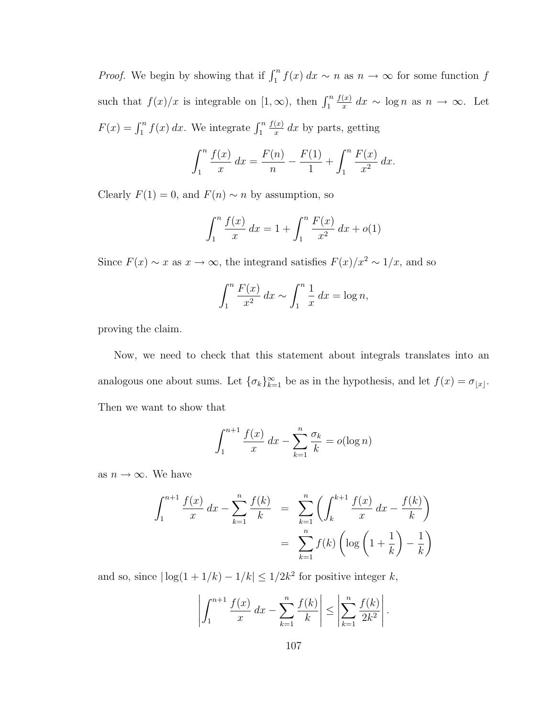*Proof.* We begin by showing that if  $\int_1^n f(x) dx \sim n$  as  $n \to \infty$  for some function f such that  $f(x)/x$  is integrable on  $[1,\infty)$ , then  $\int_1^n$  $f(x)$  $rac{x}{x}$  dx ~ log n as  $n \to \infty$ . Let  $F(x) = \int_1^n f(x) dx$ . We integrate  $\int_1^n$  $f(x)$  $\frac{f(x)}{x}$  dx by parts, getting

$$
\int_{1}^{n} \frac{f(x)}{x} dx = \frac{F(n)}{n} - \frac{F(1)}{1} + \int_{1}^{n} \frac{F(x)}{x^{2}} dx.
$$

Clearly  $F(1) = 0$ , and  $F(n) \sim n$  by assumption, so

$$
\int_{1}^{n} \frac{f(x)}{x} dx = 1 + \int_{1}^{n} \frac{F(x)}{x^{2}} dx + o(1)
$$

Since  $F(x) \sim x$  as  $x \to \infty$ , the integrand satisfies  $F(x)/x^2 \sim 1/x$ , and so

$$
\int_1^n \frac{F(x)}{x^2} dx \sim \int_1^n \frac{1}{x} dx = \log n,
$$

proving the claim.

Now, we need to check that this statement about integrals translates into an analogous one about sums. Let  $\{\sigma_k\}_{k=1}^{\infty}$  be as in the hypothesis, and let  $f(x) = \sigma_{\lfloor x \rfloor}$ . Then we want to show that

$$
\int_1^{n+1} \frac{f(x)}{x} dx - \sum_{k=1}^n \frac{\sigma_k}{k} = o(\log n)
$$

as  $n \to \infty$ . We have

$$
\int_{1}^{n+1} \frac{f(x)}{x} dx - \sum_{k=1}^{n} \frac{f(k)}{k} = \sum_{k=1}^{n} \left( \int_{k}^{k+1} \frac{f(x)}{x} dx - \frac{f(k)}{k} \right)
$$

$$
= \sum_{k=1}^{n} f(k) \left( \log \left( 1 + \frac{1}{k} \right) - \frac{1}{k} \right)
$$

and so, since  $|\log(1+1/k) - 1/k| \leq 1/2k^2$  for positive integer k,

$$
\left| \int_{1}^{n+1} \frac{f(x)}{x} dx - \sum_{k=1}^{n} \frac{f(k)}{k} \right| \le \left| \sum_{k=1}^{n} \frac{f(k)}{2k^{2}} \right|.
$$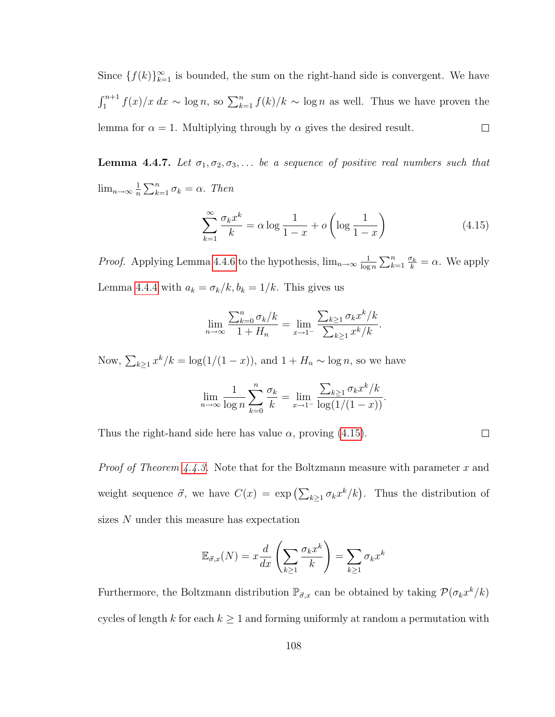Since  $\{f(k)\}_{k=1}^{\infty}$  is bounded, the sum on the right-hand side is convergent. We have  $\int_1^{n+1} f(x)/x \, dx \sim \log n$ , so  $\sum_{k=1}^n f(k)/k \sim \log n$  as well. Thus we have proven the lemma for  $\alpha = 1$ . Multiplying through by  $\alpha$  gives the desired result.  $\Box$ 

**Lemma 4.4.7.** Let  $\sigma_1, \sigma_2, \sigma_3, \ldots$  be a sequence of positive real numbers such that  $\lim_{n\to\infty}\frac{1}{n}$  $\frac{1}{n} \sum_{k=1}^{n} \sigma_k = \alpha$ . Then

<span id="page-119-0"></span>
$$
\sum_{k=1}^{\infty} \frac{\sigma_k x^k}{k} = \alpha \log \frac{1}{1-x} + o\left(\log \frac{1}{1-x}\right)
$$
\n(4.15)

 $\Box$ 

*Proof.* Applying Lemma [4.4.6](#page-117-2) to the hypothesis,  $\lim_{n\to\infty} \frac{1}{\log n}$  $\frac{1}{\log n} \sum_{k=1}^n \frac{\sigma_k}{k} = \alpha$ . We apply Lemma [4.4.4](#page-117-1) with  $a_k = \sigma_k/k$ ,  $b_k = 1/k$ . This gives us

$$
\lim_{n \to \infty} \frac{\sum_{k=0}^{n} \sigma_k / k}{1 + H_n} = \lim_{x \to 1^{-}} \frac{\sum_{k \ge 1} \sigma_k x^k / k}{\sum_{k \ge 1} x^k / k}.
$$

Now,  $\sum_{k\geq 1} x^k/k = \log(1/(1-x))$ , and  $1 + H_n \sim \log n$ , so we have

$$
\lim_{n \to \infty} \frac{1}{\log n} \sum_{k=0}^{n} \frac{\sigma_k}{k} = \lim_{x \to 1^{-}} \frac{\sum_{k \ge 1} \sigma_k x^k / k}{\log(1/(1-x))}.
$$

Thus the right-hand side here has value  $\alpha$ , proving [\(4.15\)](#page-119-0).

*Proof of Theorem [4.4.3.](#page-117-0)* Note that for the Boltzmann measure with parameter x and weight sequence  $\vec{\sigma}$ , we have  $C(x) = \exp\left(\sum_{k\geq 1} \sigma_k x^k / k\right)$ . Thus the distribution of sizes N under this measure has expectation

$$
\mathbb{E}_{\vec{\sigma},x}(N) = x \frac{d}{dx} \left( \sum_{k \ge 1} \frac{\sigma_k x^k}{k} \right) = \sum_{k \ge 1} \sigma_k x^k
$$

Furthermore, the Boltzmann distribution  $\mathbb{P}_{\vec{\sigma},x}$  can be obtained by taking  $\mathcal{P}(\sigma_k x^k/k)$ cycles of length k for each  $k \geq 1$  and forming uniformly at random a permutation with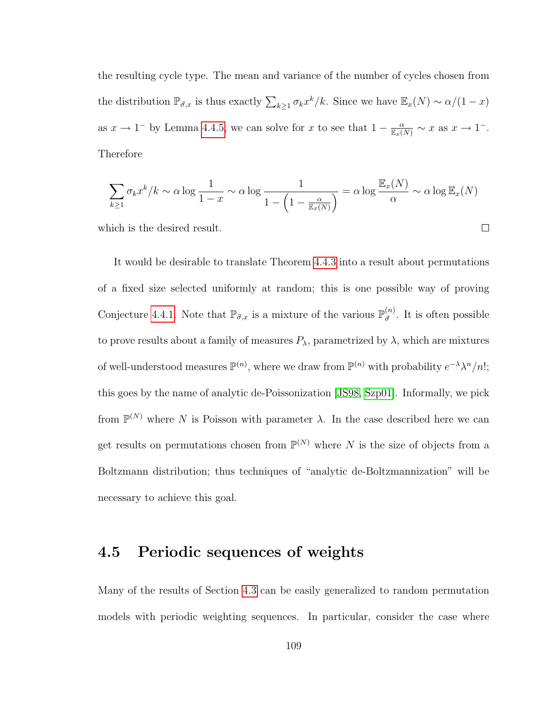the resulting cycle type. The mean and variance of the number of cycles chosen from the distribution  $\mathbb{P}_{\vec{\sigma},x}$  is thus exactly  $\sum_{k\geq 1} \sigma_k x^k / k$ . Since we have  $\mathbb{E}_x(N) \sim \alpha/(1-x)$ as  $x \to 1^-$  by Lemma [4.4.5,](#page-117-3) we can solve for x to see that  $1 - \frac{\alpha}{\mathbb{E}_x(N)} \sim x$  as  $x \to 1^-$ . Therefore

$$
\sum_{k\geq 1} \sigma_k x^k / k \sim \alpha \log \frac{1}{1-x} \sim \alpha \log \frac{1}{1-\left(1-\frac{\alpha}{\mathbb{E}_x(N)}\right)} = \alpha \log \frac{\mathbb{E}_x(N)}{\alpha} \sim \alpha \log \mathbb{E}_x(N)
$$

 $\Box$ 

which is the desired result.

It would be desirable to translate Theorem [4.4.3](#page-117-0) into a result about permutations of a fixed size selected uniformly at random; this is one possible way of proving Conjecture [4.4.1.](#page-116-0) Note that  $\mathbb{P}_{\vec{\sigma},x}$  is a mixture of the various  $\mathbb{P}_{\vec{\sigma}}^{(n)}$ . It is often possible to prove results about a family of measures  $P_{\lambda}$ , parametrized by  $\lambda$ , which are mixtures of well-understood measures  $\mathbb{P}^{(n)}$ , where we draw from  $\mathbb{P}^{(n)}$  with probability  $e^{-\lambda} \lambda^n/n!$ ; this goes by the name of analytic de-Poissonization [\[JS98,](#page-254-0) [Szp01\]](#page-259-0). Informally, we pick from  $\mathbb{P}^{(N)}$  where N is Poisson with parameter  $\lambda$ . In the case described here we can get results on permutations chosen from  $\mathbb{P}^{(N)}$  where N is the size of objects from a Boltzmann distribution; thus techniques of "analytic de-Boltzmannization" will be necessary to achieve this goal.

## 4.5 Periodic sequences of weights

Many of the results of Section [4.3](#page-105-0) can be easily generalized to random permutation models with periodic weighting sequences. In particular, consider the case where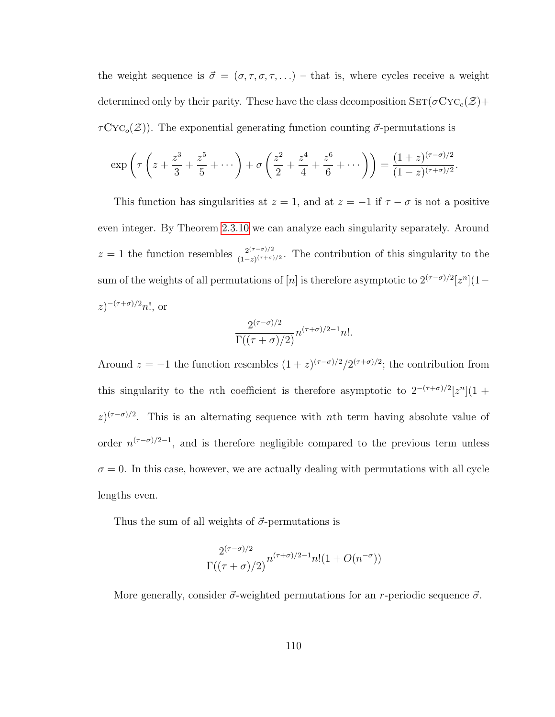the weight sequence is  $\vec{\sigma} = (\sigma, \tau, \sigma, \tau, ...)$  – that is, where cycles receive a weight determined only by their parity. These have the class decomposition  $\text{SET}(\sigma\text{Cyc}_e(\mathcal{Z})+$  $\tau\mathrm{Cyc}_o(\mathcal{Z})$ ). The exponential generating function counting  $\vec{\sigma}$ -permutations is

$$
\exp\left(\tau\left(z+\frac{z^3}{3}+\frac{z^5}{5}+\cdots\right)+\sigma\left(\frac{z^2}{2}+\frac{z^4}{4}+\frac{z^6}{6}+\cdots\right)\right)=\frac{(1+z)^{(\tau-\sigma)/2}}{(1-z)^{(\tau+\sigma)/2}}.
$$

This function has singularities at  $z = 1$ , and at  $z = -1$  if  $\tau - \sigma$  is not a positive even integer. By Theorem [2.3.10](#page-54-0) we can analyze each singularity separately. Around  $z = 1$  the function resembles  $\frac{2^{(\tau-\sigma)/2}}{(1-z)(\tau+\sigma)}$  $\frac{2^{(\tau-\sigma)/2}}{(1-z)^{(\tau+\sigma)/2}}$ . The contribution of this singularity to the sum of the weights of all permutations of [n] is therefore asymptotic to  $2^{(\tau-\sigma)/2}z^{n}$ ](1- $(z)^{-(\tau+\sigma)/2}n!$ , or

$$
\frac{2^{(\tau-\sigma)/2}}{\Gamma((\tau+\sigma)/2)} n^{(\tau+\sigma)/2-1} n!.
$$

Around  $z = -1$  the function resembles  $(1 + z)^{(\tau-\sigma)/2}/2^{(\tau+\sigma)/2}$ ; the contribution from this singularity to the *n*th coefficient is therefore asymptotic to  $2^{-(\tau+\sigma)/2}[z^n](1 +$  $z$ )<sup>( $\tau$ - $\sigma$ )/2. This is an alternating sequence with *n*th term having absolute value of</sup> order  $n^{(\tau-\sigma)/2-1}$ , and is therefore negligible compared to the previous term unless  $\sigma = 0$ . In this case, however, we are actually dealing with permutations with all cycle lengths even.

Thus the sum of all weights of  $\vec{\sigma}$ -permutations is

$$
\frac{2^{(\tau-\sigma)/2}}{\Gamma((\tau+\sigma)/2)}n^{(\tau+\sigma)/2-1}n!(1+O(n^{-\sigma}))
$$

More generally, consider  $\vec{\sigma}$ -weighted permutations for an r-periodic sequence  $\vec{\sigma}$ .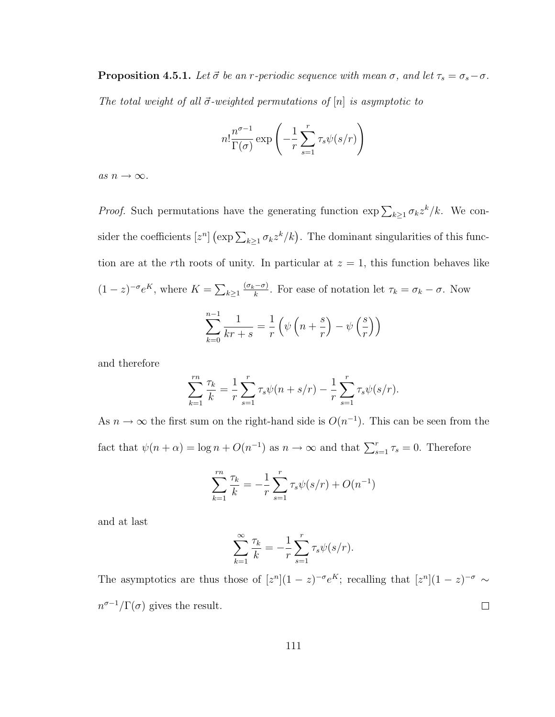**Proposition 4.5.1.** Let  $\vec{\sigma}$  be an r-periodic sequence with mean  $\sigma$ , and let  $\tau_s = \sigma_s - \sigma$ . The total weight of all  $\vec{\sigma}$ -weighted permutations of  $[n]$  is asymptotic to

$$
n! \frac{n^{\sigma-1}}{\Gamma(\sigma)} \exp\left(-\frac{1}{r} \sum_{s=1}^r \tau_s \psi(s/r)\right)
$$

as  $n \to \infty$ .

*Proof.* Such permutations have the generating function  $\exp\sum_{k\geq 1} \sigma_k z^k / k$ . We consider the coefficients  $[z^n]$  (exp  $\sum_{k\geq 1} \sigma_k z^k/k$ ). The dominant singularities of this function are at the rth roots of unity. In particular at  $z = 1$ , this function behaves like  $(1-z)^{-\sigma}e^{K}$ , where  $K=\sum_{k\geq 1}$  $(\sigma_k-\sigma)$  $\frac{(-\sigma)}{k}$ . For ease of notation let  $\tau_k = \sigma_k - \sigma$ . Now  $\sum^{n-1}$  $_{k=0}$ 1  $kr + s$ = 1 r  $\int (\psi(n+$ s r  $-\psi\left(\frac{s}{s}\right)$ r  $\setminus$ 

and therefore

$$
\sum_{k=1}^{rn} \frac{\tau_k}{k} = \frac{1}{r} \sum_{s=1}^{r} \tau_s \psi(n + s/r) - \frac{1}{r} \sum_{s=1}^{r} \tau_s \psi(s/r).
$$

As  $n \to \infty$  the first sum on the right-hand side is  $O(n^{-1})$ . This can be seen from the fact that  $\psi(n+\alpha) = \log n + O(n^{-1})$  as  $n \to \infty$  and that  $\sum_{s=1}^{r} \tau_s = 0$ . Therefore

$$
\sum_{k=1}^{rn} \frac{\tau_k}{k} = -\frac{1}{r} \sum_{s=1}^{r} \tau_s \psi(s/r) + O(n^{-1})
$$

and at last

$$
\sum_{k=1}^{\infty} \frac{\tau_k}{k} = -\frac{1}{r} \sum_{s=1}^{r} \tau_s \psi(s/r).
$$

The asymptotics are thus those of  $[z^n](1-z)^{-\sigma}e^K$ ; recalling that  $[z^n](1-z)^{-\sigma} \sim$  $n^{\sigma-1}/\Gamma(\sigma)$  gives the result.  $\Box$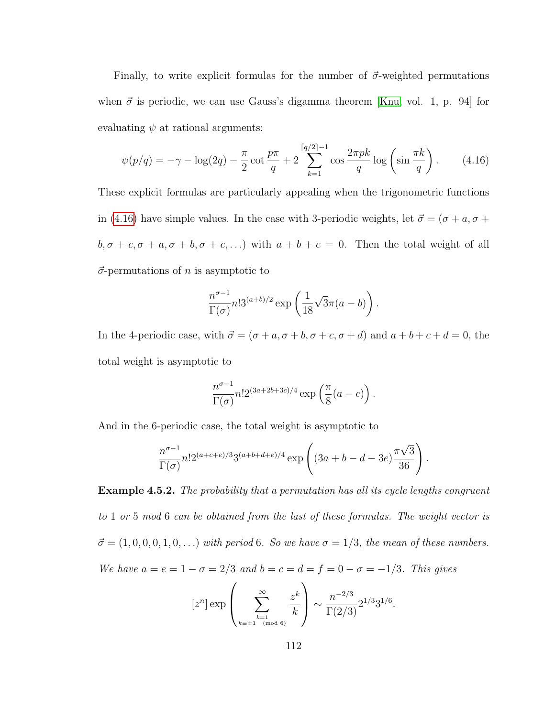Finally, to write explicit formulas for the number of  $\vec{\sigma}$ -weighted permutations when  $\vec{\sigma}$  is periodic, we can use Gauss's digamma theorem [\[Knu,](#page-254-1) vol. 1, p. 94] for evaluating  $\psi$  at rational arguments:

<span id="page-123-0"></span>
$$
\psi(p/q) = -\gamma - \log(2q) - \frac{\pi}{2} \cot \frac{p\pi}{q} + 2 \sum_{k=1}^{\lceil q/2 \rceil - 1} \cos \frac{2\pi pk}{q} \log \left( \sin \frac{\pi k}{q} \right). \tag{4.16}
$$

These explicit formulas are particularly appealing when the trigonometric functions in [\(4.16\)](#page-123-0) have simple values. In the case with 3-periodic weights, let  $\vec{\sigma} = (\sigma + a, \sigma +$  $b, \sigma + c, \sigma + a, \sigma + b, \sigma + c, \ldots$ ) with  $a + b + c = 0$ . Then the total weight of all  $\vec{\sigma}$ -permutations of n is asymptotic to

$$
\frac{n^{\sigma-1}}{\Gamma(\sigma)} n! 3^{(a+b)/2} \exp\left(\frac{1}{18}\sqrt{3}\pi(a-b)\right).
$$

In the 4-periodic case, with  $\vec{\sigma} = (\sigma + a, \sigma + b, \sigma + c, \sigma + d)$  and  $a + b + c + d = 0$ , the total weight is asymptotic to

$$
\frac{n^{\sigma-1}}{\Gamma(\sigma)} n! 2^{(3a+2b+3c)/4} \exp\left(\frac{\pi}{8}(a-c)\right).
$$

And in the 6-periodic case, the total weight is asymptotic to

$$
\frac{n^{\sigma-1}}{\Gamma(\sigma)} n! 2^{(a+c+e)/3} 3^{(a+b+d+e)/4} \exp\left( (3a+b-d-3e)\frac{\pi\sqrt{3}}{36} \right).
$$

Example 4.5.2. The probability that a permutation has all its cycle lengths congruent to 1 or 5 mod 6 can be obtained from the last of these formulas. The weight vector is  $\vec{\sigma} = (1, 0, 0, 0, 1, 0, ...)$  with period 6. So we have  $\sigma = 1/3$ , the mean of these numbers.

We have  $a = e = 1 - \sigma = 2/3$  and  $b = c = d = f = 0 - \sigma = -1/3$ . This gives

$$
[z^n] \exp \left( \sum_{\substack{k=1 \ k \equiv \pm 1 \pmod{6}}}^{\infty} \frac{z^k}{k} \right) \sim \frac{n^{-2/3}}{\Gamma(2/3)} 2^{1/3} 3^{1/6}.
$$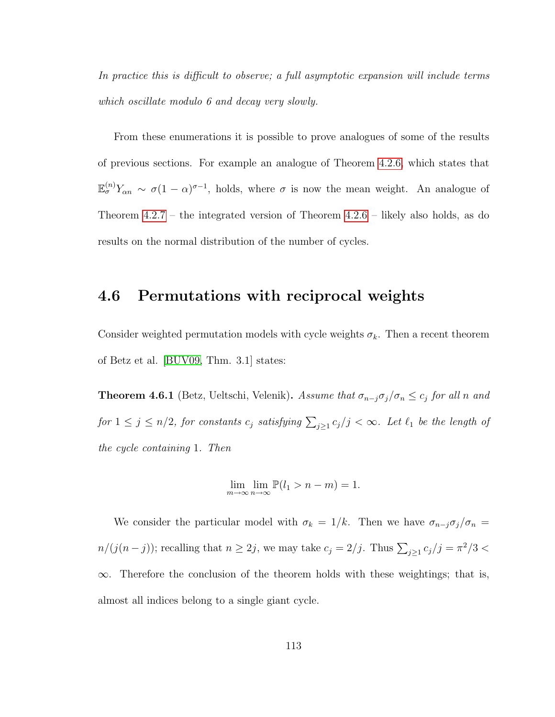In practice this is difficult to observe; a full asymptotic expansion will include terms which oscillate modulo 6 and decay very slowly.

From these enumerations it is possible to prove analogues of some of the results of previous sections. For example an analogue of Theorem [4.2.6,](#page-100-0) which states that  $\mathbb{E}_{\sigma}^{(n)} Y_{\alpha n} \sim \sigma(1-\alpha)^{\sigma-1}$ , holds, where  $\sigma$  is now the mean weight. An analogue of Theorem [4.2.7](#page-101-0) – the integrated version of Theorem [4.2.6](#page-100-0) – likely also holds, as do results on the normal distribution of the number of cycles.

### 4.6 Permutations with reciprocal weights

Consider weighted permutation models with cycle weights  $\sigma_k$ . Then a recent theorem of Betz et al. [\[BUV09,](#page-248-0) Thm. 3.1] states:

**Theorem 4.6.1** (Betz, Ueltschi, Velenik). Assume that  $\sigma_{n-j}\sigma_j/\sigma_n \leq c_j$  for all n and for  $1 \leq j \leq n/2$ , for constants  $c_j$  satisfying  $\sum_{j\geq 1} c_j/j < \infty$ . Let  $\ell_1$  be the length of the cycle containing 1. Then

$$
\lim_{m \to \infty} \lim_{n \to \infty} \mathbb{P}(l_1 > n - m) = 1.
$$

We consider the particular model with  $\sigma_k = 1/k$ . Then we have  $\sigma_{n-j}\sigma_j/\sigma_n =$  $n/(j(n-j))$ ; recalling that  $n \ge 2j$ , we may take  $c_j = 2/j$ . Thus  $\sum_{j\ge 1} c_j/j = \pi^2/3$  $\infty$ . Therefore the conclusion of the theorem holds with these weightings; that is, almost all indices belong to a single giant cycle.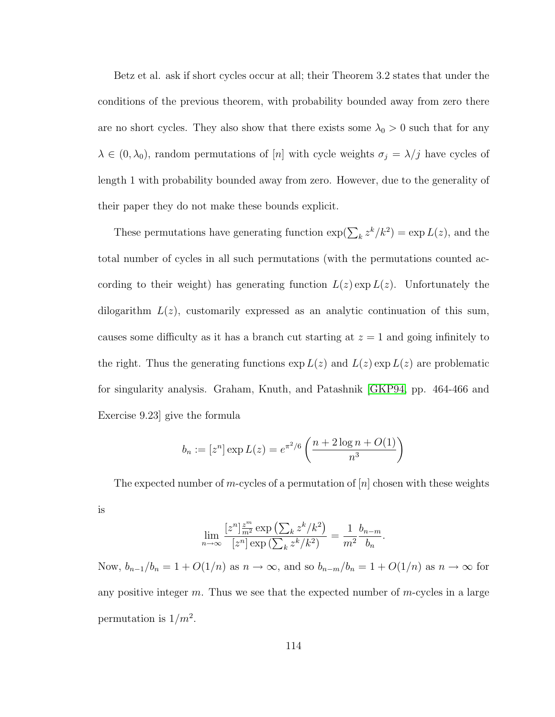Betz et al. ask if short cycles occur at all; their Theorem 3.2 states that under the conditions of the previous theorem, with probability bounded away from zero there are no short cycles. They also show that there exists some  $\lambda_0 > 0$  such that for any  $\lambda \in (0, \lambda_0)$ , random permutations of [n] with cycle weights  $\sigma_j = \lambda / j$  have cycles of length 1 with probability bounded away from zero. However, due to the generality of their paper they do not make these bounds explicit.

These permutations have generating function  $\exp(\sum_k z^k / k^2) = \exp L(z)$ , and the total number of cycles in all such permutations (with the permutations counted according to their weight) has generating function  $L(z) \exp L(z)$ . Unfortunately the dilogarithm  $L(z)$ , customarily expressed as an analytic continuation of this sum, causes some difficulty as it has a branch cut starting at  $z = 1$  and going infinitely to the right. Thus the generating functions  $\exp L(z)$  and  $L(z) \exp L(z)$  are problematic for singularity analysis. Graham, Knuth, and Patashnik [\[GKP94,](#page-252-0) pp. 464-466 and Exercise 9.23] give the formula

$$
b_n := [z^n] \exp L(z) = e^{\pi^2/6} \left( \frac{n + 2 \log n + O(1)}{n^3} \right)
$$

The expected number of m-cycles of a permutation of  $[n]$  chosen with these weights is

$$
\lim_{n \to \infty} \frac{[z^n]_{m}^{\frac{z^m}{m^2}} \exp \left( \sum_k z^k / k^2 \right)}{[z^n] \exp \left( \sum_k z^k / k^2 \right)} = \frac{1}{m^2} \frac{b_{n-m}}{b_n}.
$$

Now,  $b_{n-1}/b_n = 1 + O(1/n)$  as  $n \to \infty$ , and so  $b_{n-m}/b_n = 1 + O(1/n)$  as  $n \to \infty$  for any positive integer  $m$ . Thus we see that the expected number of  $m$ -cycles in a large permutation is  $1/m^2$ .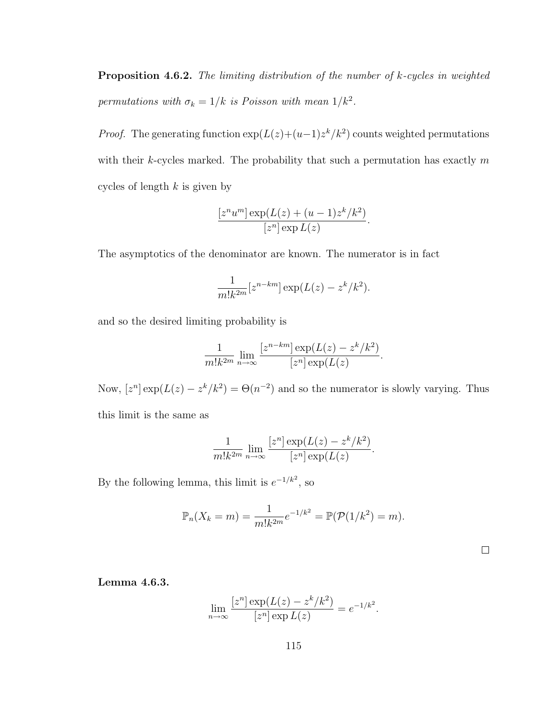Proposition 4.6.2. The limiting distribution of the number of k-cycles in weighted permutations with  $\sigma_k = 1/k$  is Poisson with mean  $1/k^2$ .

*Proof.* The generating function  $\exp(L(z)+(u-1)z^k/k^2)$  counts weighted permutations with their k-cycles marked. The probability that such a permutation has exactly  $m$ cycles of length  $k$  is given by

$$
\frac{[z^n u^m] \exp(L(z) + (u-1)z^k/k^2)}{[z^n] \exp L(z)}.
$$

The asymptotics of the denominator are known. The numerator is in fact

$$
\frac{1}{m!k^{2m}}[z^{n-km}]\exp(L(z)-z^k/k^2).
$$

and so the desired limiting probability is

$$
\frac{1}{m!k^{2m}} \lim_{n \to \infty} \frac{[z^{n-km}] \exp(L(z) - z^k/k^2)}{[z^n] \exp(L(z))}.
$$

Now,  $[z^n] \exp(L(z) - z^k/k^2) = \Theta(n^{-2})$  and so the numerator is slowly varying. Thus this limit is the same as

$$
\frac{1}{m!k^{2m}} \lim_{n \to \infty} \frac{[z^n] \exp(L(z) - z^k/k^2)}{[z^n] \exp(L(z))}.
$$

By the following lemma, this limit is  $e^{-1/k^2}$ , so

$$
\mathbb{P}_n(X_k = m) = \frac{1}{m!k^{2m}}e^{-1/k^2} = \mathbb{P}(\mathcal{P}(1/k^2) = m).
$$

 $\Box$ 

Lemma 4.6.3.

$$
\lim_{n \to \infty} \frac{[z^n] \exp(L(z) - z^k/k^2)}{[z^n] \exp L(z)} = e^{-1/k^2}.
$$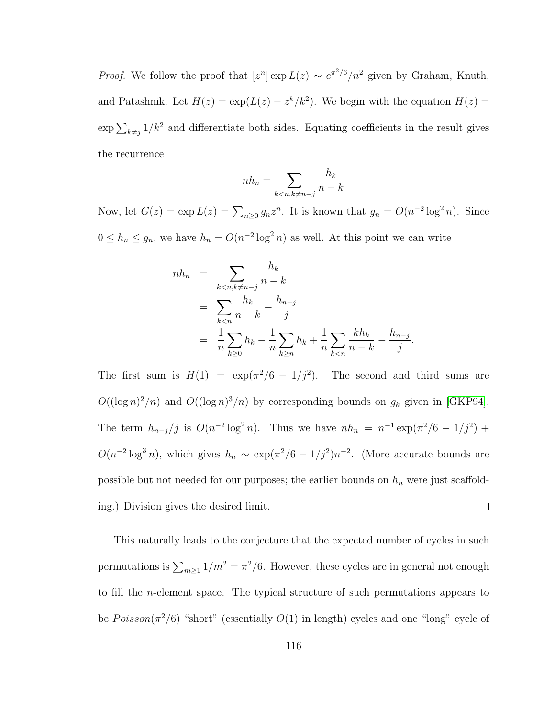*Proof.* We follow the proof that  $[z^n] \exp L(z) \sim e^{\pi^2/6}/n^2$  given by Graham, Knuth, and Patashnik. Let  $H(z) = \exp(L(z) - z^k/k^2)$ . We begin with the equation  $H(z) =$  $\exp\sum_{k\neq j}1/k^2$  and differentiate both sides. Equating coefficients in the result gives the recurrence

$$
nh_n = \sum_{k < n, k \neq n-j} \frac{h_k}{n-k}
$$

Now, let  $G(z) = \exp L(z) = \sum_{n\geq 0} g_n z^n$ . It is known that  $g_n = O(n^{-2} \log^2 n)$ . Since  $0 \leq h_n \leq g_n$ , we have  $h_n = O(n^{-2} \log^2 n)$  as well. At this point we can write

$$
nh_n = \sum_{k < n, k \neq n-j} \frac{h_k}{n-k}
$$
\n
$$
= \sum_{k < n} \frac{h_k}{n-k} - \frac{h_{n-j}}{j}
$$
\n
$$
= \frac{1}{n} \sum_{k \ge 0} h_k - \frac{1}{n} \sum_{k \ge n} h_k + \frac{1}{n} \sum_{k < n} \frac{k h_k}{n-k} - \frac{h_{n-j}}{j}.
$$

The first sum is  $H(1) = \exp(\pi^2/6 - 1/j^2)$ . The second and third sums are  $O((\log n)^2/n)$  and  $O((\log n)^3/n)$  by corresponding bounds on  $g_k$  given in [\[GKP94\]](#page-252-0). The term  $h_{n-j}/j$  is  $O(n^{-2} \log^2 n)$ . Thus we have  $nh_n = n^{-1} \exp(\pi^2/6 - 1/j^2)$  +  $O(n^{-2} \log^3 n)$ , which gives  $h_n \sim \exp(\pi^2/6 - 1/j^2) n^{-2}$ . (More accurate bounds are possible but not needed for our purposes; the earlier bounds on  $h_n$  were just scaffolding.) Division gives the desired limit.  $\Box$ 

This naturally leads to the conjecture that the expected number of cycles in such permutations is  $\sum_{m\geq 1} 1/m^2 = \pi^2/6$ . However, these cycles are in general not enough to fill the n-element space. The typical structure of such permutations appears to be  $Poisson(\pi^2/6)$  "short" (essentially  $O(1)$  in length) cycles and one "long" cycle of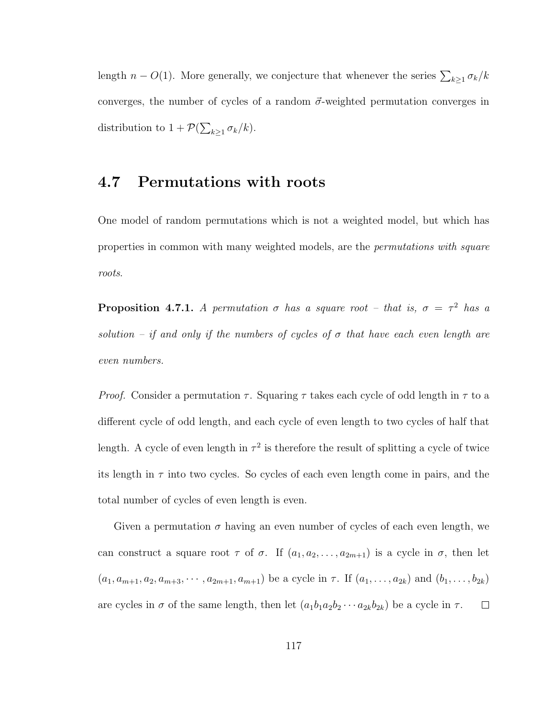length  $n - O(1)$ . More generally, we conjecture that whenever the series  $\sum_{k \geq 1} \sigma_k / k$ converges, the number of cycles of a random  $\vec{\sigma}$ -weighted permutation converges in distribution to  $1 + \mathcal{P}(\sum_{k \geq 1} \sigma_k / k)$ .

## 4.7 Permutations with roots

One model of random permutations which is not a weighted model, but which has properties in common with many weighted models, are the permutations with square roots.

**Proposition 4.7.1.** A permutation  $\sigma$  has a square root – that is,  $\sigma = \tau^2$  has a solution – if and only if the numbers of cycles of  $\sigma$  that have each even length are even numbers.

*Proof.* Consider a permutation  $\tau$ . Squaring  $\tau$  takes each cycle of odd length in  $\tau$  to a different cycle of odd length, and each cycle of even length to two cycles of half that length. A cycle of even length in  $\tau^2$  is therefore the result of splitting a cycle of twice its length in  $\tau$  into two cycles. So cycles of each even length come in pairs, and the total number of cycles of even length is even.

Given a permutation  $\sigma$  having an even number of cycles of each even length, we can construct a square root  $\tau$  of  $\sigma$ . If  $(a_1, a_2, \ldots, a_{2m+1})$  is a cycle in  $\sigma$ , then let  $(a_1, a_{m+1}, a_2, a_{m+3}, \cdots, a_{2m+1}, a_{m+1})$  be a cycle in  $\tau$ . If  $(a_1, \ldots, a_{2k})$  and  $(b_1, \ldots, b_{2k})$ are cycles in  $\sigma$  of the same length, then let  $(a_1b_1a_2b_2\cdots a_{2k}b_{2k})$  be a cycle in  $\tau$ .  $\Box$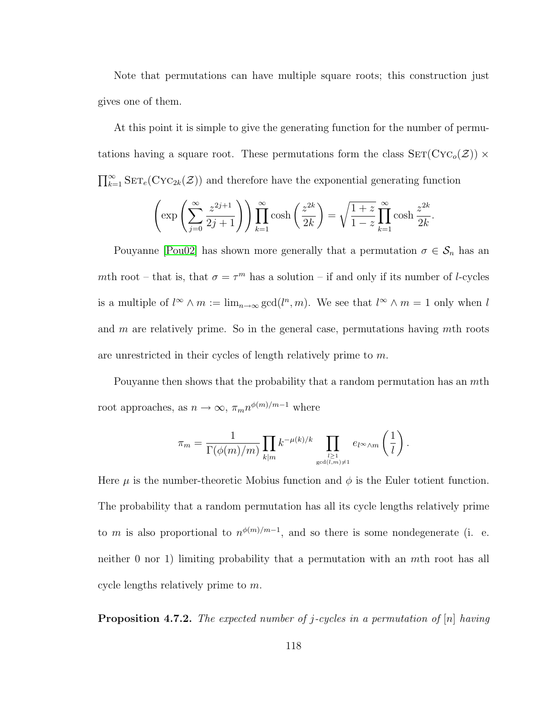Note that permutations can have multiple square roots; this construction just gives one of them.

At this point it is simple to give the generating function for the number of permutations having a square root. These permutations form the class  $\text{SET}(\text{Cyc}_o(\mathcal{Z})) \times$  $\prod_{k=1}^{\infty} \text{SET}_{e}(\text{Cyc}_{2k}(\mathcal{Z}))$  and therefore have the exponential generating function

$$
\left(\exp\left(\sum_{j=0}^{\infty}\frac{z^{2j+1}}{2j+1}\right)\right)\prod_{k=1}^{\infty}\cosh\left(\frac{z^{2k}}{2k}\right)=\sqrt{\frac{1+z}{1-z}}\prod_{k=1}^{\infty}\cosh\frac{z^{2k}}{2k}.
$$

Pouyanne [\[Pou02\]](#page-257-1) has shown more generally that a permutation  $\sigma \in \mathcal{S}_n$  has an mth root – that is, that  $\sigma = \tau^m$  has a solution – if and only if its number of *l*-cycles is a multiple of  $l^{\infty} \wedge m := \lim_{n \to \infty} \gcd(l^{n}, m)$ . We see that  $l^{\infty} \wedge m = 1$  only when l and  $m$  are relatively prime. So in the general case, permutations having  $m$ th roots are unrestricted in their cycles of length relatively prime to m.

Pouyanne then shows that the probability that a random permutation has an mth root approaches, as  $n \to \infty$ ,  $\pi_m n^{\phi(m)/m-1}$  where

$$
\pi_m = \frac{1}{\Gamma(\phi(m)/m)} \prod_{k|m} k^{-\mu(k)/k} \prod_{\substack{l \geq 1 \\ \gcd(l,m) \neq 1}} e_{l^{\infty} \wedge m} \left( \frac{1}{l} \right).
$$

Here  $\mu$  is the number-theoretic Mobius function and  $\phi$  is the Euler totient function. The probability that a random permutation has all its cycle lengths relatively prime to m is also proportional to  $n^{\phi(m)/m-1}$ , and so there is some nondegenerate (i. e. neither 0 nor 1) limiting probability that a permutation with an mth root has all cycle lengths relatively prime to m.

**Proposition 4.7.2.** The expected number of j-cycles in a permutation of  $[n]$  having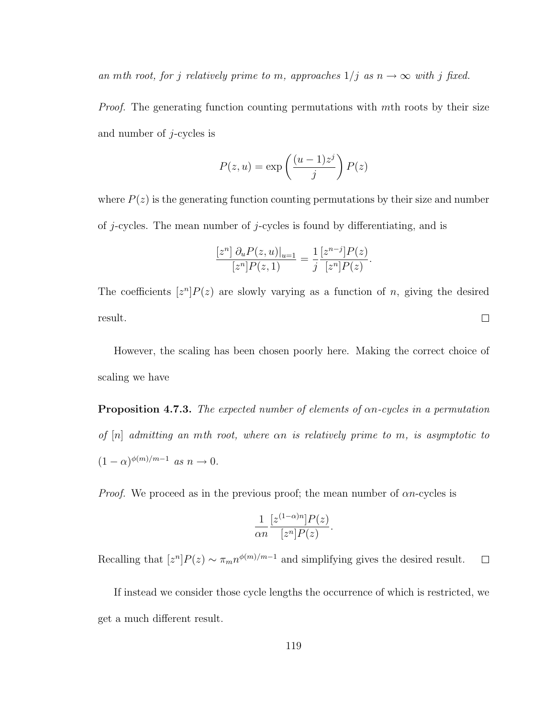an mth root, for j relatively prime to m, approaches  $1/j$  as  $n \to \infty$  with j fixed.

Proof. The generating function counting permutations with mth roots by their size and number of  $j$ -cycles is

$$
P(z, u) = \exp\left(\frac{(u - 1)z^{j}}{j}\right)P(z)
$$

where  $P(z)$  is the generating function counting permutations by their size and number of  $j$ -cycles. The mean number of  $j$ -cycles is found by differentiating, and is

$$
\frac{[z^n] \partial_u P(z, u)|_{u=1}}{[z^n]P(z, 1)} = \frac{1}{j} \frac{[z^{n-j}]P(z)}{[z^n]P(z)}.
$$

The coefficients  $[z^n]P(z)$  are slowly varying as a function of n, giving the desired result.  $\Box$ 

However, the scaling has been chosen poorly here. Making the correct choice of scaling we have

**Proposition 4.7.3.** The expected number of elements of  $\alpha n$ -cycles in a permutation of  $[n]$  admitting an mth root, where  $\alpha n$  is relatively prime to m, is asymptotic to  $(1-\alpha)^{\phi(m)/m-1}$  as  $n \to 0$ .

*Proof.* We proceed as in the previous proof; the mean number of  $\alpha n$ -cycles is

$$
\frac{1}{\alpha n} \frac{[z^{(1-\alpha)n}]P(z)}{[z^n]P(z)}.
$$

Recalling that  $[z^n]P(z) \sim \pi_m n^{\phi(m)/m-1}$  and simplifying gives the desired result.  $\Box$ 

If instead we consider those cycle lengths the occurrence of which is restricted, we get a much different result.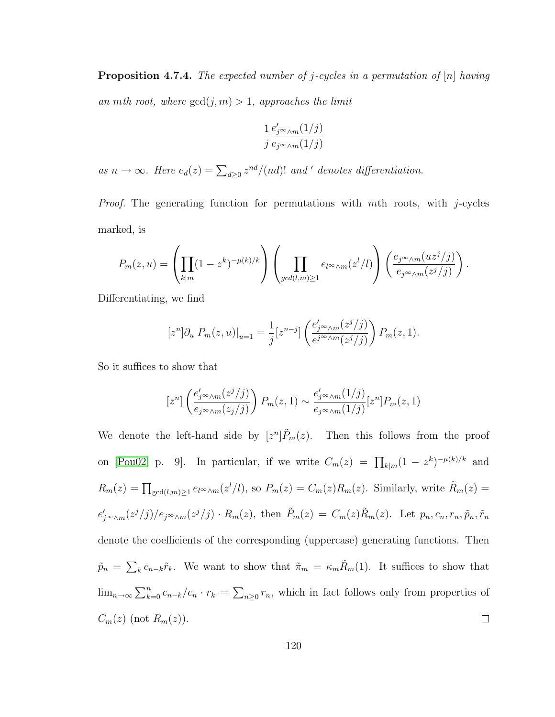# **Proposition 4.7.4.** The expected number of j-cycles in a permutation of  $[n]$  having an mth root, where  $gcd(j, m) > 1$ , approaches the limit

$$
\frac{1}{j} \frac{e'_{j^{\infty}\wedge m}(1/j)}{e_{j^{\infty}\wedge m}(1/j)}
$$

as  $n \to \infty$ . Here  $e_d(z) = \sum_{d \geq 0} z^{nd} / (nd)!$  and ' denotes differentiation.

*Proof.* The generating function for permutations with  $m$ th roots, with j-cycles marked, is

$$
P_m(z,u) = \left(\prod_{k|m} (1-z^k)^{-\mu(k)/k}\right) \left(\prod_{\gcd(l,m)\geq 1} e_{l^{\infty}\wedge m}(z^l/l)\right) \left(\frac{e_{j^{\infty}\wedge m}(uz^j/j)}{e_{j^{\infty}\wedge m}(z^j/j)}\right).
$$

Differentiating, we find

$$
[z^n]\partial_u P_m(z,u)|_{u=1} = \frac{1}{j}[z^{n-j}]\left(\frac{e'_{j\infty}\wedge m(z^j/j)}{e^{j\infty}\wedge m(z^j/j)}\right)P_m(z,1).
$$

So it suffices to show that

$$
[z^n] \left( \frac{e'_{j^{\infty}\wedge m}(z^j/j)}{e_{j^{\infty}\wedge m}(z_j/j)} \right) P_m(z,1) \sim \frac{e'_{j^{\infty}\wedge m}(1/j)}{e_{j^{\infty}\wedge m}(1/j)} [z^n] P_m(z,1)
$$

We denote the left-hand side by  $[z^n]\tilde{P}_m(z)$ . Then this follows from the proof on [\[Pou02,](#page-257-1) p. 9]. In particular, if we write  $C_m(z) = \prod_{k|m} (1 - z^k)^{-\mu(k)/k}$  and  $R_m(z) = \prod_{\gcd(l,m)\geq 1} e_{l^{\infty}\wedge m}(z^l/l)$ , so  $P_m(z) = C_m(z)R_m(z)$ . Similarly, write  $\tilde{R}_m(z) =$  $e'_{j\infty\wedge m}(z^j/j)/e_{j\infty\wedge m}(z^j/j)\cdot R_m(z)$ , then  $\tilde{P}_m(z) = C_m(z)\tilde{R}_m(z)$ . Let  $p_n, c_n, r_n, \tilde{p}_n, \tilde{r}_n$ denote the coefficients of the corresponding (uppercase) generating functions. Then  $\tilde{p}_n = \sum_k c_{n-k}\tilde{r}_k$ . We want to show that  $\tilde{\pi}_m = \kappa_m \tilde{R}_m(1)$ . It suffices to show that  $\lim_{n\to\infty}\sum_{k=0}^n c_{n-k}/c_n \cdot r_k = \sum_{n\geq 0} r_n$ , which in fact follows only from properties of  $C_m(z)$  (not  $R_m(z)$ ).  $\Box$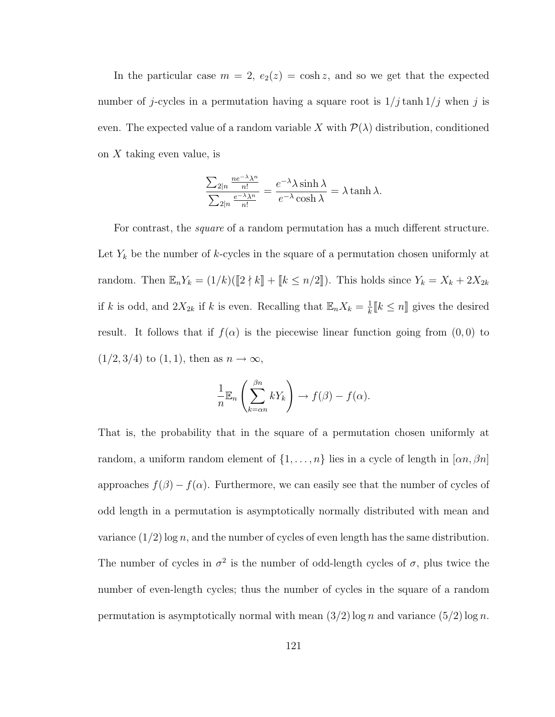In the particular case  $m = 2$ ,  $e_2(z) = \cosh z$ , and so we get that the expected number of j-cycles in a permutation having a square root is  $1/j \tanh 1/j$  when j is even. The expected value of a random variable X with  $\mathcal{P}(\lambda)$  distribution, conditioned on  $X$  taking even value, is

$$
\frac{\sum_{2|n} \frac{ne^{-\lambda}\lambda^n}{n!}}{\sum_{2|n} \frac{e^{-\lambda}\lambda^n}{n!}} = \frac{e^{-\lambda}\lambda \sinh \lambda}{e^{-\lambda} \cosh \lambda} = \lambda \tanh \lambda.
$$

For contrast, the square of a random permutation has a much different structure. Let  $Y_k$  be the number of k-cycles in the square of a permutation chosen uniformly at random. Then  $\mathbb{E}_n Y_k = (1/k)(\llbracket 2 \nmid k \rrbracket + \llbracket k \leq n/2 \rrbracket)$ . This holds since  $Y_k = X_k + 2X_{2k}$ if k is odd, and  $2X_{2k}$  if k is even. Recalling that  $\mathbb{E}_n X_k = \frac{1}{k}$  $\frac{1}{k}$ [ $k \leq n$ ] gives the desired result. It follows that if  $f(\alpha)$  is the piecewise linear function going from  $(0,0)$  to  $(1/2, 3/4)$  to  $(1, 1)$ , then as  $n \to \infty$ ,

$$
\frac{1}{n} \mathbb{E}_n \left( \sum_{k=\alpha n}^{\beta n} k Y_k \right) \to f(\beta) - f(\alpha).
$$

That is, the probability that in the square of a permutation chosen uniformly at random, a uniform random element of  $\{1, \ldots, n\}$  lies in a cycle of length in  $[\alpha n, \beta n]$ approaches  $f(\beta) - f(\alpha)$ . Furthermore, we can easily see that the number of cycles of odd length in a permutation is asymptotically normally distributed with mean and variance  $(1/2)$  log n, and the number of cycles of even length has the same distribution. The number of cycles in  $\sigma^2$  is the number of odd-length cycles of  $\sigma$ , plus twice the number of even-length cycles; thus the number of cycles in the square of a random permutation is asymptotically normal with mean  $(3/2)$  log n and variance  $(5/2)$  log n.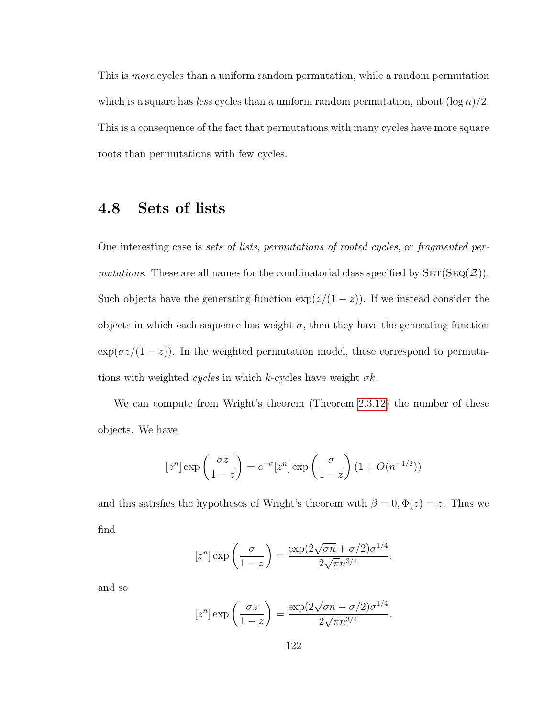This is more cycles than a uniform random permutation, while a random permutation which is a square has less cycles than a uniform random permutation, about  $(\log n)/2$ . This is a consequence of the fact that permutations with many cycles have more square roots than permutations with few cycles.

## 4.8 Sets of lists

One interesting case is sets of lists, permutations of rooted cycles, or fragmented permutations. These are all names for the combinatorial class specified by  $\text{SET}(\text{Seq}(\mathcal{Z}))$ . Such objects have the generating function  $\exp(z/(1-z))$ . If we instead consider the objects in which each sequence has weight  $\sigma$ , then they have the generating function  $\exp(\sigma z/(1-z))$ . In the weighted permutation model, these correspond to permutations with weighted cycles in which k-cycles have weight  $\sigma k$ .

We can compute from Wright's theorem (Theorem [2.3.12\)](#page-57-0) the number of these objects. We have

$$
[z^n] \exp\left(\frac{\sigma z}{1-z}\right) = e^{-\sigma} [z^n] \exp\left(\frac{\sigma}{1-z}\right) (1 + O(n^{-1/2}))
$$

and this satisfies the hypotheses of Wright's theorem with  $\beta = 0, \Phi(z) = z$ . Thus we find

$$
[z^n] \exp\left(\frac{\sigma}{1-z}\right) = \frac{\exp(2\sqrt{\sigma n} + \sigma/2)\sigma^{1/4}}{2\sqrt{\pi}n^{3/4}}.
$$

and so

$$
[z^n] \exp\left(\frac{\sigma z}{1-z}\right) = \frac{\exp(2\sqrt{\sigma n} - \sigma/2)\sigma^{1/4}}{2\sqrt{\pi}n^{3/4}}.
$$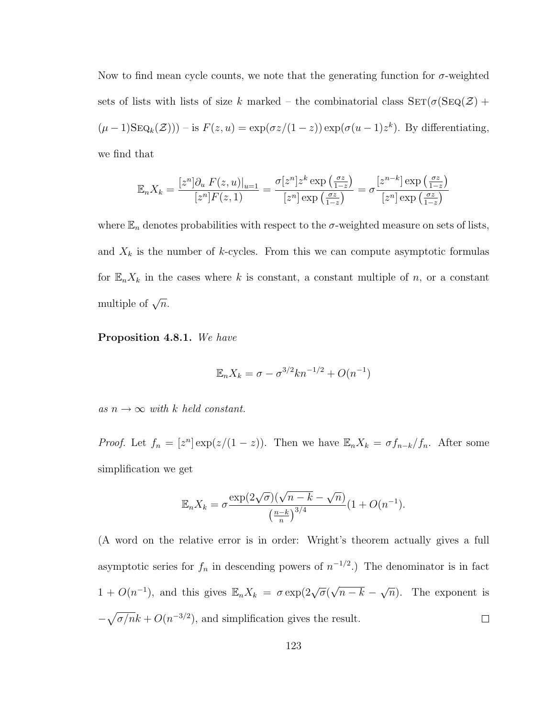Now to find mean cycle counts, we note that the generating function for  $\sigma$ -weighted sets of lists with lists of size k marked – the combinatorial class  $\text{SET}(\sigma(\text{Seq}(\mathcal{Z}) +$  $(\mu - 1)$ SEQ<sub>k</sub> $(\mathcal{Z}))$ ) – is  $F(z, u) = \exp(\sigma z/(1-z)) \exp(\sigma(u-1)z^k)$ . By differentiating, we find that

$$
\mathbb{E}_n X_k = \frac{[z^n] \partial_u F(z, u)|_{u=1}}{[z^n] F(z, 1)} = \frac{\sigma[z^n] z^k \exp\left(\frac{\sigma z}{1-z}\right)}{[z^n] \exp\left(\frac{\sigma z}{1-z}\right)} = \sigma \frac{[z^{n-k}] \exp\left(\frac{\sigma z}{1-z}\right)}{[z^n] \exp\left(\frac{\sigma z}{1-z}\right)}
$$

where  $\mathbb{E}_n$  denotes probabilities with respect to the  $\sigma$ -weighted measure on sets of lists, and  $X_k$  is the number of k-cycles. From this we can compute asymptotic formulas for  $\mathbb{E}_n X_k$  in the cases where k is constant, a constant multiple of n, or a constant multiple of  $\sqrt{n}$ .

Proposition 4.8.1. We have

$$
\mathbb{E}_n X_k = \sigma - \sigma^{3/2} k n^{-1/2} + O(n^{-1})
$$

as  $n \to \infty$  with k held constant.

*Proof.* Let  $f_n = [z^n] \exp(z/(1-z))$ . Then we have  $\mathbb{E}_n X_k = \sigma f_{n-k}/f_n$ . After some simplification we get

$$
\mathbb{E}_n X_k = \sigma \frac{\exp(2\sqrt{\sigma})(\sqrt{n-k} - \sqrt{n})}{(\frac{n-k}{n})^{3/4}} (1 + O(n^{-1})).
$$

(A word on the relative error is in order: Wright's theorem actually gives a full asymptotic series for  $f_n$  in descending powers of  $n^{-1/2}$ .) The denominator is in fact √  $1 + O(n^{-1})$ , and this gives  $\mathbb{E}_n X_k = \sigma \exp(2\sqrt{\sigma})$ √  $n-k \overline{n}$ ). The exponent is  $-\sqrt{\frac{\sigma}{nk}} + O(n^{-3/2})$ , and simplification gives the result.  $\Box$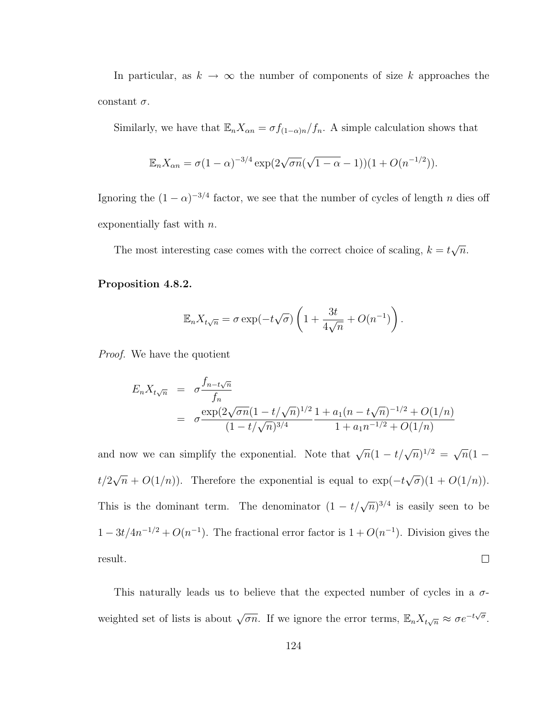In particular, as  $k \to \infty$  the number of components of size k approaches the constant  $\sigma$ .

Similarly, we have that  $\mathbb{E}_n X_{\alpha n} = \sigma f_{(1-\alpha)n}/f_n$ . A simple calculation shows that

$$
\mathbb{E}_n X_{\alpha n} = \sigma (1 - \alpha)^{-3/4} \exp(2\sqrt{\sigma n}(\sqrt{1 - \alpha} - 1))(1 + O(n^{-1/2})).
$$

Ignoring the  $(1 - \alpha)^{-3/4}$  factor, we see that the number of cycles of length n dies off exponentially fast with n.

The most interesting case comes with the correct choice of scaling,  $k = t$ √  $\overline{n}$ .

#### Proposition 4.8.2.

$$
\mathbb{E}_n X_{t\sqrt{n}} = \sigma \exp(-t\sqrt{\sigma}) \left( 1 + \frac{3t}{4\sqrt{n}} + O(n^{-1}) \right).
$$

Proof. We have the quotient

$$
E_n X_{t\sqrt{n}} = \sigma \frac{f_{n-t\sqrt{n}}}{f_n}
$$
  
= 
$$
\sigma \frac{\exp(2\sqrt{\sigma n}(1-t/\sqrt{n})^{1/2} \cdot 1 + a_1(n-t\sqrt{n})^{-1/2} + O(1/n)}{(1-t/\sqrt{n})^{3/4}} \frac{1 + a_1(n-t\sqrt{n})^{-1/2} + O(1/n)}
$$

and now we can simplify the exponential. Note that  $\sqrt{n}(1-t/\sqrt{n})^{1/2} = \sqrt{n}$  $\overline{n}(1 -$ √ √  $t/2$  $\overline{n} + O(1/n)$ . Therefore the exponential is equal to exp $(-t)$  $\overline{\sigma}$ )(1 + O(1/n)). This is the dominant term. The denominator  $(1 - t/\sqrt{n})^{3/4}$  is easily seen to be  $1-3t/4n^{-1/2}+O(n^{-1})$ . The fractional error factor is  $1+O(n^{-1})$ . Division gives the result.  $\Box$ 

This naturally leads us to believe that the expected number of cycles in a  $\sigma$ weighted set of lists is about  $\sqrt{\sigma n}$ . If we ignore the error terms,  $\mathbb{E}_n X_{t\sqrt{n}} \approx \sigma e^{-t\sqrt{\sigma}}$ .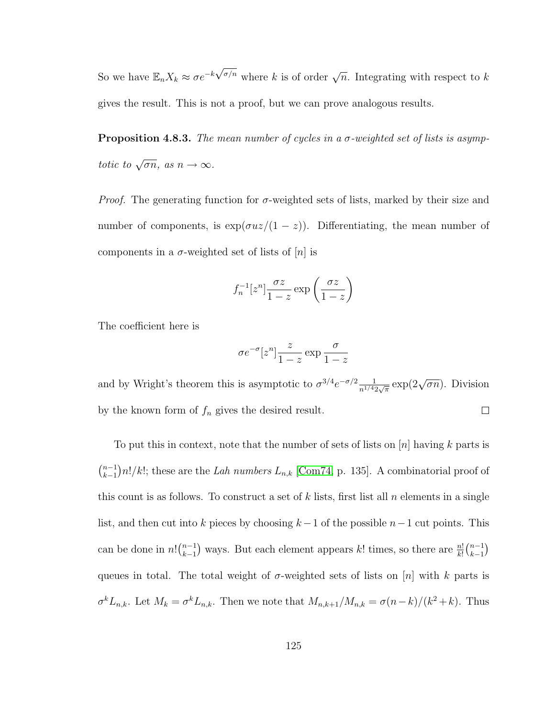So we have  $\mathbb{E}_n X_k \approx \sigma e^{-k}$  $\sqrt{\frac{\sigma}{n}}$  where k is of order  $\sqrt{n}$ . Integrating with respect to k gives the result. This is not a proof, but we can prove analogous results.

**Proposition 4.8.3.** The mean number of cycles in a  $\sigma$ -weighted set of lists is asymptotic to  $\sqrt{\sigma n}$ , as  $n \to \infty$ .

*Proof.* The generating function for  $\sigma$ -weighted sets of lists, marked by their size and number of components, is  $\exp(\sigma uz/(1-z))$ . Differentiating, the mean number of components in a  $\sigma$ -weighted set of lists of  $[n]$  is

$$
f_n^{-1}[z^n] \frac{\sigma z}{1-z} \exp\left(\frac{\sigma z}{1-z}\right)
$$

The coefficient here is

$$
\sigma e^{-\sigma} [z^n] \frac{z}{1-z} \exp \frac{\sigma}{1-z}
$$

 $\frac{1}{n^{1/4}2\sqrt{\pi}}\exp(2\sqrt{\sigma n})$ . Division and by Wright's theorem this is asymptotic to  $\sigma^{3/4}e^{-\sigma/2}\frac{1}{\sigma^{1/4}}$ by the known form of  $f_n$  gives the desired result.  $\Box$ 

To put this in context, note that the number of sets of lists on  $[n]$  having k parts is  $\binom{n-1}{k-1}$  $\binom{n-1}{k-1}n!/k!$ ; these are the Lah numbers  $L_{n,k}$  [\[Com74,](#page-249-0) p. 135]. A combinatorial proof of this count is as follows. To construct a set of  $k$  lists, first list all  $n$  elements in a single list, and then cut into k pieces by choosing  $k-1$  of the possible  $n-1$  cut points. This can be done in  $n! \binom{n-1}{k-1}$  $_{k-1}^{n-1}$ ) ways. But each element appears k! times, so there are  $\frac{n!}{k!} \binom{n-1}{k-1}$  $\binom{n-1}{k-1}$ queues in total. The total weight of  $\sigma$ -weighted sets of lists on [n] with k parts is  $\sigma^k L_{n,k}$ . Let  $M_k = \sigma^k L_{n,k}$ . Then we note that  $M_{n,k+1}/M_{n,k} = \sigma(n-k)/(k^2+k)$ . Thus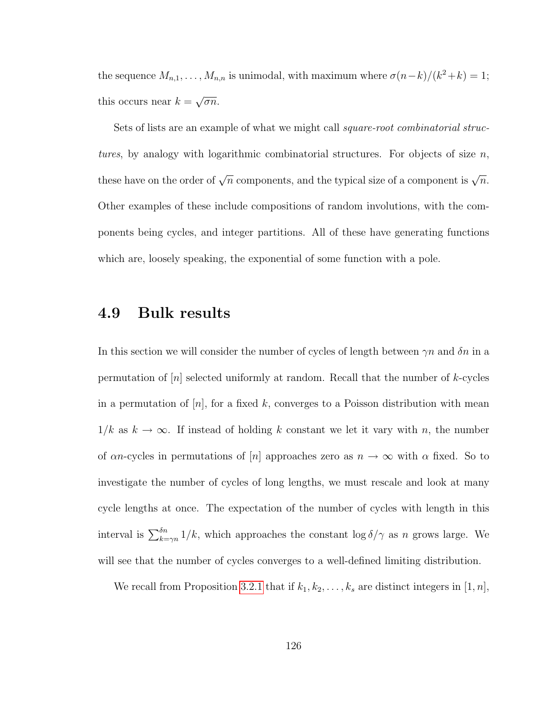the sequence  $M_{n,1}, \ldots, M_{n,n}$  is unimodal, with maximum where  $\sigma(n-k)/(k^2+k) = 1$ ; this occurs near  $k =$ √  $\overline{\sigma n}$ .

Sets of lists are an example of what we might call square-root combinatorial structures, by analogy with logarithmic combinatorial structures. For objects of size  $n$ , these have on the order of  $\sqrt{n}$  components, and the typical size of a component is  $\sqrt{n}$ . Other examples of these include compositions of random involutions, with the components being cycles, and integer partitions. All of these have generating functions which are, loosely speaking, the exponential of some function with a pole.

## 4.9 Bulk results

In this section we will consider the number of cycles of length between  $\gamma n$  and  $\delta n$  in a permutation of  $[n]$  selected uniformly at random. Recall that the number of k-cycles in a permutation of  $[n]$ , for a fixed k, converges to a Poisson distribution with mean  $1/k$  as  $k \to \infty$ . If instead of holding k constant we let it vary with n, the number of  $\alpha n$ -cycles in permutations of [n] approaches zero as  $n \to \infty$  with  $\alpha$  fixed. So to investigate the number of cycles of long lengths, we must rescale and look at many cycle lengths at once. The expectation of the number of cycles with length in this interval is  $\sum_{k=\gamma n}^{\delta n} 1/k$ , which approaches the constant  $\log \delta/\gamma$  as n grows large. We will see that the number of cycles converges to a well-defined limiting distribution.

We recall from Proposition [3.2.1](#page-67-0) that if  $k_1, k_2, \ldots, k_s$  are distinct integers in [1, n],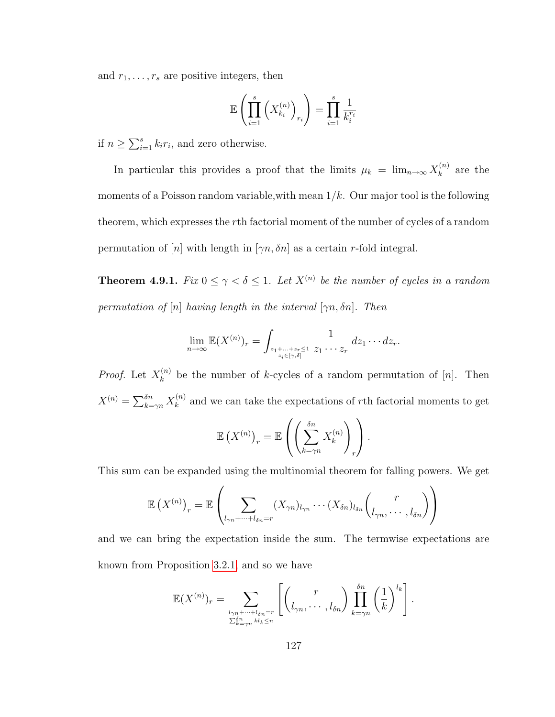and  $r_1, \ldots, r_s$  are positive integers, then

$$
\mathbb{E}\left(\prod_{i=1}^s \left(X_{k_i}^{(n)}\right)_{r_i}\right) = \prod_{i=1}^s \frac{1}{k_i^{r_i}}
$$

if  $n \geq \sum_{i=1}^{s} k_i r_i$ , and zero otherwise.

In particular this provides a proof that the limits  $\mu_k = \lim_{n \to \infty} X_k^{(n)}$  $\binom{n}{k}$  are the moments of a Poisson random variable, with mean  $1/k$ . Our major tool is the following theorem, which expresses the rth factorial moment of the number of cycles of a random permutation of [n] with length in  $[\gamma n, \delta n]$  as a certain r-fold integral.

<span id="page-138-0"></span>**Theorem 4.9.1.** Fix  $0 \leq \gamma < \delta \leq 1$ . Let  $X^{(n)}$  be the number of cycles in a random permutation of  $[n]$  having length in the interval  $[\gamma n, \delta n]$ . Then

$$
\lim_{n\to\infty} \mathbb{E}(X^{(n)})_r = \int_{\substack{z_1+\ldots+z_r\leq 1\\z_i\in[\gamma,\delta]}} \frac{1}{z_1\cdots z_r} dz_1\cdots dz_r.
$$

*Proof.* Let  $X_k^{(n)}$  $\binom{n}{k}$  be the number of k-cycles of a random permutation of  $[n]$ . Then  $X^{(n)} = \sum_{k=\gamma n}^{\delta n} X_k^{(n)}$  $\kappa_k^{(n)}$  and we can take the expectations of rth factorial moments to get

$$
\mathbb{E}\left(X^{(n)}\right)_r = \mathbb{E}\left(\left(\sum_{k=\gamma n}^{\delta n} X_k^{(n)}\right)_r\right).
$$

This sum can be expanded using the multinomial theorem for falling powers. We get

$$
\mathbb{E}\left(X^{(n)}\right)_r = \mathbb{E}\left(\sum_{l_{\gamma n}+\cdots+l_{\delta n}=r} (X_{\gamma n})_{l_{\gamma n}}\cdots (X_{\delta n})_{l_{\delta n}}\binom{r}{l_{\gamma n},\cdots,l_{\delta n}}\right)
$$

and we can bring the expectation inside the sum. The termwise expectations are known from Proposition [3.2.1,](#page-67-0) and so we have

$$
\mathbb{E}(X^{(n)})_r = \sum_{\substack{l_{\gamma n} + \dots + l_{\delta n} = r \\ \sum_{k=\gamma n}^{\delta n} k l_k \leq n}} \left[ \binom{r}{l_{\gamma n}, \dots, l_{\delta n}} \prod_{k=\gamma n}^{\delta n} \left( \frac{1}{k} \right)^{l_k} \right].
$$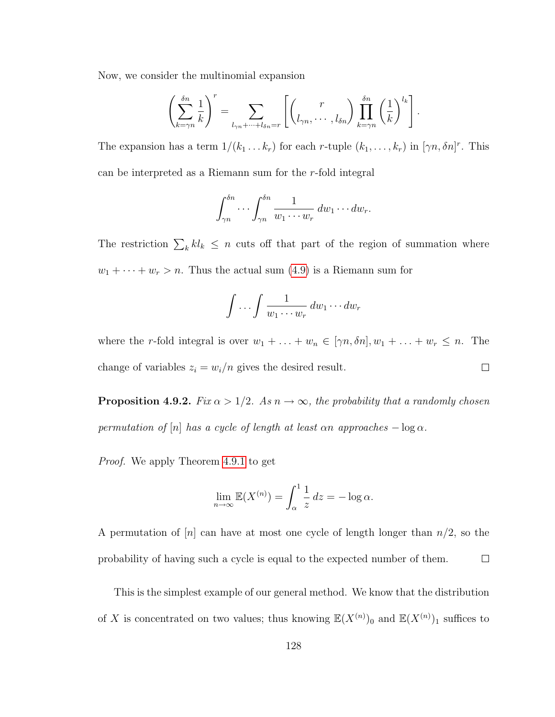Now, we consider the multinomial expansion

$$
\left(\sum_{k=\gamma n}^{\delta n} \frac{1}{k}\right)^r = \sum_{l_{\gamma n}+\dots+l_{\delta n}=r} \left[ \binom{r}{l_{\gamma n},\dots,l_{\delta n}} \prod_{k=\gamma n}^{\delta n} \left(\frac{1}{k}\right)^{l_k} \right].
$$

The expansion has a term  $1/(k_1 \ldots k_r)$  for each r-tuple  $(k_1, \ldots, k_r)$  in  $[\gamma n, \delta n]^r$ . This can be interpreted as a Riemann sum for the r-fold integral

$$
\int_{\gamma n}^{\delta n} \cdots \int_{\gamma n}^{\delta n} \frac{1}{w_1 \cdots w_r} \, dw_1 \cdots dw_r.
$$

The restriction  $\sum_k k l_k \leq n$  cuts off that part of the region of summation where  $w_1 + \cdots + w_r > n$ . Thus the actual sum [\(4.9\)](#page-138-0) is a Riemann sum for

$$
\int \ldots \int \frac{1}{w_1 \cdots w_r} \, dw_1 \cdots dw_r
$$

where the r-fold integral is over  $w_1 + \ldots + w_n \in [\gamma n, \delta n], w_1 + \ldots + w_r \leq n$ . The change of variables  $z_i = w_i/n$  gives the desired result.  $\Box$ 

<span id="page-139-0"></span>**Proposition 4.9.2.** Fix  $\alpha > 1/2$ . As  $n \to \infty$ , the probability that a randomly chosen permutation of  $[n]$  has a cycle of length at least  $\alpha n$  approaches  $-\log \alpha$ .

Proof. We apply Theorem [4.9.1](#page-138-0) to get

$$
\lim_{n \to \infty} \mathbb{E}(X^{(n)}) = \int_{\alpha}^{1} \frac{1}{z} dz = -\log \alpha.
$$

A permutation of  $[n]$  can have at most one cycle of length longer than  $n/2$ , so the  $\Box$ probability of having such a cycle is equal to the expected number of them.

This is the simplest example of our general method. We know that the distribution of X is concentrated on two values; thus knowing  $\mathbb{E}(X^{(n)})_0$  and  $\mathbb{E}(X^{(n)})_1$  suffices to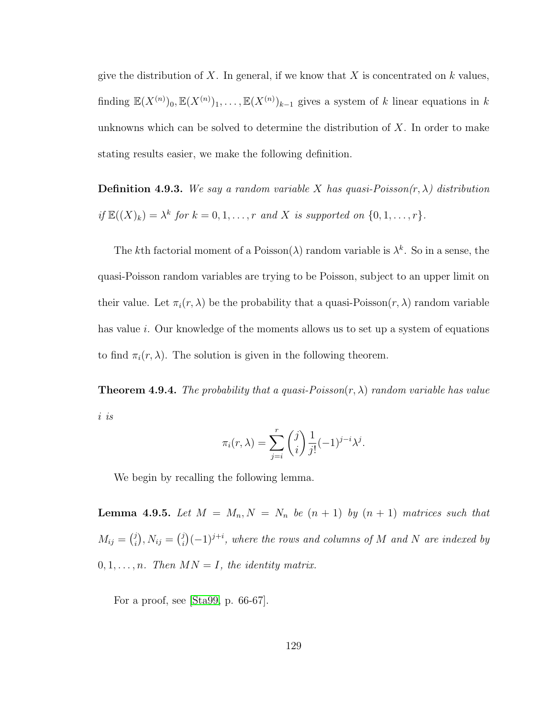give the distribution of X. In general, if we know that X is concentrated on  $k$  values, finding  $\mathbb{E}(X^{(n)})_0, \mathbb{E}(X^{(n)})_1, \ldots, \mathbb{E}(X^{(n)})_{k-1}$  gives a system of k linear equations in k unknowns which can be solved to determine the distribution of  $X$ . In order to make stating results easier, we make the following definition.

**Definition 4.9.3.** We say a random variable X has quasi-Poisson $(r, \lambda)$  distribution if  $\mathbb{E}((X)_k) = \lambda^k$  for  $k = 0, 1, \ldots, r$  and X is supported on  $\{0, 1, \ldots, r\}.$ 

The kth factorial moment of a Poisson( $\lambda$ ) random variable is  $\lambda^k$ . So in a sense, the quasi-Poisson random variables are trying to be Poisson, subject to an upper limit on their value. Let  $\pi_i(r, \lambda)$  be the probability that a quasi-Poisson $(r, \lambda)$  random variable has value *i*. Our knowledge of the moments allows us to set up a system of equations to find  $\pi_i(r, \lambda)$ . The solution is given in the following theorem.

<span id="page-140-0"></span>**Theorem 4.9.4.** The probability that a quasi-Poisson $(r, \lambda)$  random variable has value i is

$$
\pi_i(r,\lambda) = \sum_{j=i}^r \binom{j}{i} \frac{1}{j!} (-1)^{j-i} \lambda^j.
$$

<span id="page-140-1"></span>We begin by recalling the following lemma.

**Lemma 4.9.5.** Let  $M = M_n$ ,  $N = N_n$  be  $(n + 1)$  by  $(n + 1)$  matrices such that  $M_{ij} = \binom{j}{i}$  $\binom{j}{i}, N_{ij} = \binom{j}{i}$  $\mathcal{E}_i^{(j)}(-1)^{j+i}$ , where the rows and columns of M and N are indexed by  $0, 1, \ldots, n$ . Then  $MN = I$ , the identity matrix.

For a proof, see [\[Sta99,](#page-258-1) p. 66-67].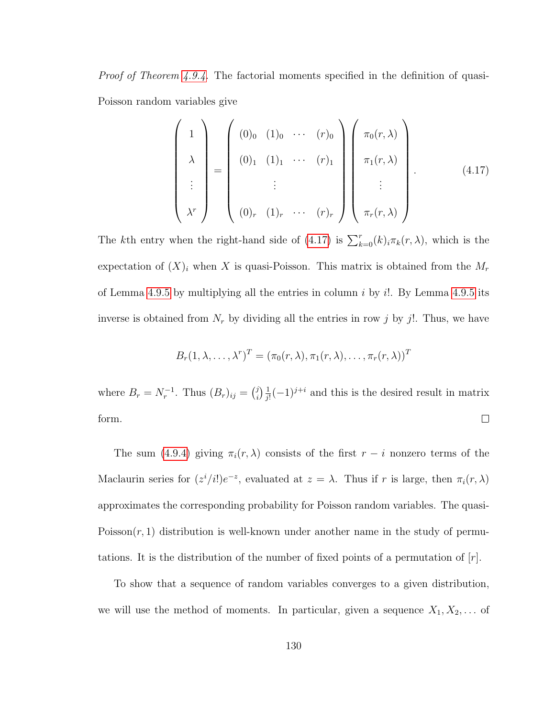Proof of Theorem [4.9.4.](#page-140-0) The factorial moments specified in the definition of quasi-Poisson random variables give

<span id="page-141-0"></span>
$$
\begin{pmatrix}\n1 \\
\lambda \\
\vdots \\
\lambda^r\n\end{pmatrix} = \begin{pmatrix}\n(0)_0 & (1)_0 & \cdots & (r)_0 \\
(0)_1 & (1)_1 & \cdots & (r)_1 \\
\vdots & & \vdots \\
(0)_r & (1)_r & \cdots & (r)_r\n\end{pmatrix} \begin{pmatrix}\n\pi_0(r,\lambda) \\
\pi_1(r,\lambda) \\
\vdots \\
\pi_r(r,\lambda)\n\end{pmatrix} .
$$
\n(4.17)

The kth entry when the right-hand side of [\(4.17\)](#page-141-0) is  $\sum_{k=0}^{r}(k)_{i}\pi_{k}(r,\lambda)$ , which is the expectation of  $(X)_i$  when X is quasi-Poisson. This matrix is obtained from the  $M_r$ of Lemma [4.9.5](#page-140-1) by multiplying all the entries in column  $i$  by  $i!$ . By Lemma 4.9.5 its inverse is obtained from  $N_r$  by dividing all the entries in row j by j!. Thus, we have

$$
B_r(1, \lambda, \ldots, \lambda^r)^T = (\pi_0(r, \lambda), \pi_1(r, \lambda), \ldots, \pi_r(r, \lambda))^T
$$

where  $B_r = N_r^{-1}$ . Thus  $(B_r)_{ij} = \binom{j}{i}$  $\binom{j}{i}\frac{1}{j!}$  $\frac{1}{j!}(-1)^{j+i}$  and this is the desired result in matrix  $\Box$ form.

The sum [\(4.9.4\)](#page-140-0) giving  $\pi_i(r, \lambda)$  consists of the first  $r - i$  nonzero terms of the Maclaurin series for  $(z^{i}/i!)e^{-z}$ , evaluated at  $z = \lambda$ . Thus if r is large, then  $\pi_i(r, \lambda)$ approximates the corresponding probability for Poisson random variables. The quasi-Poisson $(r, 1)$  distribution is well-known under another name in the study of permutations. It is the distribution of the number of fixed points of a permutation of  $[r]$ .

To show that a sequence of random variables converges to a given distribution, we will use the method of moments. In particular, given a sequence  $X_1, X_2, \ldots$  of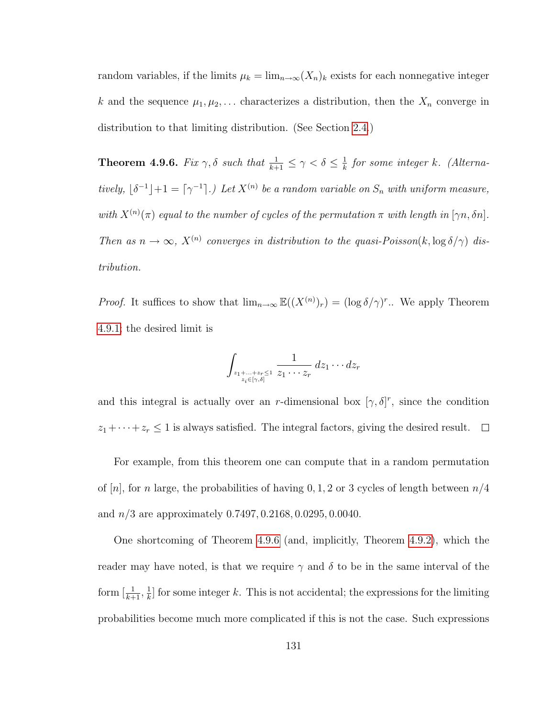random variables, if the limits  $\mu_k = \lim_{n \to \infty} (X_n)_k$  exists for each nonnegative integer k and the sequence  $\mu_1, \mu_2, \ldots$  characterizes a distribution, then the  $X_n$  converge in distribution to that limiting distribution. (See Section [2.4.](#page-58-0))

<span id="page-142-0"></span>**Theorem 4.9.6.** Fix  $\gamma$ ,  $\delta$  such that  $\frac{1}{k+1} \leq \gamma < \delta \leq \frac{1}{k}$  $\frac{1}{k}$  for some integer k. (Alternatively,  $\lfloor \delta^{-1} \rfloor + 1 = \lceil \gamma^{-1} \rceil$ .) Let  $X^{(n)}$  be a random variable on  $S_n$  with uniform measure, with  $X^{(n)}(\pi)$  equal to the number of cycles of the permutation  $\pi$  with length in  $[\gamma n, \delta n]$ . Then as  $n \to \infty$ ,  $X^{(n)}$  converges in distribution to the quasi-Poisson(k,  $\log \delta/\gamma$ ) distribution.

*Proof.* It suffices to show that  $\lim_{n\to\infty} \mathbb{E}((X^{(n)})_r) = (\log \delta/\gamma)^r$ . We apply Theorem [4.9.1;](#page-138-0) the desired limit is

$$
\int_{z_1+\ldots+z_r\leq 1}\frac{1}{z_1\cdots z_r}\,dz_1\cdots dz_r
$$

and this integral is actually over an r-dimensional box  $[\gamma, \delta]^r$ , since the condition  $z_1 + \cdots + z_r \leq 1$  is always satisfied. The integral factors, giving the desired result.  $\Box$ 

For example, from this theorem one can compute that in a random permutation of  $[n]$ , for n large, the probabilities of having 0, 1, 2 or 3 cycles of length between  $n/4$ and n/3 are approximately 0.7497, 0.2168, 0.0295, 0.0040.

One shortcoming of Theorem [4.9.6](#page-142-0) (and, implicitly, Theorem [4.9.2\)](#page-139-0), which the reader may have noted, is that we require  $\gamma$  and  $\delta$  to be in the same interval of the form  $\left[\frac{1}{k+1},\frac{1}{k}\right]$  $\frac{1}{k}$  for some integer k. This is not accidental; the expressions for the limiting probabilities become much more complicated if this is not the case. Such expressions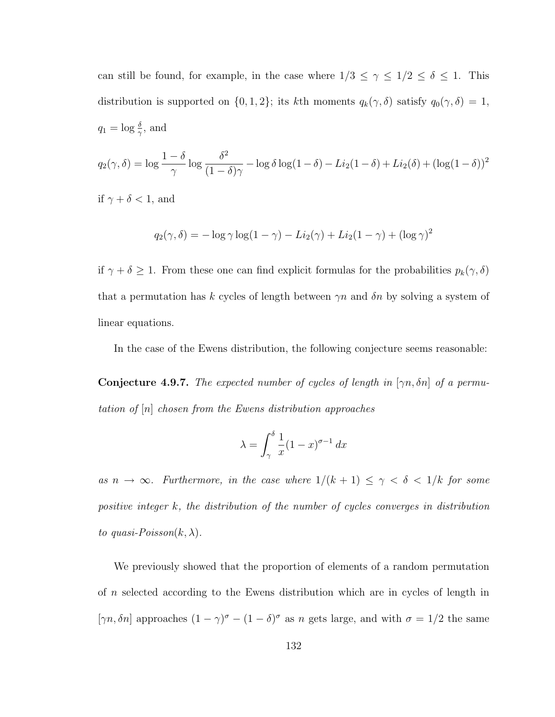can still be found, for example, in the case where  $1/3 \leq \gamma \leq 1/2 \leq \delta \leq 1$ . This distribution is supported on  $\{0, 1, 2\}$ ; its kth moments  $q_k(\gamma, \delta)$  satisfy  $q_0(\gamma, \delta) = 1$ ,  $q_1 = \log \frac{\delta}{\gamma}$ , and

$$
q_2(\gamma,\delta) = \log \frac{1-\delta}{\gamma} \log \frac{\delta^2}{(1-\delta)\gamma} - \log \delta \log(1-\delta) - Li_2(1-\delta) + Li_2(\delta) + (\log(1-\delta))^2
$$

if  $\gamma + \delta < 1$ , and

$$
q_2(\gamma,\delta) = -\log \gamma \log(1-\gamma) - Li_2(\gamma) + Li_2(1-\gamma) + (\log \gamma)^2
$$

if  $\gamma + \delta \geq 1$ . From these one can find explicit formulas for the probabilities  $p_k(\gamma, \delta)$ that a permutation has k cycles of length between  $\gamma n$  and  $\delta n$  by solving a system of linear equations.

In the case of the Ewens distribution, the following conjecture seems reasonable:

**Conjecture 4.9.7.** The expected number of cycles of length in  $[\gamma n, \delta n]$  of a permutation of [n] chosen from the Ewens distribution approaches

$$
\lambda = \int_{\gamma}^{\delta} \frac{1}{x} (1 - x)^{\sigma - 1} dx
$$

as  $n \to \infty$ . Furthermore, in the case where  $1/(k+1) \leq \gamma < \delta < 1/k$  for some positive integer k, the distribution of the number of cycles converges in distribution to quasi-Poisson $(k, \lambda)$ .

We previously showed that the proportion of elements of a random permutation of  $n$  selected according to the Ewens distribution which are in cycles of length in [ $\gamma n$ ,  $\delta n$ ] approaches  $(1 - \gamma)^{\sigma} - (1 - \delta)^{\sigma}$  as n gets large, and with  $\sigma = 1/2$  the same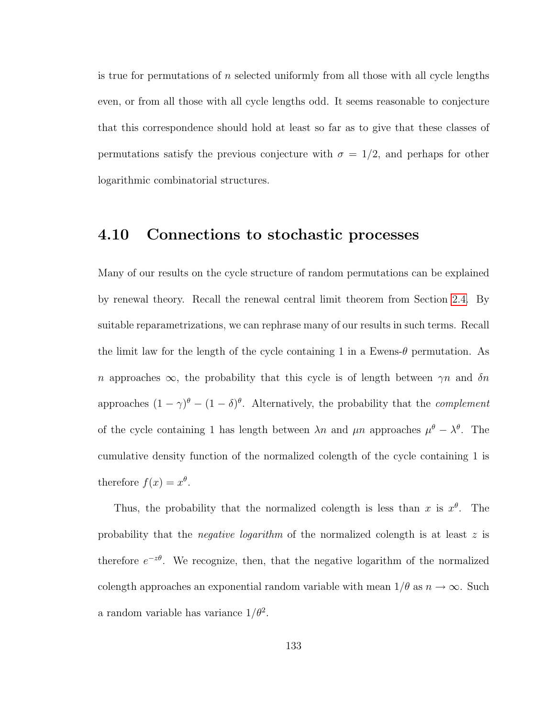is true for permutations of n selected uniformly from all those with all cycle lengths even, or from all those with all cycle lengths odd. It seems reasonable to conjecture that this correspondence should hold at least so far as to give that these classes of permutations satisfy the previous conjecture with  $\sigma = 1/2$ , and perhaps for other logarithmic combinatorial structures.

### 4.10 Connections to stochastic processes

Many of our results on the cycle structure of random permutations can be explained by renewal theory. Recall the renewal central limit theorem from Section [2.4.](#page-58-0) By suitable reparametrizations, we can rephrase many of our results in such terms. Recall the limit law for the length of the cycle containing 1 in a Ewens- $\theta$  permutation. As n approaches  $\infty$ , the probability that this cycle is of length between  $\gamma n$  and  $\delta n$ approaches  $(1 - \gamma)^{\theta} - (1 - \delta)^{\theta}$ . Alternatively, the probability that the *complement* of the cycle containing 1 has length between  $\lambda n$  and  $\mu n$  approaches  $\mu^{\theta} - \lambda^{\theta}$ . The cumulative density function of the normalized colength of the cycle containing 1 is therefore  $f(x) = x^{\theta}$ .

Thus, the probability that the normalized colength is less than x is  $x^{\theta}$ . The probability that the *negative logarithm* of the normalized colength is at least z is therefore  $e^{-z\theta}$ . We recognize, then, that the negative logarithm of the normalized colength approaches an exponential random variable with mean  $1/\theta$  as  $n \to \infty$ . Such a random variable has variance  $1/\theta^2$ .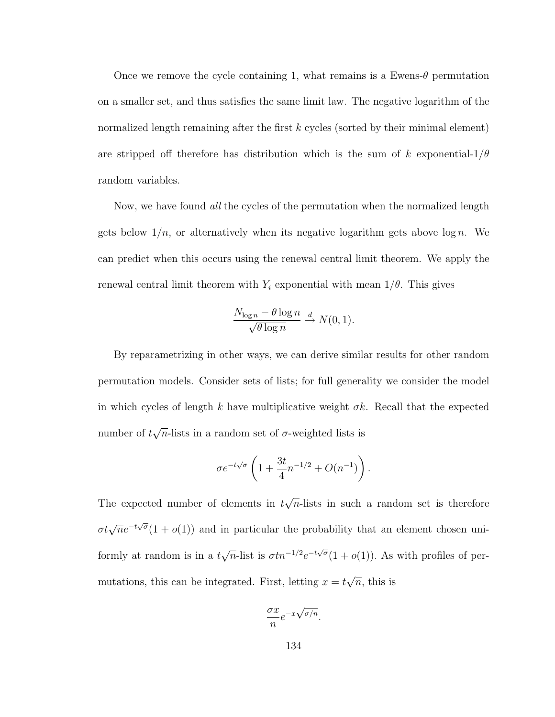Once we remove the cycle containing 1, what remains is a Ewens- $\theta$  permutation on a smaller set, and thus satisfies the same limit law. The negative logarithm of the normalized length remaining after the first  $k$  cycles (sorted by their minimal element) are stripped off therefore has distribution which is the sum of k exponential- $1/\theta$ random variables.

Now, we have found all the cycles of the permutation when the normalized length gets below  $1/n$ , or alternatively when its negative logarithm gets above log n. We can predict when this occurs using the renewal central limit theorem. We apply the renewal central limit theorem with  $Y_i$  exponential with mean  $1/\theta$ . This gives

$$
\frac{N_{\log n} - \theta \log n}{\sqrt{\theta \log n}} \xrightarrow{d} N(0, 1).
$$

By reparametrizing in other ways, we can derive similar results for other random permutation models. Consider sets of lists; for full generality we consider the model in which cycles of length k have multiplicative weight  $\sigma k$ . Recall that the expected number of  $t$ √  $\overline{n}$ -lists in a random set of  $\sigma$ -weighted lists is

$$
\sigma e^{-t\sqrt{\sigma}} \left( 1 + \frac{3t}{4} n^{-1/2} + O(n^{-1}) \right).
$$

The expected number of elements in  $t$ √  $\overline{n}$ -lists in such a random set is therefore  $\sigma t\sqrt{n}e^{-t\sqrt{\sigma}}(1+o(1))$  and in particular the probability that an element chosen uniformly at random is in a  $t$  $\sqrt{n}$ -list is  $\sigma t n^{-1/2} e^{-t\sqrt{\sigma}} (1 + o(1))$ . As with profiles of permutations, this can be integrated. First, letting  $x = t$ √  $\overline{n},$  this is

$$
\frac{\sigma x}{n} e^{-x\sqrt{\sigma/n}}.
$$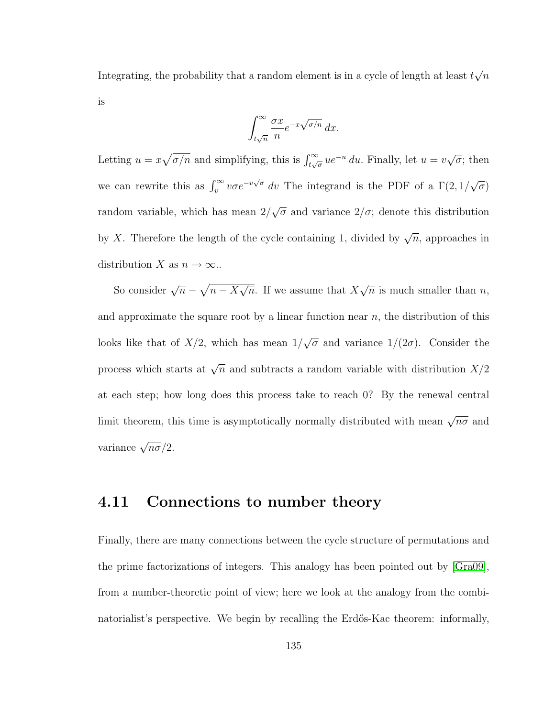Integrating, the probability that a random element is in a cycle of length at least  $t$ √  $\overline{n}$ is

$$
\int_{t\sqrt{n}}^{\infty} \frac{\sigma x}{n} e^{-x\sqrt{\sigma/n}} dx.
$$

Letting  $u = x\sqrt{\sigma/n}$  and simplifying, this is  $\int_{t\sqrt{\sigma}}^{\infty} ue^{-u} du$ . Finally, let  $u = v\sqrt{\sigma/n}$  $\overline{\sigma}$ ; then we can rewrite this as  $\int_v^{\infty} v \sigma e^{-v\sqrt{\sigma}} dv$  The integrand is the PDF of a  $\Gamma(2,1/\sqrt{\sigma})$  $\overline{\sigma})$ random variable, which has mean 2/ √  $\overline{\sigma}$  and variance  $2/\sigma$ ; denote this distribution by X. Therefore the length of the cycle containing 1, divided by  $\sqrt{n}$ , approaches in distribution X as  $n \to \infty$ ..

So consider  $\sqrt{n} - \sqrt{n - X}$  $<sup>′</sup>$ </sup>  $\overline{n}$ . If we assume that X √  $\overline{n}$  is much smaller than  $n$ , and approximate the square root by a linear function near  $n$ , the distribution of this looks like that of  $X/2$ , which has mean  $1/$ √  $\overline{\sigma}$  and variance  $1/(2\sigma)$ . Consider the process which starts at  $\sqrt{n}$  and subtracts a random variable with distribution  $X/2$ at each step; how long does this process take to reach 0? By the renewal central limit theorem, this time is asymptotically normally distributed with mean  $\sqrt{n\sigma}$  and variance  $\sqrt{n\sigma}/2$ .

#### 4.11 Connections to number theory

Finally, there are many connections between the cycle structure of permutations and the prime factorizations of integers. This analogy has been pointed out by [\[Gra09\]](#page-252-0), from a number-theoretic point of view; here we look at the analogy from the combinatorialist's perspective. We begin by recalling the Erdős-Kac theorem: informally,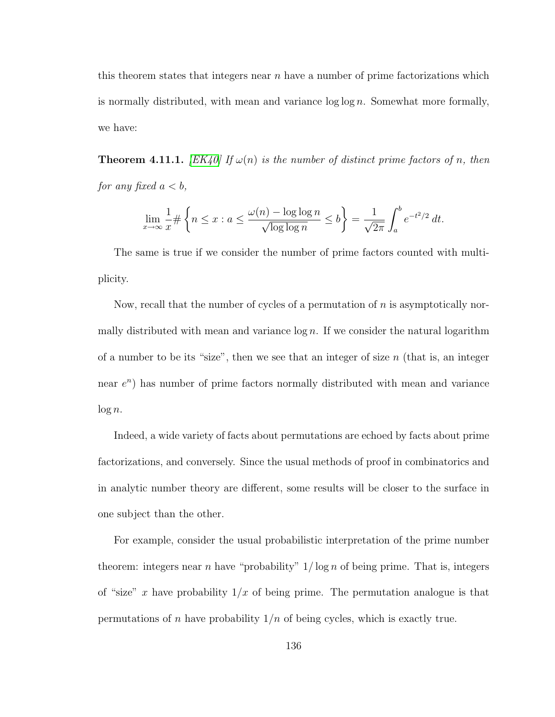this theorem states that integers near  $n$  have a number of prime factorizations which is normally distributed, with mean and variance  $\log \log n$ . Somewhat more formally, we have:

**Theorem 4.11.1.** [\[EK40\]](#page-250-0) If  $\omega(n)$  is the number of distinct prime factors of n, then for any fixed  $a < b$ ,

$$
\lim_{x \to \infty} \frac{1}{x} \# \left\{ n \le x : a \le \frac{\omega(n) - \log \log n}{\sqrt{\log \log n}} \le b \right\} = \frac{1}{\sqrt{2\pi}} \int_a^b e^{-t^2/2} dt.
$$

The same is true if we consider the number of prime factors counted with multiplicity.

Now, recall that the number of cycles of a permutation of n is asymptotically normally distributed with mean and variance  $\log n$ . If we consider the natural logarithm of a number to be its "size", then we see that an integer of size  $n$  (that is, an integer near  $e^n$ ) has number of prime factors normally distributed with mean and variance  $\log n$ .

Indeed, a wide variety of facts about permutations are echoed by facts about prime factorizations, and conversely. Since the usual methods of proof in combinatorics and in analytic number theory are different, some results will be closer to the surface in one subject than the other.

For example, consider the usual probabilistic interpretation of the prime number theorem: integers near n have "probability"  $1/\log n$  of being prime. That is, integers of "size" x have probability  $1/x$  of being prime. The permutation analogue is that permutations of n have probability  $1/n$  of being cycles, which is exactly true.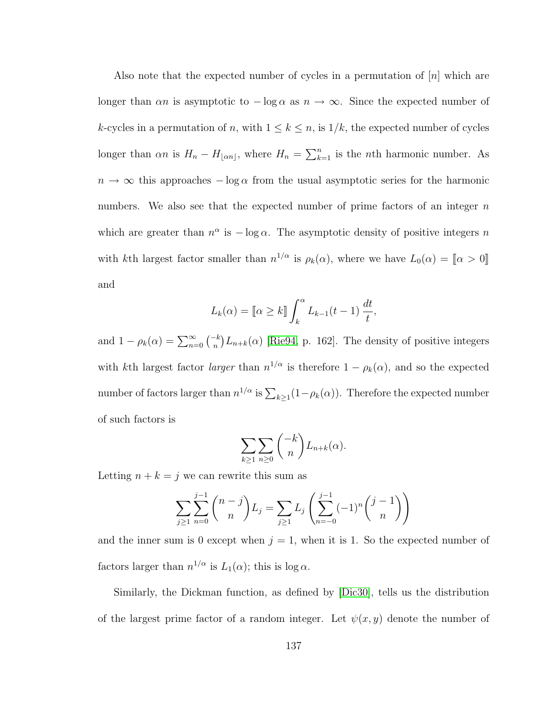Also note that the expected number of cycles in a permutation of  $[n]$  which are longer than  $\alpha n$  is asymptotic to  $-\log \alpha$  as  $n \to \infty$ . Since the expected number of k-cycles in a permutation of n, with  $1 \leq k \leq n$ , is  $1/k$ , the expected number of cycles longer than  $\alpha n$  is  $H_n - H_{\lfloor \alpha n \rfloor}$ , where  $H_n = \sum_{k=1}^n$  is the *n*th harmonic number. As  $n \to \infty$  this approaches  $- \log \alpha$  from the usual asymptotic series for the harmonic numbers. We also see that the expected number of prime factors of an integer  $n$ which are greater than  $n^{\alpha}$  is  $-\log \alpha$ . The asymptotic density of positive integers n with kth largest factor smaller than  $n^{1/\alpha}$  is  $\rho_k(\alpha)$ , where we have  $L_0(\alpha) = [\alpha > 0]$ and

$$
L_k(\alpha) = \left[\!\left[ \alpha \ge k \right]\!\right] \int_k^\alpha L_{k-1}(t-1) \, \frac{dt}{t},
$$

and  $1 - \rho_k(\alpha) = \sum_{n=0}^{\infty} {\binom{-k}{n}} L_{n+k}(\alpha)$  [\[Rie94,](#page-258-0) p. 162]. The density of positive integers with kth largest factor *larger* than  $n^{1/\alpha}$  is therefore  $1 - \rho_k(\alpha)$ , and so the expected number of factors larger than  $n^{1/\alpha}$  is  $\sum_{k\geq 1}(1-\rho_k(\alpha))$ . Therefore the expected number of such factors is

$$
\sum_{k\geq 1}\sum_{n\geq 0}\binom{-k}{n}L_{n+k}(\alpha).
$$

Letting  $n + k = j$  we can rewrite this sum as

$$
\sum_{j\geq 1} \sum_{n=0}^{j-1} {n-j \choose n} L_j = \sum_{j\geq 1} L_j \left( \sum_{n=-0}^{j-1} (-1)^n {j-1 \choose n} \right)
$$

and the inner sum is 0 except when  $j = 1$ , when it is 1. So the expected number of factors larger than  $n^{1/\alpha}$  is  $L_1(\alpha)$ ; this is  $\log \alpha$ .

Similarly, the Dickman function, as defined by [\[Dic30\]](#page-249-0), tells us the distribution of the largest prime factor of a random integer. Let  $\psi(x, y)$  denote the number of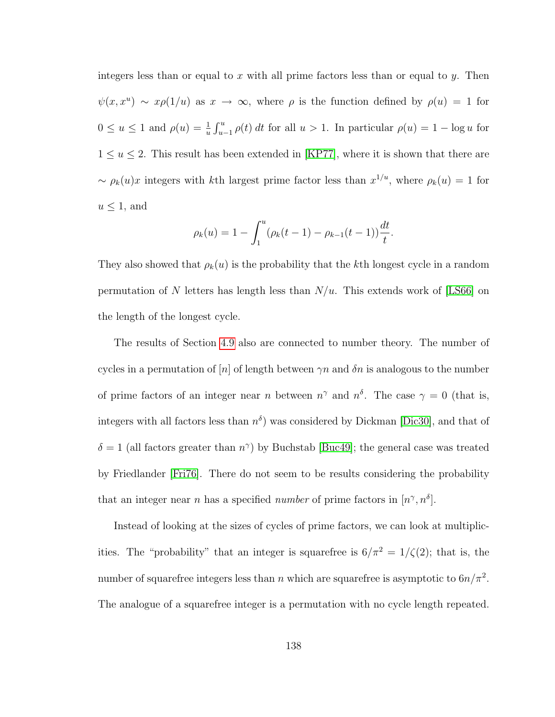integers less than or equal to x with all prime factors less than or equal to y. Then  $\psi(x, x^u) \sim x \rho(1/u)$  as  $x \to \infty$ , where  $\rho$  is the function defined by  $\rho(u) = 1$  for  $0 \le u \le 1$  and  $\rho(u) = \frac{1}{u} \int_{u-1}^{u} \rho(t) dt$  for all  $u > 1$ . In particular  $\rho(u) = 1 - \log u$  for  $1 \le u \le 2$ . This result has been extended in [\[KP77\]](#page-254-0), where it is shown that there are  $\sim \rho_k(u)x$  integers with kth largest prime factor less than  $x^{1/u}$ , where  $\rho_k(u) = 1$  for  $u \leq 1$ , and

$$
\rho_k(u) = 1 - \int_1^u (\rho_k(t-1) - \rho_{k-1}(t-1)) \frac{dt}{t}.
$$

They also showed that  $\rho_k(u)$  is the probability that the kth longest cycle in a random permutation of N letters has length less than  $N/u$ . This extends work of [\[LS66\]](#page-254-1) on the length of the longest cycle.

The results of Section [4.9](#page-137-0) also are connected to number theory. The number of cycles in a permutation of |n| of length between  $\gamma n$  and  $\delta n$  is analogous to the number of prime factors of an integer near n between  $n^{\gamma}$  and  $n^{\delta}$ . The case  $\gamma = 0$  (that is, integers with all factors less than  $n^{\delta}$ ) was considered by Dickman [\[Dic30\]](#page-249-0), and that of  $\delta = 1$  (all factors greater than  $n^{\gamma}$ ) by Buchstab [\[Buc49\]](#page-248-0); the general case was treated by Friedlander [\[Fri76\]](#page-251-0). There do not seem to be results considering the probability that an integer near *n* has a specified *number* of prime factors in  $[n^{\gamma}, n^{\delta}]$ .

Instead of looking at the sizes of cycles of prime factors, we can look at multiplicities. The "probability" that an integer is squarefree is  $6/\pi^2 = 1/\zeta(2)$ ; that is, the number of squarefree integers less than n which are squarefree is asymptotic to  $6n/\pi^2$ . The analogue of a squarefree integer is a permutation with no cycle length repeated.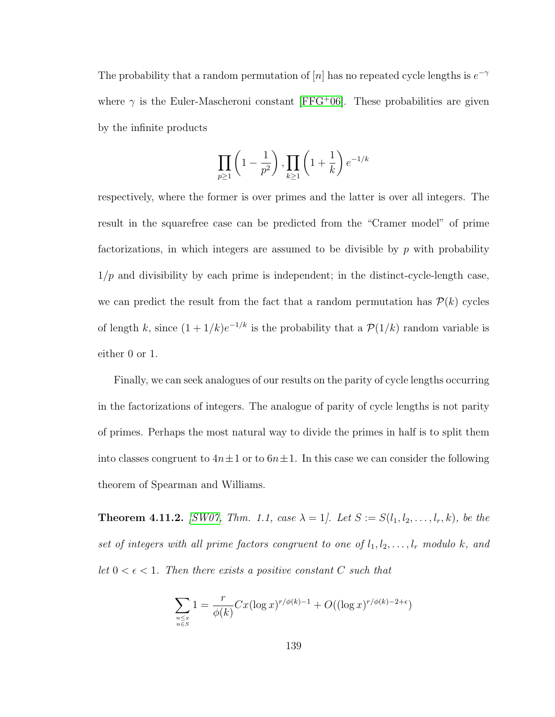The probability that a random permutation of [n] has no repeated cycle lengths is  $e^{-\gamma}$ where  $\gamma$  is the Euler-Mascheroni constant [\[FFG](#page-251-1)<sup>+</sup>06]. These probabilities are given by the infinite products

$$
\prod_{p\geq 1} \left(1 - \frac{1}{p^2}\right), \prod_{k\geq 1} \left(1 + \frac{1}{k}\right) e^{-1/k}
$$

respectively, where the former is over primes and the latter is over all integers. The result in the squarefree case can be predicted from the "Cramer model" of prime factorizations, in which integers are assumed to be divisible by  $p$  with probability  $1/p$  and divisibility by each prime is independent; in the distinct-cycle-length case, we can predict the result from the fact that a random permutation has  $\mathcal{P}(k)$  cycles of length k, since  $(1+1/k)e^{-1/k}$  is the probability that a  $\mathcal{P}(1/k)$  random variable is either 0 or 1.

Finally, we can seek analogues of our results on the parity of cycle lengths occurring in the factorizations of integers. The analogue of parity of cycle lengths is not parity of primes. Perhaps the most natural way to divide the primes in half is to split them into classes congruent to  $4n \pm 1$  or to  $6n \pm 1$ . In this case we can consider the following theorem of Spearman and Williams.

**Theorem 4.11.2.** [\[SW07,](#page-259-0) Thm. 1.1, case  $\lambda = 1$ ]. Let  $S := S(l_1, l_2, \ldots, l_r, k)$ , be the set of integers with all prime factors congruent to one of  $l_1, l_2, \ldots, l_r$  modulo k, and let  $0 < \epsilon < 1$ . Then there exists a positive constant C such that

$$
\sum_{\substack{n \le x \\ n \in S}} 1 = \frac{r}{\phi(k)} Cx(\log x)^{r/\phi(k)-1} + O((\log x)^{r/\phi(k)-2+\epsilon})
$$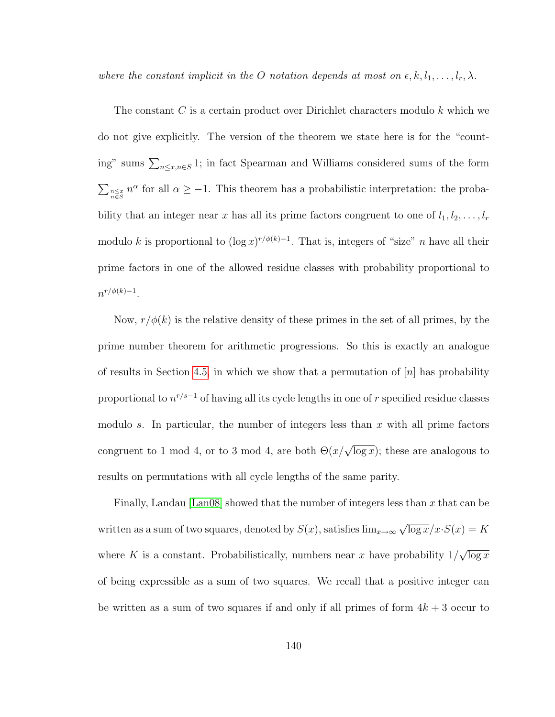where the constant implicit in the O notation depends at most on  $\epsilon, k, l_1, \ldots, l_r, \lambda$ .

The constant C is a certain product over Dirichlet characters modulo k which we do not give explicitly. The version of the theorem we state here is for the "counting" sums  $\sum_{n\leq x, n\in S} 1$ ; in fact Spearman and Williams considered sums of the form  $\sum_{n\leq x \atop n\in S} n^{\alpha}$  for all  $\alpha \geq -1$ . This theorem has a probabilistic interpretation: the probability that an integer near x has all its prime factors congruent to one of  $l_1, l_2, \ldots, l_r$ modulo k is proportional to  $(\log x)^{r/\phi(k)-1}$ . That is, integers of "size" *n* have all their prime factors in one of the allowed residue classes with probability proportional to  $n^{r/\phi(k)-1}.$ 

Now,  $r/\phi(k)$  is the relative density of these primes in the set of all primes, by the prime number theorem for arithmetic progressions. So this is exactly an analogue of results in Section [4.5,](#page-120-0) in which we show that a permutation of  $[n]$  has probability proportional to  $n^{r/s-1}$  of having all its cycle lengths in one of r specified residue classes modulo s. In particular, the number of integers less than x with all prime factors congruent to 1 mod 4, or to 3 mod 4, are both  $\Theta(x/\sqrt{\log x})$ ; these are analogous to results on permutations with all cycle lengths of the same parity.

Finally, Landau [\[Lan08\]](#page-254-2) showed that the number of integers less than x that can be written as a sum of two squares, denoted by  $S(x)$ , satisfies  $\lim_{x\to\infty} \sqrt{\log x}/x \cdot S(x) = K$ where K is a constant. Probabilistically, numbers near x have probability  $1/$ √  $\log x$ of being expressible as a sum of two squares. We recall that a positive integer can be written as a sum of two squares if and only if all primes of form  $4k + 3$  occur to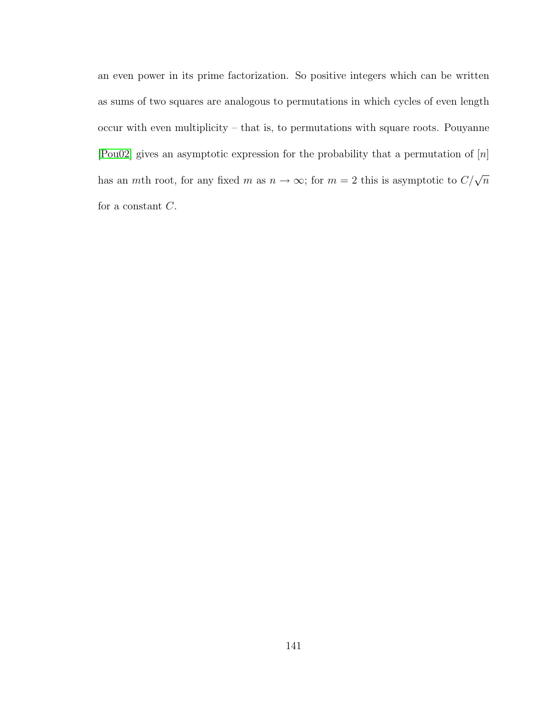an even power in its prime factorization. So positive integers which can be written as sums of two squares are analogous to permutations in which cycles of even length occur with even multiplicity – that is, to permutations with square roots. Pouyanne [\[Pou02\]](#page-257-0) gives an asymptotic expression for the probability that a permutation of [n] has an mth root, for any fixed m as  $n \to \infty$ ; for  $m = 2$  this is asymptotic to  $C/\sqrt{n}$ for a constant  $C$ .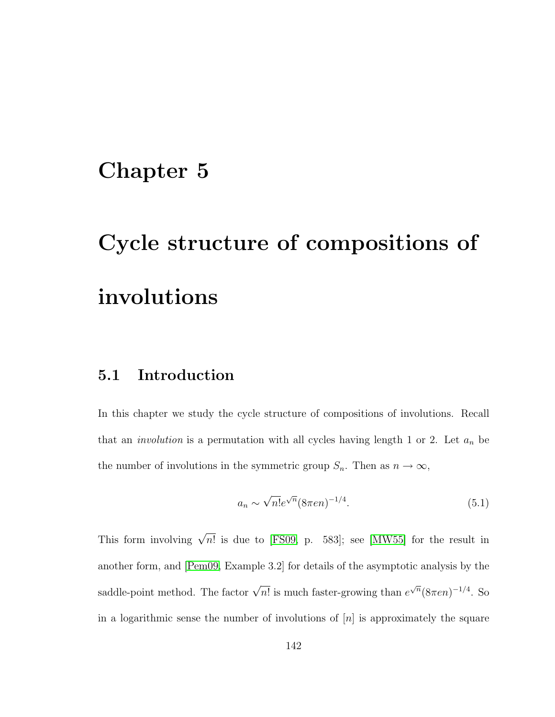### Chapter 5

# Cycle structure of compositions of involutions

### 5.1 Introduction

In this chapter we study the cycle structure of compositions of involutions. Recall that an *involution* is a permutation with all cycles having length 1 or 2. Let  $a_n$  be the number of involutions in the symmetric group  $S_n$ . Then as  $n \to \infty$ ,

<span id="page-153-0"></span>
$$
a_n \sim \sqrt{n!} e^{\sqrt{n}} (8\pi en)^{-1/4}.
$$
 (5.1)

This form involving  $\sqrt{n!}$  is due to [\[FS09,](#page-252-1) p. 583]; see [\[MW55\]](#page-256-0) for the result in another form, and [\[Pem09,](#page-257-1) Example 3.2] for details of the asymptotic analysis by the saddle-point method. The factor  $\sqrt{n!}$  is much faster-growing than  $e^{\sqrt{n}}(8\pi en)^{-1/4}$ . So in a logarithmic sense the number of involutions of  $[n]$  is approximately the square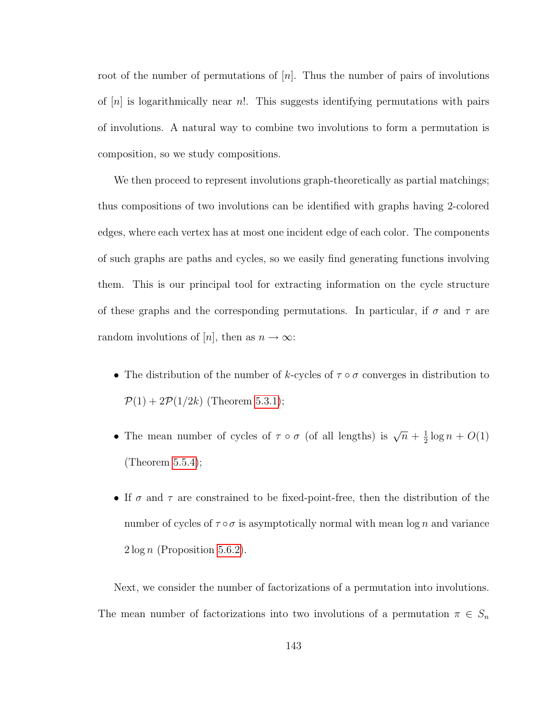root of the number of permutations of  $[n]$ . Thus the number of pairs of involutions of  $[n]$  is logarithmically near n!. This suggests identifying permutations with pairs of involutions. A natural way to combine two involutions to form a permutation is composition, so we study compositions.

We then proceed to represent involutions graph-theoretically as partial matchings; thus compositions of two involutions can be identified with graphs having 2-colored edges, where each vertex has at most one incident edge of each color. The components of such graphs are paths and cycles, so we easily find generating functions involving them. This is our principal tool for extracting information on the cycle structure of these graphs and the corresponding permutations. In particular, if  $\sigma$  and  $\tau$  are random involutions of [n], then as  $n \to \infty$ :

- The distribution of the number of k-cycles of  $\tau \circ \sigma$  converges in distribution to  $\mathcal{P}(1) + 2\mathcal{P}(1/2k)$  (Theorem [5.3.1\)](#page-160-0);
- The mean number of cycles of  $\tau \circ \sigma$  (of all lengths) is  $\sqrt{n} + \frac{1}{2}$  $\frac{1}{2} \log n + O(1)$ (Theorem [5.5.4\)](#page-168-0);
- If  $\sigma$  and  $\tau$  are constrained to be fixed-point-free, then the distribution of the number of cycles of  $\tau \circ \sigma$  is asymptotically normal with mean log n and variance  $2 \log n$  (Proposition [5.6.2\)](#page-169-0).

Next, we consider the number of factorizations of a permutation into involutions. The mean number of factorizations into two involutions of a permutation  $\pi \in S_n$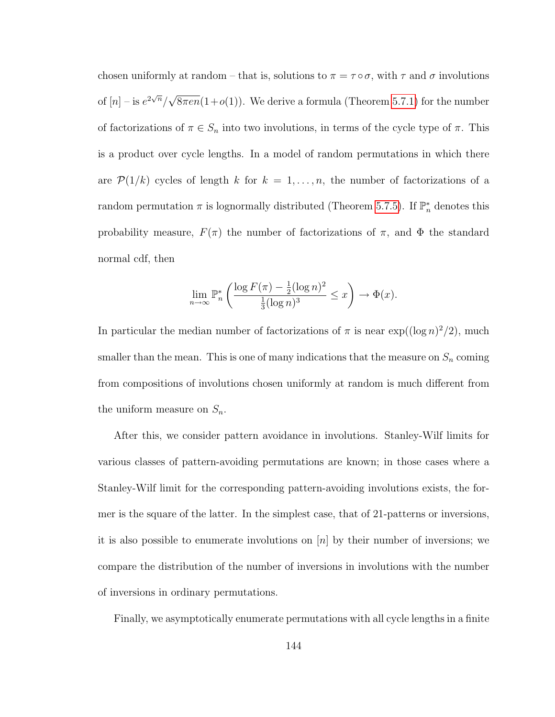chosen uniformly at random – that is, solutions to  $\pi = \tau \circ \sigma$ , with  $\tau$  and  $\sigma$  involutions of  $[n]$  – is  $e^{2\sqrt{n}}/$ √  $8\pi en(1+o(1))$ . We derive a formula (Theorem [5.7.1\)](#page-172-0) for the number of factorizations of  $\pi \in S_n$  into two involutions, in terms of the cycle type of  $\pi$ . This is a product over cycle lengths. In a model of random permutations in which there are  $\mathcal{P}(1/k)$  cycles of length k for  $k = 1, \ldots, n$ , the number of factorizations of a random permutation  $\pi$  is lognormally distributed (Theorem [5.7.5\)](#page-177-0). If  $\mathbb{P}^*_n$  denotes this probability measure,  $F(\pi)$  the number of factorizations of  $\pi$ , and  $\Phi$  the standard normal cdf, then

$$
\lim_{n \to \infty} \mathbb{P}_n^* \left( \frac{\log F(\pi) - \frac{1}{2} (\log n)^2}{\frac{1}{3} (\log n)^3} \le x \right) \to \Phi(x).
$$

In particular the median number of factorizations of  $\pi$  is near  $\exp((\log n)^2/2)$ , much smaller than the mean. This is one of many indications that the measure on  $S_n$  coming from compositions of involutions chosen uniformly at random is much different from the uniform measure on  $S_n$ .

After this, we consider pattern avoidance in involutions. Stanley-Wilf limits for various classes of pattern-avoiding permutations are known; in those cases where a Stanley-Wilf limit for the corresponding pattern-avoiding involutions exists, the former is the square of the latter. In the simplest case, that of 21-patterns or inversions, it is also possible to enumerate involutions on  $[n]$  by their number of inversions; we compare the distribution of the number of inversions in involutions with the number of inversions in ordinary permutations.

Finally, we asymptotically enumerate permutations with all cycle lengths in a finite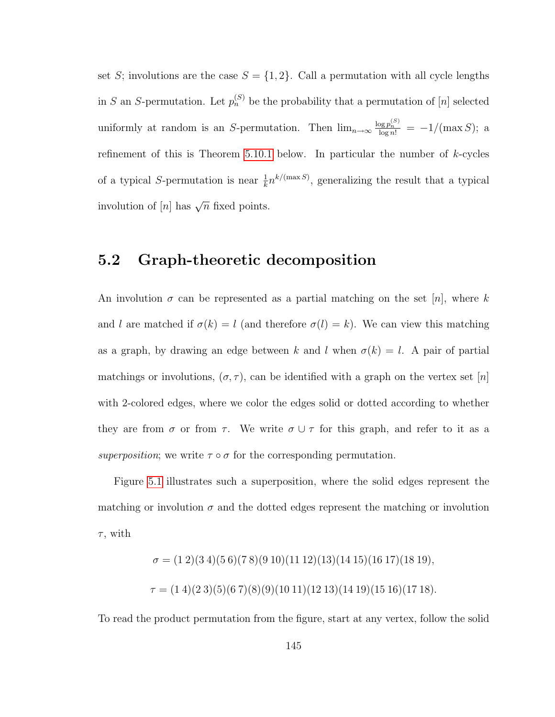set S; involutions are the case  $S = \{1, 2\}$ . Call a permutation with all cycle lengths in S an S-permutation. Let  $p_n^{(S)}$  be the probability that a permutation of [n] selected uniformly at random is an S-permutation. Then  $\lim_{n\to\infty} \frac{\log p_n^{(S)}}{\log n!} = -1/(\max S)$ ; a refinement of this is Theorem  $5.10.1$  below. In particular the number of k-cycles of a typical S-permutation is near  $\frac{1}{k}n^{k/(\max S)}$ , generalizing the result that a typical involution of  $[n]$  has  $\sqrt{n}$  fixed points.

### 5.2 Graph-theoretic decomposition

An involution  $\sigma$  can be represented as a partial matching on the set  $[n]$ , where k and l are matched if  $\sigma(k) = l$  (and therefore  $\sigma(l) = k$ ). We can view this matching as a graph, by drawing an edge between k and l when  $\sigma(k) = l$ . A pair of partial matchings or involutions,  $(\sigma, \tau)$ , can be identified with a graph on the vertex set [n] with 2-colored edges, where we color the edges solid or dotted according to whether they are from  $\sigma$  or from  $\tau$ . We write  $\sigma \cup \tau$  for this graph, and refer to it as a superposition; we write  $\tau \circ \sigma$  for the corresponding permutation.

Figure [5.1](#page-157-0) illustrates such a superposition, where the solid edges represent the matching or involution  $\sigma$  and the dotted edges represent the matching or involution  $\tau$ , with

> $\sigma = (1 2)(3 4)(5 6)(7 8)(9 10)(11 12)(13)(14 15)(16 17)(18 19),$  $\tau = (1\ 4)(2\ 3)(5)(6\ 7)(8)(9)(10\ 11)(12\ 13)(14\ 19)(15\ 16)(17\ 18).$

To read the product permutation from the figure, start at any vertex, follow the solid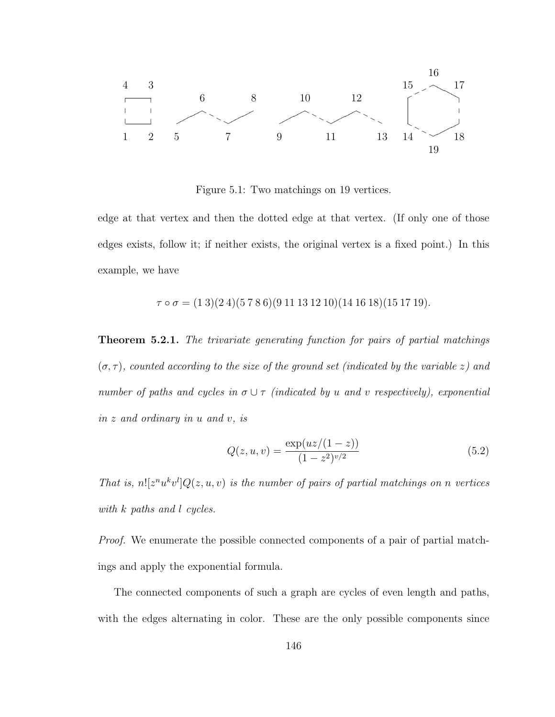

<span id="page-157-0"></span>Figure 5.1: Two matchings on 19 vertices.

edge at that vertex and then the dotted edge at that vertex. (If only one of those edges exists, follow it; if neither exists, the original vertex is a fixed point.) In this example, we have

$$
\tau \circ \sigma = (1\ 3)(2\ 4)(5\ 7\ 8\ 6)(9\ 11\ 13\ 12\ 10)(14\ 16\ 18)(15\ 17\ 19).
$$

<span id="page-157-2"></span>Theorem 5.2.1. The trivariate generating function for pairs of partial matchings  $(\sigma, \tau)$ , counted according to the size of the ground set (indicated by the variable z) and number of paths and cycles in  $\sigma \cup \tau$  (indicated by u and v respectively), exponential in z and ordinary in u and v, is

<span id="page-157-1"></span>
$$
Q(z, u, v) = \frac{\exp(uz/(1-z))}{(1-z^2)^{v/2}}
$$
\n(5.2)

That is,  $n![z^n u^k v^l]Q(z, u, v)$  is the number of pairs of partial matchings on n vertices with k paths and l cycles.

Proof. We enumerate the possible connected components of a pair of partial matchings and apply the exponential formula.

The connected components of such a graph are cycles of even length and paths, with the edges alternating in color. These are the only possible components since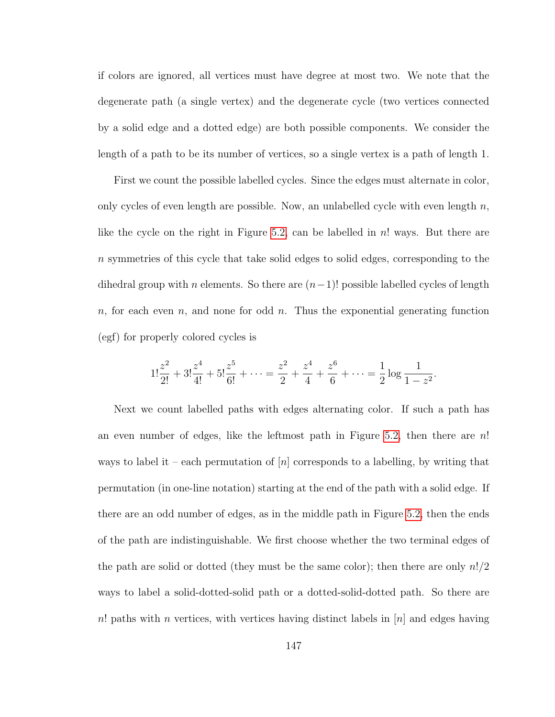if colors are ignored, all vertices must have degree at most two. We note that the degenerate path (a single vertex) and the degenerate cycle (two vertices connected by a solid edge and a dotted edge) are both possible components. We consider the length of a path to be its number of vertices, so a single vertex is a path of length 1.

First we count the possible labelled cycles. Since the edges must alternate in color, only cycles of even length are possible. Now, an unlabelled cycle with even length  $n$ , like the cycle on the right in Figure [5.2,](#page-157-1) can be labelled in  $n!$  ways. But there are n symmetries of this cycle that take solid edges to solid edges, corresponding to the dihedral group with n elements. So there are  $(n-1)!$  possible labelled cycles of length n, for each even n, and none for odd n. Thus the exponential generating function (egf) for properly colored cycles is

$$
1!\frac{z^2}{2!} + 3!\frac{z^4}{4!} + 5!\frac{z^5}{6!} + \dots = \frac{z^2}{2} + \frac{z^4}{4} + \frac{z^6}{6} + \dots = \frac{1}{2}\log\frac{1}{1-z^2}.
$$

Next we count labelled paths with edges alternating color. If such a path has an even number of edges, like the leftmost path in Figure [5.2,](#page-157-1) then there are  $n!$ ways to label it – each permutation of  $[n]$  corresponds to a labelling, by writing that permutation (in one-line notation) starting at the end of the path with a solid edge. If there are an odd number of edges, as in the middle path in Figure [5.2,](#page-157-1) then the ends of the path are indistinguishable. We first choose whether the two terminal edges of the path are solid or dotted (they must be the same color); then there are only  $n!/2$ ways to label a solid-dotted-solid path or a dotted-solid-dotted path. So there are n! paths with n vertices, with vertices having distinct labels in  $[n]$  and edges having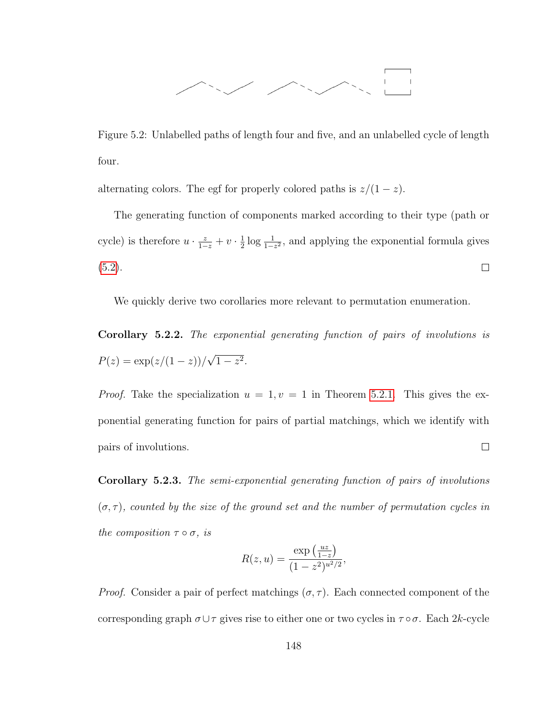

Figure 5.2: Unlabelled paths of length four and five, and an unlabelled cycle of length four.

alternating colors. The egf for properly colored paths is  $z/(1-z)$ .

The generating function of components marked according to their type (path or cycle) is therefore  $u \cdot \frac{z}{1-z} + v \cdot \frac{1}{2}$  $\frac{1}{2} \log \frac{1}{1-z^2}$ , and applying the exponential formula gives  $(5.2).$  $(5.2).$  $\Box$ 

We quickly derive two corollaries more relevant to permutation enumeration.

Corollary 5.2.2. The exponential generating function of pairs of involutions is  $P(z) = \exp(z/(1-z))/$ √  $1 - z^2$ .

*Proof.* Take the specialization  $u = 1, v = 1$  in Theorem [5.2.1.](#page-157-2) This gives the exponential generating function for pairs of partial matchings, which we identify with pairs of involutions.  $\Box$ 

<span id="page-159-0"></span>Corollary 5.2.3. The semi-exponential generating function of pairs of involutions  $(\sigma, \tau)$ , counted by the size of the ground set and the number of permutation cycles in the composition  $\tau \circ \sigma$ , is

$$
R(z, u) = \frac{\exp\left(\frac{uz}{1-z}\right)}{(1-z^2)^{u^2/2}},
$$

*Proof.* Consider a pair of perfect matchings  $(\sigma, \tau)$ . Each connected component of the corresponding graph  $\sigma \cup \tau$  gives rise to either one or two cycles in  $\tau \circ \sigma$ . Each 2k-cycle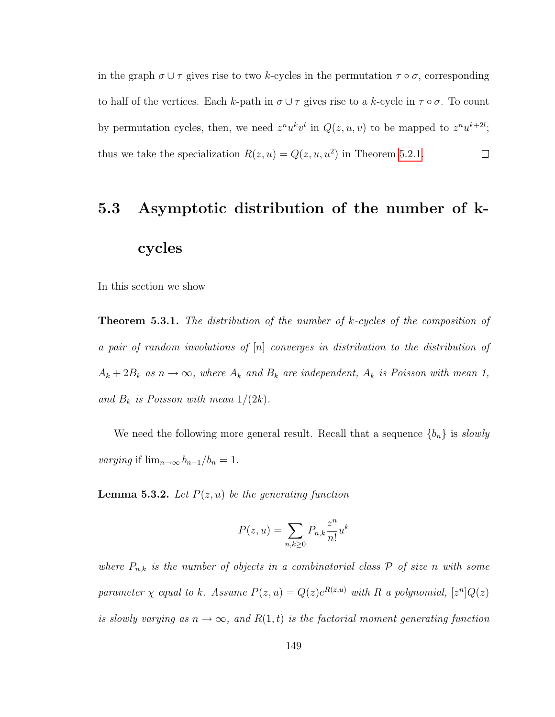in the graph  $\sigma \cup \tau$  gives rise to two k-cycles in the permutation  $\tau \circ \sigma$ , corresponding to half of the vertices. Each k-path in  $\sigma \cup \tau$  gives rise to a k-cycle in  $\tau \circ \sigma$ . To count by permutation cycles, then, we need  $z^n u^k v^l$  in  $Q(z, u, v)$  to be mapped to  $z^n u^{k+2l}$ ; thus we take the specialization  $R(z, u) = Q(z, u, u^2)$  in Theorem [5.2.1.](#page-157-2)  $\Box$ 

## 5.3 Asymptotic distribution of the number of kcycles

<span id="page-160-0"></span>In this section we show

**Theorem 5.3.1.** The distribution of the number of k-cycles of the composition of a pair of random involutions of [n] converges in distribution to the distribution of  $A_k + 2B_k$  as  $n \to \infty$ , where  $A_k$  and  $B_k$  are independent,  $A_k$  is Poisson with mean 1, and  $B_k$  is Poisson with mean  $1/(2k)$ .

We need the following more general result. Recall that a sequence  ${b_n}$  is slowly varying if  $\lim_{n\to\infty} b_{n-1}/b_n = 1$ .

<span id="page-160-1"></span>**Lemma 5.3.2.** Let  $P(z, u)$  be the generating function

$$
P(z, u) = \sum_{n,k \ge 0} P_{n,k} \frac{z^n}{n!} u^k
$$

where  $P_{n,k}$  is the number of objects in a combinatorial class  $P$  of size n with some parameter  $\chi$  equal to k. Assume  $P(z, u) = Q(z)e^{R(z, u)}$  with R a polynomial,  $[z^n]Q(z)$ is slowly varying as  $n \to \infty$ , and  $R(1,t)$  is the factorial moment generating function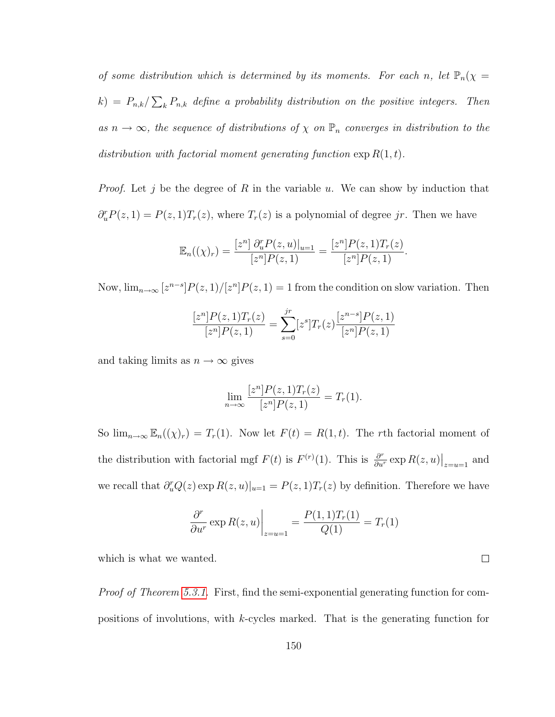of some distribution which is determined by its moments. For each n, let  $\mathbb{P}_n(\chi =$  $\delta(k) = P_{n,k}/\sum_k P_{n,k}$  define a probability distribution on the positive integers. Then as  $n \to \infty$ , the sequence of distributions of  $\chi$  on  $\mathbb{P}_n$  converges in distribution to the distribution with factorial moment generating function  $\exp R(1,t)$ .

*Proof.* Let j be the degree of R in the variable u. We can show by induction that  $\partial_{u}^{r}P(z,1) = P(z,1)T_{r}(z)$ , where  $T_{r}(z)$  is a polynomial of degree jr. Then we have

$$
\mathbb{E}_n((\chi)_r) = \frac{[z^n] \partial_u^n P(z, u)|_{u=1}}{[z^n]P(z, 1)} = \frac{[z^n]P(z, 1)T_r(z)}{[z^n]P(z, 1)}.
$$

Now,  $\lim_{n\to\infty} [z^{n-s}]P(z,1)/[z^n]P(z,1)=1$  from the condition on slow variation. Then

$$
\frac{[z^n]P(z,1)T_r(z)}{[z^n]P(z,1)} = \sum_{s=0}^{jr} [z^s]T_r(z)\frac{[z^{n-s}]P(z,1)}{[z^n]P(z,1)}
$$

and taking limits as  $n \to \infty$  gives

$$
\lim_{n \to \infty} \frac{[z^n]P(z, 1)T_r(z)}{[z^n]P(z, 1)} = T_r(1).
$$

So  $\lim_{n\to\infty} \mathbb{E}_n((\chi)_r) = T_r(1)$ . Now let  $F(t) = R(1, t)$ . The rth factorial moment of the distribution with factorial mgf  $F(t)$  is  $F^{(r)}(1)$ . This is  $\frac{\partial^r}{\partial u^r} \exp R(z, u)|_{z=u=1}$  and we recall that  $\partial_u^r Q(z) \exp R(z, u)|_{u=1} = P(z, 1)T_r(z)$  by definition. Therefore we have

$$
\left. \frac{\partial^r}{\partial u^r} \exp R(z, u) \right|_{z=u=1} = \frac{P(1, 1)T_r(1)}{Q(1)} = T_r(1)
$$

which is what we wanted.

Proof of Theorem [5.3.1.](#page-160-0) First, find the semi-exponential generating function for compositions of involutions, with k-cycles marked. That is the generating function for

 $\Box$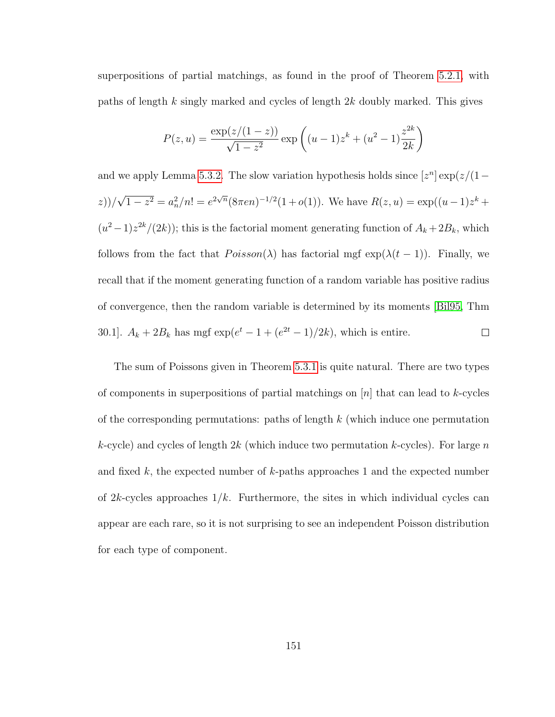superpositions of partial matchings, as found in the proof of Theorem [5.2.1,](#page-157-2) with paths of length k singly marked and cycles of length 2k doubly marked. This gives

$$
P(z, u) = \frac{\exp(z/(1-z))}{\sqrt{1-z^2}} \exp\left((u-1)z^k + (u^2 - 1)\frac{z^{2k}}{2k}\right)
$$

and we apply Lemma [5.3.2.](#page-160-1) The slow variation hypothesis holds since  $[z^n]$  exp $(z/(1-\epsilon))$ √  $\overline{1-z^2} = a_n^2/n! = e^{2\sqrt{n}}(8\pi en)^{-1/2}(1+o(1)).$  We have  $R(z, u) = \exp((u-1)z^k + a^2z^2)$ z))/  $(u^2-1)z^{2k}/(2k)$ ; this is the factorial moment generating function of  $A_k+2B_k$ , which follows from the fact that  $Poisson(\lambda)$  has factorial mgf  $exp(\lambda(t-1))$ . Finally, we recall that if the moment generating function of a random variable has positive radius of convergence, then the random variable is determined by its moments [\[Bil95,](#page-247-0) Thm 30.1].  $A_k + 2B_k$  has mgf  $\exp(e^t - 1 + (e^{2t} - 1)/2k)$ , which is entire.  $\Box$ 

The sum of Poissons given in Theorem [5.3.1](#page-160-0) is quite natural. There are two types of components in superpositions of partial matchings on  $[n]$  that can lead to k-cycles of the corresponding permutations: paths of length  $k$  (which induce one permutation k-cycle) and cycles of length  $2k$  (which induce two permutation k-cycles). For large n and fixed  $k$ , the expected number of  $k$ -paths approaches 1 and the expected number of  $2k$ -cycles approaches  $1/k$ . Furthermore, the sites in which individual cycles can appear are each rare, so it is not surprising to see an independent Poisson distribution for each type of component.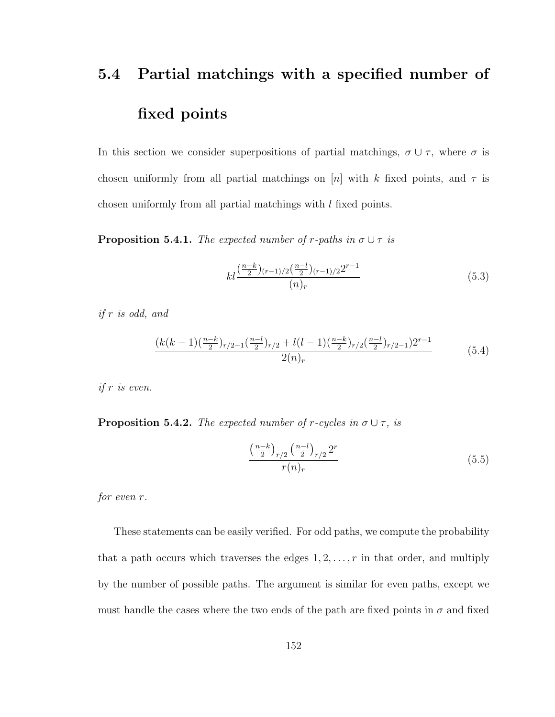### 5.4 Partial matchings with a specified number of fixed points

In this section we consider superpositions of partial matchings,  $\sigma \cup \tau$ , where  $\sigma$  is chosen uniformly from all partial matchings on [n] with k fixed points, and  $\tau$  is chosen uniformly from all partial matchings with l fixed points.

<span id="page-163-0"></span>**Proposition 5.4.1.** The expected number of r-paths in  $\sigma \cup \tau$  is

$$
kl\frac{\left(\frac{n-k}{2}\right)(r-1)/2\left(\frac{n-l}{2}\right)(r-1)/22^{r-1}}{(n)_r} \tag{5.3}
$$

if r is odd, and

$$
\frac{(k(k-1)(\frac{n-k}{2})_{r/2-1}(\frac{n-l}{2})_{r/2} + l(l-1)(\frac{n-k}{2})_{r/2}(\frac{n-l}{2})_{r/2-1})2^{r-1}}{2(n)_r} \tag{5.4}
$$

if r is even.

<span id="page-163-1"></span>**Proposition 5.4.2.** The expected number of r-cycles in  $\sigma \cup \tau$ , is

$$
\frac{\left(\frac{n-k}{2}\right)_{r/2} \left(\frac{n-l}{2}\right)_{r/2} 2^r}{r(n)_r} \tag{5.5}
$$

for even r.

These statements can be easily verified. For odd paths, we compute the probability that a path occurs which traverses the edges  $1, 2, \ldots, r$  in that order, and multiply by the number of possible paths. The argument is similar for even paths, except we must handle the cases where the two ends of the path are fixed points in  $\sigma$  and fixed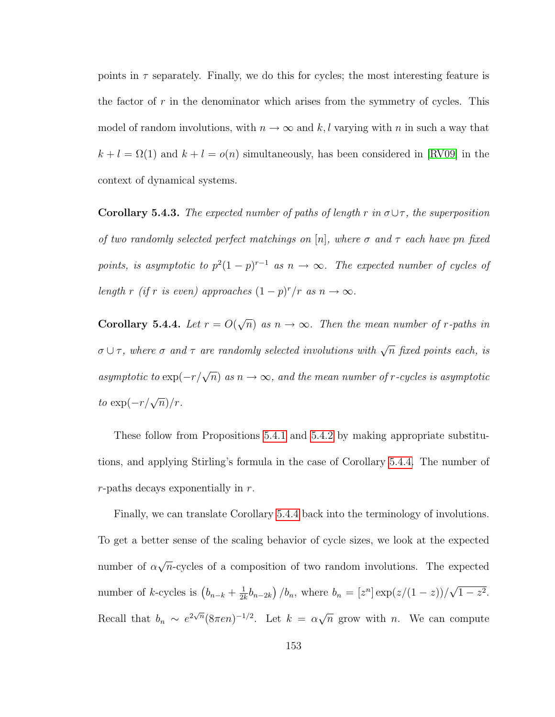points in  $\tau$  separately. Finally, we do this for cycles; the most interesting feature is the factor of  $r$  in the denominator which arises from the symmetry of cycles. This model of random involutions, with  $n \to \infty$  and k, l varying with n in such a way that  $k + l = \Omega(1)$  and  $k + l = o(n)$  simultaneously, has been considered in [\[RV09\]](#page-258-1) in the context of dynamical systems.

Corollary 5.4.3. The expected number of paths of length r in  $\sigma \cup \tau$ , the superposition of two randomly selected perfect matchings on  $[n]$ , where  $\sigma$  and  $\tau$  each have pn fixed points, is asymptotic to  $p^2(1-p)^{r-1}$  as  $n \to \infty$ . The expected number of cycles of length r (if r is even) approaches  $(1-p)^r/r$  as  $n \to \infty$ .

<span id="page-164-0"></span>Corollary 5.4.4. Let  $r = O(r)$ √  $\overline{n})$  as  $n \to \infty$ . Then the mean number of r-paths in  $\sigma \cup \tau$ , where  $\sigma$  and  $\tau$  are randomly selected involutions with  $\sqrt{n}$  fixed points each, is asymptotic to  $\exp(-r/\sqrt{n})$  as  $n \to \infty$ , and the mean number of r-cycles is asymptotic to  $\exp(-r/\sqrt{n})/r$ .

These follow from Propositions [5.4.1](#page-163-0) and [5.4.2](#page-163-1) by making appropriate substitutions, and applying Stirling's formula in the case of Corollary [5.4.4.](#page-164-0) The number of  $r$ -paths decays exponentially in  $r$ .

Finally, we can translate Corollary [5.4.4](#page-164-0) back into the terminology of involutions. To get a better sense of the scaling behavior of cycle sizes, we look at the expected number of  $\alpha$ √  $\overline{n}$ -cycles of a composition of two random involutions. The expected number of k-cycles is  $(b_{n-k} + \frac{1}{2l})$  $\frac{1}{2k}b_{n-2k}\right)/b_n$ , where  $b_n = [z^n] \exp(z/(1-z))/$ √  $\overline{1-z^2}$ . Recall that  $b_n \sim e^{2\sqrt{n}} (8\pi en)^{-1/2}$ . Let  $k = \alpha$ √  $\overline{n}$  grow with *n*. We can compute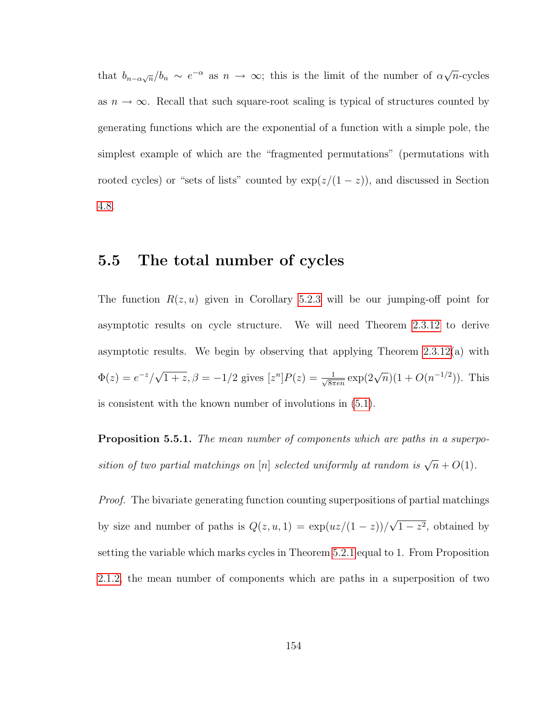that  $b_{n-\alpha\sqrt{n}}/b_n \sim e^{-\alpha}$  as  $n \to \infty$ ; this is the limit of the number of  $\alpha\sqrt{n}$  $\overline{n}$ -cycles as  $n \to \infty$ . Recall that such square-root scaling is typical of structures counted by generating functions which are the exponential of a function with a simple pole, the simplest example of which are the "fragmented permutations" (permutations with rooted cycles) or "sets of lists" counted by  $\exp(z/(1-z))$ , and discussed in Section [4.8.](#page-133-0)

#### 5.5 The total number of cycles

The function  $R(z, u)$  given in Corollary [5.2.3](#page-159-0) will be our jumping-off point for asymptotic results on cycle structure. We will need Theorem [2.3.12](#page-57-0) to derive asymptotic results. We begin by observing that applying Theorem [2.3.12\(](#page-57-0)a) with  $\Phi(z) = e^{-z}/$ √  $\overline{1+z}$ ,  $\beta = -1/2$  gives  $[z^n]P(z) = \frac{1}{\sqrt{2\pi}}$  $\frac{1}{8\pi en} \exp(2\sqrt{n})(1 + O(n^{-1/2}))$ . This is consistent with the known number of involutions in [\(5.1\)](#page-153-0).

<span id="page-165-0"></span>**Proposition 5.5.1.** The mean number of components which are paths in a superposition of two partial matchings on [n] selected uniformly at random is  $\sqrt{n} + O(1)$ .

Proof. The bivariate generating function counting superpositions of partial matchings by size and number of paths is  $Q(z, u, 1) = \exp(uz/(1-z))/$ √  $1-z^2$ , obtained by setting the variable which marks cycles in Theorem [5.2.1](#page-157-2) equal to 1. From Proposition [2.1.2,](#page-33-0) the mean number of components which are paths in a superposition of two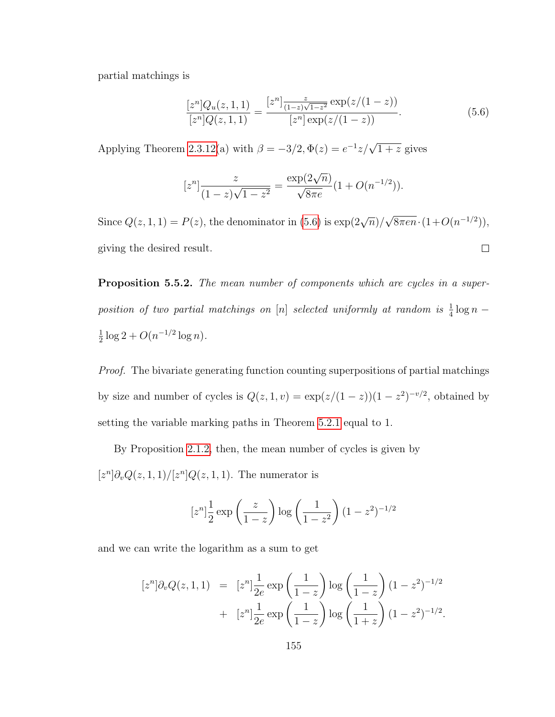partial matchings is

<span id="page-166-0"></span>
$$
\frac{[z^n]Q_u(z,1,1)}{[z^n]Q(z,1,1)} = \frac{[z^n] \frac{z}{(1-z)\sqrt{1-z^2}} \exp(z/(1-z))}{[z^n] \exp(z/(1-z))}.
$$
\n(5.6)

Applying Theorem [2.3.12\(](#page-57-0)a) with  $\beta = -3/2, \Phi(z) = e^{-1}z/\sqrt{1+z}$  gives

$$
[z^{n}] \frac{z}{(1-z)\sqrt{1-z^{2}}} = \frac{\exp(2\sqrt{n})}{\sqrt{8\pi e}} (1 + O(n^{-1/2})).
$$

√ Since  $Q(z, 1, 1) = P(z)$ , the denominator in  $(5.6)$  is  $\exp\left(\frac{2\sqrt{n}}{z}\right)$  $\sqrt{8\pi en} \cdot (1 + O(n^{-1/2}))$ , giving the desired result.  $\Box$ 

<span id="page-166-1"></span>Proposition 5.5.2. The mean number of components which are cycles in a superposition of two partial matchings on  $[n]$  selected uniformly at random is  $\frac{1}{4} \log n$  – 1  $\frac{1}{2} \log 2 + O(n^{-1/2} \log n).$ 

Proof. The bivariate generating function counting superpositions of partial matchings by size and number of cycles is  $Q(z,1,v) = \exp((z/(1-z))(1-z^2)^{-v/2})$ , obtained by setting the variable marking paths in Theorem [5.2.1](#page-157-2) equal to 1.

By Proposition [2.1.2,](#page-33-0) then, the mean number of cycles is given by  $[z^n]\partial_v Q(z,1,1)/[z^n]Q(z,1,1)$ . The numerator is

$$
[z^{n}] \frac{1}{2} \exp\left(\frac{z}{1-z}\right) \log\left(\frac{1}{1-z^{2}}\right) (1-z^{2})^{-1/2}
$$

and we can write the logarithm as a sum to get

$$
[z^n] \partial_v Q(z, 1, 1) = [z^n] \frac{1}{2e} \exp\left(\frac{1}{1-z}\right) \log\left(\frac{1}{1-z}\right) (1-z^2)^{-1/2} + [z^n] \frac{1}{2e} \exp\left(\frac{1}{1-z}\right) \log\left(\frac{1}{1+z}\right) (1-z^2)^{-1/2}.
$$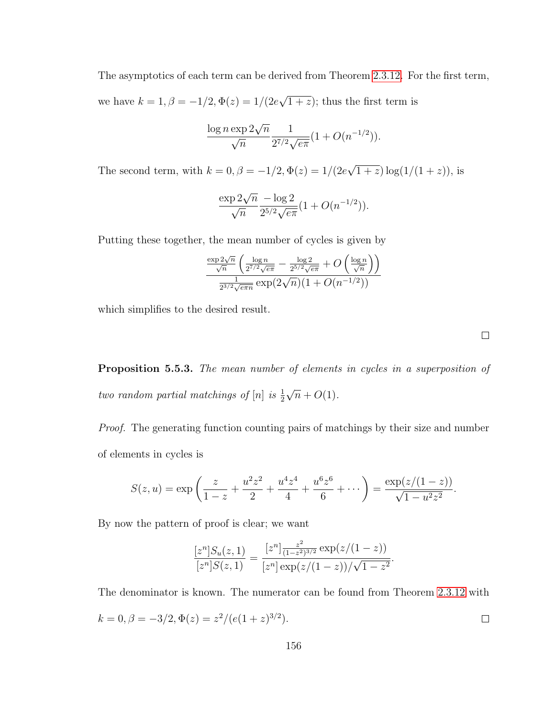The asymptotics of each term can be derived from Theorem [2.3.12.](#page-57-0) For the first term, we have  $k = 1, \beta = -1/2, \Phi(z) = 1/(2e)$ √  $(1+z)$ ; thus the first term is

$$
\frac{\log n \exp 2\sqrt{n}}{\sqrt{n}} \frac{1}{2^{7/2} \sqrt{e\pi}} (1 + O(n^{-1/2})).
$$

The second term, with  $k = 0, \beta = -1/2, \Phi(z) = 1/(2e)$ √  $(1+z) \log(1/(1+z))$ , is

$$
\frac{\exp 2\sqrt{n}}{\sqrt{n}} \frac{-\log 2}{2^{5/2}\sqrt{e\pi}} (1 + O(n^{-1/2})).
$$

Putting these together, the mean number of cycles is given by

$$
\frac{\frac{\exp 2\sqrt{n}}{\sqrt{n}}\left(\frac{\log n}{2^{7/2}\sqrt{e\pi}}-\frac{\log 2}{2^{5/2}\sqrt{e\pi}}+O\left(\frac{\log n}{\sqrt{n}}\right)\right)}{\frac{1}{2^{3/2}\sqrt{e\pi n}}\exp(2\sqrt{n})(1+O(n^{-1/2}))}
$$

which simplifies to the desired result.

Proposition 5.5.3. The mean number of elements in cycles in a superposition of two random partial matchings of  $[n]$  is  $\frac{1}{2}$ √  $\overline{n} + O(1)$ .

Proof. The generating function counting pairs of matchings by their size and number of elements in cycles is

$$
S(z, u) = \exp\left(\frac{z}{1-z} + \frac{u^2 z^2}{2} + \frac{u^4 z^4}{4} + \frac{u^6 z^6}{6} + \dotsb\right) = \frac{\exp(z/(1-z))}{\sqrt{1-u^2 z^2}}.
$$

By now the pattern of proof is clear; we want

$$
\frac{[z^n]S_u(z,1)}{[z^n]S(z,1)} = \frac{[z^n]\frac{z^2}{(1-z^2)^{3/2}}\exp(z/(1-z))}{[z^n]\exp(z/(1-z))/\sqrt{1-z^2}}.
$$

The denominator is known. The numerator can be found from Theorem [2.3.12](#page-57-0) with

$$
k = 0, \beta = -3/2, \Phi(z) = z^2/(e(1+z)^{3/2}).
$$

 $\Box$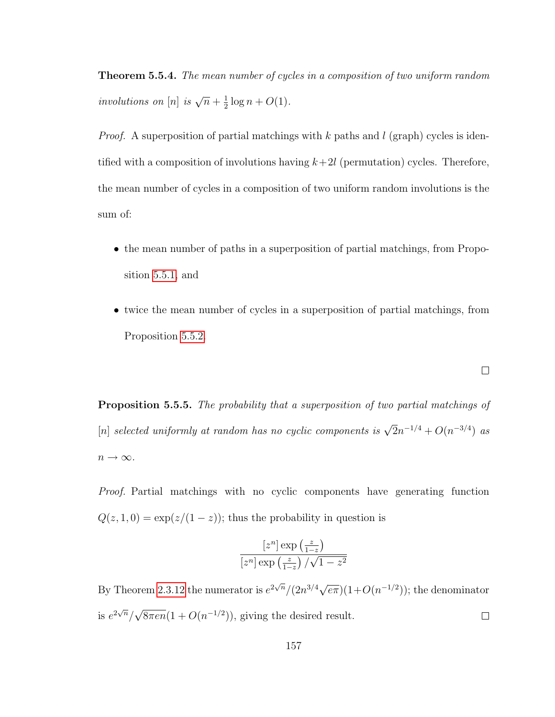<span id="page-168-0"></span>**Theorem 5.5.4.** The mean number of cycles in a composition of two uniform random involutions on  $[n]$  is  $\sqrt{n} + \frac{1}{2}$  $\frac{1}{2} \log n + O(1)$ .

*Proof.* A superposition of partial matchings with k paths and  $l$  (graph) cycles is identified with a composition of involutions having  $k+2l$  (permutation) cycles. Therefore, the mean number of cycles in a composition of two uniform random involutions is the sum of:

- the mean number of paths in a superposition of partial matchings, from Proposition [5.5.1,](#page-165-0) and
- twice the mean number of cycles in a superposition of partial matchings, from Proposition [5.5.2.](#page-166-1)

$$
\Box
$$

Proposition 5.5.5. The probability that a superposition of two partial matchings of [n] selected uniformly at random has no cyclic components is  $\sqrt{2}n^{-1/4} + O(n^{-3/4})$  as  $n \to \infty$ .

Proof. Partial matchings with no cyclic components have generating function  $Q(z, 1, 0) = \exp(z/(1-z))$ ; thus the probability in question is

$$
\frac{\left[z^n\right] \exp\left(\frac{z}{1-z}\right)}{\left[z^n\right] \exp\left(\frac{z}{1-z}\right) / \sqrt{1-z^2}}
$$

By Theorem [2.3.12](#page-57-0) the numerator is  $e^{2\sqrt{n}}/(2n^{3/4}\sqrt{e\pi})(1+O(n^{-1/2}))$ ; the denominator √ is  $e^{2\sqrt{n}}/$  $\sqrt{8\pi en}(1+O(n^{-1/2}))$ , giving the desired result.  $\Box$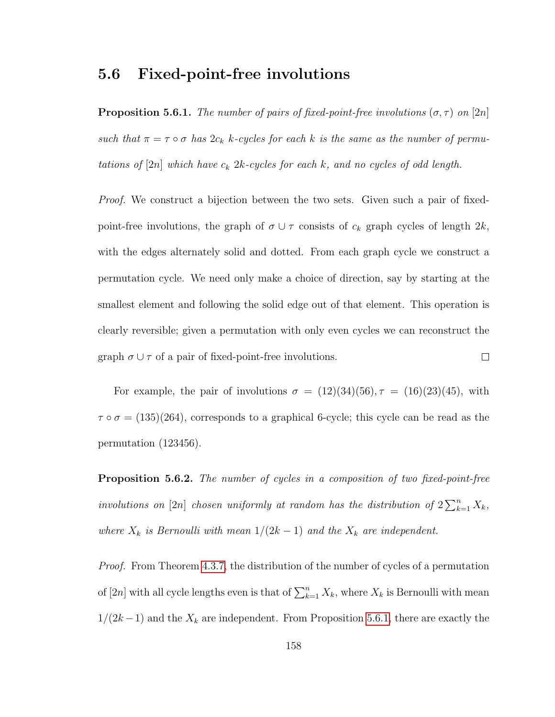### 5.6 Fixed-point-free involutions

<span id="page-169-1"></span>**Proposition 5.6.1.** The number of pairs of fixed-point-free involutions  $(\sigma, \tau)$  on [2n] such that  $\pi = \tau \circ \sigma$  has  $2c_k$  k-cycles for each k is the same as the number of permutations of  $[2n]$  which have  $c_k$  2k-cycles for each k, and no cycles of odd length.

Proof. We construct a bijection between the two sets. Given such a pair of fixedpoint-free involutions, the graph of  $\sigma \cup \tau$  consists of  $c_k$  graph cycles of length 2k, with the edges alternately solid and dotted. From each graph cycle we construct a permutation cycle. We need only make a choice of direction, say by starting at the smallest element and following the solid edge out of that element. This operation is clearly reversible; given a permutation with only even cycles we can reconstruct the graph  $\sigma \cup \tau$  of a pair of fixed-point-free involutions.  $\Box$ 

For example, the pair of involutions  $\sigma = (12)(34)(56)$ ,  $\tau = (16)(23)(45)$ , with  $\tau \circ \sigma = (135)(264)$ , corresponds to a graphical 6-cycle; this cycle can be read as the permutation (123456).

<span id="page-169-0"></span>**Proposition 5.6.2.** The number of cycles in a composition of two fixed-point-free involutions on [2n] chosen uniformly at random has the distribution of  $2\sum_{k=1}^{n} X_k$ , where  $X_k$  is Bernoulli with mean  $1/(2k-1)$  and the  $X_k$  are independent.

Proof. From Theorem [4.3.7,](#page-112-0) the distribution of the number of cycles of a permutation of  $[2n]$  with all cycle lengths even is that of  $\sum_{k=1}^{n} X_k$ , where  $X_k$  is Bernoulli with mean  $1/(2k-1)$  and the  $X_k$  are independent. From Proposition [5.6.1,](#page-169-1) there are exactly the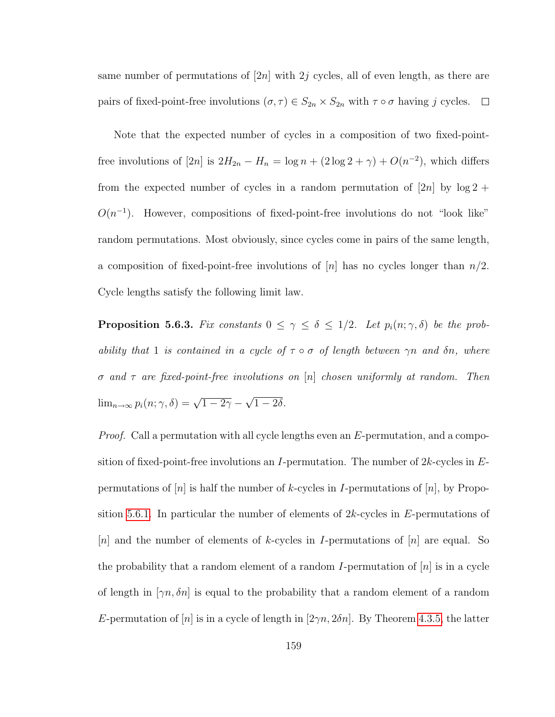same number of permutations of  $[2n]$  with  $2j$  cycles, all of even length, as there are pairs of fixed-point-free involutions  $(\sigma, \tau) \in S_{2n} \times S_{2n}$  with  $\tau \circ \sigma$  having j cycles.  $\Box$ 

Note that the expected number of cycles in a composition of two fixed-pointfree involutions of  $[2n]$  is  $2H_{2n} - H_n = \log n + (2 \log 2 + \gamma) + O(n^{-2})$ , which differs from the expected number of cycles in a random permutation of  $[2n]$  by  $\log 2 +$  $O(n^{-1})$ . However, compositions of fixed-point-free involutions do not "look like" random permutations. Most obviously, since cycles come in pairs of the same length, a composition of fixed-point-free involutions of  $[n]$  has no cycles longer than  $n/2$ . Cycle lengths satisfy the following limit law.

**Proposition 5.6.3.** Fix constants  $0 \leq \gamma \leq \delta \leq 1/2$ . Let  $p_i(n; \gamma, \delta)$  be the probability that 1 is contained in a cycle of  $\tau \circ \sigma$  of length between  $\gamma n$  and  $\delta n$ , where  $\sigma$  and  $\tau$  are fixed-point-free involutions on [n] chosen uniformly at random. Then  $\lim_{n\to\infty} p_i(n; \gamma, \delta) = \sqrt{1-2\gamma}$ √  $1-2\delta$ .

*Proof.* Call a permutation with all cycle lengths even an  $E$ -permutation, and a composition of fixed-point-free involutions an I-permutation. The number of  $2k$ -cycles in Epermutations of  $[n]$  is half the number of k-cycles in I-permutations of  $[n]$ , by Propo-sition [5.6.1.](#page-169-1) In particular the number of elements of  $2k$ -cycles in E-permutations of [n] and the number of elements of k-cycles in I-permutations of [n] are equal. So the probability that a random element of a random I-permutation of  $[n]$  is in a cycle of length in  $[\gamma n, \delta n]$  is equal to the probability that a random element of a random E-permutation of [n] is in a cycle of length in [ $2\gamma n$ ,  $2\delta n$ ]. By Theorem [4.3.5,](#page-110-0) the latter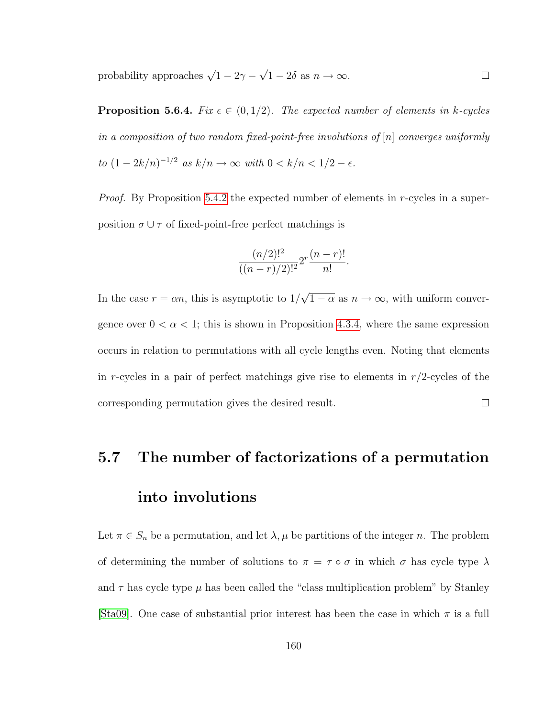√ probability approaches  $\sqrt{1-2\gamma}$  –  $1-2\delta$  as  $n \to \infty$ .  $\Box$ 

**Proposition 5.6.4.** Fix  $\epsilon \in (0, 1/2)$ . The expected number of elements in k-cycles in a composition of two random fixed-point-free involutions of  $[n]$  converges uniformly to  $(1-2k/n)^{-1/2}$  as  $k/n \to \infty$  with  $0 < k/n < 1/2 - \epsilon$ .

Proof. By Proposition [5.4.2](#page-163-1) the expected number of elements in r-cycles in a superposition  $\sigma \cup \tau$  of fixed-point-free perfect matchings is

$$
\frac{(n/2)!^2}{((n-r)/2)!^2}2^r\frac{(n-r)!}{n!}.
$$

√ In the case  $r = \alpha n$ , this is asymptotic to  $1/$  $\overline{1-\alpha}$  as  $n \to \infty$ , with uniform convergence over  $0 < \alpha < 1$ ; this is shown in Proposition [4.3.4,](#page-109-0) where the same expression occurs in relation to permutations with all cycle lengths even. Noting that elements in r-cycles in a pair of perfect matchings give rise to elements in  $r/2$ -cycles of the corresponding permutation gives the desired result.  $\Box$ 

### 5.7 The number of factorizations of a permutation into involutions

Let  $\pi \in S_n$  be a permutation, and let  $\lambda, \mu$  be partitions of the integer n. The problem of determining the number of solutions to  $\pi = \tau \circ \sigma$  in which  $\sigma$  has cycle type  $\lambda$ and  $\tau$  has cycle type  $\mu$  has been called the "class multiplication problem" by Stanley [\[Sta09\]](#page-259-1). One case of substantial prior interest has been the case in which  $\pi$  is a full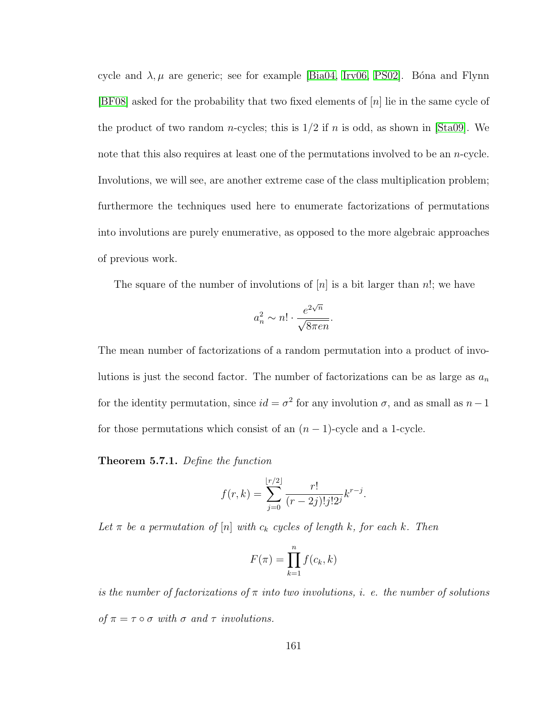cycle and  $\lambda, \mu$  are generic; see for example [\[Bia04,](#page-247-1) [Irv06,](#page-254-3) [PS02\]](#page-257-2). Bona and Flynn [\[BF08\]](#page-246-0) asked for the probability that two fixed elements of [n] lie in the same cycle of the product of two random *n*-cycles; this is  $1/2$  if *n* is odd, as shown in [\[Sta09\]](#page-259-1). We note that this also requires at least one of the permutations involved to be an  $n$ -cycle. Involutions, we will see, are another extreme case of the class multiplication problem; furthermore the techniques used here to enumerate factorizations of permutations into involutions are purely enumerative, as opposed to the more algebraic approaches of previous work.

The square of the number of involutions of  $[n]$  is a bit larger than n!; we have

$$
a_n^2 \sim n! \cdot \frac{e^{2\sqrt{n}}}{\sqrt{8\pi en}}.
$$

The mean number of factorizations of a random permutation into a product of involutions is just the second factor. The number of factorizations can be as large as  $a_n$ for the identity permutation, since  $id = \sigma^2$  for any involution  $\sigma$ , and as small as  $n-1$ for those permutations which consist of an  $(n-1)$ -cycle and a 1-cycle.

<span id="page-172-0"></span>Theorem 5.7.1. Define the function

$$
f(r,k) = \sum_{j=0}^{\lfloor r/2 \rfloor} \frac{r!}{(r-2j)!j!2^j} k^{r-j}.
$$

Let  $\pi$  be a permutation of  $[n]$  with  $c_k$  cycles of length k, for each k. Then

$$
F(\pi) = \prod_{k=1}^{n} f(c_k, k)
$$

is the number of factorizations of  $\pi$  into two involutions, i. e. the number of solutions of  $\pi = \tau \circ \sigma$  with  $\sigma$  and  $\tau$  involutions.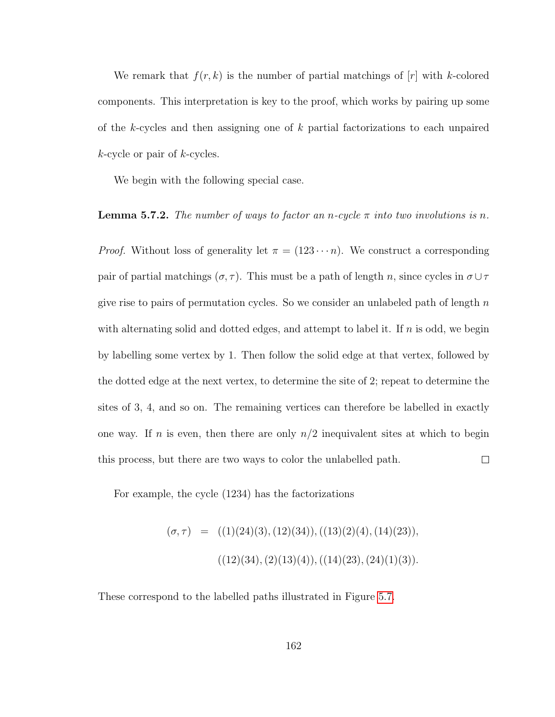We remark that  $f(r, k)$  is the number of partial matchings of  $[r]$  with k-colored components. This interpretation is key to the proof, which works by pairing up some of the k-cycles and then assigning one of k partial factorizations to each unpaired  $k$ -cycle or pair of  $k$ -cycles.

<span id="page-173-0"></span>We begin with the following special case.

**Lemma 5.7.2.** The number of ways to factor an n-cycle  $\pi$  into two involutions is n.

*Proof.* Without loss of generality let  $\pi = (123 \cdots n)$ . We construct a corresponding pair of partial matchings  $(\sigma, \tau)$ . This must be a path of length n, since cycles in  $\sigma \cup \tau$ give rise to pairs of permutation cycles. So we consider an unlabeled path of length  $n$ with alternating solid and dotted edges, and attempt to label it. If  $n$  is odd, we begin by labelling some vertex by 1. Then follow the solid edge at that vertex, followed by the dotted edge at the next vertex, to determine the site of 2; repeat to determine the sites of 3, 4, and so on. The remaining vertices can therefore be labelled in exactly one way. If n is even, then there are only  $n/2$  inequivalent sites at which to begin this process, but there are two ways to color the unlabelled path.  $\Box$ 

For example, the cycle (1234) has the factorizations

$$
(\sigma, \tau) = ((1)(24)(3), (12)(34)), ((13)(2)(4), (14)(23)),
$$
  

$$
((12)(34), (2)(13)(4)), ((14)(23), (24)(1)(3)).
$$

These correspond to the labelled paths illustrated in Figure [5.7.](#page-173-0)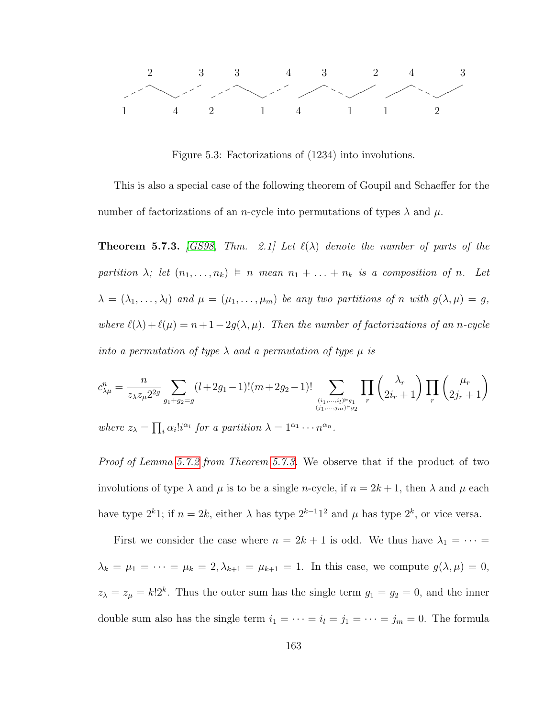

Figure 5.3: Factorizations of (1234) into involutions.

This is also a special case of the following theorem of Goupil and Schaeffer for the number of factorizations of an *n*-cycle into permutations of types  $\lambda$  and  $\mu$ .

<span id="page-174-0"></span>**Theorem 5.7.3.** [\[GS98,](#page-253-0) Thm. 2.1] Let  $\ell(\lambda)$  denote the number of parts of the partition  $\lambda$ ; let  $(n_1, \ldots, n_k) \vDash n$  mean  $n_1 + \ldots + n_k$  is a composition of n. Let  $\lambda = (\lambda_1, \ldots, \lambda_l)$  and  $\mu = (\mu_1, \ldots, \mu_m)$  be any two partitions of n with  $g(\lambda, \mu) = g$ , where  $\ell(\lambda) + \ell(\mu) = n + 1-2g(\lambda, \mu)$ . Then the number of factorizations of an n-cycle into a permutation of type  $\lambda$  and a permutation of type  $\mu$  is

$$
c_{\lambda\mu}^{n} = \frac{n}{z_{\lambda}z_{\mu}2^{2g}} \sum_{g_1+g_2=g} (l+2g_1-1)!(m+2g_2-1)! \sum_{\substack{(i_1,\dots,i_l)\models g_1\\(j_1,\dots,j_m)\models g_2}} \prod_{r} \left(\frac{\lambda_r}{2i_r+1}\right) \prod_{r} \left(\frac{\mu_r}{2j_r+1}\right)
$$
  
where  $z_{\lambda} = \prod_i \alpha_i! i^{\alpha_i}$  for a partition  $\lambda = 1^{\alpha_1} \cdots n^{\alpha_n}$ .

Proof of Lemma [5.7.2](#page-173-0) from Theorem [5.7.3.](#page-174-0) We observe that if the product of two involutions of type  $\lambda$  and  $\mu$  is to be a single *n*-cycle, if  $n = 2k + 1$ , then  $\lambda$  and  $\mu$  each have type  $2^k 1$ ; if  $n = 2k$ , either  $\lambda$  has type  $2^{k-1} 1^2$  and  $\mu$  has type  $2^k$ , or vice versa.

First we consider the case where  $n = 2k + 1$  is odd. We thus have  $\lambda_1 = \cdots =$  $\lambda_k = \mu_1 = \cdots = \mu_k = 2, \lambda_{k+1} = \mu_{k+1} = 1$ . In this case, we compute  $g(\lambda, \mu) = 0$ ,  $z_{\lambda} = z_{\mu} = k!2^{k}$ . Thus the outer sum has the single term  $g_1 = g_2 = 0$ , and the inner double sum also has the single term  $i_1 = \cdots = i_l = j_1 = \cdots = j_m = 0$ . The formula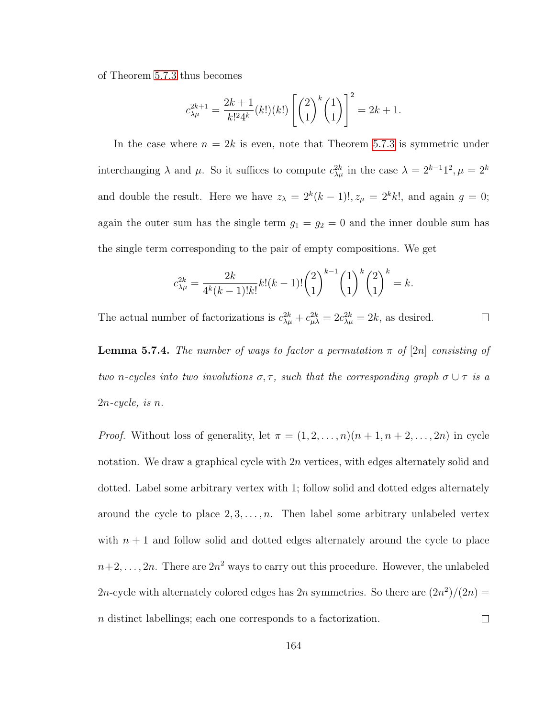of Theorem [5.7.3](#page-174-0) thus becomes

$$
c_{\lambda\mu}^{2k+1} = \frac{2k+1}{k!^2 4^k} (k!)(k!) \left[ \binom{2}{1}^k \binom{1}{1} \right]^2 = 2k+1.
$$

In the case where  $n = 2k$  is even, note that Theorem [5.7.3](#page-174-0) is symmetric under interchanging  $\lambda$  and  $\mu$ . So it suffices to compute  $c_{\lambda\mu}^{2k}$  in the case  $\lambda = 2^{k-1}1^2$ ,  $\mu = 2^k$ and double the result. Here we have  $z_{\lambda} = 2^{k}(k-1)!$ ,  $z_{\mu} = 2^{k}k!$ , and again  $g = 0$ ; again the outer sum has the single term  $g_1 = g_2 = 0$  and the inner double sum has the single term corresponding to the pair of empty compositions. We get

$$
c_{\lambda\mu}^{2k} = \frac{2k}{4^k(k-1)!k!}k!(k-1)!\binom{2}{1}^{k-1}\binom{1}{1}^k\binom{2}{1}^k = k.
$$

The actual number of factorizations is  $c_{\lambda\mu}^{2k} + c_{\mu\lambda}^{2k} = 2c_{\lambda\mu}^{2k} = 2k$ , as desired.  $\Box$ 

<span id="page-175-0"></span>**Lemma 5.7.4.** The number of ways to factor a permutation  $\pi$  of [2n] consisting of two n-cycles into two involutions  $\sigma, \tau$ , such that the corresponding graph  $\sigma \cup \tau$  is a 2n-cycle, is n.

*Proof.* Without loss of generality, let  $\pi = (1, 2, \ldots, n)(n + 1, n + 2, \ldots, 2n)$  in cycle notation. We draw a graphical cycle with  $2n$  vertices, with edges alternately solid and dotted. Label some arbitrary vertex with 1; follow solid and dotted edges alternately around the cycle to place  $2, 3, \ldots, n$ . Then label some arbitrary unlabeled vertex with  $n + 1$  and follow solid and dotted edges alternately around the cycle to place  $n+2, \ldots, 2n$ . There are  $2n^2$  ways to carry out this procedure. However, the unlabeled 2n-cycle with alternately colored edges has 2n symmetries. So there are  $\frac{(2n^2)}{(2n)}$  = n distinct labellings; each one corresponds to a factorization.  $\Box$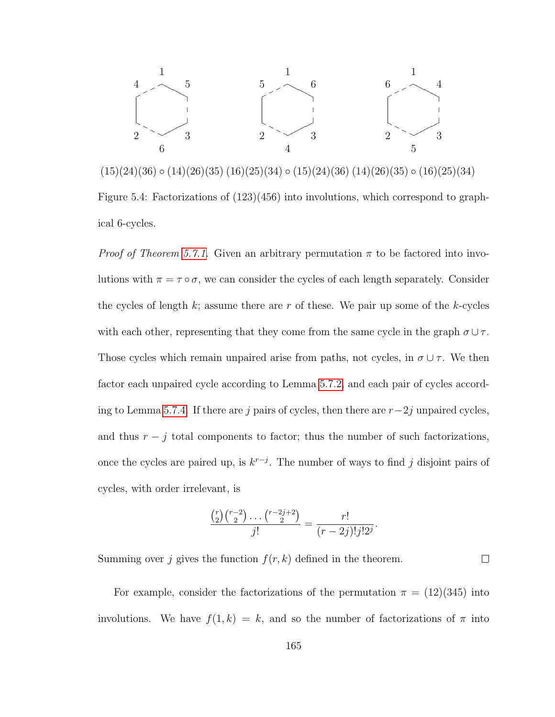

 $(15)(24)(36) \circ (14)(26)(35) (16)(25)(34) \circ (15)(24)(36) (14)(26)(35) \circ (16)(25)(34)$ Figure 5.4: Factorizations of (123)(456) into involutions, which correspond to graphical 6-cycles.

*Proof of Theorem [5.7.1.](#page-172-0)* Given an arbitrary permutation  $\pi$  to be factored into involutions with  $\pi = \tau \circ \sigma$ , we can consider the cycles of each length separately. Consider the cycles of length k; assume there are r of these. We pair up some of the k-cycles with each other, representing that they come from the same cycle in the graph  $\sigma \cup \tau$ . Those cycles which remain unpaired arise from paths, not cycles, in  $\sigma \cup \tau$ . We then factor each unpaired cycle according to Lemma [5.7.2,](#page-173-0) and each pair of cycles accord-ing to Lemma [5.7.4.](#page-175-0) If there are j pairs of cycles, then there are  $r-2j$  unpaired cycles, and thus  $r - j$  total components to factor; thus the number of such factorizations, once the cycles are paired up, is  $k^{r-j}$ . The number of ways to find j disjoint pairs of cycles, with order irrelevant, is

$$
\frac{{r \choose 2} {r-2 \choose 2} \cdots {r-2j+2 \choose 2}}{{j!}} = \frac{r!}{(r-2j)!j!2^j}.
$$

 $\Box$ 

Summing over j gives the function  $f(r, k)$  defined in the theorem.

For example, consider the factorizations of the permutation  $\pi = (12)(345)$  into involutions. We have  $f(1, k) = k$ , and so the number of factorizations of  $\pi$  into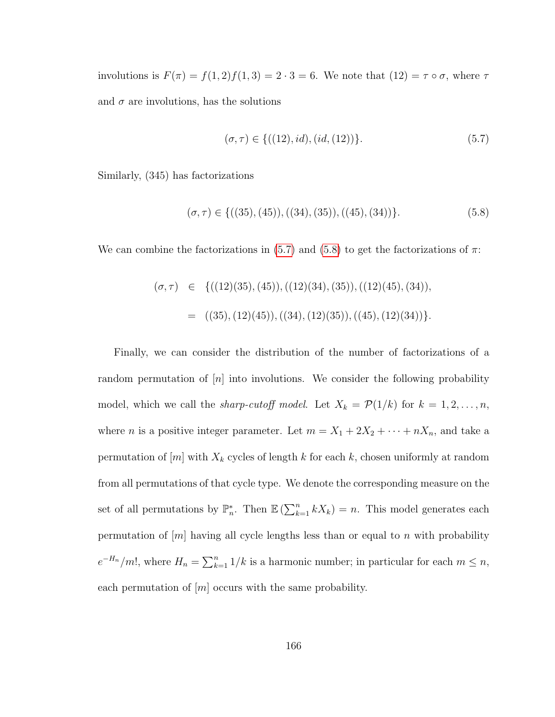involutions is  $F(\pi) = f(1, 2)f(1, 3) = 2 \cdot 3 = 6$ . We note that  $(12) = \tau \circ \sigma$ , where  $\tau$ and  $\sigma$  are involutions, has the solutions

<span id="page-177-1"></span>
$$
(\sigma, \tau) \in \{((12), id), (id, (12))\}.
$$
 (5.7)

Similarly, (345) has factorizations

<span id="page-177-2"></span>
$$
(\sigma, \tau) \in \{((35), (45)), ((34), (35)), ((45), (34))\}.
$$
 (5.8)

We can combine the factorizations in  $(5.7)$  and  $(5.8)$  to get the factorizations of  $\pi$ :

$$
(\sigma, \tau) \in \{((12)(35), (45)), ((12)(34), (35)), ((12)(45), (34)),
$$
  

$$
= ((35), (12)(45)), ((34), (12)(35)), ((45), (12)(34))\}.
$$

<span id="page-177-0"></span>Finally, we can consider the distribution of the number of factorizations of a random permutation of  $[n]$  into involutions. We consider the following probability model, which we call the *sharp-cutoff model*. Let  $X_k = \mathcal{P}(1/k)$  for  $k = 1, 2, ..., n$ , where *n* is a positive integer parameter. Let  $m = X_1 + 2X_2 + \cdots + nX_n$ , and take a permutation of  $[m]$  with  $X_k$  cycles of length k for each k, chosen uniformly at random from all permutations of that cycle type. We denote the corresponding measure on the set of all permutations by  $\mathbb{P}_n^*$ . Then  $\mathbb{E}\left(\sum_{k=1}^n kX_k\right)=n$ . This model generates each permutation of  $|m|$  having all cycle lengths less than or equal to n with probability  $e^{-H_n}/m!$ , where  $H_n = \sum_{k=1}^n 1/k$  is a harmonic number; in particular for each  $m \leq n$ , each permutation of  $[m]$  occurs with the same probability.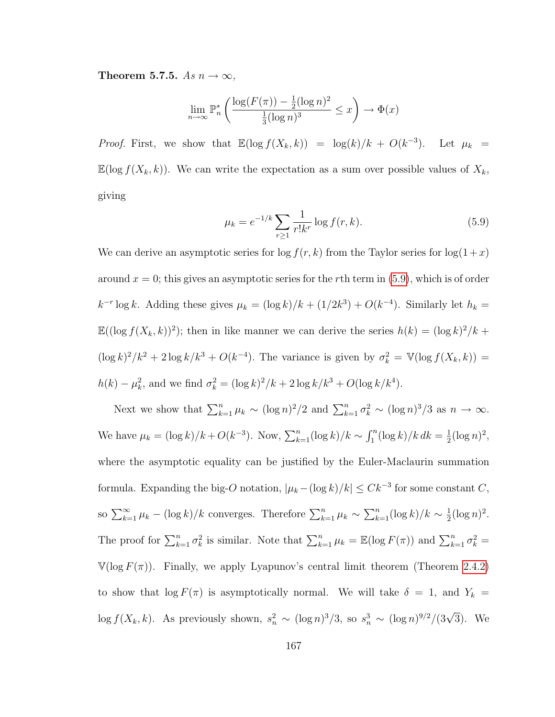Theorem 5.7.5. As  $n \to \infty$ ,

$$
\lim_{n \to \infty} \mathbb{P}_n^* \left( \frac{\log(F(\pi)) - \frac{1}{2} (\log n)^2}{\frac{1}{3} (\log n)^3} \le x \right) \to \Phi(x)
$$

*Proof.* First, we show that  $\mathbb{E}(\log f(X_k, k)) = \log(k)/k + O(k^{-3})$ . Let  $\mu_k =$  $\mathbb{E}(\log f(X_k, k))$ . We can write the expectation as a sum over possible values of  $X_k$ , giving

<span id="page-178-0"></span>
$$
\mu_k = e^{-1/k} \sum_{r \ge 1} \frac{1}{r! k^r} \log f(r, k). \tag{5.9}
$$

We can derive an asymptotic series for  $\log f(r, k)$  from the Taylor series for  $\log(1+x)$ around  $x = 0$ ; this gives an asymptotic series for the rth term in  $(5.9)$ , which is of order  $k^{-r}$  log k. Adding these gives  $\mu_k = (\log k)/k + (1/2k^3) + O(k^{-4})$ . Similarly let  $h_k =$  $\mathbb{E}((\log f(X_k, k))^2)$ ; then in like manner we can derive the series  $h(k) = (\log k)^2/k +$  $(\log k)^2/k^2 + 2\log k/k^3 + O(k^{-4})$ . The variance is given by  $\sigma_k^2 = \mathbb{V}(\log f(X_k, k)) =$  $h(k) - \mu_k^2$ , and we find  $\sigma_k^2 = (\log k)^2 / k + 2 \log k / k^3 + O(\log k / k^4)$ .

Next we show that  $\sum_{k=1}^{n} \mu_k \sim (\log n)^2/2$  and  $\sum_{k=1}^{n} \sigma_k^2 \sim (\log n)^3/3$  as  $n \to \infty$ . We have  $\mu_k = (\log k)/k + O(k^{-3})$ . Now,  $\sum_{k=1}^n (\log k)/k \sim \int_1^n (\log k)/k \, dk = \frac{1}{2}$  $\frac{1}{2}(\log n)^2$ , where the asymptotic equality can be justified by the Euler-Maclaurin summation formula. Expanding the big-O notation,  $|\mu_k - (\log k)/k| \leq Ck^{-3}$  for some constant C, so  $\sum_{k=1}^{\infty} \mu_k - (\log k)/k$  converges. Therefore  $\sum_{k=1}^{n} \mu_k \sim \sum_{k=1}^{n} (\log k)/k \sim \frac{1}{2}$  $\frac{1}{2}(\log n)^2$ . The proof for  $\sum_{k=1}^n \sigma_k^2$  is similar. Note that  $\sum_{k=1}^n \mu_k = \mathbb{E}(\log F(\pi))$  and  $\sum_{k=1}^n \sigma_k^2 =$  $V(\log F(\pi))$ . Finally, we apply Lyapunov's central limit theorem (Theorem [2.4.2\)](#page-59-0) to show that  $\log F(\pi)$  is asymptotically normal. We will take  $\delta = 1$ , and  $Y_k =$ log  $f(X_k, k)$ . As previously shown,  $s_n^2 \sim (\log n)^3/3$ , so  $s_n^3 \sim (\log n)^{9/2}/(3\sqrt{3})$ . We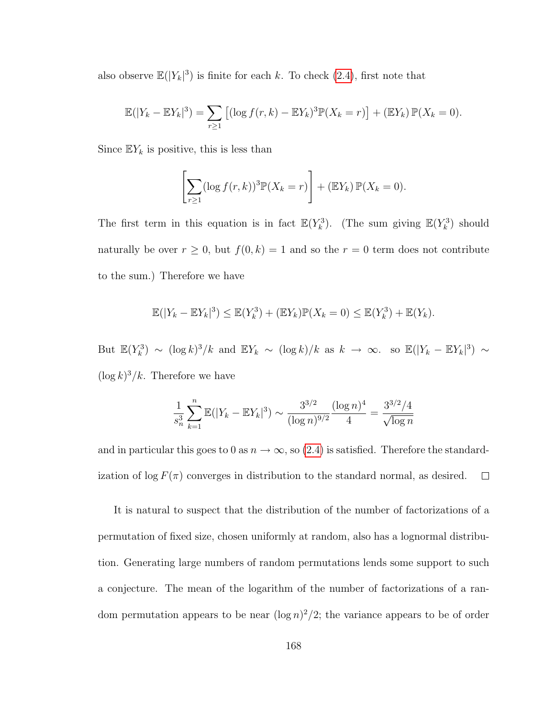also observe  $\mathbb{E}(|Y_k|^3)$  is finite for each k. To check [\(2.4\)](#page-59-1), first note that

$$
\mathbb{E}(|Y_k - \mathbb{E}Y_k|^3) = \sum_{r \ge 1} \left[ (\log f(r, k) - \mathbb{E}Y_k)^3 \mathbb{P}(X_k = r) \right] + (\mathbb{E}Y_k) \mathbb{P}(X_k = 0).
$$

Since  $\mathbb{E}Y_k$  is positive, this is less than

$$
\left[\sum_{r\geq 1} (\log f(r,k))^3 \mathbb{P}(X_k=r)\right] + (\mathbb{E}Y_k) \mathbb{P}(X_k=0).
$$

The first term in this equation is in fact  $\mathbb{E}(Y_k^3)$ . (The sum giving  $\mathbb{E}(Y_k^3)$  should naturally be over  $r \geq 0$ , but  $f(0, k) = 1$  and so the  $r = 0$  term does not contribute to the sum.) Therefore we have

$$
\mathbb{E}(|Y_k - \mathbb{E}Y_k|^3) \le \mathbb{E}(Y_k^3) + (\mathbb{E}Y_k)\mathbb{P}(X_k = 0) \le \mathbb{E}(Y_k^3) + \mathbb{E}(Y_k).
$$

But  $\mathbb{E}(Y_k^3) \sim (\log k)^3/k$  and  $\mathbb{E}Y_k \sim (\log k)/k$  as  $k \to \infty$ . so  $\mathbb{E}(|Y_k - \mathbb{E}Y_k|^3) \sim$  $(\log k)^3/k$ . Therefore we have

$$
\frac{1}{s_n^3} \sum_{k=1}^n \mathbb{E}(|Y_k - \mathbb{E}Y_k|^3) \sim \frac{3^{3/2}}{(\log n)^{9/2}} \frac{(\log n)^4}{4} = \frac{3^{3/2}/4}{\sqrt{\log n}}
$$

and in particular this goes to 0 as  $n \to \infty$ , so [\(2.4\)](#page-59-1) is satisfied. Therefore the standardization of  $\log F(\pi)$  converges in distribution to the standard normal, as desired.  $\Box$ 

It is natural to suspect that the distribution of the number of factorizations of a permutation of fixed size, chosen uniformly at random, also has a lognormal distribution. Generating large numbers of random permutations lends some support to such a conjecture. The mean of the logarithm of the number of factorizations of a random permutation appears to be near  $(\log n)^2/2$ ; the variance appears to be of order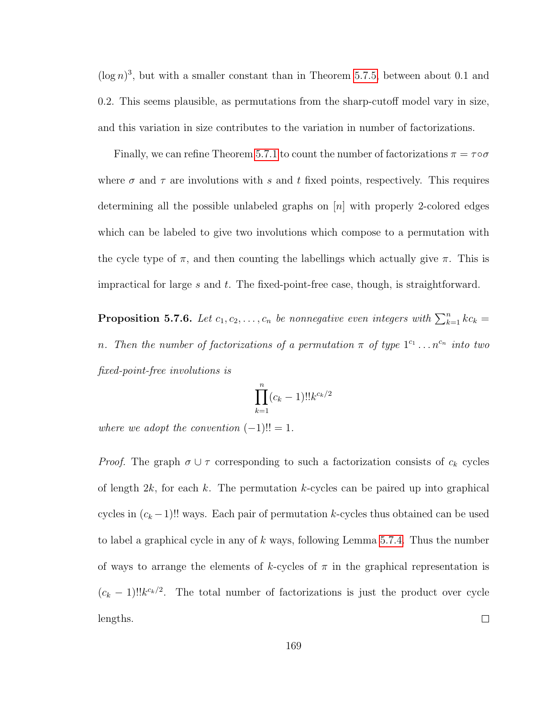$(\log n)^3$ , but with a smaller constant than in Theorem [5.7.5,](#page-177-0) between about 0.1 and 0.2. This seems plausible, as permutations from the sharp-cutoff model vary in size, and this variation in size contributes to the variation in number of factorizations.

Finally, we can refine Theorem [5.7.1](#page-172-0) to count the number of factorizations  $\pi = \tau \circ \sigma$ where  $\sigma$  and  $\tau$  are involutions with s and t fixed points, respectively. This requires determining all the possible unlabeled graphs on [n] with properly 2-colored edges which can be labeled to give two involutions which compose to a permutation with the cycle type of  $\pi$ , and then counting the labellings which actually give  $\pi$ . This is impractical for large  $s$  and  $t$ . The fixed-point-free case, though, is straightforward.

**Proposition 5.7.6.** Let  $c_1, c_2, \ldots, c_n$  be nonnegative even integers with  $\sum_{k=1}^n kc_k =$ n. Then the number of factorizations of a permutation  $\pi$  of type  $1^{c_1} \dots n^{c_n}$  into two fixed-point-free involutions is

$$
\prod_{k=1}^{n} (c_k - 1)!! k^{c_k/2}
$$

where we adopt the convention  $(-1)!! = 1$ .

*Proof.* The graph  $\sigma \cup \tau$  corresponding to such a factorization consists of  $c_k$  cycles of length  $2k$ , for each k. The permutation k-cycles can be paired up into graphical cycles in  $(c_k - 1)$ !! ways. Each pair of permutation k-cycles thus obtained can be used to label a graphical cycle in any of k ways, following Lemma [5.7.4.](#page-175-0) Thus the number of ways to arrange the elements of k-cycles of  $\pi$  in the graphical representation is  $(c_k - 1)!!k^{c_k/2}$ . The total number of factorizations is just the product over cycle lengths.  $\Box$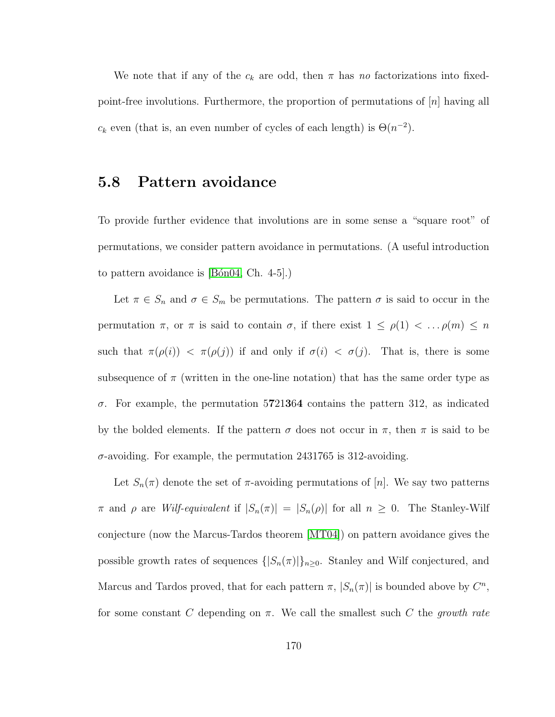We note that if any of the  $c_k$  are odd, then  $\pi$  has no factorizations into fixedpoint-free involutions. Furthermore, the proportion of permutations of [n] having all  $c_k$  even (that is, an even number of cycles of each length) is  $\Theta(n^{-2})$ .

### 5.8 Pattern avoidance

To provide further evidence that involutions are in some sense a "square root" of permutations, we consider pattern avoidance in permutations. (A useful introduction to pattern avoidance is  $[\text{Bón04}, \text{Ch. } 4-5]$ .

Let  $\pi \in S_n$  and  $\sigma \in S_m$  be permutations. The pattern  $\sigma$  is said to occur in the permutation  $\pi$ , or  $\pi$  is said to contain  $\sigma$ , if there exist  $1 \leq \rho(1) < \ldots \rho(m) \leq n$ such that  $\pi(\rho(i)) < \pi(\rho(j))$  if and only if  $\sigma(i) < \sigma(j)$ . That is, there is some subsequence of  $\pi$  (written in the one-line notation) that has the same order type as σ. For example, the permutation 5721364 contains the pattern 312, as indicated by the bolded elements. If the pattern  $\sigma$  does not occur in  $\pi$ , then  $\pi$  is said to be  $\sigma$ -avoiding. For example, the permutation 2431765 is 312-avoiding.

Let  $S_n(\pi)$  denote the set of  $\pi$ -avoiding permutations of [n]. We say two patterns  $π$  and  $ρ$  are *Wilf-equivalent* if  $|S_n(π)| = |S_n(ρ)|$  for all  $n ≥ 0$ . The Stanley-Wilf conjecture (now the Marcus-Tardos theorem [\[MT04\]](#page-255-0)) on pattern avoidance gives the possible growth rates of sequences  $\{ |S_n(\pi)| \}_{n\geq 0}$ . Stanley and Wilf conjectured, and Marcus and Tardos proved, that for each pattern  $\pi$ ,  $|S_n(\pi)|$  is bounded above by  $C^n$ , for some constant C depending on  $\pi$ . We call the smallest such C the growth rate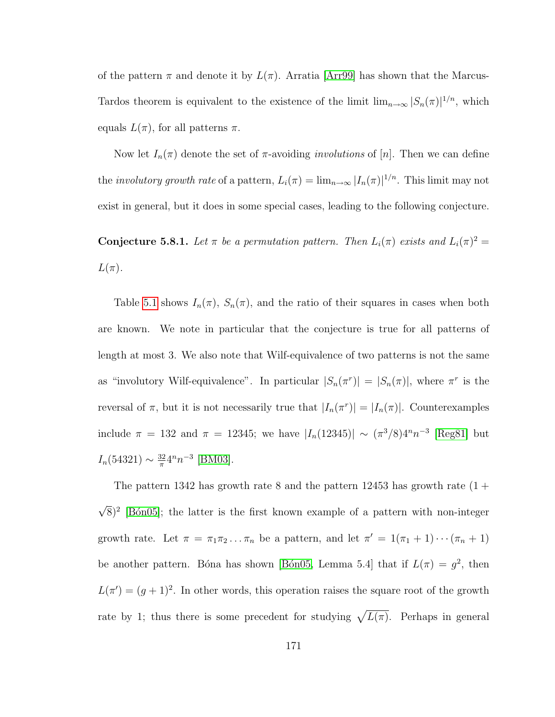of the pattern  $\pi$  and denote it by  $L(\pi)$ . Arratia [\[Arr99\]](#page-246-0) has shown that the Marcus-Tardos theorem is equivalent to the existence of the limit  $\lim_{n\to\infty} |S_n(\pi)|^{1/n}$ , which equals  $L(\pi)$ , for all patterns  $\pi$ .

Now let  $I_n(\pi)$  denote the set of  $\pi$ -avoiding *involutions* of [n]. Then we can define the *involutory growth rate* of a pattern,  $L_i(\pi) = \lim_{n \to \infty} |I_n(\pi)|^{1/n}$ . This limit may not exist in general, but it does in some special cases, leading to the following conjecture.

<span id="page-182-0"></span>**Conjecture 5.8.1.** Let  $\pi$  be a permutation pattern. Then  $L_i(\pi)$  exists and  $L_i(\pi)^2 =$  $L(\pi)$ .

Table [5.1](#page-183-0) shows  $I_n(\pi)$ ,  $S_n(\pi)$ , and the ratio of their squares in cases when both are known. We note in particular that the conjecture is true for all patterns of length at most 3. We also note that Wilf-equivalence of two patterns is not the same as "involutory Wilf-equivalence". In particular  $|S_n(\pi^r)| = |S_n(\pi)|$ , where  $\pi^r$  is the reversal of  $\pi$ , but it is not necessarily true that  $|I_n(\pi^r)| = |I_n(\pi)|$ . Counterexamples include  $\pi = 132$  and  $\pi = 12345$ ; we have  $|I_n(12345)| \sim (\pi^3/8)4^n n^{-3}$  [\[Reg81\]](#page-257-0) but  $I_n(54321) \sim \frac{32}{\pi}$  $\frac{32}{\pi}4^n n^{-3}$  [\[BM03\]](#page-247-1).

The pattern 1342 has growth rate 8 and the pattern 12453 has growth rate  $(1 +$ √  $\sqrt{8}$ <sup>2</sup> [Bon05]; the latter is the first known example of a pattern with non-integer growth rate. Let  $\pi = \pi_1 \pi_2 ... \pi_n$  be a pattern, and let  $\pi' = 1(\pi_1 + 1) \cdots (\pi_n + 1)$ be another pattern. Bóna has shown [Bón05, Lemma 5.4] that if  $L(\pi) = g^2$ , then  $L(\pi') = (g+1)^2$ . In other words, this operation raises the square root of the growth rate by 1; thus there is some precedent for studying  $\sqrt{L(\pi)}$ . Perhaps in general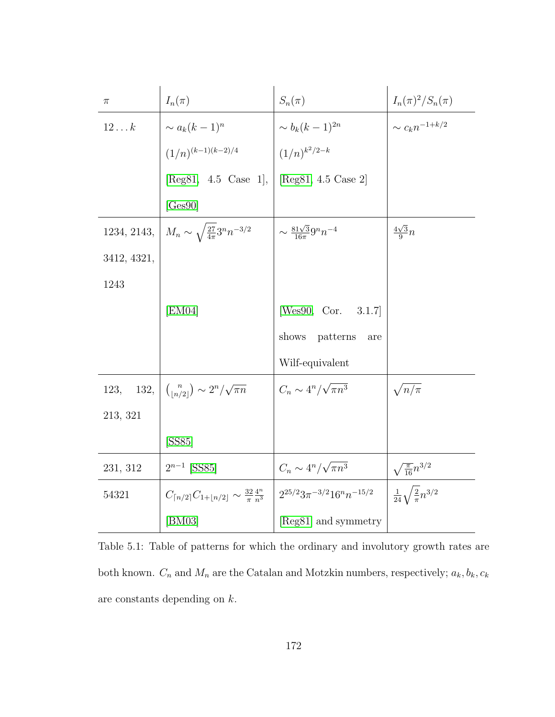| $\pi$         | $I_n(\pi)$                                                                                                                                    | $S_n(\pi)$                                | $I_n(\pi)^2/S_n(\pi)$                                                          |
|---------------|-----------------------------------------------------------------------------------------------------------------------------------------------|-------------------------------------------|--------------------------------------------------------------------------------|
| $12 \ldots k$ |                                                                                                                                               |                                           | $\sim c_k n^{-1+k/2}$                                                          |
|               | $\sim a_k(k-1)^n$<br>(1/n) <sup>(k-1)(k-2)/4</sup>                                                                                            | $\sim b_k(k-1)^{2n}$<br>$(1/n)^{k^2/2-k}$ |                                                                                |
|               | [Reg81, 4.5 Case 1], $ $ [Reg81, 4.5 Case 2]                                                                                                  |                                           |                                                                                |
|               | [Gess90]                                                                                                                                      |                                           |                                                                                |
| 1234, 2143,   | $M_n \sim \sqrt{\frac{27}{4\pi}} 3^n n^{-3/2}$                                                                                                | $\sim \frac{81\sqrt{3}}{16\pi}9^n n^{-4}$ | $\frac{4\sqrt{3}}{9}n$                                                         |
| 3412, 4321,   |                                                                                                                                               |                                           |                                                                                |
| 1243          |                                                                                                                                               |                                           |                                                                                |
|               | [EM04]                                                                                                                                        | [ $Wes90, Cor. 3.1.7$ ]                   |                                                                                |
|               |                                                                                                                                               | shows patterns<br>are                     |                                                                                |
|               |                                                                                                                                               | Wilf-equivalent                           |                                                                                |
| 123,          | $132, \int_{n/2}^{n} \binom{n}{\lfloor n/2 \rfloor} \sim 2^n / \sqrt{\pi n}$                                                                  | $C_n \sim 4^n/\sqrt{\pi n^3}$             | $\sqrt{n/\pi}$                                                                 |
| 213, 321      |                                                                                                                                               |                                           |                                                                                |
|               | [SS85]                                                                                                                                        |                                           |                                                                                |
| 231, 312      | $2^{n-1}$ [SS85]                                                                                                                              | $C_n \sim 4^n/\sqrt{\pi n^3}$             |                                                                                |
| 54321         | $C_{\lceil n/2 \rceil} C_{1 + \lfloor n/2 \rfloor} \sim \frac{32}{\pi} \frac{4^n}{n^3} ~\left ~ 2^{25/2} 3 \pi^{-3/2} 16^n n^{-15/2} \right.$ |                                           | $\frac{\sqrt{\frac{\pi}{16}}n^{3/2}}{\frac{1}{24}\sqrt{\frac{2}{\pi}}n^{3/2}}$ |
|               | [BM03]                                                                                                                                        | [Reg81] and symmetry                      |                                                                                |

<span id="page-183-0"></span>Table 5.1: Table of patterns for which the ordinary and involutory growth rates are both known.  $C_n$  and  $M_n$  are the Catalan and Motzkin numbers, respectively;  $a_k, b_k, c_k$ are constants depending on  $k$ .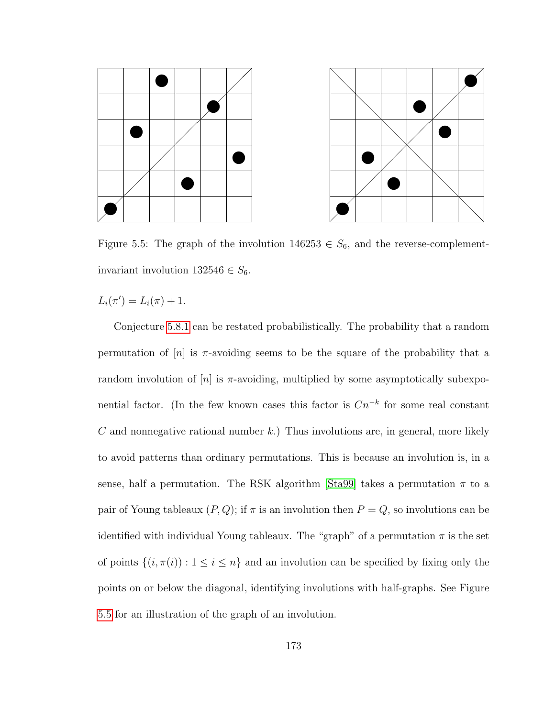

<span id="page-184-0"></span>Figure 5.5: The graph of the involution  $146253 \in S_6$ , and the reverse-complementinvariant involution  $132546 \in S_6$ .

 $L_i(\pi') = L_i(\pi) + 1.$ 

Conjecture [5.8.1](#page-182-0) can be restated probabilistically. The probability that a random permutation of  $[n]$  is  $\pi$ -avoiding seems to be the square of the probability that a random involution of  $[n]$  is  $\pi$ -avoiding, multiplied by some asymptotically subexponential factor. (In the few known cases this factor is  $Cn^{-k}$  for some real constant C and nonnegative rational number  $k$ .) Thus involutions are, in general, more likely to avoid patterns than ordinary permutations. This is because an involution is, in a sense, half a permutation. The RSK algorithm [\[Sta99\]](#page-258-1) takes a permutation  $\pi$  to a pair of Young tableaux  $(P, Q)$ ; if  $\pi$  is an involution then  $P = Q$ , so involutions can be identified with individual Young tableaux. The "graph" of a permutation  $\pi$  is the set of points  $\{(i, \pi(i)) : 1 \leq i \leq n\}$  and an involution can be specified by fixing only the points on or below the diagonal, identifying involutions with half-graphs. See Figure [5.5](#page-184-0) for an illustration of the graph of an involution.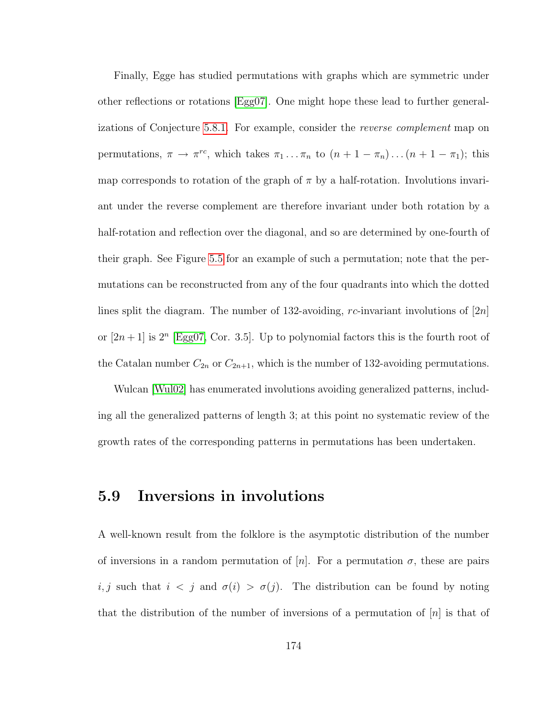Finally, Egge has studied permutations with graphs which are symmetric under other reflections or rotations [\[Egg07\]](#page-250-1). One might hope these lead to further generalizations of Conjecture [5.8.1.](#page-182-0) For example, consider the reverse complement map on permutations,  $\pi \to \pi^{rc}$ , which takes  $\pi_1 \dots \pi_n$  to  $(n+1-\pi_n) \dots (n+1-\pi_1)$ ; this map corresponds to rotation of the graph of  $\pi$  by a half-rotation. Involutions invariant under the reverse complement are therefore invariant under both rotation by a half-rotation and reflection over the diagonal, and so are determined by one-fourth of their graph. See Figure [5.5](#page-184-0) for an example of such a permutation; note that the permutations can be reconstructed from any of the four quadrants into which the dotted lines split the diagram. The number of 132-avoiding, rc-invariant involutions of  $|2n|$ or  $[2n+1]$  is  $2^n$  [\[Egg07,](#page-250-1) Cor. 3.5]. Up to polynomial factors this is the fourth root of the Catalan number  $C_{2n}$  or  $C_{2n+1}$ , which is the number of 132-avoiding permutations.

Wulcan [\[Wul02\]](#page-260-1) has enumerated involutions avoiding generalized patterns, including all the generalized patterns of length 3; at this point no systematic review of the growth rates of the corresponding patterns in permutations has been undertaken.

#### 5.9 Inversions in involutions

A well-known result from the folklore is the asymptotic distribution of the number of inversions in a random permutation of  $|n|$ . For a permutation  $\sigma$ , these are pairs i, j such that  $i < j$  and  $\sigma(i) > \sigma(j)$ . The distribution can be found by noting that the distribution of the number of inversions of a permutation of  $[n]$  is that of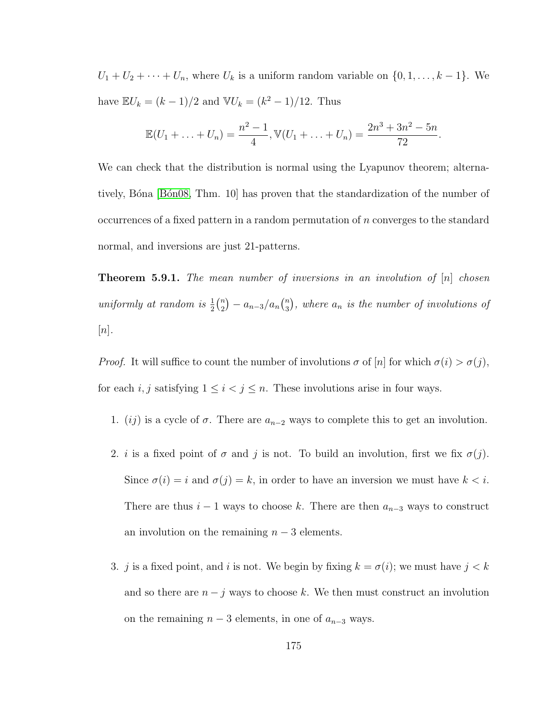$U_1 + U_2 + \cdots + U_n$ , where  $U_k$  is a uniform random variable on  $\{0, 1, \ldots, k-1\}$ . We have  $\mathbb{E}U_k = (k-1)/2$  and  $\mathbb{V}U_k = (k^2 - 1)/12$ . Thus

$$
\mathbb{E}(U_1 + \ldots + U_n) = \frac{n^2 - 1}{4}, \mathbb{V}(U_1 + \ldots + U_n) = \frac{2n^3 + 3n^2 - 5n}{72}.
$$

We can check that the distribution is normal using the Lyapunov theorem; alternatively, Bóna [Bón08, Thm. 10] has proven that the standardization of the number of occurrences of a fixed pattern in a random permutation of n converges to the standard normal, and inversions are just 21-patterns.

**Theorem 5.9.1.** The mean number of inversions in an involution of  $[n]$  chosen uniformly at random is  $\frac{1}{2} {n \choose 2}$  $a_n^{(n)} - a_{n-3}/a_n \binom{n}{3}$  $\binom{n}{3}$ , where  $a_n$  is the number of involutions of  $[n]$ .

*Proof.* It will suffice to count the number of involutions  $\sigma$  of  $[n]$  for which  $\sigma(i) > \sigma(j)$ , for each  $i, j$  satisfying  $1 \leq i < j \leq n$ . These involutions arise in four ways.

- 1. (ij) is a cycle of  $\sigma$ . There are  $a_{n-2}$  ways to complete this to get an involution.
- 2. i is a fixed point of  $\sigma$  and j is not. To build an involution, first we fix  $\sigma(j)$ . Since  $\sigma(i) = i$  and  $\sigma(j) = k$ , in order to have an inversion we must have  $k < i$ . There are thus  $i - 1$  ways to choose k. There are then  $a_{n-3}$  ways to construct an involution on the remaining  $n-3$  elements.
- 3. j is a fixed point, and i is not. We begin by fixing  $k = \sigma(i)$ ; we must have  $j < k$ and so there are  $n - j$  ways to choose k. We then must construct an involution on the remaining  $n-3$  elements, in one of  $a_{n-3}$  ways.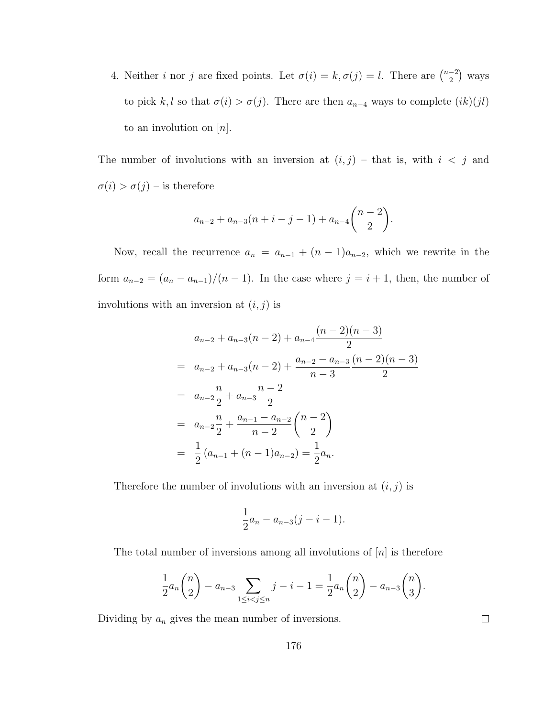4. Neither i nor j are fixed points. Let  $\sigma(i) = k, \sigma(j) = l$ . There are  $\binom{n-2}{2}$  $\binom{-2}{2}$  ways to pick k, l so that  $\sigma(i) > \sigma(j)$ . There are then  $a_{n-4}$  ways to complete  $(ik)(jl)$ to an involution on  $[n]$ .

The number of involutions with an inversion at  $(i, j)$  – that is, with  $i < j$  and  $\sigma(i) > \sigma(j)$  – is therefore

$$
a_{n-2} + a_{n-3}(n+i-j-1) + a_{n-4}\binom{n-2}{2}.
$$

Now, recall the recurrence  $a_n = a_{n-1} + (n-1)a_{n-2}$ , which we rewrite in the form  $a_{n-2} = (a_n - a_{n-1})/(n-1)$ . In the case where  $j = i + 1$ , then, the number of involutions with an inversion at  $(i, j)$  is

$$
a_{n-2} + a_{n-3}(n-2) + a_{n-4} \frac{(n-2)(n-3)}{2}
$$
  
=  $a_{n-2} + a_{n-3}(n-2) + \frac{a_{n-2} - a_{n-3}}{n-3} \frac{(n-2)(n-3)}{2}$   
=  $a_{n-2} \frac{n}{2} + a_{n-3} \frac{n-2}{2}$   
=  $a_{n-2} \frac{n}{2} + \frac{a_{n-1} - a_{n-2}}{n-2} {n-2 \choose 2}$   
=  $\frac{1}{2} (a_{n-1} + (n-1)a_{n-2}) = \frac{1}{2} a_n.$ 

Therefore the number of involutions with an inversion at  $(i, j)$  is

$$
\frac{1}{2}a_n - a_{n-3}(j - i - 1).
$$

The total number of inversions among all involutions of  $[n]$  is therefore

$$
\frac{1}{2}a_n\binom{n}{2} - a_{n-3} \sum_{1 \le i < j \le n} j - i - 1 = \frac{1}{2}a_n\binom{n}{2} - a_{n-3}\binom{n}{3}.
$$

176

Dividing by  $a_n$  gives the mean number of inversions.

 $\Box$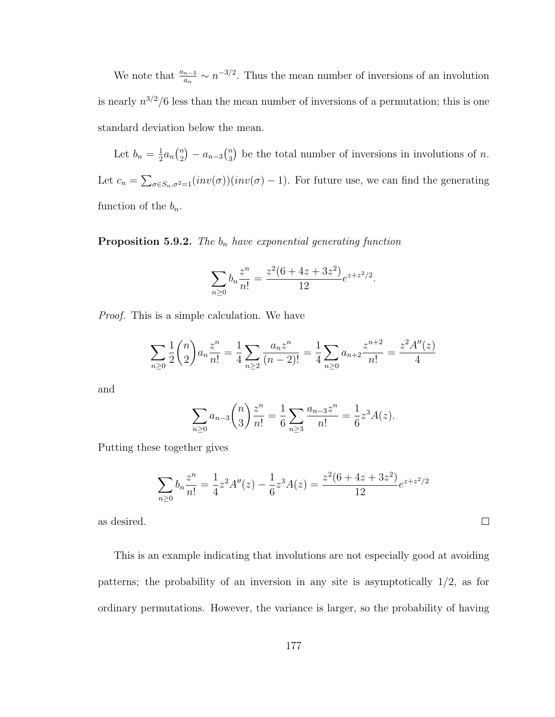We note that  $\frac{a_{n-3}}{a_n} \sim n^{-3/2}$ . Thus the mean number of inversions of an involution is nearly  $n^{3/2}/6$  less than the mean number of inversions of a permutation; this is one standard deviation below the mean.

Let  $b_n = \frac{1}{2}$  $rac{1}{2}a_n\binom{n}{2}$  $\binom{n}{2} - a_{n-3} \binom{n}{3}$  $n_3$ ) be the total number of inversions in involutions of n. Let  $c_n = \sum_{\sigma \in S_n, \sigma^2 = 1}(inv(\sigma))(inv(\sigma) - 1)$ . For future use, we can find the generating function of the  $b_n$ .

**Proposition 5.9.2.** The  $b_n$  have exponential generating function

$$
\sum_{n\geq 0} b_n \frac{z^n}{n!} = \frac{z^2(6+4z+3z^2)}{12} e^{z+z^2/2}.
$$

Proof. This is a simple calculation. We have

$$
\sum_{n\geq 0} \frac{1}{2} {n \choose 2} a_n \frac{z^n}{n!} = \frac{1}{4} \sum_{n\geq 2} \frac{a_n z^n}{(n-2)!} = \frac{1}{4} \sum_{n\geq 0} a_{n+2} \frac{z^{n+2}}{n!} = \frac{z^2 A''(z)}{4}
$$

and

$$
\sum_{n\geq 0} a_{n-3} \binom{n}{3} \frac{z^n}{n!} = \frac{1}{6} \sum_{n\geq 3} \frac{a_{n-3} z^n}{n!} = \frac{1}{6} z^3 A(z).
$$

Putting these together gives

$$
\sum_{n\geq 0} b_n \frac{z^n}{n!} = \frac{1}{4} z^2 A''(z) - \frac{1}{6} z^3 A(z) = \frac{z^2 (6 + 4z + 3z^2)}{12} e^{z + z^2/2}
$$

 $\Box$ 

as desired.

This is an example indicating that involutions are not especially good at avoiding patterns; the probability of an inversion in any site is asymptotically 1/2, as for ordinary permutations. However, the variance is larger, so the probability of having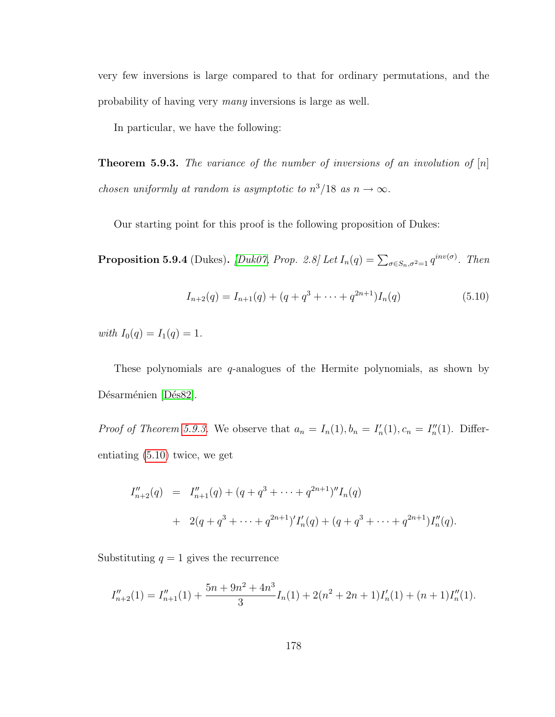very few inversions is large compared to that for ordinary permutations, and the probability of having very many inversions is large as well.

<span id="page-189-0"></span>In particular, we have the following:

**Theorem 5.9.3.** The variance of the number of inversions of an involution of  $[n]$ chosen uniformly at random is asymptotic to  $n^3/18$  as  $n \to \infty$ .

Our starting point for this proof is the following proposition of Dukes:

**Proposition 5.9.4** (Dukes). [\[Duk07,](#page-249-0) Prop. 2.8] Let  $I_n(q) = \sum_{\sigma \in S_n, \sigma^2=1} q^{inv(\sigma)}$ . Then

<span id="page-189-1"></span>
$$
I_{n+2}(q) = I_{n+1}(q) + (q + q^3 + \dots + q^{2n+1})I_n(q)
$$
\n(5.10)

with  $I_0(q) = I_1(q) = 1$ .

These polynomials are q-analogues of the Hermite polynomials, as shown by Désarménien [Dés82].

*Proof of Theorem [5.9.3.](#page-189-0)* We observe that  $a_n = I_n(1)$ ,  $b_n = I'_n(1)$ ,  $c_n = I''_n(1)$ . Differentiating [\(5.10\)](#page-189-1) twice, we get

$$
I''_{n+2}(q) = I''_{n+1}(q) + (q + q^3 + \dots + q^{2n+1})'' I_n(q)
$$
  
+ 
$$
2(q + q^3 + \dots + q^{2n+1})' I'_n(q) + (q + q^3 + \dots + q^{2n+1}) I''_n(q).
$$

Substituting  $q = 1$  gives the recurrence

$$
I''_{n+2}(1) = I''_{n+1}(1) + \frac{5n + 9n^2 + 4n^3}{3}I_n(1) + 2(n^2 + 2n + 1)I'_n(1) + (n+1)I''_n(1).
$$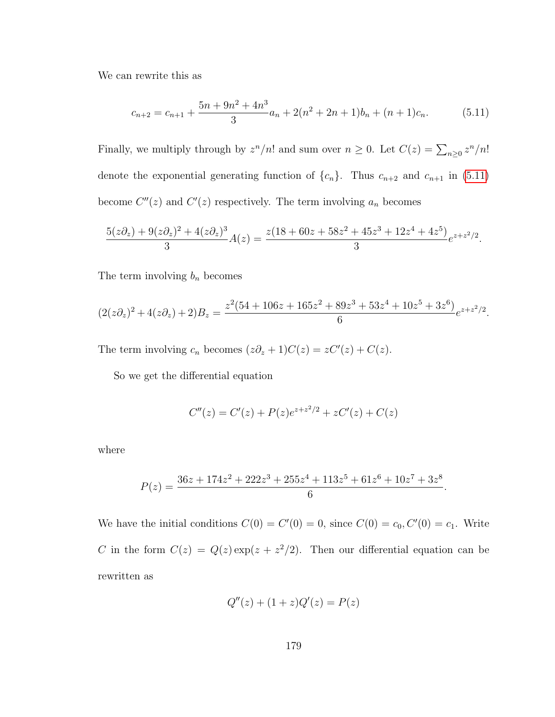We can rewrite this as

<span id="page-190-0"></span>
$$
c_{n+2} = c_{n+1} + \frac{5n + 9n^2 + 4n^3}{3}a_n + 2(n^2 + 2n + 1)b_n + (n+1)c_n.
$$
 (5.11)

Finally, we multiply through by  $z^n/n!$  and sum over  $n \geq 0$ . Let  $C(z) = \sum_{n \geq 0} z^n/n!$ denote the exponential generating function of  $\{c_n\}$ . Thus  $c_{n+2}$  and  $c_{n+1}$  in [\(5.11\)](#page-190-0) become  $C''(z)$  and  $C'(z)$  respectively. The term involving  $a_n$  becomes

$$
\frac{5(z\partial_z) + 9(z\partial_z)^2 + 4(z\partial_z)^3}{3}A(z) = \frac{z(18 + 60z + 58z^2 + 45z^3 + 12z^4 + 4z^5)}{3}e^{z + z^2/2}.
$$

The term involving  $b_n$  becomes

$$
(2(z\partial_z)^2 + 4(z\partial_z) + 2)B_z = \frac{z^2(54 + 106z + 165z^2 + 89z^3 + 53z^4 + 10z^5 + 3z^6)}{6}e^{z + z^2/2}.
$$

The term involving  $c_n$  becomes  $(z\partial_z + 1)C(z) = zC'(z) + C(z)$ .

So we get the differential equation

$$
C''(z) = C'(z) + P(z)e^{z + z^2/2} + zC'(z) + C(z)
$$

where

$$
P(z) = \frac{36z + 174z^2 + 222z^3 + 255z^4 + 113z^5 + 61z^6 + 10z^7 + 3z^8}{6}.
$$

We have the initial conditions  $C(0) = C'(0) = 0$ , since  $C(0) = c_0, C'(0) = c_1$ . Write C in the form  $C(z) = Q(z) \exp(z + z^2/2)$ . Then our differential equation can be rewritten as

$$
Q''(z) + (1+z)Q'(z) = P(z)
$$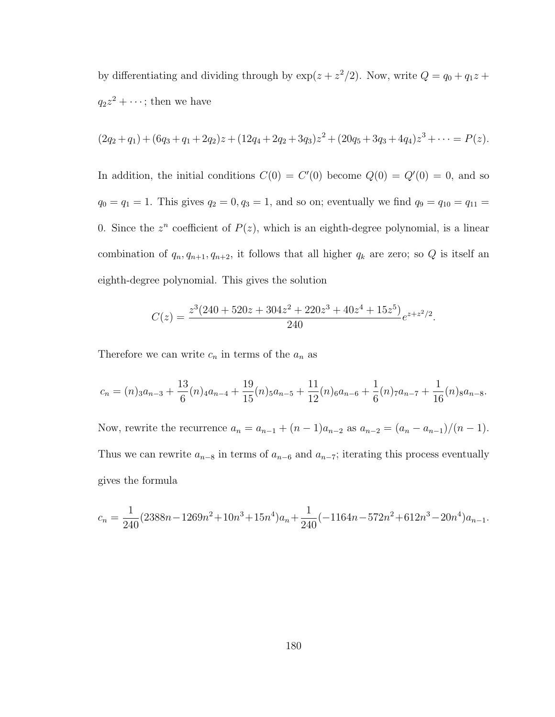by differentiating and dividing through by  $\exp(z + z^2/2)$ . Now, write  $Q = q_0 + q_1 z +$  $q_2z^2 + \cdots$ ; then we have

$$
(2q_2+q_1)+(6q_3+q_1+2q_2)z+(12q_4+2q_2+3q_3)z^2+(20q_5+3q_3+4q_4)z^3+\cdots=P(z).
$$

In addition, the initial conditions  $C(0) = C'(0)$  become  $Q(0) = Q'(0) = 0$ , and so  $q_0 = q_1 = 1$ . This gives  $q_2 = 0, q_3 = 1$ , and so on; eventually we find  $q_9 = q_{10} = q_{11} =$ 0. Since the  $z^n$  coefficient of  $P(z)$ , which is an eighth-degree polynomial, is a linear combination of  $q_n, q_{n+1}, q_{n+2}$ , it follows that all higher  $q_k$  are zero; so Q is itself an eighth-degree polynomial. This gives the solution

$$
C(z) = \frac{z^3(240 + 520z + 304z^2 + 220z^3 + 40z^4 + 15z^5)}{240}e^{z + z^2/2}.
$$

Therefore we can write  $c_n$  in terms of the  $a_n$  as

$$
c_n = (n)_3 a_{n-3} + \frac{13}{6} (n)_4 a_{n-4} + \frac{19}{15} (n)_5 a_{n-5} + \frac{11}{12} (n)_6 a_{n-6} + \frac{1}{6} (n)_7 a_{n-7} + \frac{1}{16} (n)_8 a_{n-8}.
$$
  
Now, rewrite the recurrence  $a_n = a_{n-1} + (n-1)a_{n-2}$  as  $a_{n-2} = (a_n - a_{n-1})/(n-1)$ .  
Thus we can rewrite  $a_{n-8}$  in terms of  $a_{n-6}$  and  $a_{n-7}$ ; iterating this process eventually gives the formula

$$
c_n = \frac{1}{240}(2388n - 1269n^2 + 10n^3 + 15n^4)a_n + \frac{1}{240}(-1164n - 572n^2 + 612n^3 - 20n^4)a_{n-1}.
$$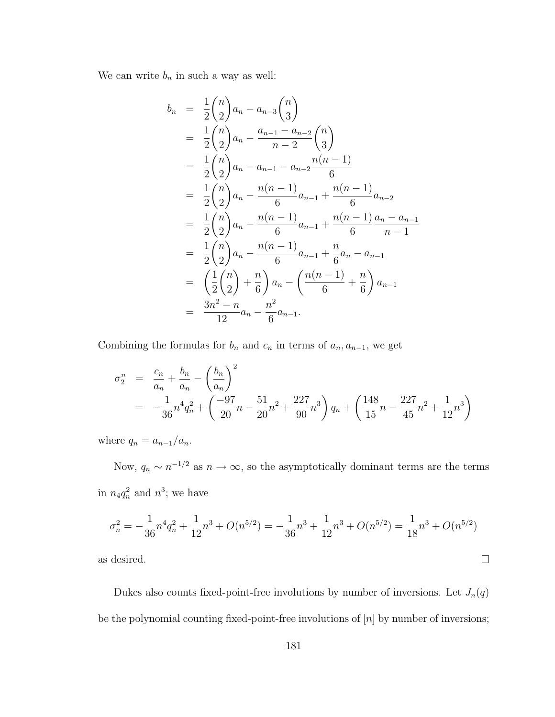We can write  $b_n$  in such a way as well:

$$
b_n = \frac{1}{2} {n \choose 2} a_n - a_{n-3} {n \choose 3}
$$
  
\n
$$
= \frac{1}{2} {n \choose 2} a_n - \frac{a_{n-1} - a_{n-2}}{n-2} {n \choose 3}
$$
  
\n
$$
= \frac{1}{2} {n \choose 2} a_n - a_{n-1} - a_{n-2} \frac{n(n-1)}{6}
$$
  
\n
$$
= \frac{1}{2} {n \choose 2} a_n - \frac{n(n-1)}{6} a_{n-1} + \frac{n(n-1)}{6} a_{n-2}
$$
  
\n
$$
= \frac{1}{2} {n \choose 2} a_n - \frac{n(n-1)}{6} a_{n-1} + \frac{n(n-1)}{6} \frac{a_n - a_{n-1}}{n-1}
$$
  
\n
$$
= \frac{1}{2} {n \choose 2} a_n - \frac{n(n-1)}{6} a_{n-1} + \frac{n}{6} a_n - a_{n-1}
$$
  
\n
$$
= \left(\frac{1}{2} {n \choose 2} + \frac{n}{6}\right) a_n - \left(\frac{n(n-1)}{6} + \frac{n}{6}\right) a_{n-1}
$$
  
\n
$$
= \frac{3n^2 - n}{12} a_n - \frac{n^2}{6} a_{n-1}.
$$

Combining the formulas for  $b_n$  and  $c_n$  in terms of  $a_n, a_{n-1}$ , we get

$$
\sigma_2^n = \frac{c_n}{a_n} + \frac{b_n}{a_n} - \left(\frac{b_n}{a_n}\right)^2
$$
  
=  $-\frac{1}{36}n^4q_n^2 + \left(\frac{-97}{20}n - \frac{51}{20}n^2 + \frac{227}{90}n^3\right)q_n + \left(\frac{148}{15}n - \frac{227}{45}n^2 + \frac{1}{12}n^3\right)$ 

where  $q_n = a_{n-1}/a_n$ .

Now,  $q_n \sim n^{-1/2}$  as  $n \to \infty$ , so the asymptotically dominant terms are the terms in  $n_4 q_n^2$  and  $n^3$ ; we have

$$
\sigma_n^2 = -\frac{1}{36}n^4q_n^2 + \frac{1}{12}n^3 + O(n^{5/2}) = -\frac{1}{36}n^3 + \frac{1}{12}n^3 + O(n^{5/2}) = \frac{1}{18}n^3 + O(n^{5/2})
$$

 $\Box$ 

as desired.

Dukes also counts fixed-point-free involutions by number of inversions. Let  $J_n(q)$ be the polynomial counting fixed-point-free involutions of  $[n]$  by number of inversions;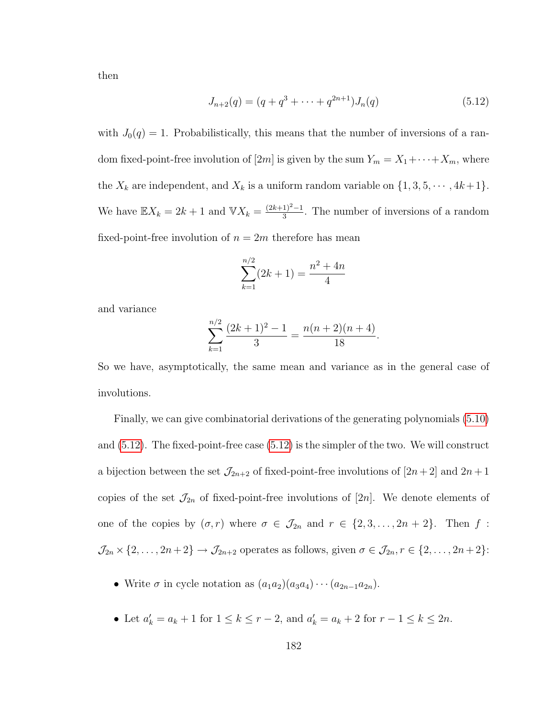then

<span id="page-193-0"></span>
$$
J_{n+2}(q) = (q + q^3 + \dots + q^{2n+1})J_n(q)
$$
\n(5.12)

with  $J_0(q) = 1$ . Probabilistically, this means that the number of inversions of a random fixed-point-free involution of  $[2m]$  is given by the sum  $Y_m = X_1 + \cdots + X_m$ , where the  $X_k$  are independent, and  $X_k$  is a uniform random variable on  $\{1, 3, 5, \cdots, 4k+1\}$ . We have  $\mathbb{E}X_k = 2k+1$  and  $\mathbb{V}X_k = \frac{(2k+1)^2-1}{3}$  $\frac{1}{3}$ . The number of inversions of a random fixed-point-free involution of  $n = 2m$  therefore has mean

$$
\sum_{k=1}^{n/2} (2k+1) = \frac{n^2 + 4n}{4}
$$

and variance

$$
\sum_{k=1}^{n/2} \frac{(2k+1)^2 - 1}{3} = \frac{n(n+2)(n+4)}{18}.
$$

So we have, asymptotically, the same mean and variance as in the general case of involutions.

Finally, we can give combinatorial derivations of the generating polynomials [\(5.10\)](#page-189-1) and [\(5.12\)](#page-193-0). The fixed-point-free case [\(5.12\)](#page-193-0) is the simpler of the two. We will construct a bijection between the set  $\mathcal{J}_{2n+2}$  of fixed-point-free involutions of  $[2n+2]$  and  $2n+1$ copies of the set  $\mathcal{J}_{2n}$  of fixed-point-free involutions of [2n]. We denote elements of one of the copies by  $(\sigma, r)$  where  $\sigma \in \mathcal{J}_{2n}$  and  $r \in \{2, 3, ..., 2n + 2\}$ . Then f:  $\mathcal{J}_{2n} \times \{2, \ldots, 2n+2\} \to \mathcal{J}_{2n+2}$  operates as follows, given  $\sigma \in \mathcal{J}_{2n}, r \in \{2, \ldots, 2n+2\}$ :

- Write  $\sigma$  in cycle notation as  $(a_1a_2)(a_3a_4)\cdots(a_{2n-1}a_{2n}).$
- Let  $a'_k = a_k + 1$  for  $1 \le k \le r 2$ , and  $a'_k = a_k + 2$  for  $r 1 \le k \le 2n$ .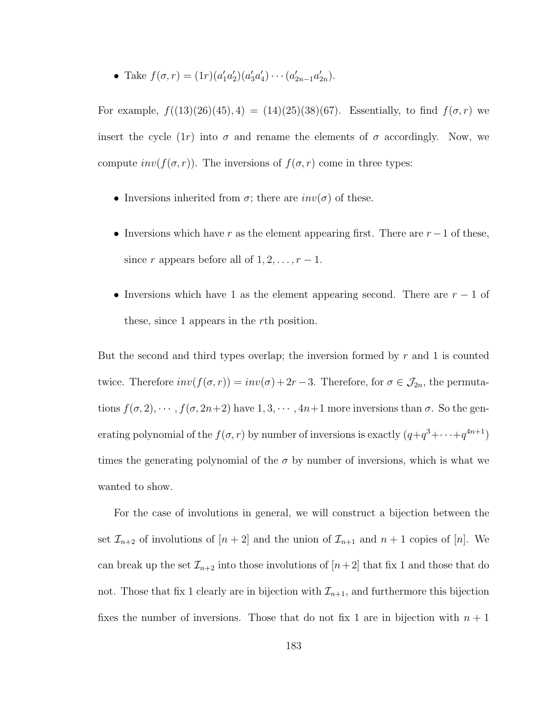• Take  $f(\sigma, r) = (1r)(a'_1a'_2)(a'_3a'_4)\cdots(a'_{2n-1}a'_{2n}).$ 

For example,  $f((13)(26)(45), 4) = (14)(25)(38)(67)$ . Essentially, to find  $f(\sigma, r)$  we insert the cycle  $(1r)$  into  $\sigma$  and rename the elements of  $\sigma$  accordingly. Now, we compute  $inv(f(\sigma, r))$ . The inversions of  $f(\sigma, r)$  come in three types:

- Inversions inherited from  $\sigma$ ; there are  $inv(\sigma)$  of these.
- Inversions which have r as the element appearing first. There are  $r 1$  of these, since r appears before all of  $1, 2, \ldots, r - 1$ .
- Inversions which have 1 as the element appearing second. There are  $r 1$  of these, since 1 appears in the rth position.

But the second and third types overlap; the inversion formed by  $r$  and 1 is counted twice. Therefore  $inv(f(\sigma, r)) = inv(\sigma) + 2r - 3$ . Therefore, for  $\sigma \in \mathcal{J}_{2n}$ , the permutations  $f(\sigma, 2), \dots, f(\sigma, 2n+2)$  have  $1, 3, \dots, 4n+1$  more inversions than  $\sigma$ . So the generating polynomial of the  $f(\sigma, r)$  by number of inversions is exactly  $(q + q^3 + \cdots + q^{4n+1})$ times the generating polynomial of the  $\sigma$  by number of inversions, which is what we wanted to show.

For the case of involutions in general, we will construct a bijection between the set  $\mathcal{I}_{n+2}$  of involutions of  $[n+2]$  and the union of  $\mathcal{I}_{n+1}$  and  $n+1$  copies of  $[n]$ . We can break up the set  $\mathcal{I}_{n+2}$  into those involutions of  $[n+2]$  that fix 1 and those that do not. Those that fix 1 clearly are in bijection with  $\mathcal{I}_{n+1}$ , and furthermore this bijection fixes the number of inversions. Those that do not fix 1 are in bijection with  $n + 1$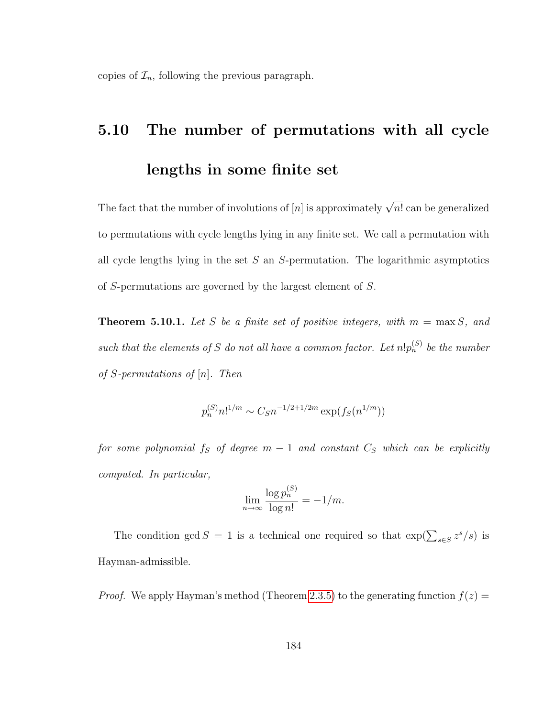copies of  $\mathcal{I}_n$ , following the previous paragraph.

# 5.10 The number of permutations with all cycle lengths in some finite set

The fact that the number of involutions of  $[n]$  is approximately  $\sqrt{n!}$  can be generalized to permutations with cycle lengths lying in any finite set. We call a permutation with all cycle lengths lying in the set  $S$  an  $S$ -permutation. The logarithmic asymptotics of S-permutations are governed by the largest element of S.

<span id="page-195-0"></span>**Theorem 5.10.1.** Let S be a finite set of positive integers, with  $m = \max S$ , and such that the elements of S do not all have a common factor. Let  $n!p_n^{(S)}$  be the number of S-permutations of  $[n]$ . Then

$$
p_n^{(S)} n!^{1/m} \sim C_S n^{-1/2 + 1/2m} \exp(f_S(n^{1/m}))
$$

for some polynomial fs of degree  $m-1$  and constant  $C_S$  which can be explicitly computed. In particular,

$$
\lim_{n \to \infty} \frac{\log p_n^{(S)}}{\log n!} = -1/m.
$$

The condition gcd  $S = 1$  is a technical one required so that  $\exp(\sum_{s \in S} z^s / s)$  is Hayman-admissible.

*Proof.* We apply Hayman's method (Theorem [2.3.5\)](#page-49-0) to the generating function  $f(z) =$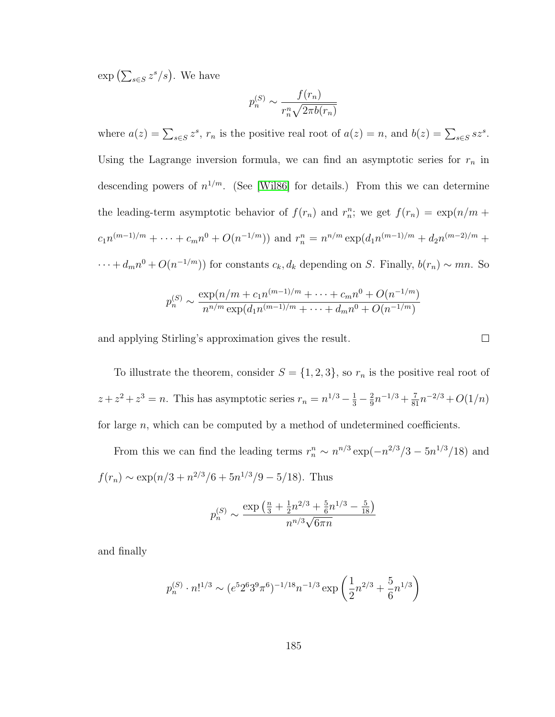$\exp\left(\sum_{s\in S} z^s / s\right)$ . We have

$$
p_n^{(S)} \sim \frac{f(r_n)}{r_n^n \sqrt{2\pi b(r_n)}}
$$

where  $a(z) = \sum_{s \in S} z^s$ ,  $r_n$  is the positive real root of  $a(z) = n$ , and  $b(z) = \sum_{s \in S} s z^s$ . Using the Lagrange inversion formula, we can find an asymptotic series for  $r_n$  in descending powers of  $n^{1/m}$ . (See [\[Wil86\]](#page-260-2) for details.) From this we can determine the leading-term asymptotic behavior of  $f(r_n)$  and  $r_n^n$ ; we get  $f(r_n) = \exp(n/m +$  $c_1n^{(m-1)/m} + \cdots + c_mn^0 + O(n^{-1/m})$  and  $r_n^n = n^{n/m} \exp(d_1n^{(m-1)/m} + d_2n^{(m-2)/m} +$  $\cdots + d_m n^0 + O(n^{-1/m})$  for constants  $c_k, d_k$  depending on S. Finally,  $b(r_n) \sim mn$ . So

$$
p_n^{(S)} \sim \frac{\exp(n/m + c_1 n^{(m-1)/m} + \dots + c_m n^0 + O(n^{-1/m})}{n^{n/m} \exp(d_1 n^{(m-1)/m} + \dots + d_m n^0 + O(n^{-1/m})}
$$

and applying Stirling's approximation gives the result.

$$
\frac{1}{2} \left( \frac{1}{2} \right)^2
$$

 $\Box$ 

To illustrate the theorem, consider  $S = \{1, 2, 3\}$ , so  $r_n$  is the positive real root of  $z + z^2 + z^3 = n$ . This has asymptotic series  $r_n = n^{1/3} - \frac{1}{3} - \frac{2}{9}$  $\frac{2}{9}n^{-1/3} + \frac{7}{81}n^{-2/3} + O(1/n)$ for large n, which can be computed by a method of undetermined coefficients.

From this we can find the leading terms  $r_n^n \sim n^{n/3} \exp(-n^{2/3}/3 - 5n^{1/3}/18)$  and  $f(r_n) \sim \exp(n/\sqrt{3} + n^{2/3}/6 + 5n^{1/3}/9 - 5/18)$ . Thus

$$
p_n^{(S)} \sim \frac{\exp \left(\frac{n}{3}+\frac{1}{2}n^{2/3}+\frac{5}{6}n^{1/3}-\frac{5}{18}\right)}{n^{n/3}\sqrt{6\pi n}}
$$

<span id="page-196-0"></span>and finally

$$
p_n^{(S)} \cdot n!^{1/3} \sim (e^5 2^6 3^9 \pi^6)^{-1/18} n^{-1/3} \exp\left(\frac{1}{2} n^{2/3} + \frac{5}{6} n^{1/3}\right)
$$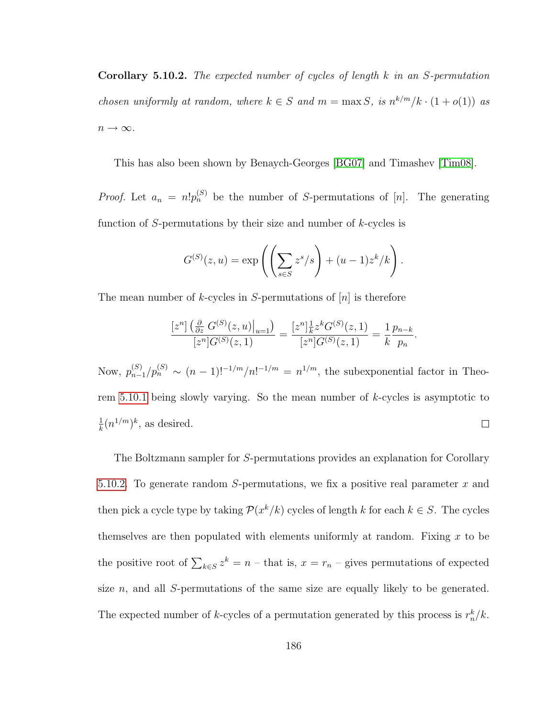Corollary 5.10.2. The expected number of cycles of length k in an S-permutation chosen uniformly at random, where  $k \in S$  and  $m = \max S$ , is  $n^{k/m}/k \cdot (1 + o(1))$  as  $n \to \infty$ .

This has also been shown by Benaych-Georges [\[BG07\]](#page-246-1) and Timashev [\[Tim08\]](#page-259-0).

*Proof.* Let  $a_n = n! p_n^{(S)}$  be the number of S-permutations of [n]. The generating function of  $S$ -permutations by their size and number of  $k$ -cycles is

$$
G^{(S)}(z,u) = \exp\left(\left(\sum_{s \in S} z^s / s\right) + (u-1)z^k / k\right).
$$

The mean number of k-cycles in S-permutations of  $[n]$  is therefore

$$
\frac{[z^n] \left(\frac{\partial}{\partial z} G^{(S)}(z, u)\right|_{u=1})}{[z^n] G^{(S)}(z, 1)} = \frac{[z^n]_k^{\frac{1}{2}} z^k G^{(S)}(z, 1)}{[z^n] G^{(S)}(z, 1)} = \frac{1}{k} \frac{p_{n-k}}{p_n}
$$

.

Now,  $p_{n-}^{(S)}$  $n_{n-1}^{(S)}/p_n^{(S)} \sim (n-1)!^{-1/m}/n!^{-1/m} = n^{1/m}$ , the subexponential factor in Theorem [5.10.1](#page-195-0) being slowly varying. So the mean number of k-cycles is asymptotic to  $\frac{1}{k}(n^{1/m})^k$ , as desired. 1  $\Box$ 

The Boltzmann sampler for S-permutations provides an explanation for Corollary [5.10.2.](#page-196-0) To generate random S-permutations, we fix a positive real parameter x and then pick a cycle type by taking  $\mathcal{P}(x^k/k)$  cycles of length k for each  $k \in S$ . The cycles themselves are then populated with elements uniformly at random. Fixing  $x$  to be the positive root of  $\sum_{k \in S} z^k = n$  – that is,  $x = r_n$  – gives permutations of expected size  $n$ , and all S-permutations of the same size are equally likely to be generated. The expected number of k-cycles of a permutation generated by this process is  $r_n^k/k$ .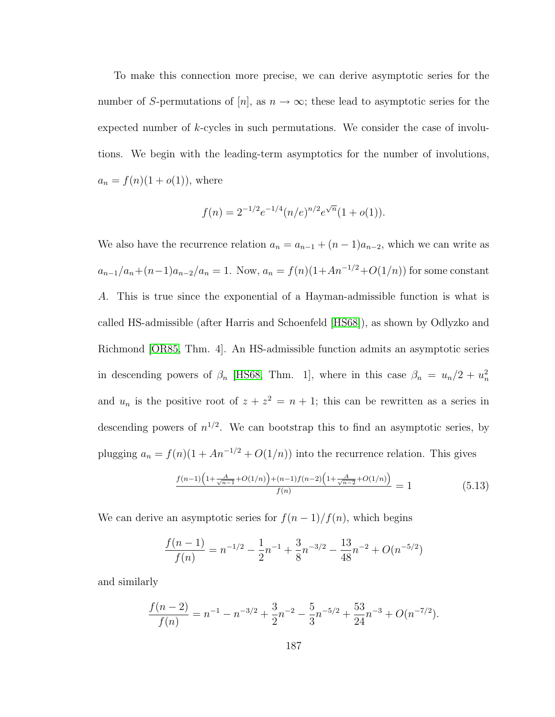To make this connection more precise, we can derive asymptotic series for the number of S-permutations of [n], as  $n \to \infty$ ; these lead to asymptotic series for the expected number of k-cycles in such permutations. We consider the case of involutions. We begin with the leading-term asymptotics for the number of involutions,  $a_n = f(n)(1 + o(1)),$  where

$$
f(n) = 2^{-1/2} e^{-1/4} (n/e)^{n/2} e^{\sqrt{n}} (1 + o(1)).
$$

We also have the recurrence relation  $a_n = a_{n-1} + (n-1)a_{n-2}$ , which we can write as  $a_{n-1}/a_n+(n-1)a_{n-2}/a_n = 1$ . Now,  $a_n = f(n)(1+An^{-1/2}+O(1/n))$  for some constant A. This is true since the exponential of a Hayman-admissible function is what is called HS-admissible (after Harris and Schoenfeld [\[HS68\]](#page-253-0)), as shown by Odlyzko and Richmond [\[OR85,](#page-256-0) Thm. 4]. An HS-admissible function admits an asymptotic series in descending powers of  $\beta_n$  [\[HS68,](#page-253-0) Thm. 1], where in this case  $\beta_n = u_n/2 + u_n^2$ and  $u_n$  is the positive root of  $z + z^2 = n + 1$ ; this can be rewritten as a series in descending powers of  $n^{1/2}$ . We can bootstrap this to find an asymptotic series, by plugging  $a_n = f(n)(1 + An^{-1/2} + O(1/n))$  into the recurrence relation. This gives

<span id="page-198-0"></span>
$$
\frac{f(n-1)\left(1+\frac{A}{\sqrt{n-1}}+O(1/n)\right)+(n-1)f(n-2)\left(1+\frac{A}{\sqrt{n-2}}+O(1/n)\right)}{f(n)}=1\tag{5.13}
$$

We can derive an asymptotic series for  $f(n-1)/f(n)$ , which begins

$$
\frac{f(n-1)}{f(n)} = n^{-1/2} - \frac{1}{2}n^{-1} + \frac{3}{8}n^{-3/2} - \frac{13}{48}n^{-2} + O(n^{-5/2})
$$

and similarly

$$
\frac{f(n-2)}{f(n)} = n^{-1} - n^{-3/2} + \frac{3}{2}n^{-2} - \frac{5}{3}n^{-5/2} + \frac{53}{24}n^{-3} + O(n^{-7/2}).
$$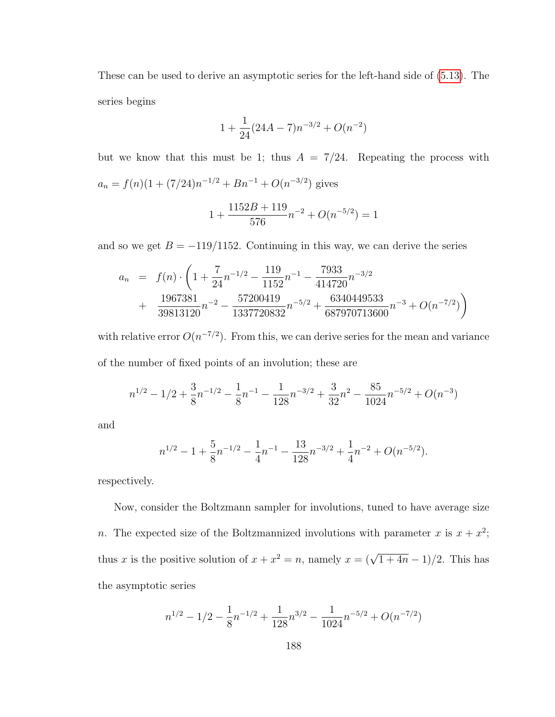These can be used to derive an asymptotic series for the left-hand side of [\(5.13\)](#page-198-0). The series begins

$$
1 + \frac{1}{24}(24A - 7)n^{-3/2} + O(n^{-2})
$$

but we know that this must be 1; thus  $A = 7/24$ . Repeating the process with  $a_n = f(n)(1 + (7/24)n^{-1/2} + Bn^{-1} + O(n^{-3/2})$  gives 1 +  $1152B + 119$ 576  $n^{-2} + O(n^{-5/2}) = 1$ 

and so we get  $B = -119/1152$ . Continuing in this way, we can derive the series

$$
a_n = f(n) \cdot \left(1 + \frac{7}{24}n^{-1/2} - \frac{119}{1152}n^{-1} - \frac{7933}{414720}n^{-3/2} + \frac{1967381}{39813120}n^{-2} - \frac{57200419}{1337720832}n^{-5/2} + \frac{6340449533}{687970713600}n^{-3} + O(n^{-7/2})\right)
$$

with relative error  $O(n^{-7/2})$ . From this, we can derive series for the mean and variance of the number of fixed points of an involution; these are

$$
n^{1/2}-1/2+\frac{3}{8}n^{-1/2}-\frac{1}{8}n^{-1}-\frac{1}{128}n^{-3/2}+\frac{3}{32}n^2-\frac{85}{1024}n^{-5/2}+O(n^{-3})
$$

and

$$
n^{1/2} - 1 + \frac{5}{8}n^{-1/2} - \frac{1}{4}n^{-1} - \frac{13}{128}n^{-3/2} + \frac{1}{4}n^{-2} + O(n^{-5/2}).
$$

respectively.

Now, consider the Boltzmann sampler for involutions, tuned to have average size n. The expected size of the Boltzmannized involutions with parameter x is  $x + x^2$ ; thus x is the positive solution of  $x + x^2 = n$ , namely  $x = (\sqrt{1 + 4n} - 1)/2$ . This has the asymptotic series

$$
n^{1/2} - 1/2 - \frac{1}{8}n^{-1/2} + \frac{1}{128}n^{3/2} - \frac{1}{1024}n^{-5/2} + O(n^{-7/2})
$$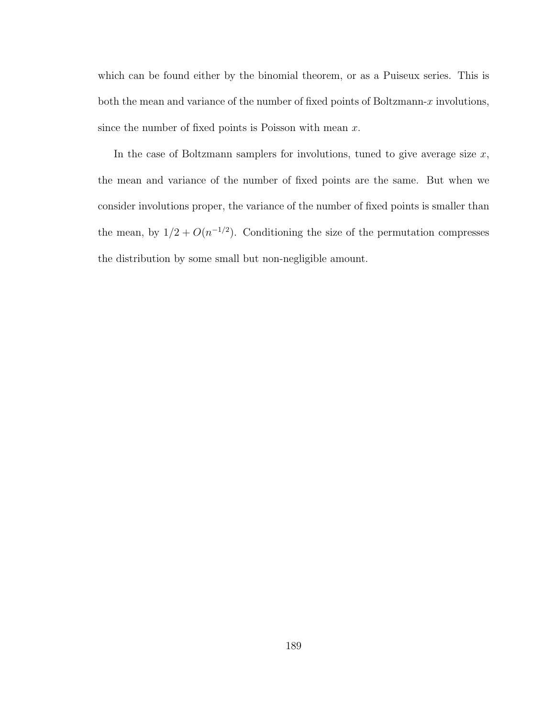which can be found either by the binomial theorem, or as a Puiseux series. This is both the mean and variance of the number of fixed points of Boltzmann- $x$  involutions, since the number of fixed points is Poisson with mean  $x$ .

In the case of Boltzmann samplers for involutions, tuned to give average size  $x$ , the mean and variance of the number of fixed points are the same. But when we consider involutions proper, the variance of the number of fixed points is smaller than the mean, by  $1/2 + O(n^{-1/2})$ . Conditioning the size of the permutation compresses the distribution by some small but non-negligible amount.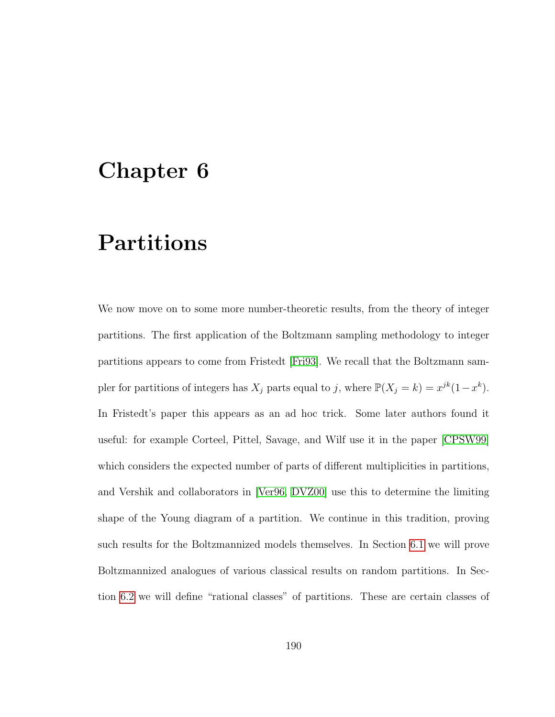### Chapter 6

## Partitions

We now move on to some more number-theoretic results, from the theory of integer partitions. The first application of the Boltzmann sampling methodology to integer partitions appears to come from Fristedt [\[Fri93\]](#page-251-0). We recall that the Boltzmann sampler for partitions of integers has  $X_j$  parts equal to j, where  $\mathbb{P}(X_j = k) = x^{jk}(1 - x^k)$ . In Fristedt's paper this appears as an ad hoc trick. Some later authors found it useful: for example Corteel, Pittel, Savage, and Wilf use it in the paper [\[CPSW99\]](#page-249-2) which considers the expected number of parts of different multiplicities in partitions, and Vershik and collaborators in [\[Ver96,](#page-259-1) [DVZ00\]](#page-250-2) use this to determine the limiting shape of the Young diagram of a partition. We continue in this tradition, proving such results for the Boltzmannized models themselves. In Section [6.1](#page-202-0) we will prove Boltzmannized analogues of various classical results on random partitions. In Section [6.2](#page-209-0) we will define "rational classes" of partitions. These are certain classes of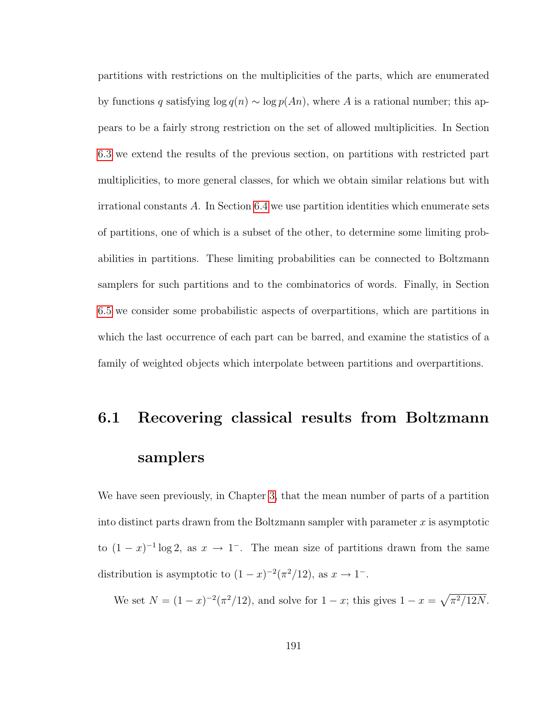partitions with restrictions on the multiplicities of the parts, which are enumerated by functions q satisfying  $\log q(n) \sim \log p(An)$ , where A is a rational number; this appears to be a fairly strong restriction on the set of allowed multiplicities. In Section [6.3](#page-218-0) we extend the results of the previous section, on partitions with restricted part multiplicities, to more general classes, for which we obtain similar relations but with irrational constants A. In Section [6.4](#page-224-0) we use partition identities which enumerate sets of partitions, one of which is a subset of the other, to determine some limiting probabilities in partitions. These limiting probabilities can be connected to Boltzmann samplers for such partitions and to the combinatorics of words. Finally, in Section [6.5](#page-236-0) we consider some probabilistic aspects of overpartitions, which are partitions in which the last occurrence of each part can be barred, and examine the statistics of a family of weighted objects which interpolate between partitions and overpartitions.

# <span id="page-202-0"></span>6.1 Recovering classical results from Boltzmann samplers

We have seen previously, in Chapter [3,](#page-61-0) that the mean number of parts of a partition into distinct parts drawn from the Boltzmann sampler with parameter  $x$  is asymptotic to  $(1-x)^{-1} \log 2$ , as  $x \to 1^-$ . The mean size of partitions drawn from the same distribution is asymptotic to  $(1-x)^{-2}(\pi^2/12)$ , as  $x \to 1^-$ .

We set  $N = (1-x)^{-2} (\pi^2/12)$ , and solve for  $1-x$ ; this gives  $1-x = \sqrt{\pi^2/12N}$ .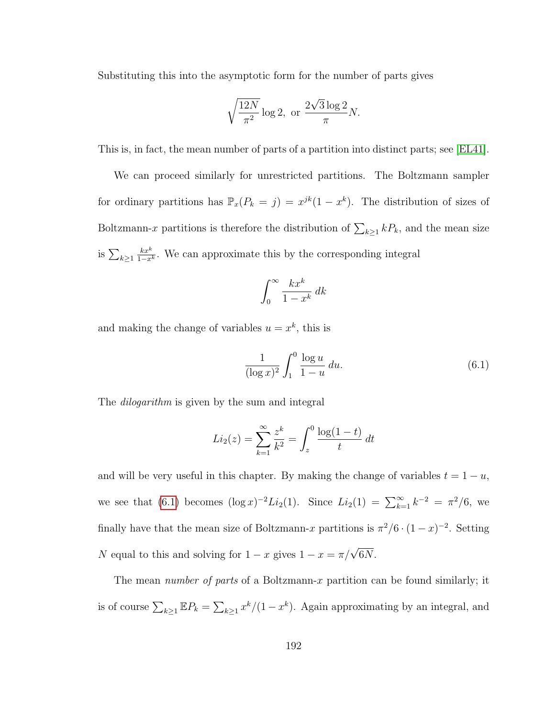Substituting this into the asymptotic form for the number of parts gives

$$
\sqrt{\frac{12N}{\pi^2}} \log 2, \text{ or } \frac{2\sqrt{3}\log 2}{\pi}N.
$$

This is, in fact, the mean number of parts of a partition into distinct parts; see [\[EL41\]](#page-250-3).

We can proceed similarly for unrestricted partitions. The Boltzmann sampler for ordinary partitions has  $\mathbb{P}_x(P_k = j) = x^{jk}(1 - x^k)$ . The distribution of sizes of Boltzmann-x partitions is therefore the distribution of  $\sum_{k\geq 1} k P_k$ , and the mean size is  $\sum_{k\geq 1}$  $\frac{kx^k}{1-x^k}$ . We can approximate this by the corresponding integral

$$
\int_0^\infty \frac{kx^k}{1-x^k} \, dk
$$

and making the change of variables  $u = x^k$ , this is

<span id="page-203-0"></span>
$$
\frac{1}{(\log x)^2} \int_1^0 \frac{\log u}{1-u} \, du. \tag{6.1}
$$

The *dilogarithm* is given by the sum and integral

$$
Li_2(z) = \sum_{k=1}^{\infty} \frac{z^k}{k^2} = \int_z^0 \frac{\log(1-t)}{t} dt
$$

and will be very useful in this chapter. By making the change of variables  $t = 1 - u$ , we see that [\(6.1\)](#page-203-0) becomes  $(\log x)^{-2}Li_2(1)$ . Since  $Li_2(1) = \sum_{k=1}^{\infty} k^{-2} = \pi^2/6$ , we finally have that the mean size of Boltzmann-x partitions is  $\pi^2/6 \cdot (1-x)^{-2}$ . Setting N equal to this and solving for  $1 - x$  gives  $1 - x = \pi/\sqrt{6N}$ .

The mean *number of parts* of a Boltzmann-x partition can be found similarly; it is of course  $\sum_{k\geq 1} \mathbb{E} P_k = \sum_{k\geq 1} x^k/(1-x^k)$ . Again approximating by an integral, and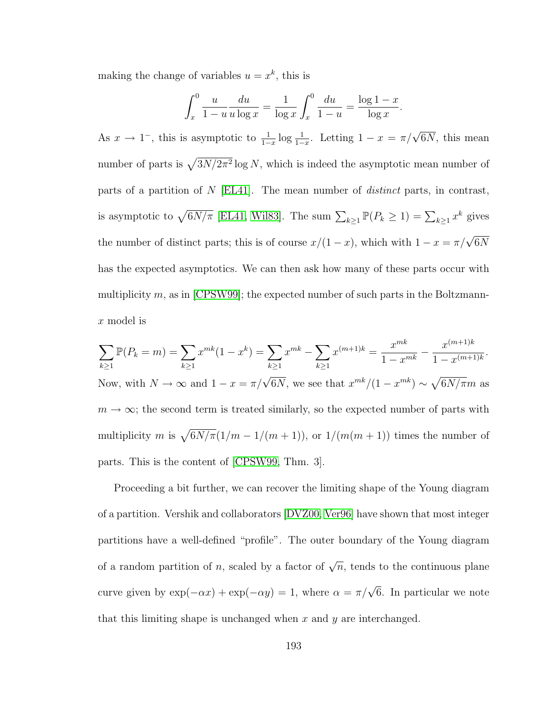making the change of variables  $u = x^k$ , this is

$$
\int_{x}^{0} \frac{u}{1-u} \frac{du}{u \log x} = \frac{1}{\log x} \int_{x}^{0} \frac{du}{1-u} = \frac{\log 1 - x}{\log x}.
$$

As  $x \to 1^-$ , this is asymptotic to  $\frac{1}{1-x} \log \frac{1}{1-x}$ . Letting  $1-x = \pi/\sqrt{6N}$ , this mean number of parts is  $\sqrt{3N/2\pi^2} \log N$ , which is indeed the asymptotic mean number of parts of a partition of N [\[EL41\]](#page-250-3). The mean number of distinct parts, in contrast, is asymptotic to  $\sqrt{6N/\pi}$  [\[EL41,](#page-250-3) [Wil83\]](#page-260-3). The sum  $\sum_{k\geq 1} \mathbb{P}(P_k \geq 1) = \sum_{k\geq 1} x^k$  gives the number of distinct parts; this is of course  $x/(1-x)$ , which with  $1-x = \pi/\sqrt{6N}$ has the expected asymptotics. We can then ask how many of these parts occur with multiplicity  $m$ , as in [\[CPSW99\]](#page-249-2); the expected number of such parts in the Boltzmannx model is

$$
\sum_{k\geq 1} \mathbb{P}(P_k = m) = \sum_{k\geq 1} x^{mk} (1 - x^k) = \sum_{k\geq 1} x^{mk} - \sum_{k\geq 1} x^{(m+1)k} = \frac{x^{mk}}{1 - x^{mk}} - \frac{x^{(m+1)k}}{1 - x^{(m+1)k}}.
$$
  
Now, with  $N \to \infty$  and  $1 - x = \pi/\sqrt{6N}$ , we see that  $x^{mk}/(1 - x^{mk}) \sim \sqrt{6N/\pi}m$  as  $m \to \infty$ ; the second term is treated similarly, so the expected number of parts with multiplicity m is  $\sqrt{6N/\pi}(1/m - 1/(m+1))$ , or  $1/(m(m+1))$  times the number of parts. This is the content of [CPSW99, Thm. 3].

Proceeding a bit further, we can recover the limiting shape of the Young diagram of a partition. Vershik and collaborators [\[DVZ00,](#page-250-2) [Ver96\]](#page-259-1) have shown that most integer partitions have a well-defined "profile". The outer boundary of the Young diagram of a random partition of n, scaled by a factor of  $\sqrt{n}$ , tends to the continuous plane curve given by  $\exp(-\alpha x) + \exp(-\alpha y) = 1$ , where  $\alpha = \pi/\sqrt{6}$ . In particular we note that this limiting shape is unchanged when  $x$  and  $y$  are interchanged.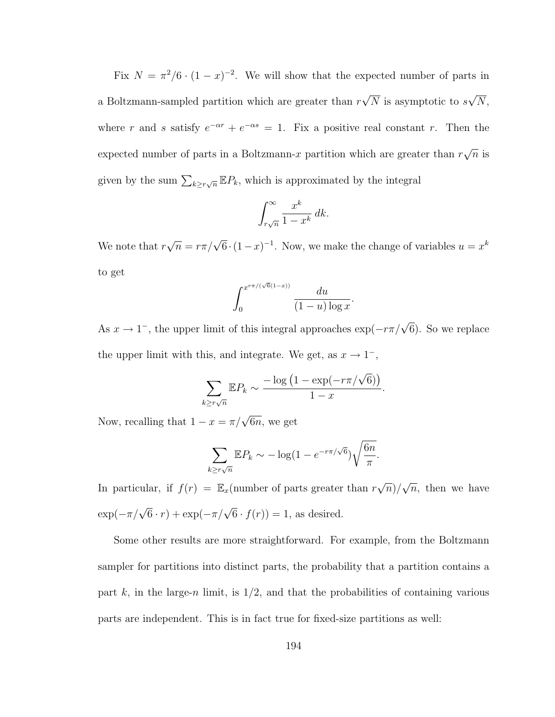Fix  $N = \pi^2/6 \cdot (1-x)^{-2}$ . We will show that the expected number of parts in a Boltzmann-sampled partition which are greater than  $r$ √  $N$  is asymptotic to  $s$ √  $N,$ where r and s satisfy  $e^{-\alpha r} + e^{-\alpha s} = 1$ . Fix a positive real constant r. Then the expected number of parts in a Boltzmann- $x$  partition which are greater than  $r$ √  $\overline{n}$  is given by the sum  $\sum_{k\geq r\sqrt{n}} \mathbb{E} P_k$ , which is approximated by the integral

$$
\int_{r\sqrt{n}}^{\infty} \frac{x^k}{1-x^k} \, dk.
$$

We note that  $r$  $\sqrt{n} = r\pi/\sqrt{6} \cdot (1-x)^{-1}$ . Now, we make the change of variables  $u = x^k$ to get

$$
\int_0^{x^{r\pi/(\sqrt{6}(1-x))}} \frac{du}{(1-u)\log x}.
$$

As  $x \to 1^-$ , the upper limit of this integral approaches  $\exp(-r\pi/\sqrt{6})$ . So we replace the upper limit with this, and integrate. We get, as  $x \to 1^-$ ,

$$
\sum_{k \ge r\sqrt{n}} \mathbb{E} P_k \sim \frac{-\log\left(1 - \exp(-r\pi/\sqrt{6})\right)}{1 - x}.
$$

Now, recalling that  $1 - x = \pi/\sqrt{6n}$ , we get

$$
\sum_{k \ge r\sqrt{n}} \mathbb{E} P_k \sim -\log(1 - e^{-r\pi/\sqrt{6}}) \sqrt{\frac{6n}{\pi}}.
$$

In particular, if  $f(r) = \mathbb{E}_x$  (number of parts greater than  $r\sqrt{ }$ )  $\overline{n})/$ √  $\overline{n}$ , then we have  $\exp(-\pi/\sqrt{6}\cdot r) + \exp(-\pi/\sqrt{6}\cdot f(r)) = 1$ , as desired.

Some other results are more straightforward. For example, from the Boltzmann sampler for partitions into distinct parts, the probability that a partition contains a part  $k$ , in the large-n limit, is  $1/2$ , and that the probabilities of containing various parts are independent. This is in fact true for fixed-size partitions as well: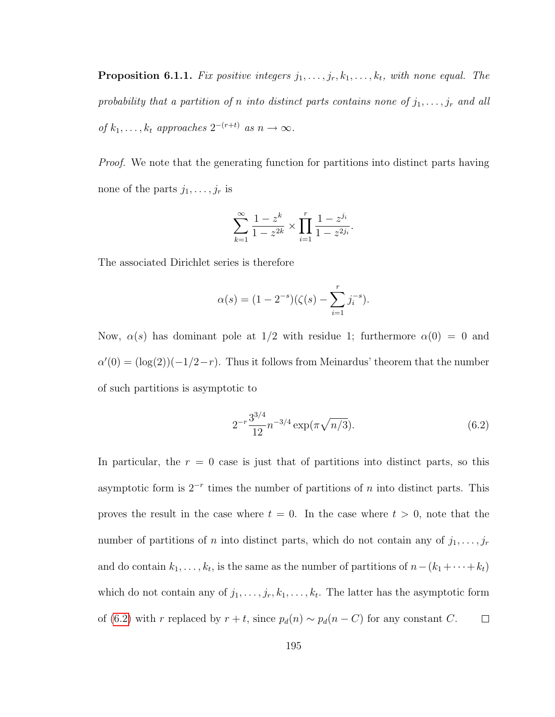**Proposition 6.1.1.** Fix positive integers  $j_1, \ldots, j_r, k_1, \ldots, k_t$ , with none equal. The probability that a partition of n into distinct parts contains none of  $j_1, \ldots, j_r$  and all of  $k_1, \ldots, k_t$  approaches  $2^{-(r+t)}$  as  $n \to \infty$ .

Proof. We note that the generating function for partitions into distinct parts having none of the parts  $j_1, \ldots, j_r$  is

$$
\sum_{k=1}^{\infty} \frac{1-z^k}{1-z^{2k}} \times \prod_{i=1}^r \frac{1-z^{j_i}}{1-z^{2j_i}}.
$$

The associated Dirichlet series is therefore

$$
\alpha(s) = (1 - 2^{-s})(\zeta(s) - \sum_{i=1}^{r} j_i^{-s}).
$$

Now,  $\alpha(s)$  has dominant pole at 1/2 with residue 1; furthermore  $\alpha(0) = 0$  and  $\alpha'(0) = (\log(2))(-1/2-r)$ . Thus it follows from Meinardus' theorem that the number of such partitions is asymptotic to

<span id="page-206-0"></span>
$$
2^{-r} \frac{3^{3/4}}{12} n^{-3/4} \exp(\pi \sqrt{n/3}).\tag{6.2}
$$

In particular, the  $r = 0$  case is just that of partitions into distinct parts, so this asymptotic form is  $2^{-r}$  times the number of partitions of n into distinct parts. This proves the result in the case where  $t = 0$ . In the case where  $t > 0$ , note that the number of partitions of n into distinct parts, which do not contain any of  $j_1, \ldots, j_r$ and do contain  $k_1, \ldots, k_t$ , is the same as the number of partitions of  $n-(k_1+\cdots+k_t)$ which do not contain any of  $j_1, \ldots, j_r, k_1, \ldots, k_t$ . The latter has the asymptotic form of [\(6.2\)](#page-206-0) with r replaced by  $r + t$ , since  $p_d(n) \sim p_d(n - C)$  for any constant C.  $\Box$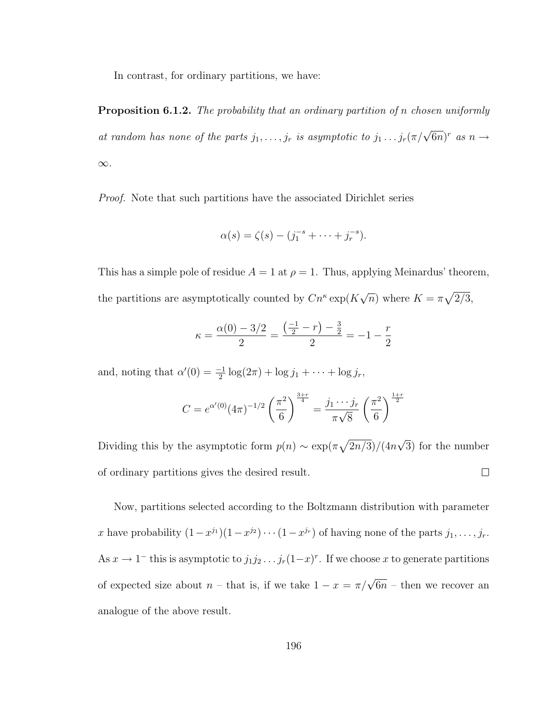In contrast, for ordinary partitions, we have:

**Proposition 6.1.2.** The probability that an ordinary partition of n chosen uniformly at random has none of the parts  $j_1, \ldots, j_r$  is asymptotic to  $j_1 \ldots j_r(\pi/\sqrt{6n})^r$  as  $n \to$ ∞.

Proof. Note that such partitions have the associated Dirichlet series

$$
\alpha(s) = \zeta(s) - (j_1^{-s} + \dots + j_r^{-s}).
$$

This has a simple pole of residue  $A = 1$  at  $\rho = 1$ . Thus, applying Meinardus' theorem, the partitions are asymptotically counted by  $Cn^k \exp(K)$ √  $\overline{n}$ ) where  $K = \pi \sqrt{2/3}$ ,

$$
\kappa = \frac{\alpha(0) - 3/2}{2} = \frac{\left(\frac{-1}{2} - r\right) - \frac{3}{2}}{2} = -1 - \frac{r}{2}
$$

and, noting that  $\alpha'(0) = \frac{-1}{2} \log(2\pi) + \log j_1 + \cdots + \log j_r$ ,

$$
C = e^{\alpha'(0)} (4\pi)^{-1/2} \left(\frac{\pi^2}{6}\right)^{\frac{3+r}{4}} = \frac{j_1 \cdots j_r}{\pi \sqrt{8}} \left(\frac{\pi^2}{6}\right)^{\frac{1+r}{2}}
$$

√ Dividing this by the asymptotic form  $p(n) \sim \exp(\pi \sqrt{2n/3})/(4n)$ 3) for the number of ordinary partitions gives the desired result.  $\Box$ 

Now, partitions selected according to the Boltzmann distribution with parameter x have probability  $(1-x^{j_1})(1-x^{j_2})\cdots(1-x^{j_r})$  of having none of the parts  $j_1,\ldots,j_r$ . As  $x \to 1^-$  this is asymptotic to  $j_1 j_2 \ldots j_r (1-x)^r$ . If we choose x to generate partitions of expected size about  $n -$  that is, if we take  $1 - x = \pi/\sqrt{6n}$  – then we recover an analogue of the above result.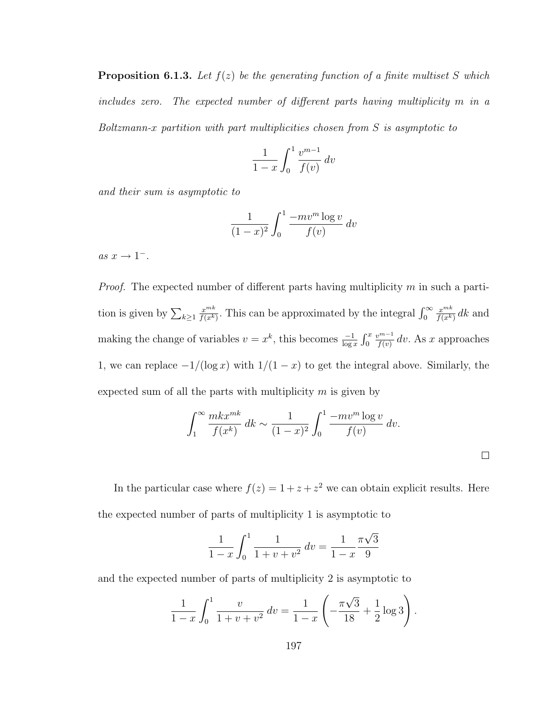**Proposition 6.1.3.** Let  $f(z)$  be the generating function of a finite multiset S which includes zero. The expected number of different parts having multiplicity m in a Boltzmann-x partition with part multiplicities chosen from S is asymptotic to

$$
\frac{1}{1-x} \int_0^1 \frac{v^{m-1}}{f(v)} \, dv
$$

and their sum is asymptotic to

$$
\frac{1}{(1-x)^2} \int_0^1 \frac{-mv^m \log v}{f(v)} dv
$$

as  $x \to 1^-$ .

*Proof.* The expected number of different parts having multiplicity  $m$  in such a partition is given by  $\sum_{k\geq 1}$  $x^{mk}$  $\frac{x^{mk}}{f(x^k)}$ . This can be approximated by the integral  $\int_0^\infty$  $x^{mk}$  $\frac{x^{m\kappa}}{f(x^k)}$ dk and making the change of variables  $v = x^k$ , this becomes  $\frac{-1}{\log x} \int_0^x$  $v^{m-1}$  $\frac{f^{m-1}}{f(v)}$  dv. As x approaches 1, we can replace  $-1/(\log x)$  with  $1/(1-x)$  to get the integral above. Similarly, the expected sum of all the parts with multiplicity  $m$  is given by

$$
\int_1^\infty \frac{mkx^{mk}}{f(x^k)} dk \sim \frac{1}{(1-x)^2} \int_0^1 \frac{-mv^m \log v}{f(v)} dv.
$$

 $\Box$ 

In the particular case where  $f(z) = 1 + z + z^2$  we can obtain explicit results. Here the expected number of parts of multiplicity 1 is asymptotic to

$$
\frac{1}{1-x} \int_0^1 \frac{1}{1+v+v^2} dv = \frac{1}{1-x} \frac{\pi \sqrt{3}}{9}
$$

and the expected number of parts of multiplicity 2 is asymptotic to

$$
\frac{1}{1-x} \int_0^1 \frac{v}{1+v+v^2} dv = \frac{1}{1-x} \left( -\frac{\pi\sqrt{3}}{18} + \frac{1}{2} \log 3 \right).
$$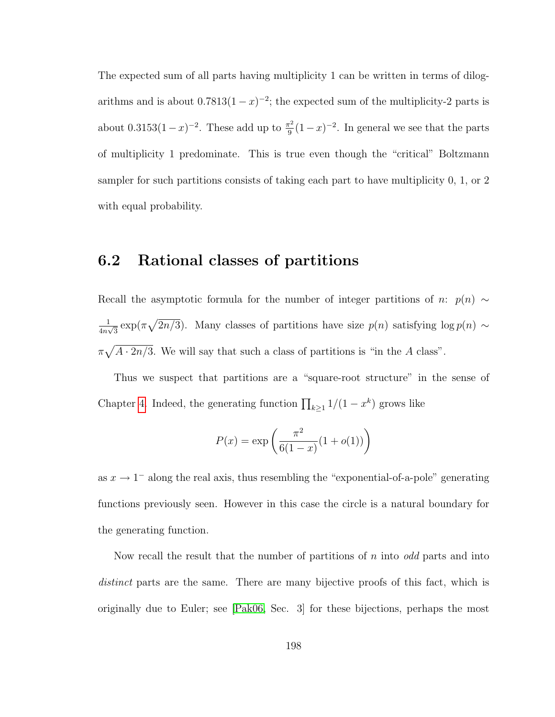The expected sum of all parts having multiplicity 1 can be written in terms of dilogarithms and is about  $0.7813(1-x)^{-2}$ ; the expected sum of the multiplicity-2 parts is about  $0.3153(1-x)^{-2}$ . These add up to  $\frac{\pi^2}{9}$  $\frac{\pi^2}{9}(1-x)^{-2}$ . In general we see that the parts of multiplicity 1 predominate. This is true even though the "critical" Boltzmann sampler for such partitions consists of taking each part to have multiplicity 0, 1, or 2 with equal probability.

#### <span id="page-209-0"></span>6.2 Rational classes of partitions

Recall the asymptotic formula for the number of integer partitions of n:  $p(n) \sim$ 1  $\frac{1}{4n\sqrt{3}}\exp(\pi\sqrt{2n/3})$ . Many classes of partitions have size  $p(n)$  satisfying  $\log p(n) \sim$  $\pi \sqrt{A \cdot 2n/3}$ . We will say that such a class of partitions is "in the A class".

Thus we suspect that partitions are a "square-root structure" in the sense of Chapter [4.](#page-90-0) Indeed, the generating function  $\prod_{k\geq 1} 1/(1-x^k)$  grows like

$$
P(x) = \exp\left(\frac{\pi^2}{6(1-x)}(1+o(1))\right)
$$

as  $x \to 1^-$  along the real axis, thus resembling the "exponential-of-a-pole" generating functions previously seen. However in this case the circle is a natural boundary for the generating function.

Now recall the result that the number of partitions of n into odd parts and into distinct parts are the same. There are many bijective proofs of this fact, which is originally due to Euler; see [\[Pak06,](#page-256-1) Sec. 3] for these bijections, perhaps the most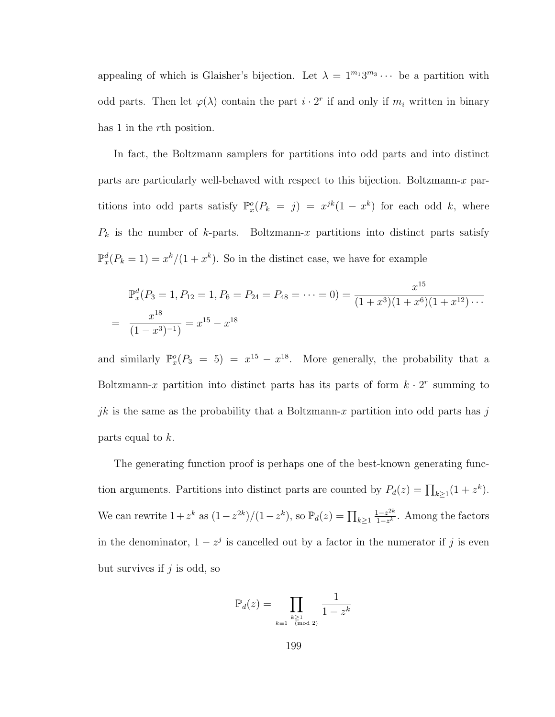appealing of which is Glaisher's bijection. Let  $\lambda = 1^{m_1}3^{m_3} \cdots$  be a partition with odd parts. Then let  $\varphi(\lambda)$  contain the part  $i \cdot 2^r$  if and only if  $m_i$  written in binary has 1 in the *rth* position.

In fact, the Boltzmann samplers for partitions into odd parts and into distinct parts are particularly well-behaved with respect to this bijection. Boltzmann- $x$  partitions into odd parts satisfy  $\mathbb{P}_x^o(P_k = j) = x^{jk}(1 - x^k)$  for each odd k, where  $P_k$  is the number of k-parts. Boltzmann-x partitions into distinct parts satisfy  $\mathbb{P}_x^d(P_k = 1) = x^k/(1 + x^k)$ . So in the distinct case, we have for example

$$
\mathbb{P}_x^d(P_3 = 1, P_{12} = 1, P_6 = P_{24} = P_{48} = \dots = 0) = \frac{x^{15}}{(1+x^3)(1+x^6)(1+x^{12})\dots}
$$

$$
= \frac{x^{18}}{(1-x^3)^{-1}} = x^{15} - x^{18}
$$

and similarly  $\mathbb{P}_x^o(P_3 = 5) = x^{15} - x^{18}$ . More generally, the probability that a Boltzmann-x partition into distinct parts has its parts of form  $k \cdot 2^r$  summing to jk is the same as the probability that a Boltzmann-x partition into odd parts has j parts equal to k.

The generating function proof is perhaps one of the best-known generating function arguments. Partitions into distinct parts are counted by  $P_d(z) = \prod_{k \geq 1} (1 + z^k)$ . We can rewrite  $1+z^k$  as  $(1-z^{2k})/(1-z^k)$ , so  $\mathbb{P}_d(z) = \prod_{k\geq 1}$  $1-z^{2k}$  $\frac{1-z^{2k}}{1-z^k}$ . Among the factors in the denominator,  $1 - z<sup>j</sup>$  is cancelled out by a factor in the numerator if j is even but survives if  $j$  is odd, so

$$
\mathbb{P}_d(z) = \prod_{\substack{k \ge 1 \\ k \equiv 1 \pmod{2}}} \frac{1}{1 - z^k}
$$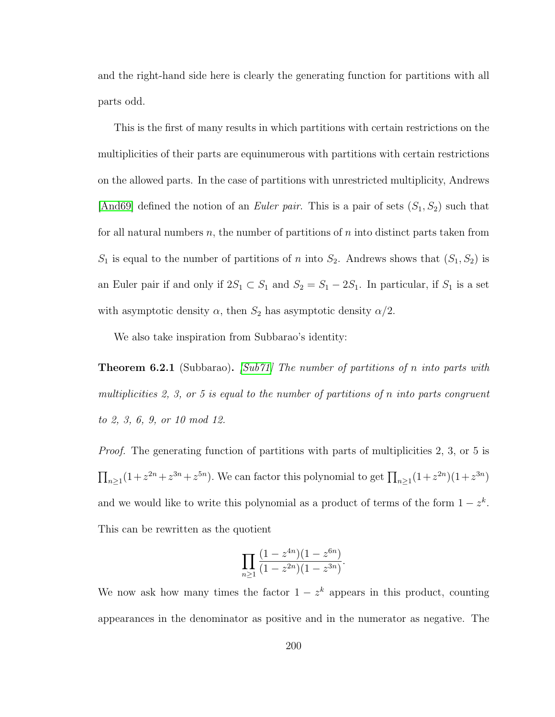and the right-hand side here is clearly the generating function for partitions with all parts odd.

This is the first of many results in which partitions with certain restrictions on the multiplicities of their parts are equinumerous with partitions with certain restrictions on the allowed parts. In the case of partitions with unrestricted multiplicity, Andrews [\[And69\]](#page-245-0) defined the notion of an *Euler pair*. This is a pair of sets  $(S_1, S_2)$  such that for all natural numbers  $n$ , the number of partitions of  $n$  into distinct parts taken from  $S_1$  is equal to the number of partitions of n into  $S_2$ . Andrews shows that  $(S_1, S_2)$  is an Euler pair if and only if  $2S_1 \subset S_1$  and  $S_2 = S_1 - 2S_1$ . In particular, if  $S_1$  is a set with asymptotic density  $\alpha$ , then  $S_2$  has asymptotic density  $\alpha/2$ .

We also take inspiration from Subbarao's identity:

**Theorem 6.2.1** (Subbarao). [\[Sub71\]](#page-259-2) The number of partitions of n into parts with multiplicities 2, 3, or 5 is equal to the number of partitions of n into parts congruent to 2, 3, 6, 9, or 10 mod 12.

Proof. The generating function of partitions with parts of multiplicities 2, 3, or 5 is  $\prod_{n\geq 1} (1+z^{2n}+z^{3n}+z^{5n})$ . We can factor this polynomial to get  $\prod_{n\geq 1} (1+z^{2n})(1+z^{3n})$ and we would like to write this polynomial as a product of terms of the form  $1-z^k$ . This can be rewritten as the quotient

$$
\prod_{n\geq 1} \frac{(1-z^{4n})(1-z^{6n})}{(1-z^{2n})(1-z^{3n})}.
$$

We now ask how many times the factor  $1 - z^k$  appears in this product, counting appearances in the denominator as positive and in the numerator as negative. The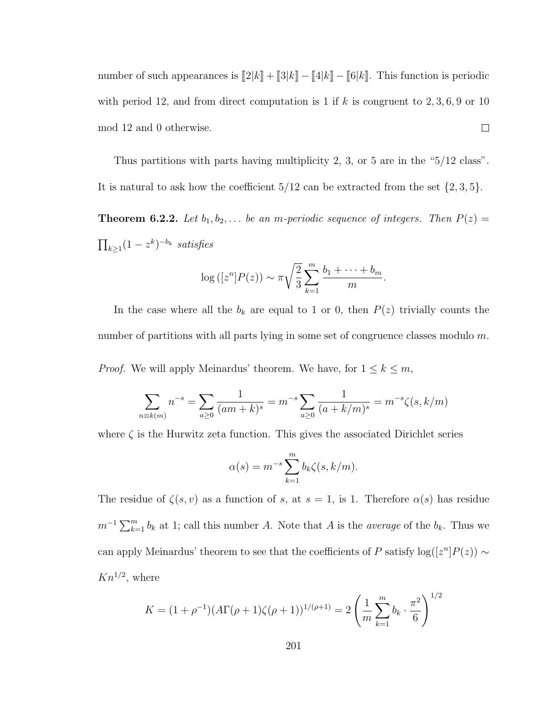number of such appearances is  $[2|k] + [3|k] - [4|k] - [6|k]$ . This function is periodic with period 12, and from direct computation is 1 if  $k$  is congruent to 2, 3, 6, 9 or 10 mod 12 and 0 otherwise.  $\Box$ 

Thus partitions with parts having multiplicity 2, 3, or 5 are in the "5/12 class". It is natural to ask how the coefficient  $5/12$  can be extracted from the set  $\{2, 3, 5\}.$ 

**Theorem 6.2.2.** Let  $b_1, b_2, \ldots$  be an m-periodic sequence of integers. Then  $P(z) =$  $\prod_{k\geq 1} (1-z^k)^{-b_k}$  satisfies

$$
\log([z^n]P(z)) \sim \pi \sqrt{\frac{2}{3}} \sum_{k=1}^m \frac{b_1 + \dots + b_m}{m}.
$$

In the case where all the  $b_k$  are equal to 1 or 0, then  $P(z)$  trivially counts the number of partitions with all parts lying in some set of congruence classes modulo m.

*Proof.* We will apply Meinardus' theorem. We have, for  $1 \leq k \leq m$ ,

$$
\sum_{n \equiv k(m)} n^{-s} = \sum_{a \ge 0} \frac{1}{(am+k)^s} = m^{-s} \sum_{a \ge 0} \frac{1}{(a+k/m)^s} = m^{-s} \zeta(s, k/m)
$$

where  $\zeta$  is the Hurwitz zeta function. This gives the associated Dirichlet series

$$
\alpha(s) = m^{-s} \sum_{k=1}^{m} b_k \zeta(s, k/m).
$$

The residue of  $\zeta(s, v)$  as a function of s, at  $s = 1$ , is 1. Therefore  $\alpha(s)$  has residue  $m^{-1} \sum_{k=1}^{m} b_k$  at 1; call this number A. Note that A is the *average* of the  $b_k$ . Thus we can apply Meinardus' theorem to see that the coefficients of P satisfy  $log([z^n]P(z)) \sim$  $Kn^{1/2}$ , where

$$
K = (1 + \rho^{-1})(A\Gamma(\rho + 1)\zeta(\rho + 1))^{1/(\rho + 1)} = 2\left(\frac{1}{m}\sum_{k=1}^{m} b_k \cdot \frac{\pi^2}{6}\right)^{1/2}
$$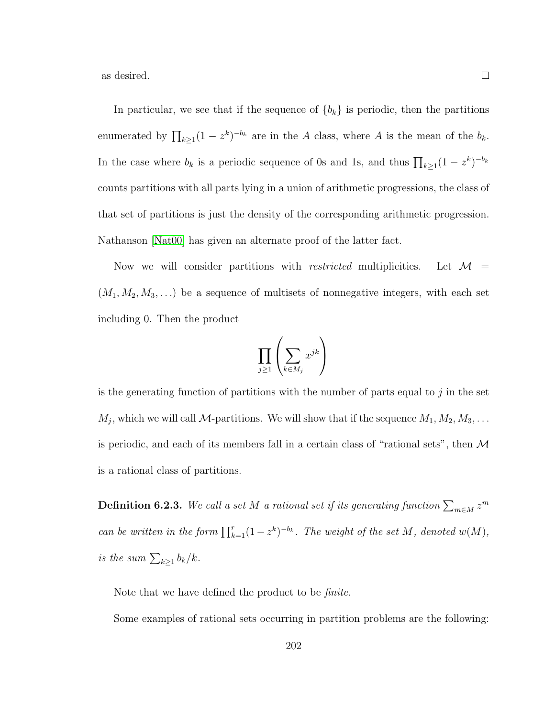as desired.

In particular, we see that if the sequence of  ${b_k}$  is periodic, then the partitions enumerated by  $\prod_{k\geq 1} (1-z^k)^{-b_k}$  are in the A class, where A is the mean of the  $b_k$ . In the case where  $b_k$  is a periodic sequence of 0s and 1s, and thus  $\prod_{k\geq 1} (1-z^k)^{-b_k}$ counts partitions with all parts lying in a union of arithmetic progressions, the class of that set of partitions is just the density of the corresponding arithmetic progression. Nathanson [\[Nat00\]](#page-256-2) has given an alternate proof of the latter fact.

Now we will consider partitions with *restricted* multiplicities. Let  $\mathcal{M}$  =  $(M_1, M_2, M_3, \ldots)$  be a sequence of multisets of nonnegative integers, with each set including 0. Then the product

$$
\prod_{j\geq 1}\left(\sum_{k\in M_j}x^{jk}\right)
$$

is the generating function of partitions with the number of parts equal to  $j$  in the set  $M_j$ , which we will call  $\mathcal M$ -partitions. We will show that if the sequence  $M_1, M_2, M_3, \ldots$ is periodic, and each of its members fall in a certain class of "rational sets", then  $\mathcal M$ is a rational class of partitions.

**Definition 6.2.3.** We call a set M a rational set if its generating function  $\sum_{m\in M} z^m$ can be written in the form  $\prod_{k=1}^{r} (1-z^k)^{-b_k}$ . The weight of the set M, denoted  $w(M)$ , is the sum  $\sum_{k\geq 1} b_k/k$ .

Note that we have defined the product to be finite.

Some examples of rational sets occurring in partition problems are the following: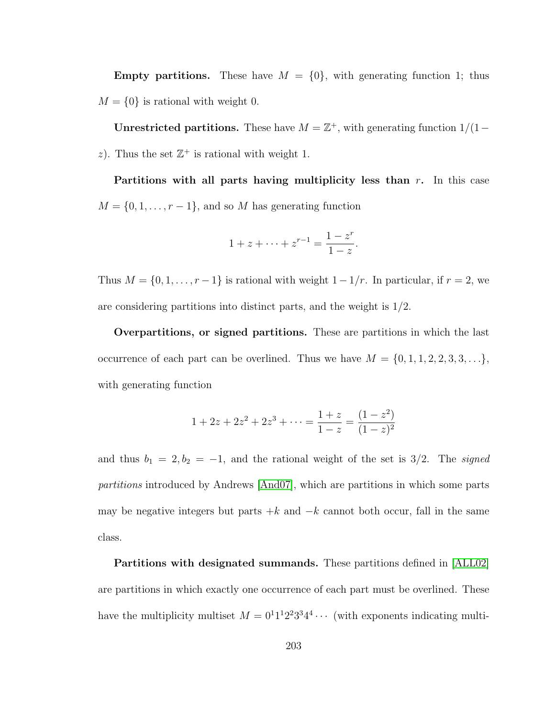**Empty partitions.** These have  $M = \{0\}$ , with generating function 1; thus  $M = \{0\}$  is rational with weight 0.

Unrestricted partitions. These have  $M = \mathbb{Z}^+$ , with generating function  $1/(1-\mathbb{Z}^+)$ z). Thus the set  $\mathbb{Z}^+$  is rational with weight 1.

Partitions with all parts having multiplicity less than  $r$ . In this case  $M = \{0, 1, \ldots, r - 1\}$ , and so M has generating function

$$
1 + z + \dots + z^{r-1} = \frac{1 - z^r}{1 - z}.
$$

Thus  $M = \{0, 1, \ldots, r - 1\}$  is rational with weight  $1 - 1/r$ . In particular, if  $r = 2$ , we are considering partitions into distinct parts, and the weight is 1/2.

Overpartitions, or signed partitions. These are partitions in which the last occurrence of each part can be overlined. Thus we have  $M = \{0, 1, 1, 2, 2, 3, 3, \ldots\},\$ with generating function

$$
1 + 2z + 2z2 + 2z3 + \dots = \frac{1 + z}{1 - z} = \frac{(1 - z2)}{(1 - z)2}
$$

and thus  $b_1 = 2, b_2 = -1$ , and the rational weight of the set is 3/2. The *signed* partitions introduced by Andrews [\[And07\]](#page-246-2), which are partitions in which some parts may be negative integers but parts  $+k$  and  $-k$  cannot both occur, fall in the same class.

Partitions with designated summands. These partitions defined in [\[ALL02\]](#page-245-1) are partitions in which exactly one occurrence of each part must be overlined. These have the multiplicity multiset  $M = 0^1 1^1 2^2 3^3 4^4 \cdots$  (with exponents indicating multi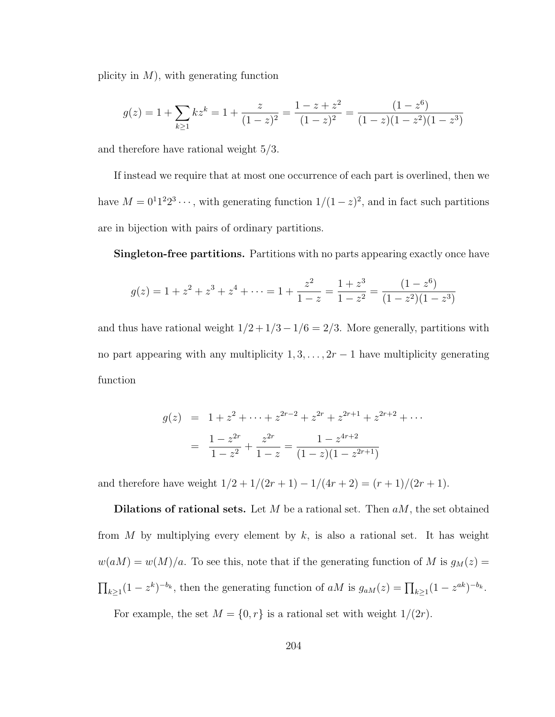plicity in  $M$ ), with generating function

$$
g(z) = 1 + \sum_{k \ge 1} kz^k = 1 + \frac{z}{(1-z)^2} = \frac{1-z+z^2}{(1-z)^2} = \frac{(1-z^6)}{(1-z)(1-z^2)(1-z^3)}
$$

and therefore have rational weight 5/3.

If instead we require that at most one occurrence of each part is overlined, then we have  $M = 0^1 1^2 2^3 \cdots$ , with generating function  $1/(1-z)^2$ , and in fact such partitions are in bijection with pairs of ordinary partitions.

Singleton-free partitions. Partitions with no parts appearing exactly once have

$$
g(z) = 1 + z2 + z3 + z4 + \dots = 1 + \frac{z2}{1 - z} = \frac{1 + z3}{1 - z2} = \frac{(1 - z6)}{(1 - z2)(1 - z3)}
$$

and thus have rational weight  $1/2 + 1/3 - 1/6 = 2/3$ . More generally, partitions with no part appearing with any multiplicity  $1, 3, \ldots, 2r - 1$  have multiplicity generating function

$$
g(z) = 1 + z2 + \dots + z2r-2 + z2r + z2r+1 + z2r+2 + \dots
$$

$$
= \frac{1 - z^{2r}}{1 - z2} + \frac{z^{2r}}{1 - z} = \frac{1 - z^{4r+2}}{(1 - z)(1 - z^{2r+1})}
$$

and therefore have weight  $1/2 + 1/(2r + 1) - 1/(4r + 2) = (r + 1)/(2r + 1)$ .

**Dilations of rational sets.** Let  $M$  be a rational set. Then  $aM$ , the set obtained from M by multiplying every element by  $k$ , is also a rational set. It has weight  $w(aM) = w(M)/a$ . To see this, note that if the generating function of M is  $g_M(z) =$  $\prod_{k\geq 1} (1-z^k)^{-b_k}$ , then the generating function of aM is  $g_{aM}(z) = \prod_{k\geq 1} (1-z^{ak})^{-b_k}$ .

For example, the set  $M = \{0, r\}$  is a rational set with weight  $1/(2r)$ .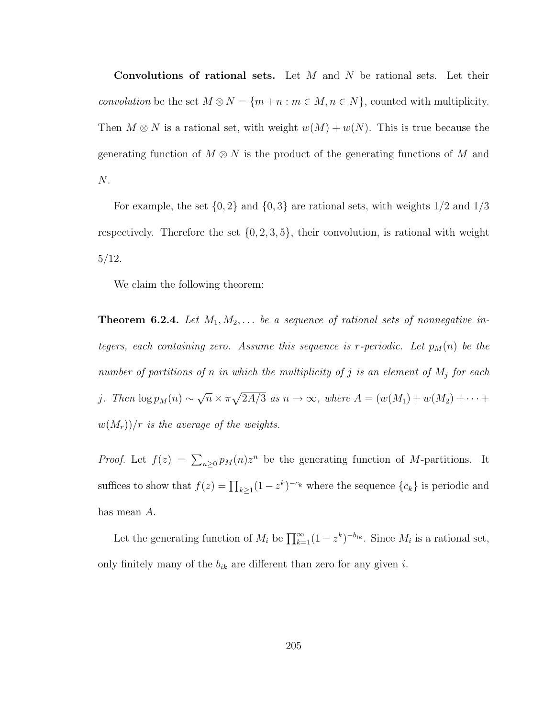Convolutions of rational sets. Let  $M$  and  $N$  be rational sets. Let their convolution be the set  $M \otimes N = \{m + n : m \in M, n \in N\}$ , counted with multiplicity. Then  $M \otimes N$  is a rational set, with weight  $w(M) + w(N)$ . This is true because the generating function of  $M \otimes N$  is the product of the generating functions of M and N.

For example, the set  $\{0, 2\}$  and  $\{0, 3\}$  are rational sets, with weights  $1/2$  and  $1/3$ respectively. Therefore the set  $\{0, 2, 3, 5\}$ , their convolution, is rational with weight 5/12.

<span id="page-216-0"></span>We claim the following theorem:

**Theorem 6.2.4.** Let  $M_1, M_2, \ldots$  be a sequence of rational sets of nonnegative integers, each containing zero. Assume this sequence is r-periodic. Let  $p_M(n)$  be the number of partitions of n in which the multiplicity of j is an element of  $M_j$  for each j. Then  $\log p_M(n) \sim$ √  $\overline{n} \times \pi \sqrt{2A/3}$  as  $n \to \infty$ , where  $A = (w(M_1) + w(M_2) + \cdots + w(M_m) + w(M_m) + \cdots)$  $w(M_r))/r$  is the average of the weights.

*Proof.* Let  $f(z) = \sum_{n\geq 0} p_M(n)z^n$  be the generating function of M-partitions. It suffices to show that  $f(z) = \prod_{k \geq 1} (1 - z^k)^{-c_k}$  where the sequence  $\{c_k\}$  is periodic and has mean A.

Let the generating function of  $M_i$  be  $\prod_{k=1}^{\infty} (1 - z^k)^{-b_{ik}}$ . Since  $M_i$  is a rational set, only finitely many of the  $b_{ik}$  are different than zero for any given i.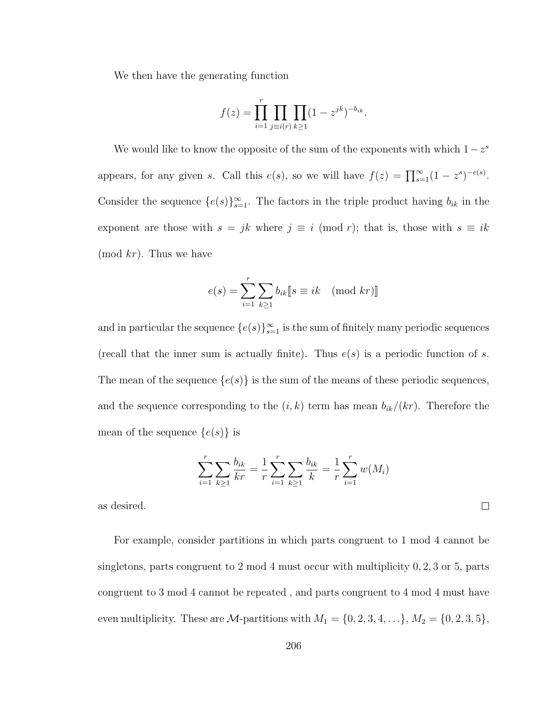We then have the generating function

$$
f(z) = \prod_{i=1}^{r} \prod_{j \equiv i(r)} \prod_{k \ge 1} (1 - z^{jk})^{-b_{ik}}.
$$

We would like to know the opposite of the sum of the exponents with which  $1-z^s$ appears, for any given s. Call this  $e(s)$ , so we will have  $f(z) = \prod_{s=1}^{\infty} (1 - z^s)^{-e(s)}$ . Consider the sequence  ${e(s)}_{s=1}^{\infty}$ . The factors in the triple product having  $b_{ik}$  in the exponent are those with  $s = jk$  where  $j \equiv i \pmod{r}$ ; that is, those with  $s \equiv ik$ (mod  $kr$ ). Thus we have

$$
e(s) = \sum_{i=1}^{r} \sum_{k \ge 1} b_{ik} [s \equiv ik \pmod{kr}]
$$

and in particular the sequence  $\{e(s)\}_{s=1}^{\infty}$  is the sum of finitely many periodic sequences (recall that the inner sum is actually finite). Thus  $e(s)$  is a periodic function of s. The mean of the sequence  ${e(s)}$  is the sum of the means of these periodic sequences, and the sequence corresponding to the  $(i, k)$  term has mean  $b_{ik}/(kr)$ . Therefore the mean of the sequence  ${e(s)}$  is

$$
\sum_{i=1}^{r} \sum_{k \ge 1} \frac{b_{ik}}{kr} = \frac{1}{r} \sum_{i=1}^{r} \sum_{k \ge 1} \frac{b_{ik}}{k} = \frac{1}{r} \sum_{i=1}^{r} w(M_i)
$$

as desired.

For example, consider partitions in which parts congruent to 1 mod 4 cannot be singletons, parts congruent to 2 mod 4 must occur with multiplicity 0, 2, 3 or 5, parts congruent to 3 mod 4 cannot be repeated , and parts congruent to 4 mod 4 must have even multiplicity. These are  $M$ -partitions with  $M_1 = \{0, 2, 3, 4, \ldots\}, M_2 = \{0, 2, 3, 5\},\$ 

 $\Box$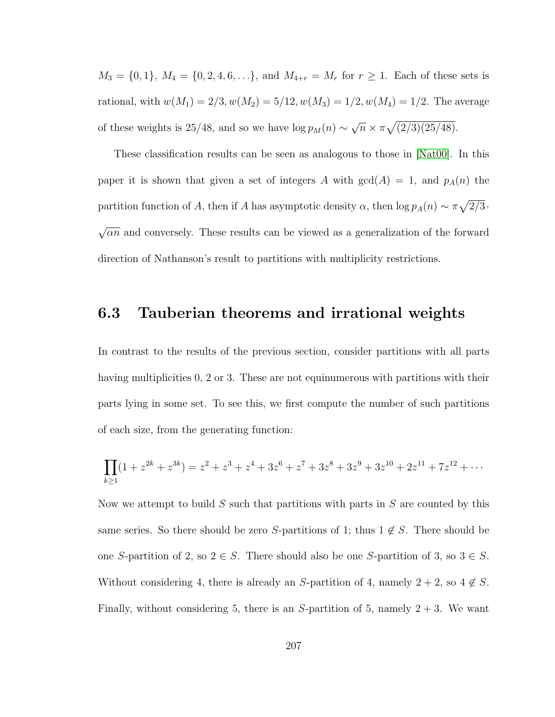$M_3 = \{0, 1\}, M_4 = \{0, 2, 4, 6, \ldots\}, \text{ and } M_{4+r} = M_r \text{ for } r \geq 1. \text{ Each of these sets is}$ rational, with  $w(M_1) = 2/3, w(M_2) = 5/12, w(M_3) = 1/2, w(M_4) = 1/2$ . The average of these weights is 25/48, and so we have  $\log p_M(n) \sim$ √  $\overline{n} \times \pi \sqrt{(2/3)(25/48)}$ .

These classification results can be seen as analogous to those in [\[Nat00\]](#page-256-0). In this paper it is shown that given a set of integers A with  $gcd(A) = 1$ , and  $p_A(n)$  the partition function of A, then if A has asymptotic density  $\alpha$ , then  $\log p_A(n) \sim \pi \sqrt{2/3}$ . √  $\overline{\alpha n}$  and conversely. These results can be viewed as a generalization of the forward direction of Nathanson's result to partitions with multiplicity restrictions.

## 6.3 Tauberian theorems and irrational weights

In contrast to the results of the previous section, consider partitions with all parts having multiplicities 0, 2 or 3. These are not equinumerous with partitions with their parts lying in some set. To see this, we first compute the number of such partitions of each size, from the generating function:

$$
\prod_{k\geq 1} (1+z^{2k}+z^{3k}) = z^2+z^3+z^4+3z^6+z^7+3z^8+3z^9+3z^{10}+2z^{11}+7z^{12}+\cdots
$$

Now we attempt to build S such that partitions with parts in  $S$  are counted by this same series. So there should be zero S-partitions of 1; thus  $1 \notin S$ . There should be one S-partition of 2, so  $2 \in S$ . There should also be one S-partition of 3, so  $3 \in S$ . Without considering 4, there is already an S-partition of 4, namely  $2 + 2$ , so  $4 \notin S$ . Finally, without considering 5, there is an S-partition of 5, namely  $2 + 3$ . We want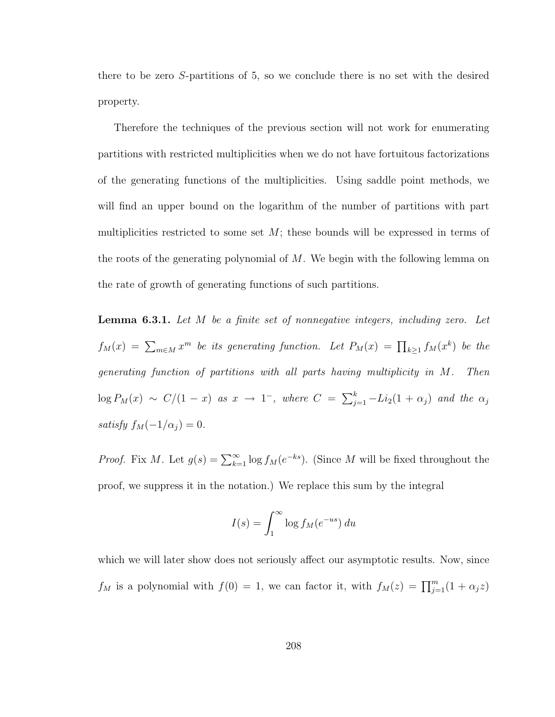there to be zero S-partitions of 5, so we conclude there is no set with the desired property.

Therefore the techniques of the previous section will not work for enumerating partitions with restricted multiplicities when we do not have fortuitous factorizations of the generating functions of the multiplicities. Using saddle point methods, we will find an upper bound on the logarithm of the number of partitions with part multiplicities restricted to some set  $M$ ; these bounds will be expressed in terms of the roots of the generating polynomial of  $M$ . We begin with the following lemma on the rate of growth of generating functions of such partitions.

<span id="page-219-0"></span>Lemma 6.3.1. Let M be a finite set of nonnegative integers, including zero. Let  $f_M(x) = \sum_{m \in M} x^m$  be its generating function. Let  $P_M(x) = \prod_{k \geq 1} f_M(x^k)$  be the generating function of partitions with all parts having multiplicity in M. Then  $\log P_M(x) \sim C/(1-x)$  as  $x \to 1^-$ , where  $C = \sum_{j=1}^k -Li_2(1+\alpha_j)$  and the  $\alpha_j$ satisfy  $f_M(-1/\alpha_j) = 0$ .

*Proof.* Fix M. Let  $g(s) = \sum_{k=1}^{\infty} \log f_M(e^{-ks})$ . (Since M will be fixed throughout the proof, we suppress it in the notation.) We replace this sum by the integral

$$
I(s) = \int_1^\infty \log f_M(e^{-us}) \, du
$$

which we will later show does not seriously affect our asymptotic results. Now, since  $f_M$  is a polynomial with  $f(0) = 1$ , we can factor it, with  $f_M(z) = \prod_{j=1}^m (1 + \alpha_j z)$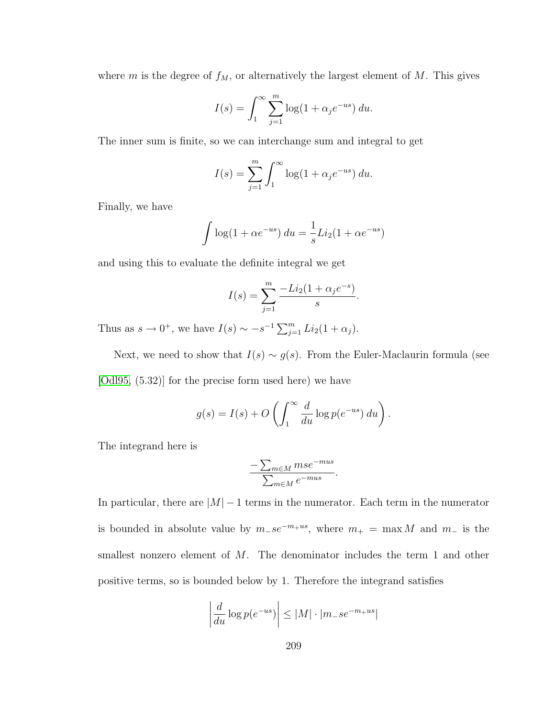where m is the degree of  $f_M$ , or alternatively the largest element of M. This gives

$$
I(s) = \int_1^{\infty} \sum_{j=1}^m \log(1 + \alpha_j e^{-us}) du.
$$

The inner sum is finite, so we can interchange sum and integral to get

$$
I(s) = \sum_{j=1}^{m} \int_{1}^{\infty} \log(1 + \alpha_j e^{-us}) \, du.
$$

Finally, we have

$$
\int \log(1 + \alpha e^{-us}) \, du = \frac{1}{s} Li_2(1 + \alpha e^{-us})
$$

and using this to evaluate the definite integral we get

$$
I(s) = \sum_{j=1}^{m} \frac{-Li_2(1 + \alpha_j e^{-s})}{s}.
$$

Thus as  $s \to 0^+$ , we have  $I(s) \sim -s^{-1} \sum_{j=1}^m Li_2(1+\alpha_j)$ .

Next, we need to show that  $I(s) \sim g(s)$ . From the Euler-Maclaurin formula (see [\[Odl95,](#page-256-1) (5.32)] for the precise form used here) we have

$$
g(s) = I(s) + O\left(\int_1^\infty \frac{d}{du} \log p(e^{-us}) du\right).
$$

The integrand here is

$$
\frac{-\sum_{m \in M} mse^{-mus}}{\sum_{m \in M} e^{-mus}}.
$$

In particular, there are  $|M| - 1$  terms in the numerator. Each term in the numerator is bounded in absolute value by  $m_-se^{-m_+us}$ , where  $m_+ = \max M$  and  $m_-$  is the smallest nonzero element of  $M$ . The denominator includes the term 1 and other positive terms, so is bounded below by 1. Therefore the integrand satisfies

$$
\left| \frac{d}{du} \log p(e^{-us}) \right| \le |M| \cdot |m_- s e^{-m_+ us}|
$$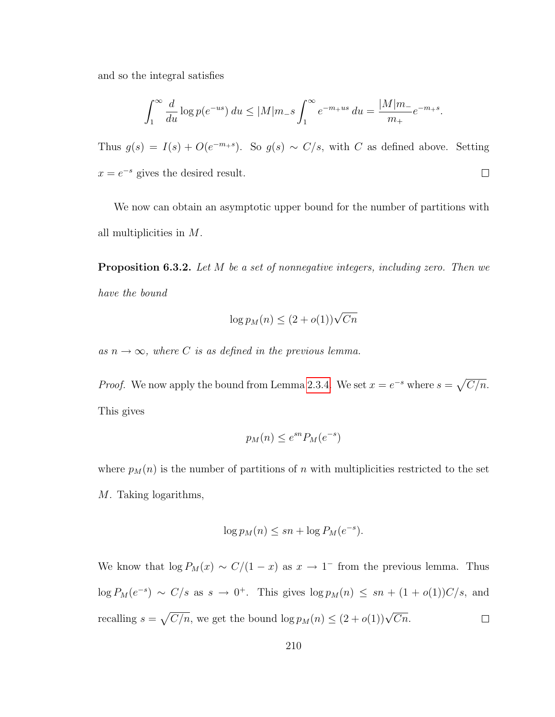and so the integral satisfies

$$
\int_1^{\infty} \frac{d}{du} \log p(e^{-us}) du \le |M|m_{-}s \int_1^{\infty} e^{-m_{+}us} du = \frac{|M|m_{-}}{m_{+}} e^{-m_{+}s}.
$$

Thus  $g(s) = I(s) + O(e^{-m+s})$ . So  $g(s) \sim C/s$ , with C as defined above. Setting  $x = e^{-s}$  gives the desired result.  $\Box$ 

We now can obtain an asymptotic upper bound for the number of partitions with all multiplicities in M.

**Proposition 6.3.2.** Let M be a set of nonnegative integers, including zero. Then we have the bound

$$
\log p_M(n) \le (2 + o(1))\sqrt{Cn}
$$

as  $n \to \infty$ , where C is as defined in the previous lemma.

*Proof.* We now apply the bound from Lemma [2.3.4.](#page-48-0) We set  $x = e^{-s}$  where  $s = \sqrt{C/n}$ . This gives

$$
p_M(n) \le e^{sn} P_M(e^{-s})
$$

where  $p_M(n)$  is the number of partitions of n with multiplicities restricted to the set M. Taking logarithms,

$$
\log p_M(n) \le sn + \log P_M(e^{-s}).
$$

We know that  $\log P_M(x) \sim C/(1-x)$  as  $x \to 1^-$  from the previous lemma. Thus  $\log P_M(e^{-s}) \sim C/s$  as  $s \to 0^+$ . This gives  $\log p_M(n) \leq sn + (1 + o(1))C/s$ , and recalling  $s = \sqrt{C/n}$ , we get the bound  $\log p_M(n) \leq (2 + o(1))\sqrt{Cn}$ .  $\Box$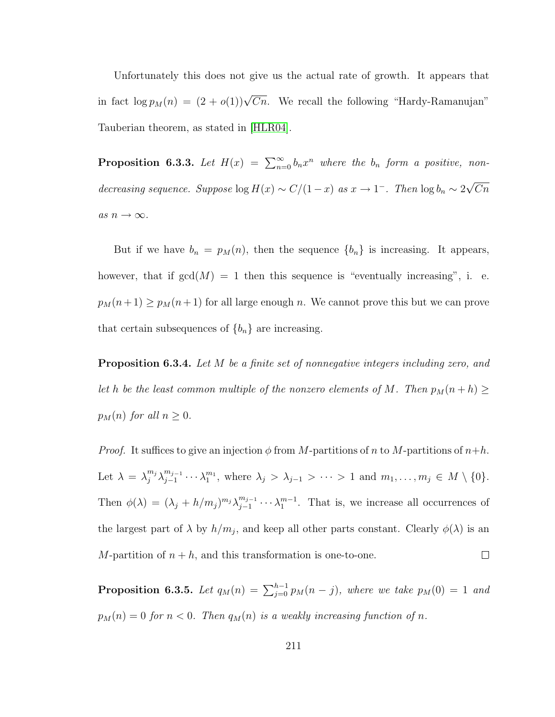Unfortunately this does not give us the actual rate of growth. It appears that in fact  $\log p_M(n) = (2 + o(1))\sqrt{Cn}$ . We recall the following "Hardy-Ramanujan" Tauberian theorem, as stated in [\[HLR04\]](#page-253-0).

**Proposition 6.3.3.** Let  $H(x) = \sum_{n=0}^{\infty} b_n x^n$  where the  $b_n$  form a positive, nondecreasing sequence. Suppose  $\log H(x) \sim C/(1-x)$  as  $x \to 1^-$ . Then  $\log b_n \sim 2$ √  $Cn$ as  $n \to \infty$ .

But if we have  $b_n = p_M(n)$ , then the sequence  ${b_n}$  is increasing. It appears, however, that if  $gcd(M) = 1$  then this sequence is "eventually increasing", i. e.  $p_M(n+1) \geq p_M(n+1)$  for all large enough n. We cannot prove this but we can prove that certain subsequences of  ${b_n}$  are increasing.

**Proposition 6.3.4.** Let M be a finite set of nonnegative integers including zero, and let h be the least common multiple of the nonzero elements of M. Then  $p_M(n+h) \geq$  $p_M(n)$  for all  $n \geq 0$ .

*Proof.* It suffices to give an injection  $\phi$  from M-partitions of n to M-partitions of  $n+h$ . Let  $\lambda = \lambda_j^{m_j} \lambda_{j-1}^{m_{j-1}}$  $j=1 \cdots \lambda_1^{m_1}$ , where  $\lambda_j > \lambda_{j-1} > \cdots > 1$  and  $m_1, \ldots, m_j \in M \setminus \{0\}.$ Then  $\phi(\lambda) = (\lambda_j + h/m_j)^{m_j} \lambda_{j-1}^{m_{j-1}}$  $j_{j-1}^{m_{j-1}}\cdots\lambda_1^{m-1}$ . That is, we increase all occurrences of the largest part of  $\lambda$  by  $h/m_j$ , and keep all other parts constant. Clearly  $\phi(\lambda)$  is an M-partition of  $n + h$ , and this transformation is one-to-one.  $\Box$ 

<span id="page-222-0"></span>**Proposition 6.3.5.** Let  $q_M(n) = \sum_{j=0}^{h-1} p_M(n-j)$ , where we take  $p_M(0) = 1$  and  $p_M(n) = 0$  for  $n < 0$ . Then  $q_M(n)$  is a weakly increasing function of n.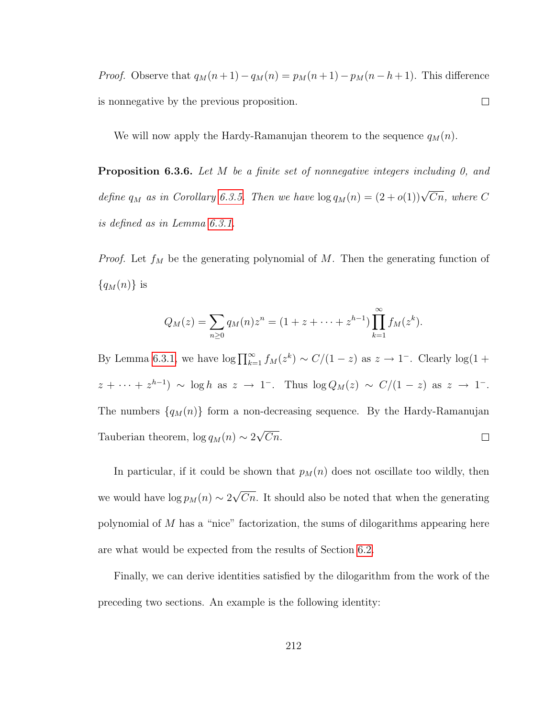*Proof.* Observe that  $q_M(n+1) - q_M(n) = p_M(n+1) - p_M(n-h+1)$ . This difference  $\Box$ is nonnegative by the previous proposition.

We will now apply the Hardy-Ramanujan theorem to the sequence  $q_M(n)$ .

**Proposition 6.3.6.** Let  $M$  be a finite set of nonnegative integers including  $0$ , and define  $q_M$  as in Corollary [6.3.5.](#page-222-0) Then we have  $\log q_M(n) = (2+o(1))\sqrt{Cn}$ , where C is defined as in Lemma [6.3.1.](#page-219-0)

*Proof.* Let  $f_M$  be the generating polynomial of M. Then the generating function of  ${q_M(n)}$  is

$$
Q_M(z) = \sum_{n\geq 0} q_M(n) z^n = (1 + z + \dots + z^{h-1}) \prod_{k=1}^{\infty} f_M(z^k).
$$

By Lemma [6.3.1,](#page-219-0) we have  $\log \prod_{k=1}^{\infty} f_M(z^k) \sim C/(1-z)$  as  $z \to 1^-$ . Clearly  $\log(1+z)$  $z + \cdots + z^{h-1}$  ~ log h as  $z \to 1^-$ . Thus log  $Q_M(z) \sim C/(1-z)$  as  $z \to 1^-$ . The numbers  $\{q_M(n)\}\$  form a non-decreasing sequence. By the Hardy-Ramanujan √ Tauberian theorem,  $\log q_M(n) \sim 2$ Cn.  $\Box$ 

In particular, if it could be shown that  $p_M(n)$  does not oscillate too wildly, then we would have  $\log p_M(n) \sim 2$ √  $C_n$ . It should also be noted that when the generating polynomial of  $M$  has a "nice" factorization, the sums of dilogarithms appearing here are what would be expected from the results of Section [6.2.](#page-209-0)

Finally, we can derive identities satisfied by the dilogarithm from the work of the preceding two sections. An example is the following identity: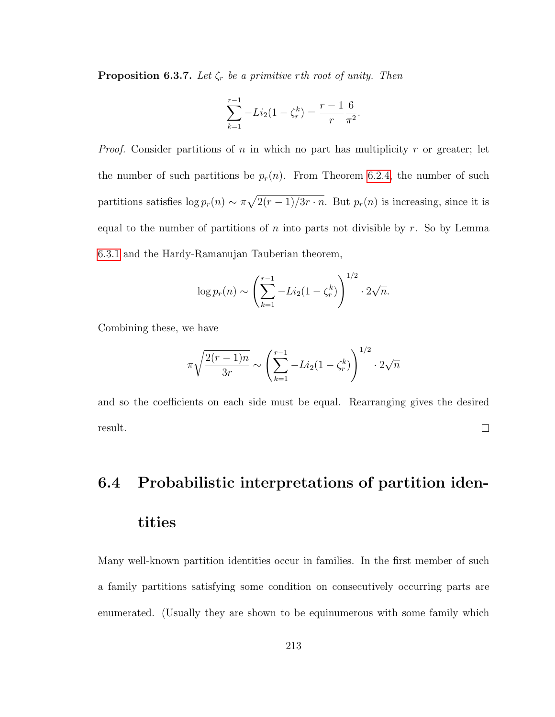**Proposition 6.3.7.** Let  $\zeta_r$  be a primitive rth root of unity. Then

$$
\sum_{k=1}^{r-1} -Li_2(1 - \zeta_r^k) = \frac{r-1}{r} \frac{6}{\pi^2}.
$$

*Proof.* Consider partitions of n in which no part has multiplicity r or greater; let the number of such partitions be  $p_r(n)$ . From Theorem [6.2.4,](#page-216-0) the number of such partitions satisfies  $\log p_r(n) \sim \pi \sqrt{2(r-1)/3r \cdot n}$ . But  $p_r(n)$  is increasing, since it is equal to the number of partitions of  $n$  into parts not divisible by  $r$ . So by Lemma [6.3.1](#page-219-0) and the Hardy-Ramanujan Tauberian theorem,

$$
\log p_r(n) \sim \left(\sum_{k=1}^{r-1} -Li_2(1-\zeta_r^k)\right)^{1/2} \cdot 2\sqrt{n}.
$$

Combining these, we have

$$
\pi \sqrt{\frac{2(r-1)n}{3r}} \sim \left(\sum_{k=1}^{r-1} -Li_2(1-\zeta_r^k)\right)^{1/2} \cdot 2\sqrt{n}
$$

and so the coefficients on each side must be equal. Rearranging gives the desired result.  $\Box$ 

## 6.4 Probabilistic interpretations of partition identities

Many well-known partition identities occur in families. In the first member of such a family partitions satisfying some condition on consecutively occurring parts are enumerated. (Usually they are shown to be equinumerous with some family which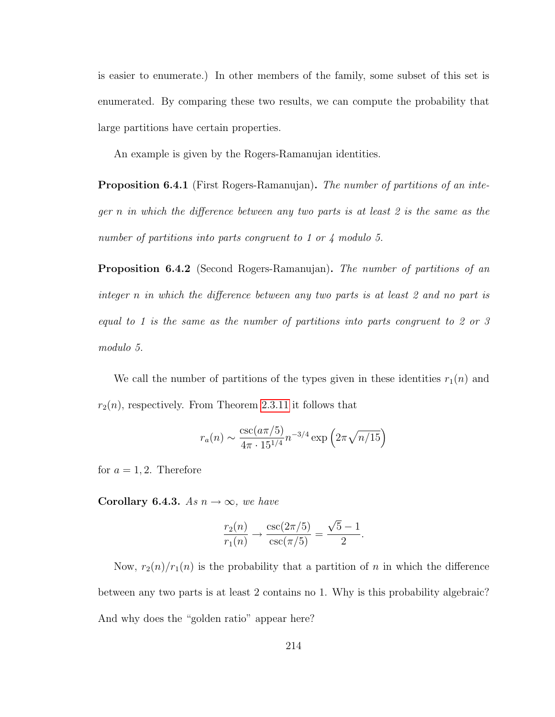is easier to enumerate.) In other members of the family, some subset of this set is enumerated. By comparing these two results, we can compute the probability that large partitions have certain properties.

An example is given by the Rogers-Ramanujan identities.

**Proposition 6.4.1** (First Rogers-Ramanujan). The number of partitions of an integer n in which the difference between any two parts is at least 2 is the same as the number of partitions into parts congruent to 1 or 4 modulo 5.

Proposition 6.4.2 (Second Rogers-Ramanujan). The number of partitions of an integer n in which the difference between any two parts is at least 2 and no part is equal to 1 is the same as the number of partitions into parts congruent to 2 or 3 modulo 5.

We call the number of partitions of the types given in these identities  $r_1(n)$  and  $r_2(n)$ , respectively. From Theorem [2.3.11](#page-56-0) it follows that

$$
r_a(n) \sim \frac{\csc(a\pi/5)}{4\pi \cdot 15^{1/4}} n^{-3/4} \exp\left(2\pi \sqrt{n/15}\right)
$$

<span id="page-225-0"></span>for  $a = 1, 2$ . Therefore

Corollary 6.4.3. As  $n \to \infty$ , we have

$$
\frac{r_2(n)}{r_1(n)} \to \frac{\csc(2\pi/5)}{\csc(\pi/5)} = \frac{\sqrt{5} - 1}{2}.
$$

Now,  $r_2(n)/r_1(n)$  is the probability that a partition of n in which the difference between any two parts is at least 2 contains no 1. Why is this probability algebraic? And why does the "golden ratio" appear here?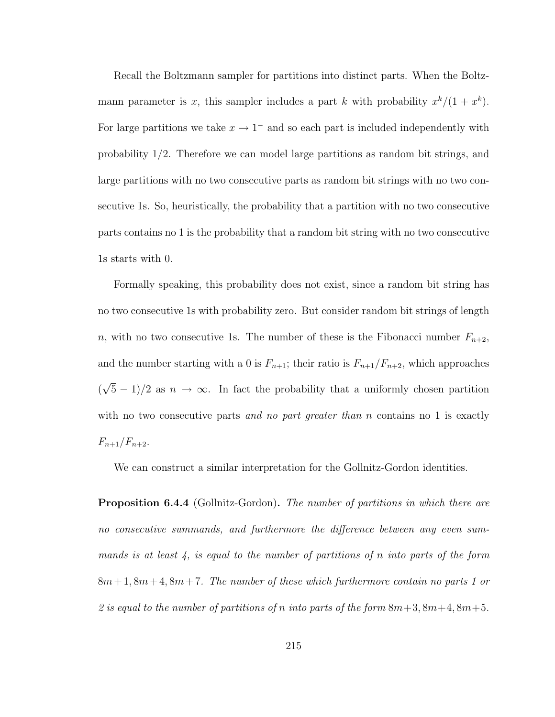Recall the Boltzmann sampler for partitions into distinct parts. When the Boltzmann parameter is x, this sampler includes a part k with probability  $x^k/(1+x^k)$ . For large partitions we take  $x \to 1^-$  and so each part is included independently with probability 1/2. Therefore we can model large partitions as random bit strings, and large partitions with no two consecutive parts as random bit strings with no two consecutive 1s. So, heuristically, the probability that a partition with no two consecutive parts contains no 1 is the probability that a random bit string with no two consecutive 1s starts with 0.

Formally speaking, this probability does not exist, since a random bit string has no two consecutive 1s with probability zero. But consider random bit strings of length n, with no two consecutive 1s. The number of these is the Fibonacci number  $F_{n+2}$ , and the number starting with a 0 is  $F_{n+1}$ ; their ratio is  $F_{n+1}/F_{n+2}$ , which approaches ( √  $(5-1)/2$  as  $n \to \infty$ . In fact the probability that a uniformly chosen partition with no two consecutive parts and no part greater than n contains no 1 is exactly  $F_{n+1}/F_{n+2}$ .

We can construct a similar interpretation for the Gollnitz-Gordon identities.

**Proposition 6.4.4** (Gollnitz-Gordon). The number of partitions in which there are no consecutive summands, and furthermore the difference between any even summands is at least 4, is equal to the number of partitions of n into parts of the form  $8m+1, 8m+4, 8m+7$ . The number of these which furthermore contain no parts 1 or 2 is equal to the number of partitions of n into parts of the form  $8m+3$ ,  $8m+4$ ,  $8m+5$ .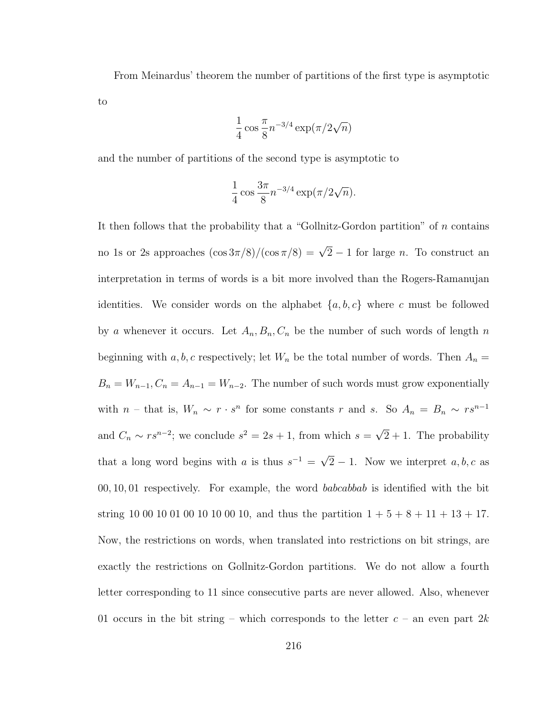From Meinardus' theorem the number of partitions of the first type is asymptotic to

$$
\frac{1}{4}\cos\frac{\pi}{8}n^{-3/4}\exp(\pi/2\sqrt{n})
$$

and the number of partitions of the second type is asymptotic to

$$
\frac{1}{4} \cos \frac{3\pi}{8} n^{-3/4} \exp(\pi/2\sqrt{n}).
$$

It then follows that the probability that a "Gollnitz-Gordon partition" of  $n$  contains no 1s or 2s approaches  $(\cos 3\pi/8)/(\cos \pi/8) = \sqrt{2} - 1$  for large *n*. To construct an interpretation in terms of words is a bit more involved than the Rogers-Ramanujan identities. We consider words on the alphabet  $\{a, b, c\}$  where c must be followed by a whenever it occurs. Let  $A_n, B_n, C_n$  be the number of such words of length n beginning with  $a, b, c$  respectively; let  $W_n$  be the total number of words. Then  $A_n =$  $B_n = W_{n-1}, C_n = A_{n-1} = W_{n-2}$ . The number of such words must grow exponentially with  $n$  – that is,  $W_n \sim r \cdot s^n$  for some constants r and s. So  $A_n = B_n \sim rs^{n-1}$ and  $C_n \sim rs^{n-2}$ ; we conclude  $s^2 = 2s + 1$ , from which  $s =$ √  $2 + 1$ . The probability that a long word begins with a is thus  $s^{-1} =$ √  $2-1$ . Now we interpret  $a, b, c$  as 00, 10, 01 respectively. For example, the word babcabbab is identified with the bit string 10 00 10 01 00 10 10 00 10, and thus the partition  $1 + 5 + 8 + 11 + 13 + 17$ . Now, the restrictions on words, when translated into restrictions on bit strings, are exactly the restrictions on Gollnitz-Gordon partitions. We do not allow a fourth letter corresponding to 11 since consecutive parts are never allowed. Also, whenever 01 occurs in the bit string – which corresponds to the letter  $c$  – an even part 2k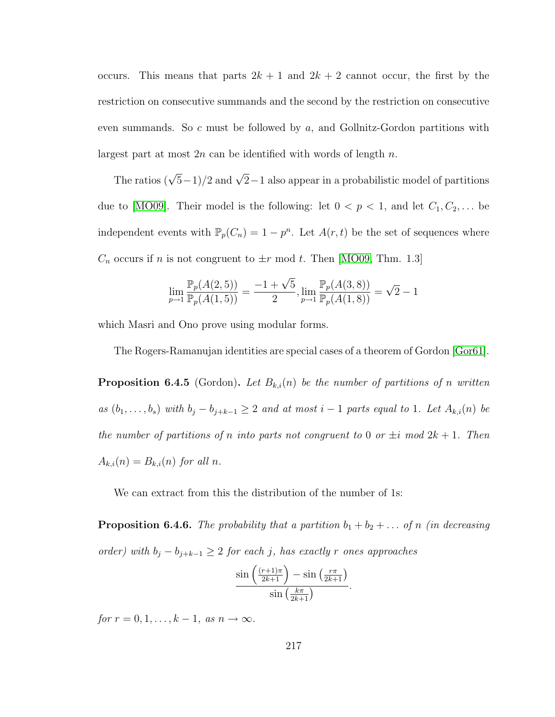occurs. This means that parts  $2k + 1$  and  $2k + 2$  cannot occur, the first by the restriction on consecutive summands and the second by the restriction on consecutive even summands. So  $c$  must be followed by  $a$ , and Gollnitz-Gordon partitions with largest part at most  $2n$  can be identified with words of length n.

The ratios  $(\sqrt{5}-1)/2$  and  $\sqrt{2}-1$  also appear in a probabilistic model of partitions due to [\[MO09\]](#page-255-0). Their model is the following: let  $0 < p < 1$ , and let  $C_1, C_2, \ldots$  be independent events with  $\mathbb{P}_p(C_n) = 1 - p^n$ . Let  $A(r, t)$  be the set of sequences where  $C_n$  occurs if n is not congruent to  $\pm r$  mod t. Then [\[MO09,](#page-255-0) Thm. 1.3]

$$
\lim_{p \to 1} \frac{\mathbb{P}_p(A(2,5))}{\mathbb{P}_p(A(1,5))} = \frac{-1 + \sqrt{5}}{2}, \lim_{p \to 1} \frac{\mathbb{P}_p(A(3,8))}{\mathbb{P}_p(A(1,8))} = \sqrt{2} - 1
$$

which Masri and Ono prove using modular forms.

The Rogers-Ramanujan identities are special cases of a theorem of Gordon [\[Gor61\]](#page-252-0). **Proposition 6.4.5** (Gordon). Let  $B_{k,i}(n)$  be the number of partitions of n written as  $(b_1, \ldots, b_s)$  with  $b_j - b_{j+k-1} \geq 2$  and at most  $i-1$  parts equal to 1. Let  $A_{k,i}(n)$  be the number of partitions of n into parts not congruent to 0 or  $\pm i \mod 2k + 1$ . Then  $A_{k,i}(n) = B_{k,i}(n)$  for all n.

We can extract from this the distribution of the number of 1s:

**Proposition 6.4.6.** The probability that a partition  $b_1 + b_2 + \ldots$  of n (in decreasing order) with  $b_j - b_{j+k-1} \geq 2$  for each j, has exactly r ones approaches

$$
\frac{\sin\left(\frac{(r+1)\pi}{2k+1}\right) - \sin\left(\frac{r\pi}{2k+1}\right)}{\sin\left(\frac{k\pi}{2k+1}\right)}.
$$

for  $r = 0, 1, \ldots, k - 1$ , as  $n \to \infty$ .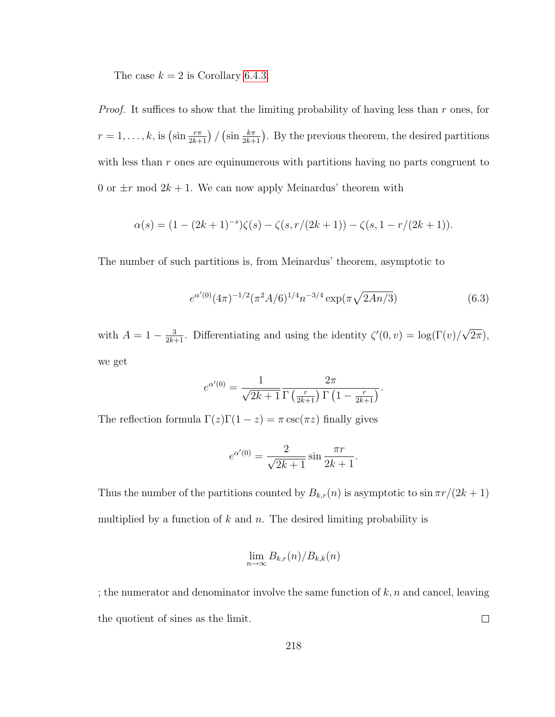The case  $k = 2$  is Corollary [6.4.3.](#page-225-0)

*Proof.* It suffices to show that the limiting probability of having less than  $r$  ones, for  $r=1,\ldots,k$ , is  $\left(\sin \frac{r\pi}{2k+1}\right)/\left(\sin \frac{k\pi}{2k+1}\right)$ . By the previous theorem, the desired partitions with less than  $r$  ones are equinumerous with partitions having no parts congruent to 0 or  $\pm r$  mod  $2k + 1$ . We can now apply Meinardus' theorem with

$$
\alpha(s) = (1 - (2k+1)^{-s})\zeta(s) - \zeta(s, r/(2k+1)) - \zeta(s, 1 - r/(2k+1)).
$$

The number of such partitions is, from Meinardus' theorem, asymptotic to

$$
e^{\alpha'(0)}(4\pi)^{-1/2}(\pi^2A/6)^{1/4}n^{-3/4}\exp(\pi\sqrt{2An/3})\tag{6.3}
$$

with  $A = 1 - \frac{3}{2k+1}$ . Differentiating and using the identity  $\zeta'(0, v) = \log(\Gamma(v))$ √  $(2\pi),$ we get

$$
e^{\alpha'(0)} = \frac{1}{\sqrt{2k+1}} \frac{2\pi}{\Gamma\left(\frac{r}{2k+1}\right)\Gamma\left(1 - \frac{r}{2k+1}\right)}.
$$

The reflection formula  $\Gamma(z)\Gamma(1-z) = \pi \csc(\pi z)$  finally gives

$$
e^{\alpha'(0)} = \frac{2}{\sqrt{2k+1}} \sin \frac{\pi r}{2k+1}.
$$

Thus the number of the partitions counted by  $B_{k,r}(n)$  is asymptotic to  $\sin \pi r/(2k+1)$ multiplied by a function of  $k$  and  $n$ . The desired limiting probability is

$$
\lim_{n\to\infty} B_{k,r}(n)/B_{k,k}(n)
$$

; the numerator and denominator involve the same function of  $k$ ,  $n$  and cancel, leaving the quotient of sines as the limit.  $\Box$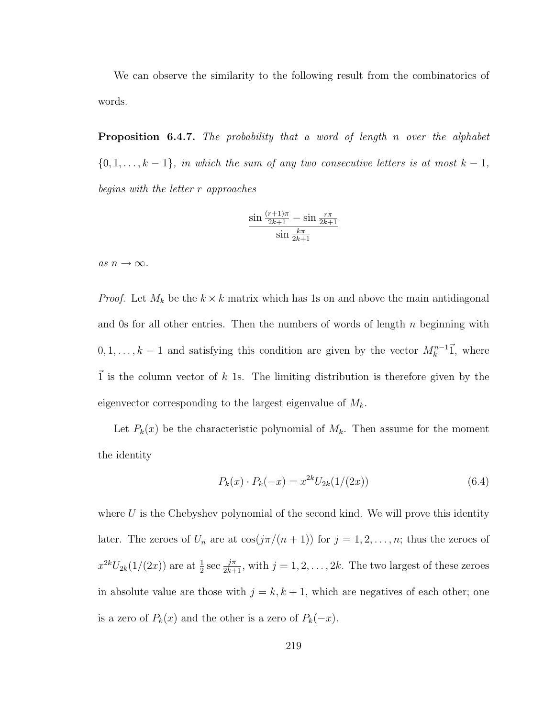We can observe the similarity to the following result from the combinatorics of words.

**Proposition 6.4.7.** The probability that a word of length n over the alphabet  ${0, 1, \ldots, k-1}$ , in which the sum of any two consecutive letters is at most  $k-1$ , begins with the letter r approaches

$$
\frac{\sin \frac{(r+1)\pi}{2k+1} - \sin \frac{r\pi}{2k+1}}{\sin \frac{k\pi}{2k+1}}
$$

as  $n \to \infty$ .

*Proof.* Let  $M_k$  be the  $k \times k$  matrix which has 1s on and above the main antidiagonal and 0s for all other entries. Then the numbers of words of length  $n$  beginning with  $0, 1, \ldots, k-1$  and satisfying this condition are given by the vector  $M_k^{n-1}$ , where  $\tilde{1}$  is the column vector of k 1s. The limiting distribution is therefore given by the eigenvector corresponding to the largest eigenvalue of  $M_k$ .

Let  $P_k(x)$  be the characteristic polynomial of  $M_k$ . Then assume for the moment the identity

<span id="page-230-0"></span>
$$
P_k(x) \cdot P_k(-x) = x^{2k} U_{2k}(1/(2x)) \tag{6.4}
$$

where  $U$  is the Chebyshev polynomial of the second kind. We will prove this identity later. The zeroes of  $U_n$  are at  $\cos(j\pi/(n+1))$  for  $j=1,2,\ldots,n$ ; thus the zeroes of  $x^{2k}U_{2k}(1/(2x))$  are at  $\frac{1}{2}\sec \frac{j\pi}{2k+1}$ , with  $j=1,2,\ldots, 2k$ . The two largest of these zeroes in absolute value are those with  $j = k, k + 1$ , which are negatives of each other; one is a zero of  $P_k(x)$  and the other is a zero of  $P_k(-x)$ .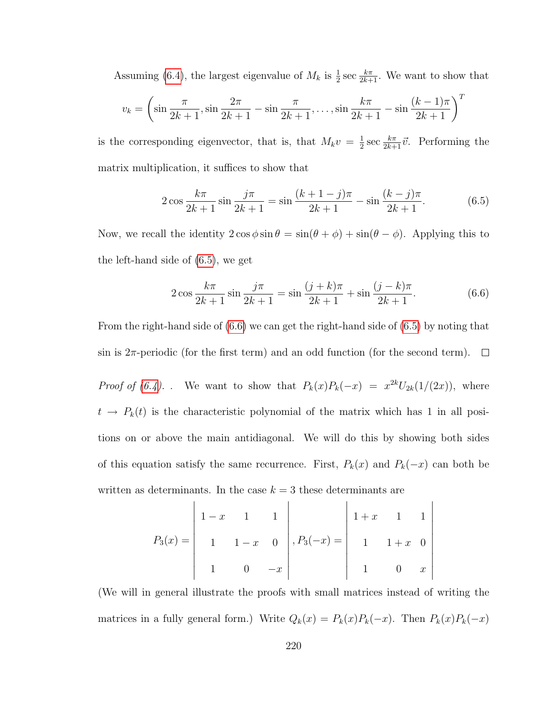Assuming [\(6.4\)](#page-230-0), the largest eigenvalue of  $M_k$  is  $\frac{1}{2}$  sec  $\frac{k\pi}{2k+1}$ . We want to show that

$$
v_k = \left(\sin\frac{\pi}{2k+1}, \sin\frac{2\pi}{2k+1} - \sin\frac{\pi}{2k+1}, \dots, \sin\frac{k\pi}{2k+1} - \sin\frac{(k-1)\pi}{2k+1}\right)^T
$$

is the corresponding eigenvector, that is, that  $M_k v = \frac{1}{2}$  $\frac{1}{2}$  sec  $\frac{k\pi}{2k+1}\vec{v}$ . Performing the matrix multiplication, it suffices to show that

<span id="page-231-0"></span>
$$
2\cos\frac{k\pi}{2k+1}\sin\frac{j\pi}{2k+1} = \sin\frac{(k+1-j)\pi}{2k+1} - \sin\frac{(k-j)\pi}{2k+1}.\tag{6.5}
$$

Now, we recall the identity  $2 \cos \phi \sin \theta = \sin(\theta + \phi) + \sin(\theta - \phi)$ . Applying this to the left-hand side of [\(6.5\)](#page-231-0), we get

<span id="page-231-1"></span>
$$
2\cos\frac{k\pi}{2k+1}\sin\frac{j\pi}{2k+1} = \sin\frac{(j+k)\pi}{2k+1} + \sin\frac{(j-k)\pi}{2k+1}.
$$
 (6.6)

From the right-hand side of [\(6.6\)](#page-231-1) we can get the right-hand side of [\(6.5\)](#page-231-0) by noting that sin is  $2\pi$ -periodic (for the first term) and an odd function (for the second term).  $\Box$ 

Proof of [\(6.4\)](#page-230-0). We want to show that  $P_k(x)P_k(-x) = x^{2k}U_{2k}(1/(2x))$ , where  $t \to P_k(t)$  is the characteristic polynomial of the matrix which has 1 in all positions on or above the main antidiagonal. We will do this by showing both sides of this equation satisfy the same recurrence. First,  $P_k(x)$  and  $P_k(-x)$  can both be written as determinants. In the case  $k = 3$  these determinants are

$$
P_3(x) = \begin{vmatrix} 1-x & 1 & 1 \\ 1 & 1-x & 0 \\ 1 & 0 & -x \end{vmatrix}, P_3(-x) = \begin{vmatrix} 1+x & 1 & 1 \\ 1 & 1+x & 0 \\ 1 & 0 & x \end{vmatrix}
$$

(We will in general illustrate the proofs with small matrices instead of writing the matrices in a fully general form.) Write  $Q_k(x) = P_k(x)P_k(-x)$ . Then  $P_k(x)P_k(-x)$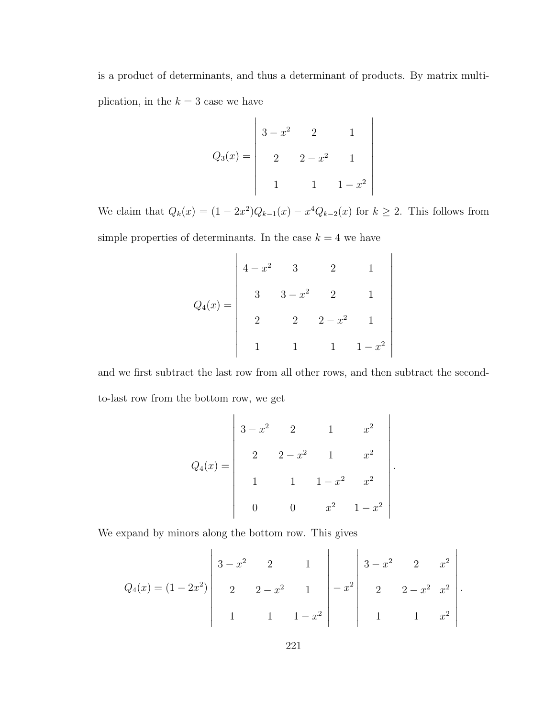is a product of determinants, and thus a determinant of products. By matrix multiplication, in the  $k = 3$  case we have

> $\overline{\phantom{a}}$  $\overline{\phantom{a}}$  $\Big\}$  $\Big\}$  $\overline{\phantom{a}}$  $\overline{\phantom{a}}$  $\overline{\phantom{a}}$  $\overline{\phantom{a}}$  $\overline{\phantom{a}}$  $\overline{\phantom{a}}$  $\Big\}$  $\vert$

> > $\overline{\phantom{a}}$  $\overline{\phantom{a}}$  $\overline{\phantom{a}}$  $\overline{\phantom{a}}$  $\overline{\phantom{a}}$  $\overline{\phantom{a}}$  $\Big\}$  $\Big\}$  $\overline{\phantom{a}}$  $\overline{\phantom{a}}$  $\overline{\phantom{a}}$  $\overline{\phantom{a}}$  $\overline{\phantom{a}}$  $\overline{\phantom{a}}$  $\Big\}$  $\vert$

> > > .

.

$$
Q_3(x) = \begin{vmatrix} 3 - x^2 & 2 & 1 \\ 2 & 2 - x^2 & 1 \\ 1 & 1 & 1 - x^2 \end{vmatrix}
$$

We claim that  $Q_k(x) = (1 - 2x^2)Q_{k-1}(x) - x^4Q_{k-2}(x)$  for  $k \ge 2$ . This follows from simple properties of determinants. In the case  $k = 4$  we have

$$
Q_4(x) = \begin{vmatrix} 4 - x^2 & 3 & 2 & 1 \\ 3 & 3 - x^2 & 2 & 1 \\ 2 & 2 & 2 - x^2 & 1 \\ 1 & 1 & 1 & 1 - x^2 \end{vmatrix}
$$

and we first subtract the last row from all other rows, and then subtract the secondto-last row from the bottom row, we get

$$
Q_4(x) = \begin{vmatrix} 3 - x^2 & 2 & 1 & x^2 \\ 2 & 2 - x^2 & 1 & x^2 \\ 1 & 1 & 1 - x^2 & x^2 \\ 0 & 0 & x^2 & 1 - x^2 \end{vmatrix}
$$

We expand by minors along the bottom row. This gives

$$
Q_4(x) = (1 - 2x^2) \begin{vmatrix} 3 - x^2 & 2 & 1 \\ 2 & 2 - x^2 & 1 \\ 1 & 1 & 1 - x^2 \end{vmatrix} - x^2 \begin{vmatrix} 3 - x^2 & 2 & x^2 \\ 2 & 2 - x^2 & x^2 \\ 1 & 1 & x^2 \end{vmatrix}
$$

 $\mathbf{r}$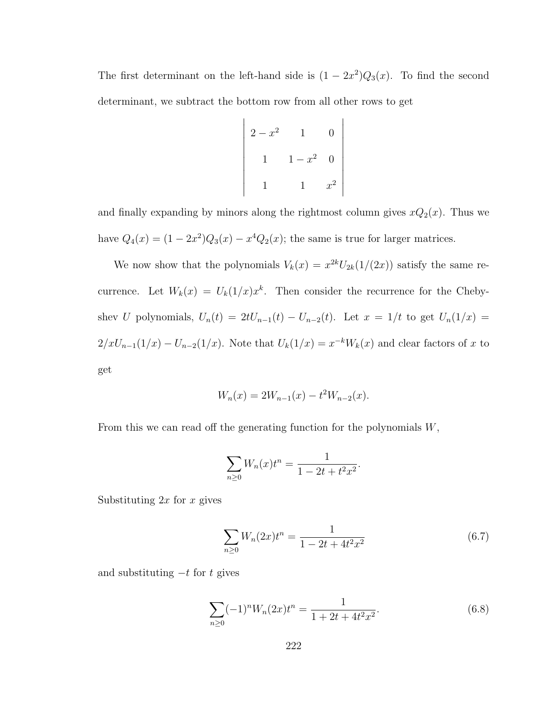The first determinant on the left-hand side is  $(1 - 2x^2)Q_3(x)$ . To find the second determinant, we subtract the bottom row from all other rows to get

$$
\begin{vmatrix}\n2 - x^2 & 1 & 0 \\
1 & 1 - x^2 & 0 \\
1 & 1 & x^2\n\end{vmatrix}
$$

and finally expanding by minors along the rightmost column gives  $xQ_2(x)$ . Thus we have  $Q_4(x) = (1 - 2x^2)Q_3(x) - x^4Q_2(x)$ ; the same is true for larger matrices.

We now show that the polynomials  $V_k(x) = x^{2k}U_{2k}(1/(2x))$  satisfy the same recurrence. Let  $W_k(x) = U_k(1/x)x^k$ . Then consider the recurrence for the Chebyshev U polynomials,  $U_n(t) = 2tU_{n-1}(t) - U_{n-2}(t)$ . Let  $x = 1/t$  to get  $U_n(1/x) =$  $2/xU_{n-1}(1/x) - U_{n-2}(1/x)$ . Note that  $U_k(1/x) = x^{-k}W_k(x)$  and clear factors of x to get

$$
W_n(x) = 2W_{n-1}(x) - t^2 W_{n-2}(x).
$$

From this we can read off the generating function for the polynomials  $W$ ,

$$
\sum_{n\geq 0} W_n(x)t^n = \frac{1}{1 - 2t + t^2x^2}.
$$

Substituting  $2x$  for x gives

<span id="page-233-0"></span>
$$
\sum_{n\geq 0} W_n(2x)t^n = \frac{1}{1 - 2t + 4t^2x^2} \tag{6.7}
$$

and substituting  $-t$  for t gives

<span id="page-233-1"></span>
$$
\sum_{n\geq 0} (-1)^n W_n(2x) t^n = \frac{1}{1 + 2t + 4t^2 x^2}.
$$
\n(6.8)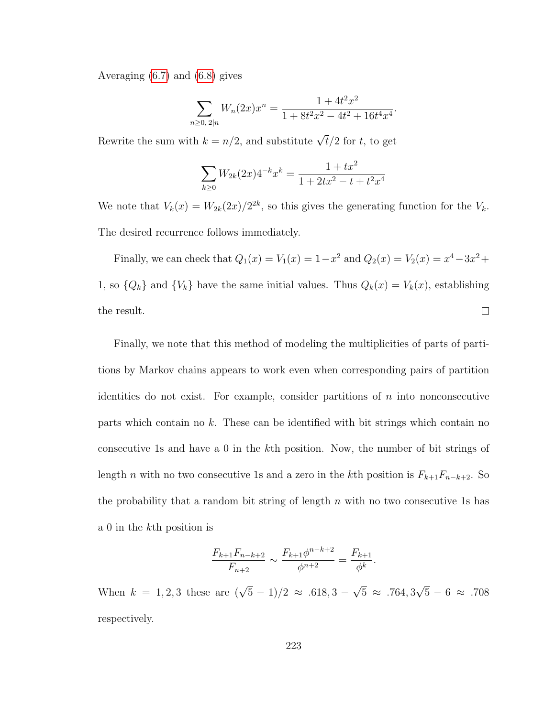Averaging [\(6.7\)](#page-233-0) and [\(6.8\)](#page-233-1) gives

$$
\sum_{n\geq 0, 2|n} W_n(2x)x^n = \frac{1+4t^2x^2}{1+8t^2x^2-4t^2+16t^4x^4}.
$$

Rewrite the sum with  $k = n/2$ , and substitute  $\sqrt{t}/2$  for t, to get

$$
\sum_{k\geq 0} W_{2k}(2x) 4^{-k} x^k = \frac{1 + tx^2}{1 + 2tx^2 - t + t^2 x^4}
$$

We note that  $V_k(x) = W_{2k}(2x)/2^{2k}$ , so this gives the generating function for the  $V_k$ . The desired recurrence follows immediately.

Finally, we can check that  $Q_1(x) = V_1(x) = 1 - x^2$  and  $Q_2(x) = V_2(x) = x^4 - 3x^2 +$ 1, so  $\{Q_k\}$  and  $\{V_k\}$  have the same initial values. Thus  $Q_k(x) = V_k(x)$ , establishing the result.  $\Box$ 

Finally, we note that this method of modeling the multiplicities of parts of partitions by Markov chains appears to work even when corresponding pairs of partition identities do not exist. For example, consider partitions of  $n$  into nonconsecutive parts which contain no k. These can be identified with bit strings which contain no consecutive 1s and have a 0 in the kth position. Now, the number of bit strings of length *n* with no two consecutive 1s and a zero in the kth position is  $F_{k+1}F_{n-k+2}$ . So the probability that a random bit string of length  $n$  with no two consecutive 1s has a 0 in the kth position is

$$
\frac{F_{k+1}F_{n-k+2}}{F_{n+2}} \sim \frac{F_{k+1}\phi^{n-k+2}}{\phi^{n+2}} = \frac{F_{k+1}}{\phi^k}.
$$

When  $k = 1, 2, 3$  these are  $(\sqrt{5} - 1)/2 \approx .618, 3 -$ √  $5 \approx .764, 3$ √  $5-6 \approx .708$ respectively.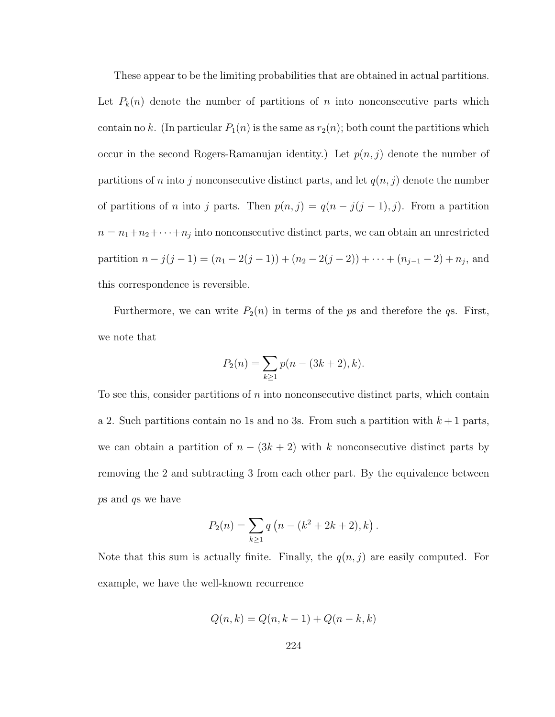These appear to be the limiting probabilities that are obtained in actual partitions. Let  $P_k(n)$  denote the number of partitions of n into nonconsecutive parts which contain no k. (In particular  $P_1(n)$  is the same as  $r_2(n)$ ; both count the partitions which occur in the second Rogers-Ramanujan identity.) Let  $p(n, j)$  denote the number of partitions of *n* into *j* nonconsecutive distinct parts, and let  $q(n, j)$  denote the number of partitions of n into j parts. Then  $p(n, j) = q(n - j(j - 1), j)$ . From a partition  $n = n_1 + n_2 + \cdots + n_j$  into nonconsecutive distinct parts, we can obtain an unrestricted partition  $n - j(j - 1) = (n_1 - 2(j - 1)) + (n_2 - 2(j - 2)) + \cdots + (n_{j-1} - 2) + n_j$ , and this correspondence is reversible.

Furthermore, we can write  $P_2(n)$  in terms of the ps and therefore the qs. First, we note that

$$
P_2(n) = \sum_{k \ge 1} p(n - (3k + 2), k).
$$

To see this, consider partitions of  $n$  into nonconsecutive distinct parts, which contain a 2. Such partitions contain no 1s and no 3s. From such a partition with  $k+1$  parts, we can obtain a partition of  $n - (3k + 2)$  with k nonconsecutive distinct parts by removing the 2 and subtracting 3 from each other part. By the equivalence between ps and qs we have

$$
P_2(n) = \sum_{k \ge 1} q(n - (k^2 + 2k + 2), k).
$$

Note that this sum is actually finite. Finally, the  $q(n, j)$  are easily computed. For example, we have the well-known recurrence

$$
Q(n,k)=Q(n,k-1)+Q(n-k,k)\\
$$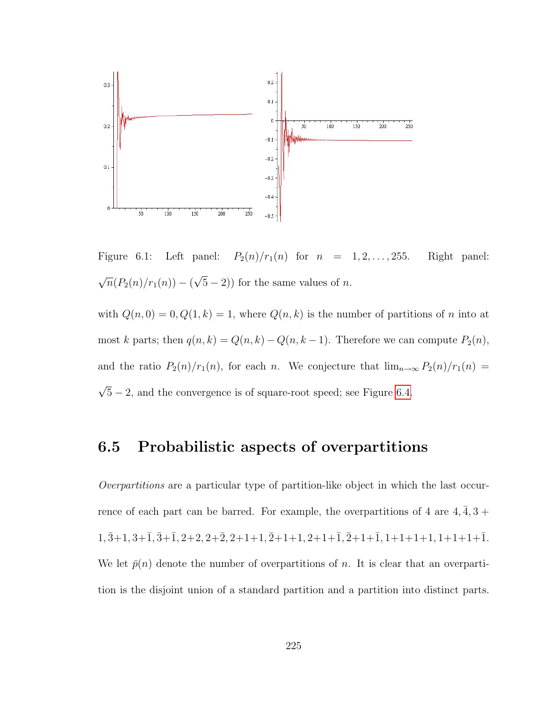

Figure 6.1: Left panel:  $P_2(n)/r_1(n)$  for  $n = 1, 2, \ldots, 255$ . Right panel: √  $\overline{n}(P_2(n)/r_1(n)) - ($ √  $(5-2)$ ) for the same values of *n*.

with  $Q(n, 0) = 0, Q(1, k) = 1$ , where  $Q(n, k)$  is the number of partitions of n into at most k parts; then  $q(n, k) = Q(n, k) - Q(n, k - 1)$ . Therefore we can compute  $P_2(n)$ , and the ratio  $P_2(n)/r_1(n)$ , for each n. We conjecture that  $\lim_{n\to\infty} P_2(n)/r_1(n)$  = √ 5 − 2, and the convergence is of square-root speed; see Figure [6.4.](#page-233-1)

## 6.5 Probabilistic aspects of overpartitions

Overpartitions are a particular type of partition-like object in which the last occurrence of each part can be barred. For example, the overpartitions of 4 are  $4, \overline{4}, 3 +$  $1, \overline{3}+1, 3+\overline{1}, \overline{3}+\overline{1}, 2+2, 2+\overline{2}, 2+1+1, \overline{2}+1+1, 2+1+\overline{1}, \overline{2}+1+\overline{1}, 1+1+1+1, 1+1+1+\overline{1}.$ We let  $\bar{p}(n)$  denote the number of overpartitions of n. It is clear that an overpartition is the disjoint union of a standard partition and a partition into distinct parts.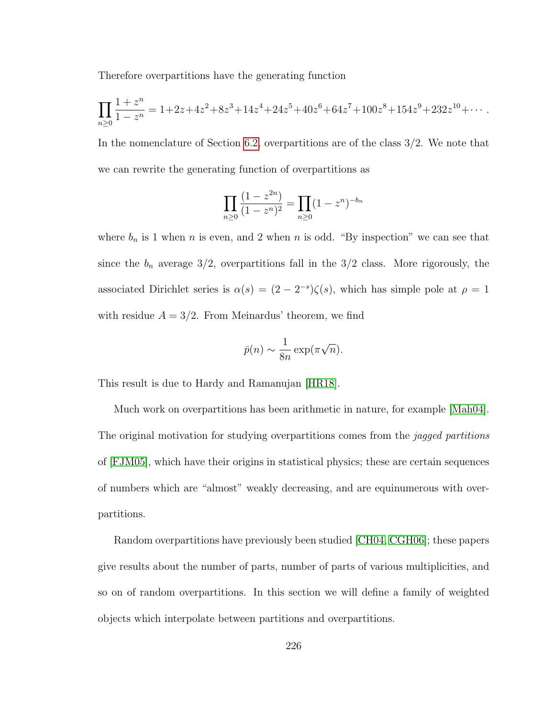<span id="page-237-0"></span>Therefore overpartitions have the generating function

$$
\prod_{n\geq 0} \frac{1+z^n}{1-z^n} = 1+2z+4z^2+8z^3+14z^4+24z^5+40z^6+64z^7+100z^8+154z^9+232z^{10}+\cdots
$$

In the nomenclature of Section [6.2,](#page-209-0) overpartitions are of the class 3/2. We note that we can rewrite the generating function of overpartitions as

$$
\prod_{n\geq 0} \frac{(1-z^{2n})}{(1-z^n)^2} = \prod_{n\geq 0} (1-z^n)^{-b_n}
$$

where  $b_n$  is 1 when n is even, and 2 when n is odd. "By inspection" we can see that since the  $b_n$  average 3/2, overpartitions fall in the 3/2 class. More rigorously, the associated Dirichlet series is  $\alpha(s) = (2 - 2^{-s})\zeta(s)$ , which has simple pole at  $\rho = 1$ with residue  $A = 3/2$ . From Meinardus' theorem, we find

$$
\bar{p}(n) \sim \frac{1}{8n} \exp(\pi \sqrt{n}).
$$

This result is due to Hardy and Ramanujan [\[HR18\]](#page-253-1).

Much work on overpartitions has been arithmetic in nature, for example [\[Mah04\]](#page-255-1). The original motivation for studying overpartitions comes from the *jagged partitions* of [\[FJM05\]](#page-251-0), which have their origins in statistical physics; these are certain sequences of numbers which are "almost" weakly decreasing, and are equinumerous with overpartitions.

Random overpartitions have previously been studied [\[CH04,](#page-248-0) [CGH06\]](#page-248-1); these papers give results about the number of parts, number of parts of various multiplicities, and so on of random overpartitions. In this section we will define a family of weighted objects which interpolate between partitions and overpartitions.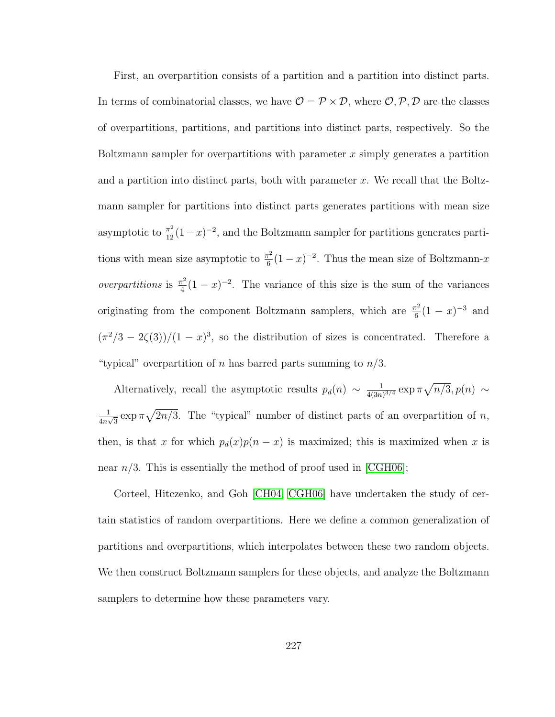<span id="page-238-0"></span>First, an overpartition consists of a partition and a partition into distinct parts. In terms of combinatorial classes, we have  $\mathcal{O} = \mathcal{P} \times \mathcal{D}$ , where  $\mathcal{O}, \mathcal{P}, \mathcal{D}$  are the classes of overpartitions, partitions, and partitions into distinct parts, respectively. So the Boltzmann sampler for overpartitions with parameter  $x$  simply generates a partition and a partition into distinct parts, both with parameter  $x$ . We recall that the Boltzmann sampler for partitions into distinct parts generates partitions with mean size asymptotic to  $\frac{\pi^2}{12}(1-x)^{-2}$ , and the Boltzmann sampler for partitions generates partitions with mean size asymptotic to  $\frac{\pi^2}{6}$  $\frac{\pi^2}{6}(1-x)^{-2}$ . Thus the mean size of Boltzmann-x *overpartitions* is  $\frac{\pi^2}{4}$  $\frac{\pi^2}{4}(1-x)^{-2}$ . The variance of this size is the sum of the variances originating from the component Boltzmann samplers, which are  $\frac{\pi^2}{6}$  $\frac{\pi^2}{6}(1-x)^{-3}$  and  $(\pi^2/3 - 2\zeta(3))/(1 - x)^3$ , so the distribution of sizes is concentrated. Therefore a "typical" overpartition of n has barred parts summing to  $n/3$ .

Alternatively, recall the asymptotic results  $p_d(n) \sim \frac{1}{4(3n)}$  $\frac{1}{4(3n)^{3/4}} \exp \pi \sqrt{n/3}, p(n) \sim$ 1  $\frac{1}{4n\sqrt{3}} \exp \pi \sqrt{2n/3}$ . The "typical" number of distinct parts of an overpartition of n, then, is that x for which  $p_d(x)p(n-x)$  is maximized; this is maximized when x is near  $n/3$ . This is essentially the method of proof used in [\[CGH06\]](#page-248-1);

Corteel, Hitczenko, and Goh [\[CH04,](#page-248-0) [CGH06\]](#page-248-1) have undertaken the study of certain statistics of random overpartitions. Here we define a common generalization of partitions and overpartitions, which interpolates between these two random objects. We then construct Boltzmann samplers for these objects, and analyze the Boltzmann samplers to determine how these parameters vary.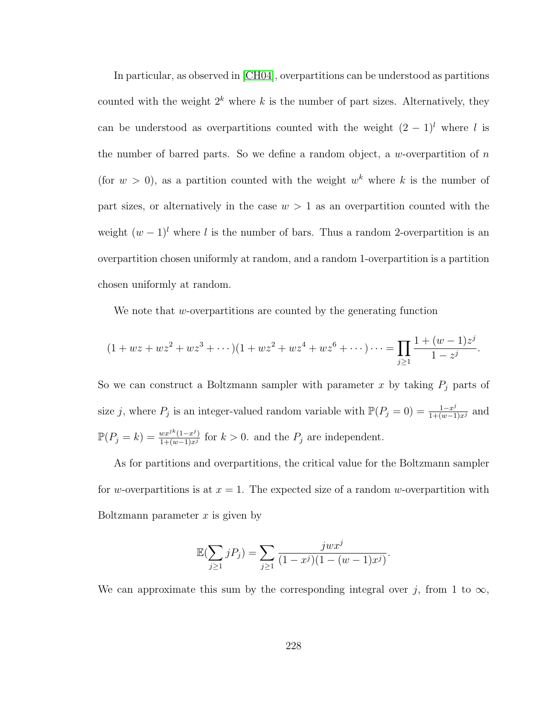<span id="page-239-0"></span>In particular, as observed in [\[CH04\]](#page-248-0), overpartitions can be understood as partitions counted with the weight  $2^k$  where k is the number of part sizes. Alternatively, they can be understood as overpartitions counted with the weight  $(2-1)^l$  where l is the number of barred parts. So we define a random object, a w-overpartition of  $n$ (for  $w > 0$ ), as a partition counted with the weight  $w<sup>k</sup>$  where k is the number of part sizes, or alternatively in the case  $w > 1$  as an overpartition counted with the weight  $(w - 1)^l$  where l is the number of bars. Thus a random 2-overpartition is an overpartition chosen uniformly at random, and a random 1-overpartition is a partition chosen uniformly at random.

We note that w-overpartitions are counted by the generating function

$$
(1 + wz + wz^{2} + wz^{3} + \cdots)(1 + wz^{2} + wz^{4} + wz^{6} + \cdots) \cdots = \prod_{j \geq 1} \frac{1 + (w - 1)z^{j}}{1 - z^{j}}.
$$

So we can construct a Boltzmann sampler with parameter x by taking  $P_j$  parts of size j, where  $P_j$  is an integer-valued random variable with  $\mathbb{P}(P_j = 0) = \frac{1-x^j}{1+(w-1)x^j}$  and  $\mathbb{P}(P_j = k) = \frac{wx^{jk}(1-x^j)}{1+(w-1)x^j}$  $\frac{w x^{j\alpha}(1-x^j)}{1+(w-1)x^j}$  for  $k > 0$ . and the  $P_j$  are independent.

As for partitions and overpartitions, the critical value for the Boltzmann sampler for w-overpartitions is at  $x = 1$ . The expected size of a random w-overpartition with Boltzmann parameter  $x$  is given by

$$
\mathbb{E}(\sum_{j\geq 1} jP_j) = \sum_{j\geq 1} \frac{jwx^j}{(1-x^j)(1-(w-1)x^j)}.
$$

We can approximate this sum by the corresponding integral over j, from 1 to  $\infty$ ,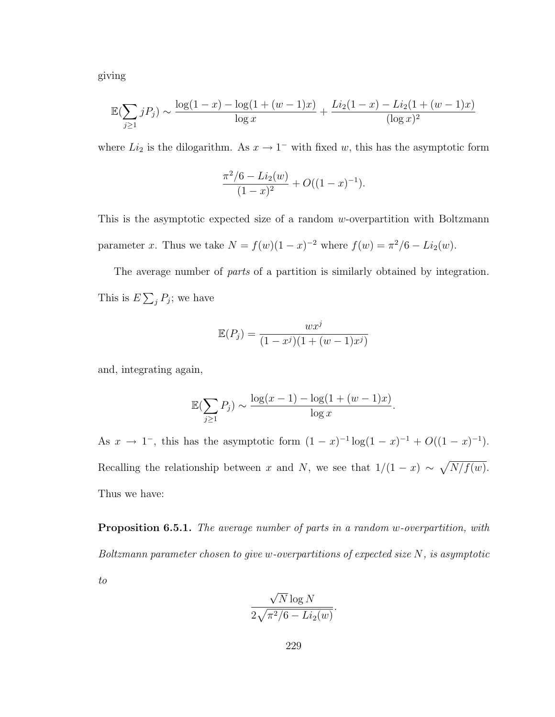giving

$$
\mathbb{E}(\sum_{j\geq 1} jP_j) \sim \frac{\log(1-x) - \log(1 + (w-1)x)}{\log x} + \frac{Li_2(1-x) - Li_2(1 + (w-1)x)}{(\log x)^2}
$$

where  $Li_2$  is the dilogarithm. As  $x \to 1^-$  with fixed w, this has the asymptotic form

$$
\frac{\pi^2/6 - Li_2(w)}{(1-x)^2} + O((1-x)^{-1}).
$$

This is the asymptotic expected size of a random w-overpartition with Boltzmann parameter x. Thus we take  $N = f(w)(1-x)^{-2}$  where  $f(w) = \pi^2/6 - Li_2(w)$ .

The average number of *parts* of a partition is similarly obtained by integration. This is  $E\sum_{j} P_j$ ; we have

$$
\mathbb{E}(P_j) = \frac{wx^j}{(1-x^j)(1+(w-1)x^j)}
$$

and, integrating again,

$$
\mathbb{E}(\sum_{j\geq 1} P_j) \sim \frac{\log(x-1) - \log(1 + (w-1)x)}{\log x}.
$$

As  $x \to 1^-$ , this has the asymptotic form  $(1-x)^{-1} \log(1-x)^{-1} + O((1-x)^{-1})$ . Recalling the relationship between x and N, we see that  $1/(1-x) \sim \sqrt{N/f(w)}$ . Thus we have:

Proposition 6.5.1. The average number of parts in a random w-overpartition, with Boltzmann parameter chosen to give w-overpartitions of expected size  $N$ , is asymptotic to

$$
\frac{\sqrt{N}\log N}{2\sqrt{\pi^2/6 - Li_2(w)}}.
$$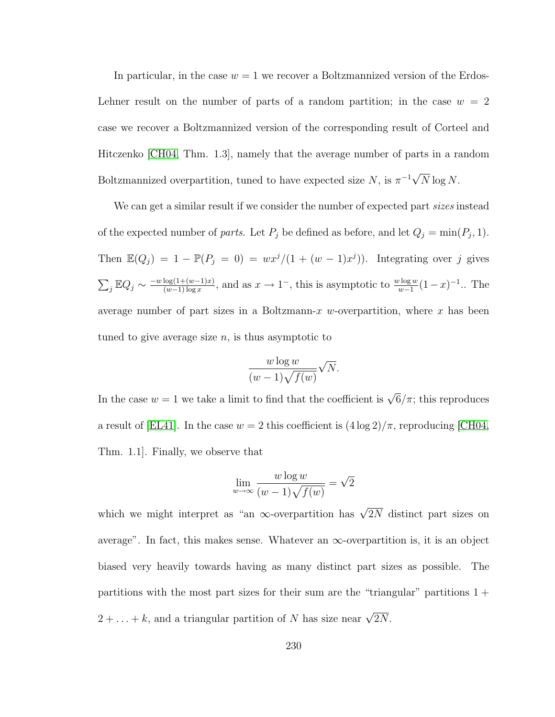<span id="page-241-0"></span>In particular, in the case  $w = 1$  we recover a Boltzmannized version of the Erdos-Lehner result on the number of parts of a random partition; in the case  $w = 2$ case we recover a Boltzmannized version of the corresponding result of Corteel and Hitczenko [\[CH04,](#page-248-0) Thm. 1.3], namely that the average number of parts in a random Boltzmannized overpartition, tuned to have expected size  $N$ , is  $\pi^{-1} \sqrt{\frac{N+1}{N}}$  $N \log N$ .

We can get a similar result if we consider the number of expected part *sizes* instead of the expected number of parts. Let  $P_j$  be defined as before, and let  $Q_j = \min(P_j, 1)$ . Then  $\mathbb{E}(Q_j) = 1 - \mathbb{P}(P_j = 0) = wx^j/(1 + (w - 1)x^j)$ . Integrating over j gives  $\sum_j \mathbb{E} Q_j \sim \frac{-w \log(1+(w-1)x)}{(w-1) \log x}$  $\frac{\log(1+(w-1)x)}{(w-1)\log x}$ , and as  $x \to 1^-$ , this is asymptotic to  $\frac{w \log w}{w-1}(1-x)^{-1}$ . The average number of part sizes in a Boltzmann-x w-overpartition, where x has been tuned to give average size  $n$ , is thus asymptotic to

$$
\frac{w \log w}{(w-1)\sqrt{f(w)}} \sqrt{N}.
$$

In the case  $w = 1$  we take a limit to find that the coefficient is  $\sqrt{6}/\pi$ ; this reproduces a result of [\[EL41\]](#page-250-0). In the case  $w = 2$  this coefficient is  $(4 \log 2)/\pi$ , reproducing [\[CH04,](#page-248-0) Thm. 1.1]. Finally, we observe that

$$
\lim_{w \to \infty} \frac{w \log w}{(w-1)\sqrt{f(w)}} = \sqrt{2}
$$

which we might interpret as "an  $\infty$ -overpartition has  $\sqrt{2N}$  distinct part sizes on average". In fact, this makes sense. Whatever an  $\infty$ -overpartition is, it is an object biased very heavily towards having as many distinct part sizes as possible. The partitions with the most part sizes for their sum are the "triangular" partitions 1 +  $2 + \ldots + k$ , and a triangular partition of N has size near  $\sqrt{2N}$ .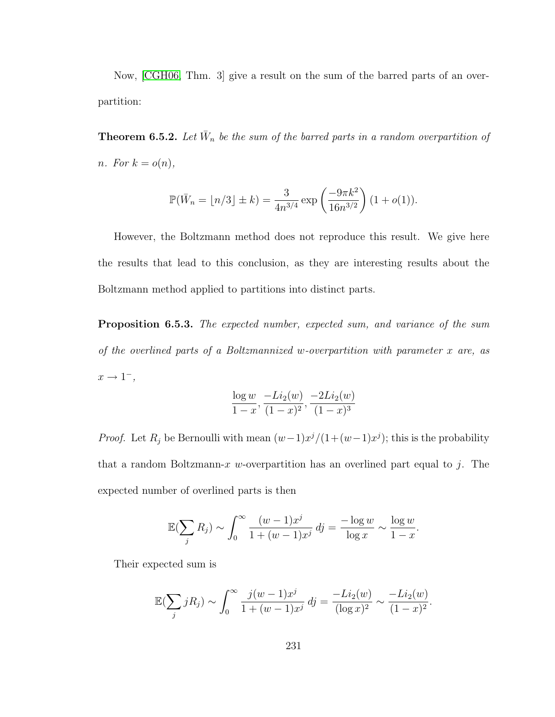<span id="page-242-0"></span>Now, [\[CGH06,](#page-248-1) Thm. 3] give a result on the sum of the barred parts of an overpartition:

**Theorem 6.5.2.** Let  $\bar{W}_n$  be the sum of the barred parts in a random overpartition of n. For  $k = o(n)$ ,

$$
\mathbb{P}(\bar{W}_n = \lfloor n/3 \rfloor \pm k) = \frac{3}{4n^{3/4}} \exp\left(\frac{-9\pi k^2}{16n^{3/2}}\right) (1 + o(1)).
$$

However, the Boltzmann method does not reproduce this result. We give here the results that lead to this conclusion, as they are interesting results about the Boltzmann method applied to partitions into distinct parts.

Proposition 6.5.3. The expected number, expected sum, and variance of the sum of the overlined parts of a Boltzmannized w-overpartition with parameter x are, as  $x \rightarrow 1^{-}$ ,

$$
\frac{\log w}{1-x}, \frac{-Li_2(w)}{(1-x)^2}, \frac{-2Li_2(w)}{(1-x)^3}
$$

*Proof.* Let  $R_j$  be Bernoulli with mean  $(w-1)x^j/(1+(w-1)x^j)$ ; this is the probability that a random Boltzmann-x w-overpartition has an overlined part equal to j. The expected number of overlined parts is then

$$
\mathbb{E}(\sum_j R_j) \sim \int_0^\infty \frac{(w-1)x^j}{1+(w-1)x^j} \, dj = \frac{-\log w}{\log x} \sim \frac{\log w}{1-x}.
$$

Their expected sum is

$$
\mathbb{E}(\sum_{j} jR_{j}) \sim \int_{0}^{\infty} \frac{j(w-1)x^{j}}{1+(w-1)x^{j}} dy = \frac{-Li_{2}(w)}{(\log x)^{2}} \sim \frac{-Li_{2}(w)}{(1-x)^{2}}.
$$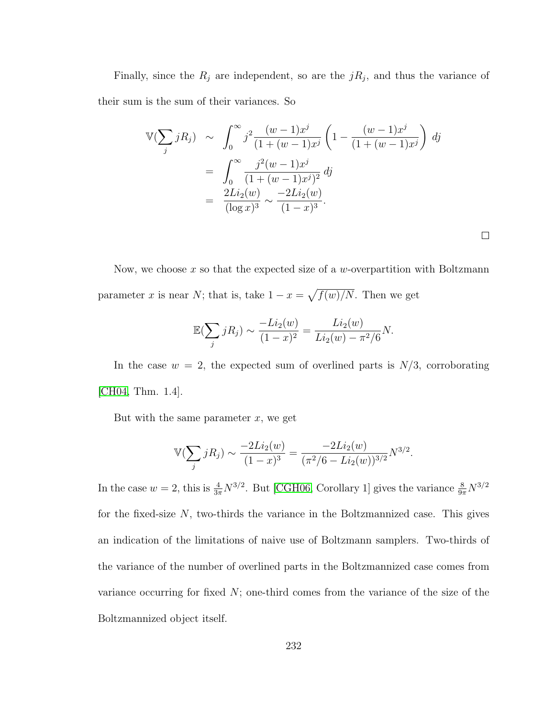<span id="page-243-0"></span>Finally, since the  $R_j$  are independent, so are the  $jR_j$ , and thus the variance of their sum is the sum of their variances. So

$$
\mathbb{V}(\sum_{j} jR_{j}) \sim \int_{0}^{\infty} j^{2} \frac{(w-1)x^{j}}{(1+(w-1)x^{j}} \left(1 - \frac{(w-1)x^{j}}{(1+(w-1)x^{j}}\right) dy
$$

$$
= \int_{0}^{\infty} \frac{j^{2}(w-1)x^{j}}{(1+(w-1)x^{j})^{2}} dy
$$

$$
= \frac{2Li_{2}(w)}{(\log x)^{3}} \sim \frac{-2Li_{2}(w)}{(1-x)^{3}}.
$$

Now, we choose  $x$  so that the expected size of a w-overpartition with Boltzmann parameter x is near N; that is, take  $1 - x = \sqrt{f(w)/N}$ . Then we get

 $\Box$ 

$$
\mathbb{E}(\sum_{j} jR_{j}) \sim \frac{-Li_{2}(w)}{(1-x)^{2}} = \frac{Li_{2}(w)}{Li_{2}(w) - \pi^{2}/6} N.
$$

In the case  $w = 2$ , the expected sum of overlined parts is  $N/3$ , corroborating [\[CH04,](#page-248-0) Thm. 1.4].

But with the same parameter  $x$ , we get

$$
\mathbb{V}(\sum_j jR_j) \sim \frac{-2Li_2(w)}{(1-x)^3} = \frac{-2Li_2(w)}{(\pi^2/6 - Li_2(w))^{3/2}} N^{3/2}.
$$

In the case  $w = 2$ , this is  $\frac{4}{3\pi}N^{3/2}$ . But [\[CGH06,](#page-248-1) Corollary 1] gives the variance  $\frac{8}{9\pi}N^{3/2}$ for the fixed-size  $N$ , two-thirds the variance in the Boltzmannized case. This gives an indication of the limitations of naive use of Boltzmann samplers. Two-thirds of the variance of the number of overlined parts in the Boltzmannized case comes from variance occurring for fixed  $N$ ; one-third comes from the variance of the size of the Boltzmannized object itself.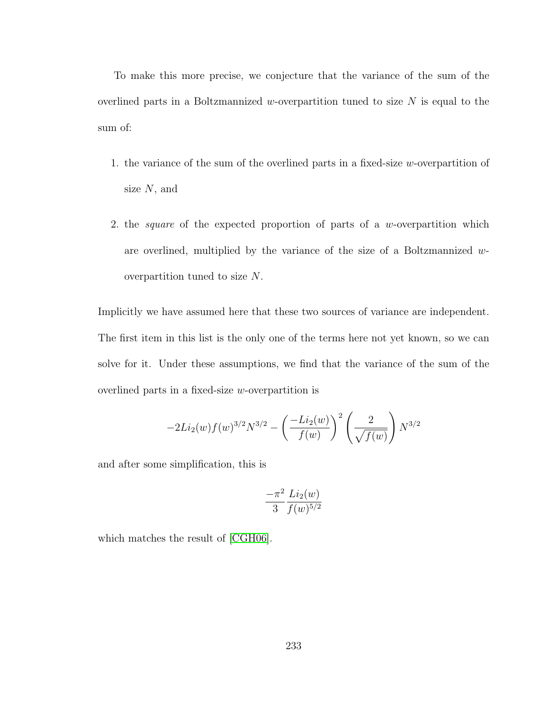<span id="page-244-0"></span>To make this more precise, we conjecture that the variance of the sum of the overlined parts in a Boltzmannized w-overpartition tuned to size  $N$  is equal to the sum of:

- 1. the variance of the sum of the overlined parts in a fixed-size  $w$ -overpartition of size  $N$ , and
- 2. the *square* of the expected proportion of parts of a w-overpartition which are overlined, multiplied by the variance of the size of a Boltzmannized woverpartition tuned to size N.

Implicitly we have assumed here that these two sources of variance are independent. The first item in this list is the only one of the terms here not yet known, so we can solve for it. Under these assumptions, we find that the variance of the sum of the overlined parts in a fixed-size w-overpartition is

$$
-2Li_2(w)f(w)^{3/2}N^{3/2} - \left(\frac{-Li_2(w)}{f(w)}\right)^2 \left(\frac{2}{\sqrt{f(w)}}\right)N^{3/2}
$$

and after some simplification, this is

$$
\frac{-\pi^2}{3} \frac{Li_2(w)}{f(w)^{5/2}}
$$

which matches the result of [\[CGH06\]](#page-248-1).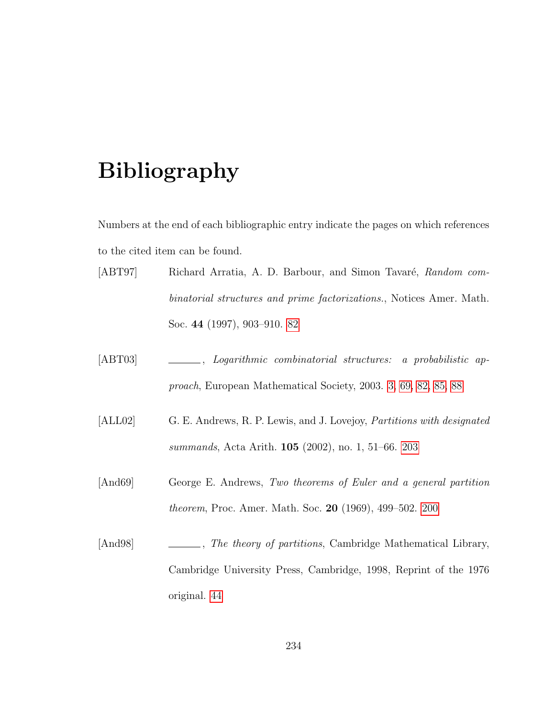## Bibliography

Numbers at the end of each bibliographic entry indicate the pages on which references to the cited item can be found.

- [ABT97] Richard Arratia, A. D. Barbour, and Simon Tavaré, Random combinatorial structures and prime factorizations., Notices Amer. Math. Soc. 44 (1997), 903–910. [82](#page-93-0)
- [ABT03]  $Logarithmic combinatorial structures: a probabilistic ap$ proach, European Mathematical Society, 2003. [3,](#page-2-0) [69,](#page-80-0) [82,](#page-93-0) [85,](#page-96-0) [88](#page-99-0)
- [ALL02] G. E. Andrews, R. P. Lewis, and J. Lovejoy, Partitions with designated summands, Acta Arith. 105 (2002), no. 1, 51–66. [203](#page-214-0)
- [And69] George E. Andrews, Two theorems of Euler and a general partition theorem, Proc. Amer. Math. Soc. 20 (1969), 499–502. [200](#page-211-0)
- [And98] , The theory of partitions, Cambridge Mathematical Library, Cambridge University Press, Cambridge, 1998, Reprint of the 1976 original. [44](#page-55-0)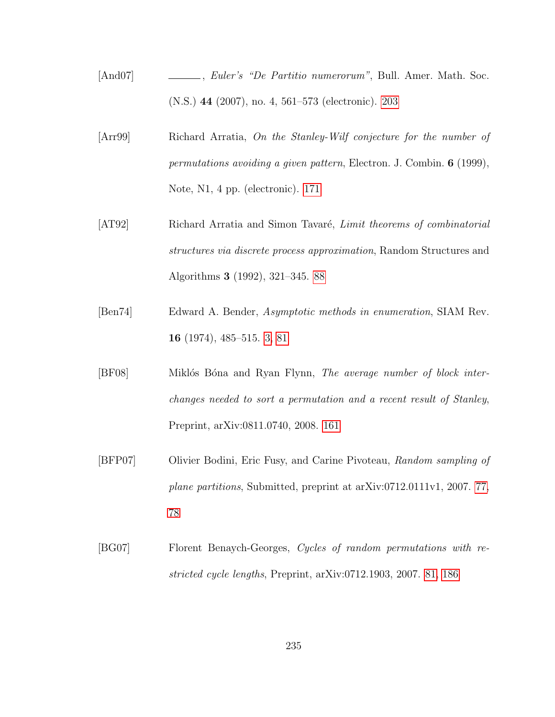- [And07] , Euler's "De Partitio numerorum", Bull. Amer. Math. Soc. (N.S.) 44 (2007), no. 4, 561–573 (electronic). [203](#page-214-0)
- [Arr99] Richard Arratia, On the Stanley-Wilf conjecture for the number of permutations avoiding a given pattern, Electron. J. Combin. 6 (1999), Note, N1, 4 pp. (electronic). [171](#page-182-0)
- [AT92] Richard Arratia and Simon Tavaré, Limit theorems of combinatorial structures via discrete process approximation, Random Structures and Algorithms 3 (1992), 321–345. [88](#page-99-0)
- [Ben74] Edward A. Bender, Asymptotic methods in enumeration, SIAM Rev. 16 (1974), 485–515. [3,](#page-2-0) [81](#page-92-0)
- [BF08] Miklós Bóna and Ryan Flynn, *The average number of block inter*changes needed to sort a permutation and a recent result of Stanley, Preprint, arXiv:0811.0740, 2008. [161](#page-172-0)
- [BFP07] Olivier Bodini, Eric Fusy, and Carine Pivoteau, Random sampling of plane partitions, Submitted, preprint at arXiv:0712.0111v1, 2007. [77,](#page-88-0) [78](#page-89-0)
- [BG07] Florent Benaych-Georges, Cycles of random permutations with restricted cycle lengths, Preprint, arXiv:0712.1903, 2007. [81,](#page-92-0) [186](#page-197-0)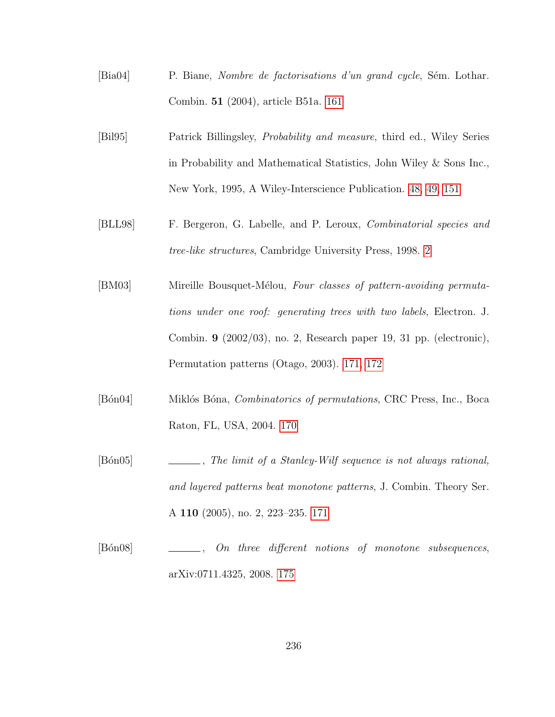- [Bia04] P. Biane, *Nombre de factorisations d'un grand cycle*, Sém. Lothar. Combin. 51 (2004), article B51a. [161](#page-172-0)
- [Bil95] Patrick Billingsley, Probability and measure, third ed., Wiley Series in Probability and Mathematical Statistics, John Wiley & Sons Inc., New York, 1995, A Wiley-Interscience Publication. [48,](#page-59-0) [49,](#page-60-0) [151](#page-162-0)
- [BLL98] F. Bergeron, G. Labelle, and P. Leroux, Combinatorial species and tree-like structures, Cambridge University Press, 1998. [2](#page-1-0)
- [BM03] Mireille Bousquet-Mélou, Four classes of pattern-avoiding permutations under one roof: generating trees with two labels, Electron. J. Combin. 9 (2002/03), no. 2, Research paper 19, 31 pp. (electronic), Permutation patterns (Otago, 2003). [171,](#page-182-0) [172](#page-183-0)
- [Bon04] Miklos Bona, *Combinatorics of permutations*, CRC Press, Inc., Boca Raton, FL, USA, 2004. [170](#page-181-0)
- $[Bon05]$  , The limit of a Stanley-Wilf sequence is not always rational, and layered patterns beat monotone patterns, J. Combin. Theory Ser. A 110 (2005), no. 2, 223–235. [171](#page-182-0)
- [B´on08] , On three different notions of monotone subsequences, arXiv:0711.4325, 2008. [175](#page-186-0)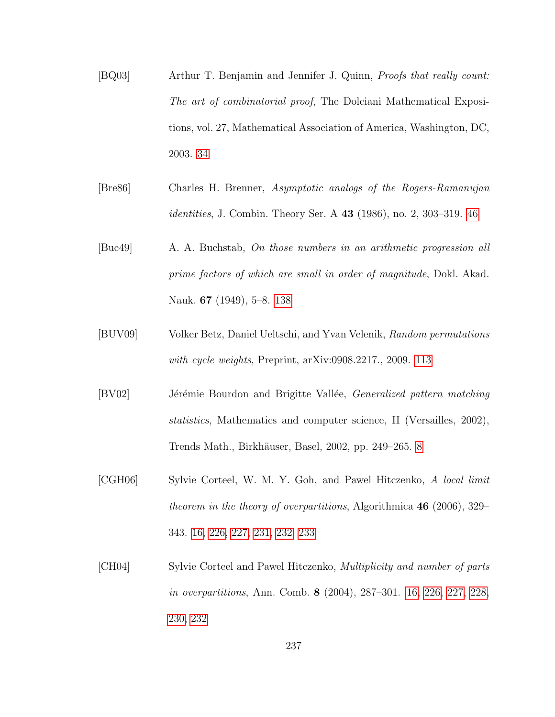- [BQ03] Arthur T. Benjamin and Jennifer J. Quinn, Proofs that really count: The art of combinatorial proof, The Dolciani Mathematical Expositions, vol. 27, Mathematical Association of America, Washington, DC, 2003. [34](#page-45-0)
- [Bre86] Charles H. Brenner, Asymptotic analogs of the Rogers-Ramanujan identities, J. Combin. Theory Ser. A 43 (1986), no. 2, 303–319. [46](#page-57-0)
- [Buc49] A. A. Buchstab, On those numbers in an arithmetic progression all prime factors of which are small in order of magnitude, Dokl. Akad. Nauk. 67 (1949), 5–8. [138](#page-149-0)
- [BUV09] Volker Betz, Daniel Ueltschi, and Yvan Velenik, Random permutations with cycle weights, Preprint, arXiv:0908.2217., 2009. [113](#page-124-0)
- [BV02] Jérémie Bourdon and Brigitte Vallée, *Generalized pattern matching* statistics, Mathematics and computer science, II (Versailles, 2002), Trends Math., Birkh¨auser, Basel, 2002, pp. 249–265. [8](#page-7-0)
- <span id="page-248-1"></span>[CGH06] Sylvie Corteel, W. M. Y. Goh, and Pawel Hitczenko, A local limit theorem in the theory of overpartitions, Algorithmica 46 (2006), 329– 343. [16,](#page-27-0) [226,](#page-237-0) [227,](#page-238-0) [231,](#page-242-0) [232,](#page-243-0) [233](#page-244-0)
- <span id="page-248-0"></span>[CH04] Sylvie Corteel and Pawel Hitczenko, Multiplicity and number of parts in overpartitions, Ann. Comb. 8 (2004), 287–301. [16,](#page-27-0) [226,](#page-237-0) [227,](#page-238-0) [228,](#page-239-0) [230,](#page-241-0) [232](#page-243-0)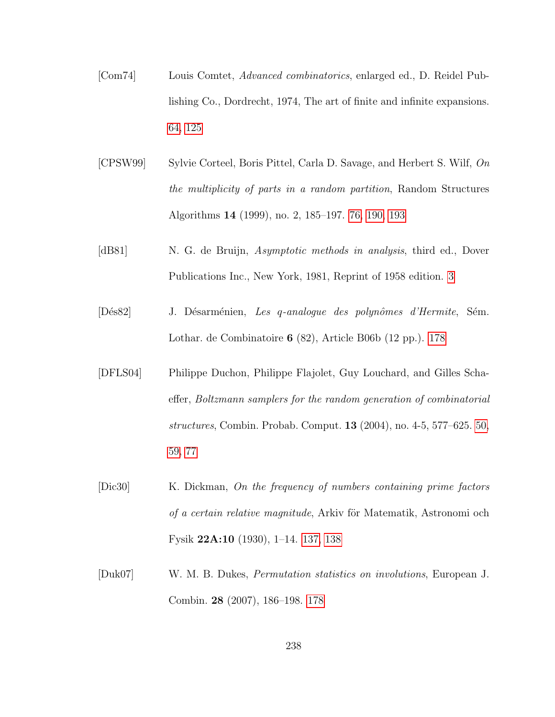- [Com74] Louis Comtet, Advanced combinatorics, enlarged ed., D. Reidel Publishing Co., Dordrecht, 1974, The art of finite and infinite expansions. [64,](#page-75-0) [125](#page-136-0)
- [CPSW99] Sylvie Corteel, Boris Pittel, Carla D. Savage, and Herbert S. Wilf, On the multiplicity of parts in a random partition, Random Structures Algorithms 14 (1999), no. 2, 185–197. [76,](#page-87-0) [190,](#page-201-0) [193](#page-204-0)
- [dB81] N. G. de Bruijn, *Asymptotic methods in analysis*, third ed., Dover Publications Inc., New York, 1981, Reprint of 1958 edition. [3](#page-2-0)
- [Dés82] J. Désarménien, Les q-analogue des polynômes d'Hermite, Sém. Lothar. de Combinatoire 6 (82), Article B06b (12 pp.). [178](#page-189-0)
- [DFLS04] Philippe Duchon, Philippe Flajolet, Guy Louchard, and Gilles Schaeffer, Boltzmann samplers for the random generation of combinatorial structures, Combin. Probab. Comput. 13 (2004), no. 4-5, 577–625. [50,](#page-61-0) [59,](#page-70-0) [77](#page-88-0)
- [Dic30] K. Dickman, On the frequency of numbers containing prime factors of a certain relative magnitude, Arkiv för Matematik, Astronomi och Fysik 22A:10 (1930), 1–14. [137,](#page-148-0) [138](#page-149-0)
- [Duk07] W. M. B. Dukes, Permutation statistics on involutions, European J. Combin. 28 (2007), 186–198. [178](#page-189-0)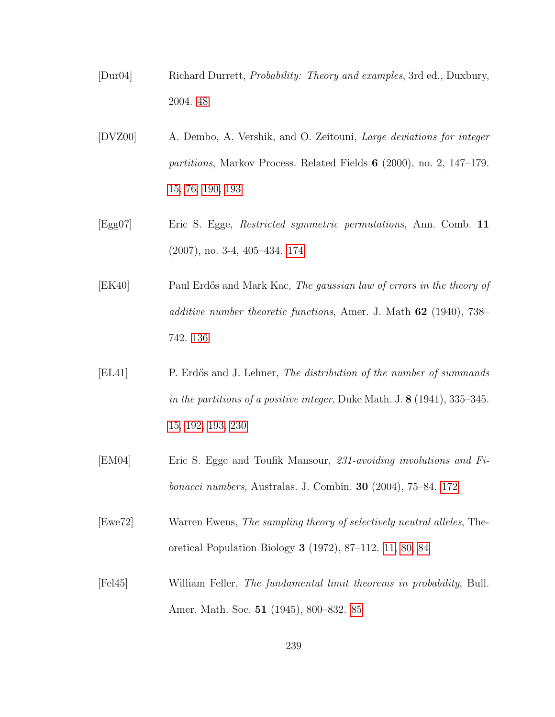- [Dur04] Richard Durrett, Probability: Theory and examples, 3rd ed., Duxbury, 2004. [48](#page-59-0)
- [DVZ00] A. Dembo, A. Vershik, and O. Zeitouni, Large deviations for integer partitions, Markov Process. Related Fields 6 (2000), no. 2, 147–179. [15,](#page-26-0) [76,](#page-87-0) [190,](#page-201-0) [193](#page-204-0)
- [Egg07] Eric S. Egge, Restricted symmetric permutations, Ann. Comb. 11 (2007), no. 3-4, 405–434. [174](#page-185-0)
- [EK40] Paul Erd˝os and Mark Kac, The gaussian law of errors in the theory of additive number theoretic functions, Amer. J. Math 62 (1940), 738– 742. [136](#page-147-0)
- <span id="page-250-0"></span>[EL41] P. Erdős and J. Lehner, *The distribution of the number of summands* in the partitions of a positive integer, Duke Math. J. 8 (1941), 335–345. [15,](#page-26-0) [192,](#page-203-0) [193,](#page-204-0) [230](#page-241-0)
- [EM04] Eric S. Egge and Toufik Mansour, 231-avoiding involutions and Fibonacci numbers, Australas. J. Combin. 30 (2004), 75–84. [172](#page-183-0)
- [Ewe72] Warren Ewens, The sampling theory of selectively neutral alleles, Theoretical Population Biology 3 (1972), 87–112. [11,](#page-10-0) [80,](#page-91-0) [84](#page-95-0)
- [Fel45] William Feller, The fundamental limit theorems in probability, Bull. Amer. Math. Soc. 51 (1945), 800–832. [85](#page-96-0)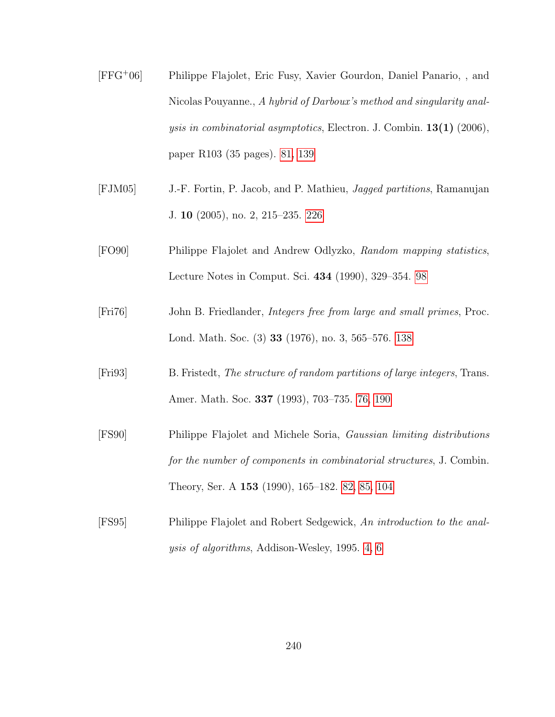- [FFG<sup>+</sup>06] Philippe Flajolet, Eric Fusy, Xavier Gourdon, Daniel Panario, , and Nicolas Pouyanne., A hybrid of Darboux's method and singularity analysis in combinatorial asymptotics, Electron. J. Combin. 13(1) (2006), paper R103 (35 pages). [81,](#page-92-0) [139](#page-150-0)
- <span id="page-251-0"></span>[FJM05] J.-F. Fortin, P. Jacob, and P. Mathieu, Jagged partitions, Ramanujan J. 10 (2005), no. 2, 215–235. [226](#page-237-0)
- [FO90] Philippe Flajolet and Andrew Odlyzko, Random mapping statistics, Lecture Notes in Comput. Sci. 434 (1990), 329–354. [98](#page-109-0)
- [Fri76] John B. Friedlander, Integers free from large and small primes, Proc. Lond. Math. Soc. (3) 33 (1976), no. 3, 565–576. [138](#page-149-0)
- [Fri93] B. Fristedt, The structure of random partitions of large integers, Trans. Amer. Math. Soc. 337 (1993), 703–735. [76,](#page-87-0) [190](#page-201-0)
- [FS90] Philippe Flajolet and Michele Soria, Gaussian limiting distributions for the number of components in combinatorial structures, J. Combin. Theory, Ser. A 153 (1990), 165–182. [82,](#page-93-0) [85,](#page-96-0) [104](#page-115-0)
- [FS95] Philippe Flajolet and Robert Sedgewick, An introduction to the analysis of algorithms, Addison-Wesley, 1995. [4,](#page-3-0) [6](#page-5-0)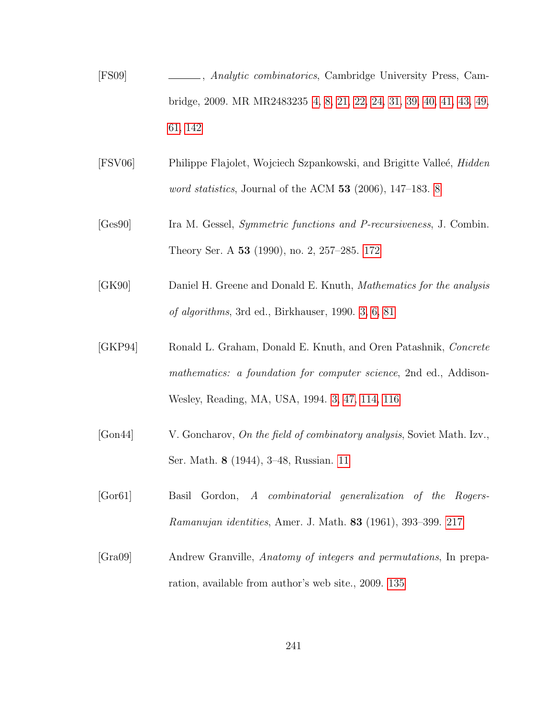- [FS09] , Analytic combinatorics, Cambridge University Press, Cambridge, 2009. MR MR2483235 [4,](#page-3-0) [8,](#page-7-0) [21,](#page-32-0) [22,](#page-33-0) [24,](#page-35-0) [31,](#page-42-0) [39,](#page-50-0) [40,](#page-51-0) [41,](#page-52-0) [43,](#page-54-0) [49,](#page-60-0) [61,](#page-72-0) [142](#page-153-0)
- [FSV06] Philippe Flajolet, Wojciech Szpankowski, and Brigitte Valleé, *Hidden* word statistics, Journal of the ACM 53 (2006), 147–183. [8](#page-7-0)
- [Ges90] Ira M. Gessel, Symmetric functions and P-recursiveness, J. Combin. Theory Ser. A 53 (1990), no. 2, 257–285. [172](#page-183-0)
- [GK90] Daniel H. Greene and Donald E. Knuth, Mathematics for the analysis of algorithms, 3rd ed., Birkhauser, 1990. [3,](#page-2-0) [6,](#page-5-0) [81](#page-92-0)
- [GKP94] Ronald L. Graham, Donald E. Knuth, and Oren Patashnik, Concrete mathematics: a foundation for computer science, 2nd ed., Addison-Wesley, Reading, MA, USA, 1994. [3,](#page-2-0) [47,](#page-58-0) [114,](#page-125-0) [116](#page-127-0)
- [Gon44] V. Goncharov, On the field of combinatory analysis, Soviet Math. Izv., Ser. Math. 8 (1944), 3–48, Russian. [11](#page-10-0)
- [Gor61] Basil Gordon, A combinatorial generalization of the Rogers-Ramanujan identities, Amer. J. Math. 83 (1961), 393–399. [217](#page-228-0)
- [Gra09] Andrew Granville, Anatomy of integers and permutations, In preparation, available from author's web site., 2009. [135](#page-146-0)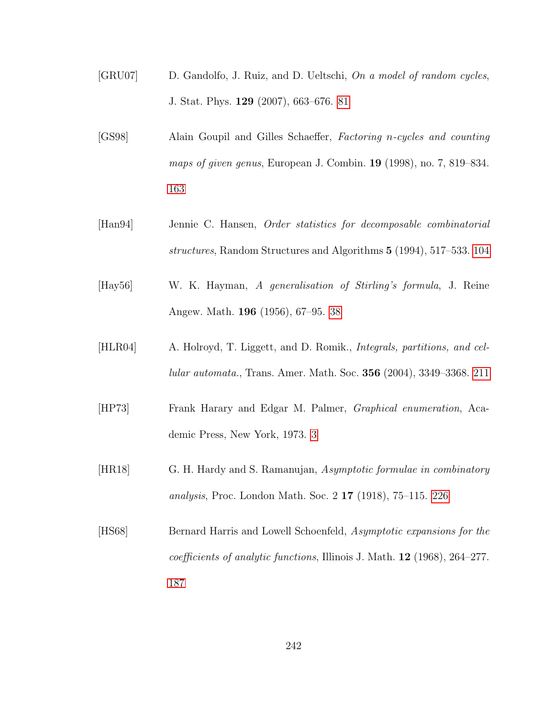- [GRU07] D. Gandolfo, J. Ruiz, and D. Ueltschi, On a model of random cycles, J. Stat. Phys. 129 (2007), 663–676. [81](#page-92-0)
- [GS98] Alain Goupil and Gilles Schaeffer, Factoring n-cycles and counting maps of given genus, European J. Combin. 19 (1998), no. 7, 819–834. [163](#page-174-0)
- [Han94] Jennie C. Hansen, Order statistics for decomposable combinatorial structures, Random Structures and Algorithms 5 (1994), 517–533. [104](#page-115-0)
- [Hay56] W. K. Hayman, A generalisation of Stirling's formula, J. Reine Angew. Math. 196 (1956), 67–95. [38](#page-49-0)
- [HLR04] A. Holroyd, T. Liggett, and D. Romik., Integrals, partitions, and cellular automata., Trans. Amer. Math. Soc. 356 (2004), 3349–3368. [211](#page-222-0)
- [HP73] Frank Harary and Edgar M. Palmer, Graphical enumeration, Academic Press, New York, 1973. [3](#page-2-0)
- [HR18] G. H. Hardy and S. Ramanujan, Asymptotic formulae in combinatory analysis, Proc. London Math. Soc. 2 17 (1918), 75–115. [226](#page-237-0)
- [HS68] Bernard Harris and Lowell Schoenfeld, Asymptotic expansions for the coefficients of analytic functions, Illinois J. Math. 12 (1968), 264–277. [187](#page-198-0)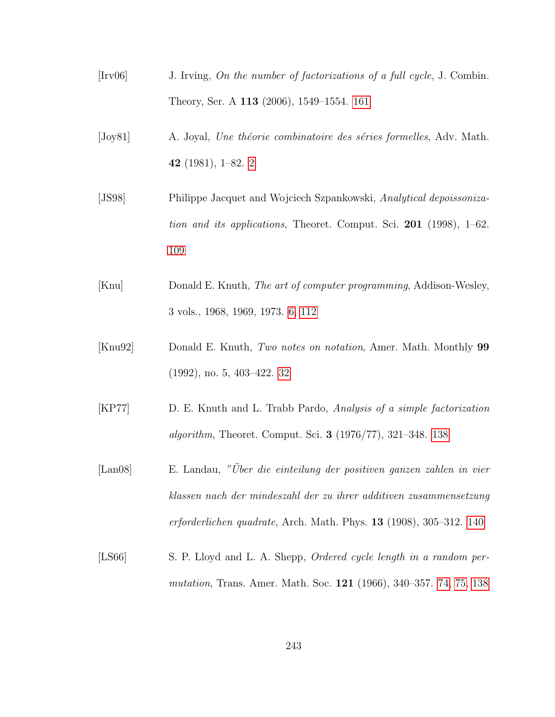- [Irv06] J. Irving, On the number of factorizations of a full cycle, J. Combin. Theory, Ser. A 113 (2006), 1549–1554. [161](#page-172-0)
- [Joy81] A. Joyal, *Une théorie combinatoire des séries formelles*, Adv. Math. 42 (1981), 1–82. [2](#page-1-0)
- [JS98] Philippe Jacquet and Wojciech Szpankowski, Analytical depoissonization and its applications, Theoret. Comput. Sci. 201 (1998), 1–62. [109](#page-120-0)
- [Knu] Donald E. Knuth, The art of computer programming, Addison-Wesley, 3 vols., 1968, 1969, 1973. [6,](#page-5-0) [112](#page-123-0)
- [Knu92] Donald E. Knuth, Two notes on notation, Amer. Math. Monthly 99 (1992), no. 5, 403–422. [32](#page-43-0)
- [KP77] D. E. Knuth and L. Trabb Pardo, Analysis of a simple factorization algorithm, Theoret. Comput. Sci. 3 (1976/77), 321–348. [138](#page-149-0)
- [Lan08] E. Landau, "Über die einteilung der positiven ganzen zahlen in vier klassen nach der mindeszahl der zu ihrer additiven zusammensetzung erforderlichen quadrate, Arch. Math. Phys. 13 (1908), 305–312. [140](#page-151-0)
- [LS66] S. P. Lloyd and L. A. Shepp, *Ordered cycle length in a random per*mutation, Trans. Amer. Math. Soc. 121 (1966), 340–357. [74,](#page-85-0) [75,](#page-86-0) [138](#page-149-0)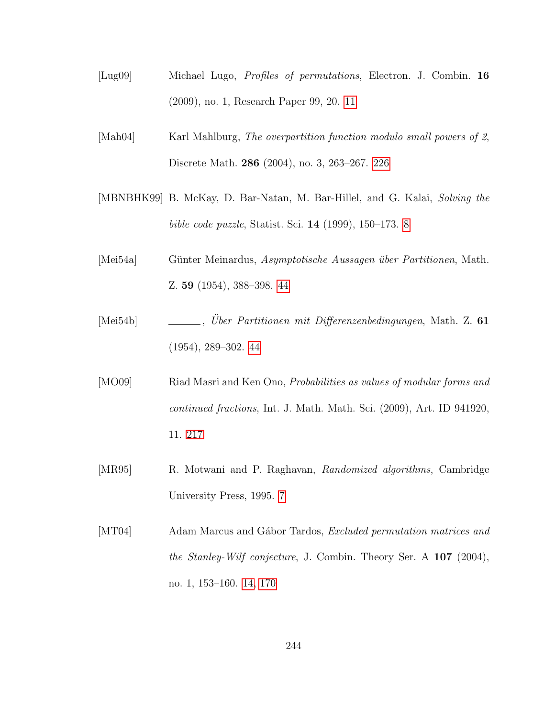- [Lug09] Michael Lugo, Profiles of permutations, Electron. J. Combin. 16 (2009), no. 1, Research Paper 99, 20. [11](#page-10-0)
- [Mah04] Karl Mahlburg, The overpartition function modulo small powers of 2, Discrete Math. 286 (2004), no. 3, 263–267. [226](#page-237-0)
- [MBNBHK99] B. McKay, D. Bar-Natan, M. Bar-Hillel, and G. Kalai, Solving the bible code puzzle, Statist. Sci. 14 (1999), 150–173. [8](#page-7-0)
- [Mei54a] Günter Meinardus, Asymptotische Aussagen über Partitionen, Math. Z. 59 (1954), 388–398. [44](#page-55-0)
- [Mei54b]  $\rule{1em}{0.15mm}$  , Uber Partitionen mit Differenzenbedingungen, Math. Z. 61 (1954), 289–302. [44](#page-55-0)
- [MO09] Riad Masri and Ken Ono, *Probabilities as values of modular forms and* continued fractions, Int. J. Math. Math. Sci. (2009), Art. ID 941920, 11. [217](#page-228-0)
- [MR95] R. Motwani and P. Raghavan, *Randomized algorithms*, Cambridge University Press, 1995. [7](#page-6-0)
- [MT04] Adam Marcus and Gábor Tardos, *Excluded permutation matrices and* the Stanley-Wilf conjecture, J. Combin. Theory Ser. A 107 (2004), no. 1, 153–160. [14,](#page-25-0) [170](#page-181-0)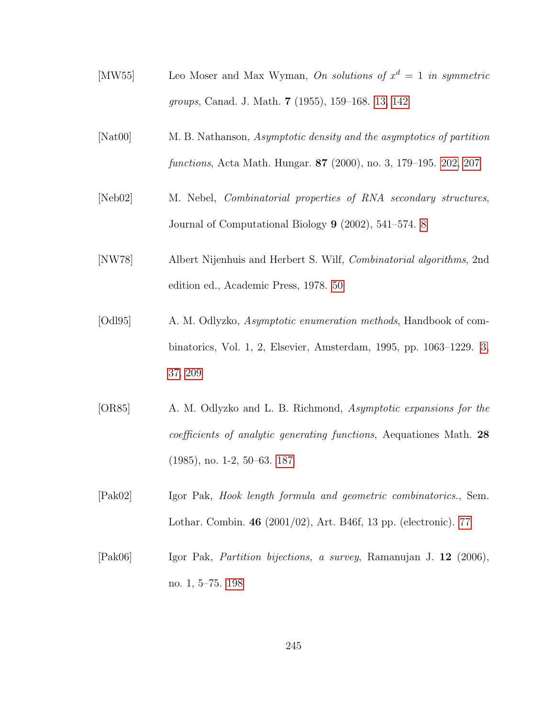- [MW55] Leo Moser and Max Wyman, On solutions of  $x^d = 1$  in symmetric groups, Canad. J. Math. 7 (1955), 159–168. [13,](#page-24-0) [142](#page-153-0)
- [Nat00] M. B. Nathanson, Asymptotic density and the asymptotics of partition functions, Acta Math. Hungar. 87 (2000), no. 3, 179–195. [202,](#page-213-0) [207](#page-218-0)
- [Neb02] M. Nebel, Combinatorial properties of RNA secondary structures, Journal of Computational Biology 9 (2002), 541–574. [8](#page-7-0)
- [NW78] Albert Nijenhuis and Herbert S. Wilf, Combinatorial algorithms, 2nd edition ed., Academic Press, 1978. [50](#page-61-0)
- [Odl95] A. M. Odlyzko, Asymptotic enumeration methods, Handbook of combinatorics, Vol. 1, 2, Elsevier, Amsterdam, 1995, pp. 1063–1229. [3,](#page-2-0) [37,](#page-48-0) [209](#page-220-0)
- [OR85] A. M. Odlyzko and L. B. Richmond, Asymptotic expansions for the coefficients of analytic generating functions, Aequationes Math. 28 (1985), no. 1-2, 50–63. [187](#page-198-0)
- [Pak02] Igor Pak, Hook length formula and geometric combinatorics., Sem. Lothar. Combin. 46 (2001/02), Art. B46f, 13 pp. (electronic). [77](#page-88-0)
- [Pak06] Igor Pak, Partition bijections, a survey, Ramanujan J. 12 (2006), no. 1, 5–75. [198](#page-209-0)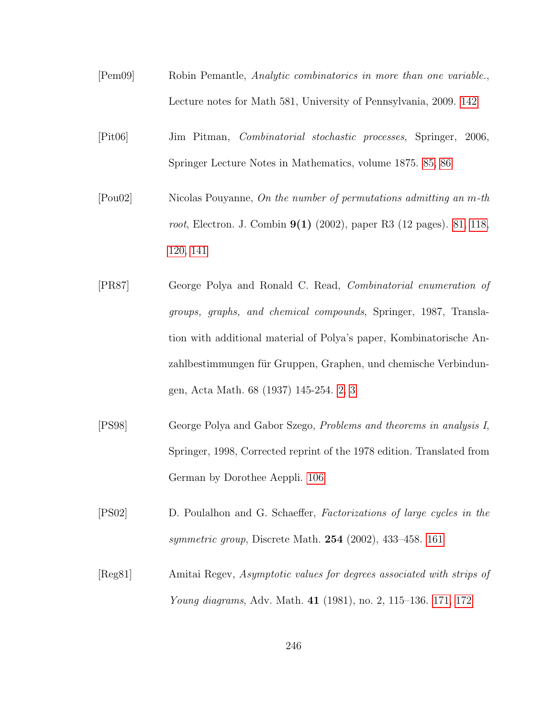- [Pem09] Robin Pemantle, Analytic combinatorics in more than one variable., Lecture notes for Math 581, University of Pennsylvania, 2009. [142](#page-153-0)
- [Pit06] Jim Pitman, Combinatorial stochastic processes, Springer, 2006, Springer Lecture Notes in Mathematics, volume 1875. [85,](#page-96-0) [86](#page-97-0)
- [Pou02] Nicolas Pouyanne, On the number of permutations admitting an m-th root, Electron. J. Combin  $9(1)$  (2002), paper R3 (12 pages). [81,](#page-92-0) [118,](#page-129-0) [120,](#page-131-0) [141](#page-152-0)
- [PR87] George Polya and Ronald C. Read, Combinatorial enumeration of groups, graphs, and chemical compounds, Springer, 1987, Translation with additional material of Polya's paper, Kombinatorische Anzahlbestimmungen für Gruppen, Graphen, und chemische Verbindungen, Acta Math. 68 (1937) 145-254. [2,](#page-1-0) [3](#page-2-0)
- [PS98] George Polya and Gabor Szego, Problems and theorems in analysis I, Springer, 1998, Corrected reprint of the 1978 edition. Translated from German by Dorothee Aeppli. [106](#page-117-0)
- [PS02] D. Poulalhon and G. Schaeffer, Factorizations of large cycles in the symmetric group, Discrete Math. 254 (2002), 433–458. [161](#page-172-0)
- [Reg81] Amitai Regev, Asymptotic values for degrees associated with strips of Young diagrams, Adv. Math. 41 (1981), no. 2, 115–136. [171,](#page-182-0) [172](#page-183-0)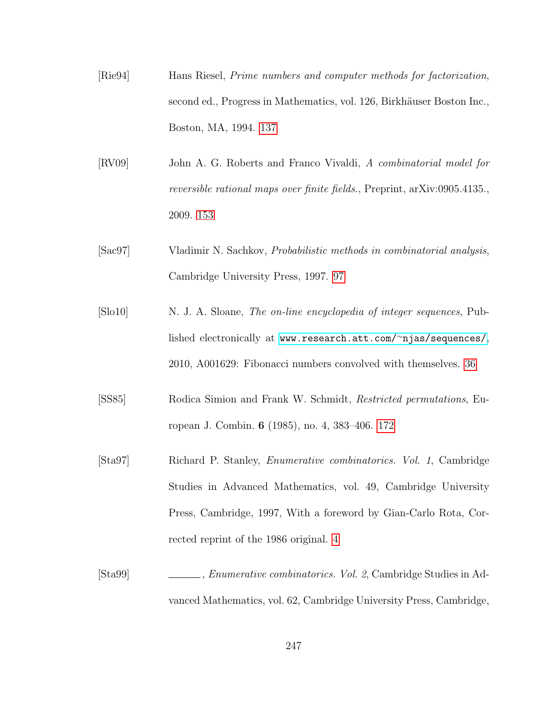- [Rie94] Hans Riesel, Prime numbers and computer methods for factorization, second ed., Progress in Mathematics, vol. 126, Birkhäuser Boston Inc., Boston, MA, 1994. [137](#page-148-0)
- [RV09] John A. G. Roberts and Franco Vivaldi, A combinatorial model for reversible rational maps over finite fields., Preprint, arXiv:0905.4135., 2009. [153](#page-164-0)
- [Sac97] Vladimir N. Sachkov, Probabilistic methods in combinatorial analysis, Cambridge University Press, 1997. [97](#page-108-0)
- [Slo10] N. J. A. Sloane, The on-line encyclopedia of integer sequences, Published electronically at [www.research.att.com/](www.research.att.com/~njas/sequences/)<sup>∼</sup>njas/sequences/, 2010, A001629: Fibonacci numbers convolved with themselves. [36](#page-47-0)
- [SS85] Rodica Simion and Frank W. Schmidt, Restricted permutations, European J. Combin. 6 (1985), no. 4, 383–406. [172](#page-183-0)
- [Sta97] Richard P. Stanley, Enumerative combinatorics. Vol. 1, Cambridge Studies in Advanced Mathematics, vol. 49, Cambridge University Press, Cambridge, 1997, With a foreword by Gian-Carlo Rota, Corrected reprint of the 1986 original. [4](#page-3-0)
- [Sta99] , Enumerative combinatorics. Vol. 2, Cambridge Studies in Advanced Mathematics, vol. 62, Cambridge University Press, Cambridge,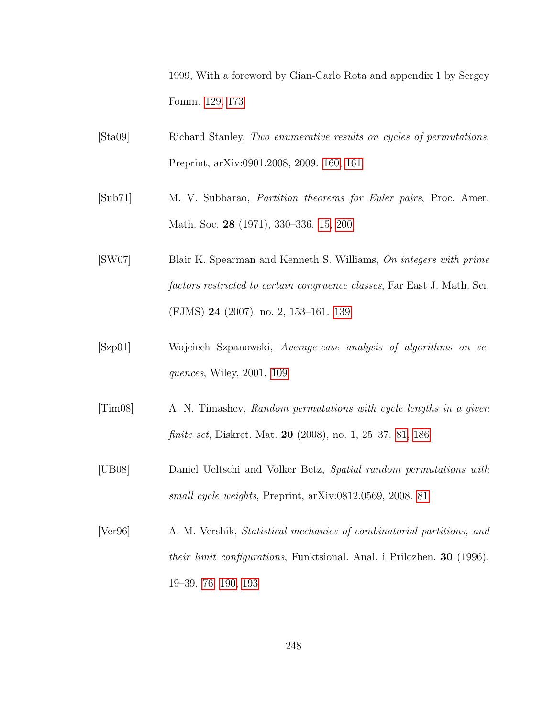1999, With a foreword by Gian-Carlo Rota and appendix 1 by Sergey Fomin. [129,](#page-140-0) [173](#page-184-0)

- [Sta09] Richard Stanley, Two enumerative results on cycles of permutations, Preprint, arXiv:0901.2008, 2009. [160,](#page-171-0) [161](#page-172-0)
- [Sub71] M. V. Subbarao, Partition theorems for Euler pairs, Proc. Amer. Math. Soc. 28 (1971), 330–336. [15,](#page-26-0) [200](#page-211-0)
- [SW07] Blair K. Spearman and Kenneth S. Williams, On integers with prime factors restricted to certain congruence classes, Far East J. Math. Sci. (FJMS) 24 (2007), no. 2, 153–161. [139](#page-150-0)
- [Szp01] Wojciech Szpanowski, Average-case analysis of algorithms on sequences, Wiley, 2001. [109](#page-120-0)
- [Tim08] A. N. Timashev, Random permutations with cycle lengths in a given finite set, Diskret. Mat. 20 (2008), no. 1, 25–37. [81,](#page-92-0) [186](#page-197-0)
- [UB08] Daniel Ueltschi and Volker Betz, Spatial random permutations with small cycle weights, Preprint, arXiv:0812.0569, 2008. [81](#page-92-0)
- [Ver96] A. M. Vershik, Statistical mechanics of combinatorial partitions, and their limit configurations, Funktsional. Anal. i Prilozhen. 30 (1996), 19–39. [76,](#page-87-0) [190,](#page-201-0) [193](#page-204-0)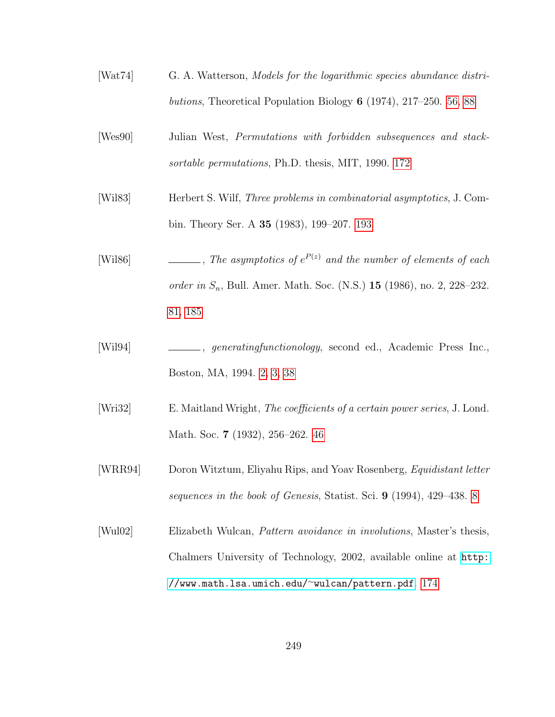- [Wat74] G. A. Watterson, Models for the logarithmic species abundance distributions, Theoretical Population Biology 6 (1974), 217–250. [56,](#page-67-0) [88](#page-99-0)
- [Wes90] Julian West, *Permutations with forbidden subsequences and stack*sortable permutations, Ph.D. thesis, MIT, 1990. [172](#page-183-0)
- [Wil83] Herbert S. Wilf, Three problems in combinatorial asymptotics, J. Combin. Theory Ser. A 35 (1983), 199–207. [193](#page-204-0)
- [Wil86]  $\qquad \qquad \qquad \qquad$ , The asymptotics of  $e^{P(z)}$  and the number of elements of each *order in*  $S_n$ , Bull. Amer. Math. Soc. (N.S.) **15** (1986), no. 2, 228–232. [81,](#page-92-0) [185](#page-196-0)
- [Wil94]  $\qquad \qquad \qquad \qquad$ , generatingfunctionology, second ed., Academic Press Inc., Boston, MA, 1994. [2,](#page-1-0) [3,](#page-2-0) [38](#page-49-0)
- [Wri32] E. Maitland Wright, The coefficients of a certain power series, J. Lond. Math. Soc. 7 (1932), 256–262. [46](#page-57-0)
- [WRR94] Doron Witztum, Eliyahu Rips, and Yoav Rosenberg, Equidistant letter sequences in the book of Genesis, Statist. Sci. 9 (1994), 429–438. [8](#page-7-0)
- [Wul02] Elizabeth Wulcan, Pattern avoidance in involutions, Master's thesis, Chalmers University of Technology, 2002, available online at [http:](http://www.math.lsa.umich.edu/~wulcan/pattern.pdf) [//www.math.lsa.umich.edu/](http://www.math.lsa.umich.edu/~wulcan/pattern.pdf)<sup>∼</sup>wulcan/pattern.pdf. [174](#page-185-0)